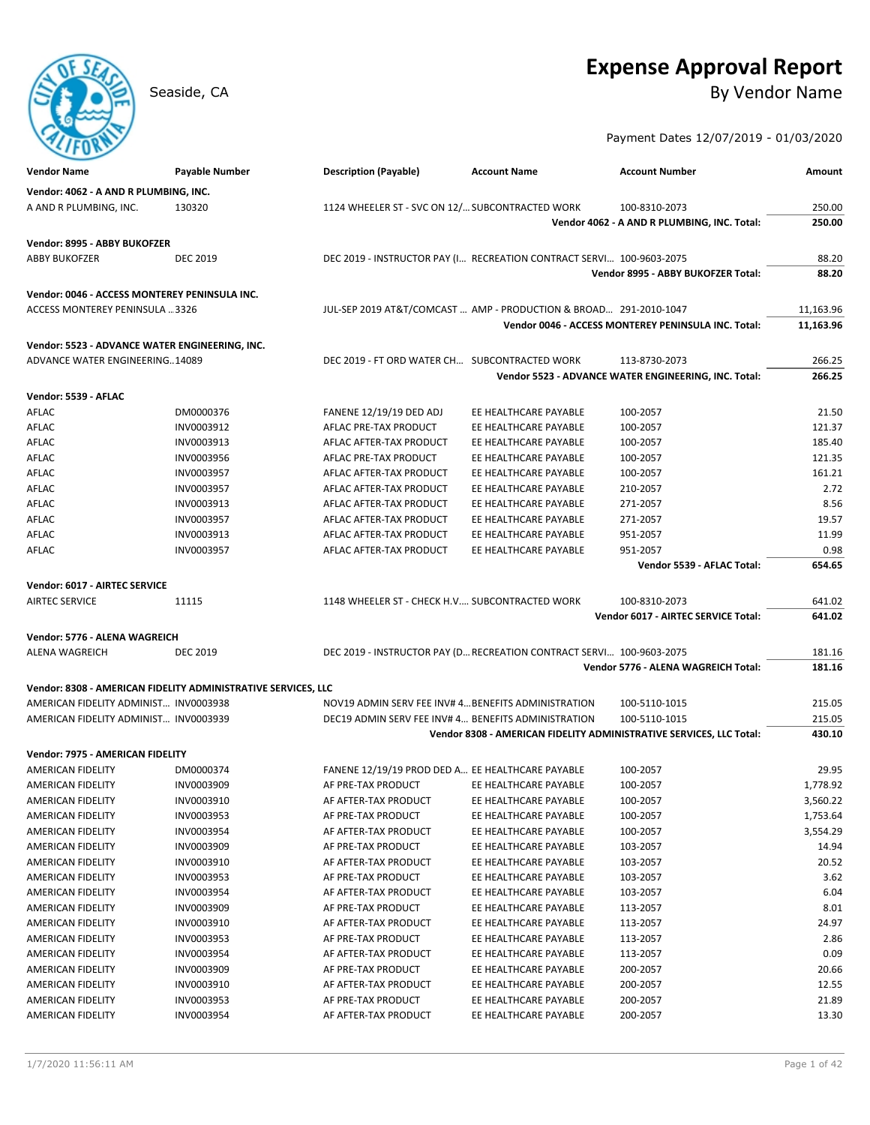# **Expense Approval Report**

Seaside, CA By Vendor Name

Payment Dates 12/07/2019 - 01/03/2020

| <b>Vendor Name</b>                             | <b>Payable Number</b>                                         | <b>Description (Payable)</b>                        | <b>Account Name</b>                                                  | <b>Account Number</b>                                               | Amount    |
|------------------------------------------------|---------------------------------------------------------------|-----------------------------------------------------|----------------------------------------------------------------------|---------------------------------------------------------------------|-----------|
| Vendor: 4062 - A AND R PLUMBING, INC.          |                                                               |                                                     |                                                                      |                                                                     |           |
| A AND R PLUMBING, INC.                         | 130320                                                        | 1124 WHEELER ST - SVC ON 12/ SUBCONTRACTED WORK     |                                                                      | 100-8310-2073                                                       | 250.00    |
|                                                |                                                               |                                                     |                                                                      | Vendor 4062 - A AND R PLUMBING, INC. Total:                         | 250.00    |
|                                                |                                                               |                                                     |                                                                      |                                                                     |           |
| Vendor: 8995 - ABBY BUKOFZER                   |                                                               |                                                     |                                                                      |                                                                     |           |
| <b>ABBY BUKOFZER</b>                           | <b>DEC 2019</b>                                               |                                                     | DEC 2019 - INSTRUCTOR PAY (I RECREATION CONTRACT SERVI 100-9603-2075 |                                                                     | 88.20     |
|                                                |                                                               |                                                     |                                                                      | Vendor 8995 - ABBY BUKOFZER Total:                                  | 88.20     |
| Vendor: 0046 - ACCESS MONTEREY PENINSULA INC.  |                                                               |                                                     |                                                                      |                                                                     |           |
| ACCESS MONTEREY PENINSULA 3326                 |                                                               |                                                     | JUL-SEP 2019 AT&T/COMCAST  AMP - PRODUCTION & BROAD 291-2010-1047    |                                                                     | 11,163.96 |
|                                                |                                                               |                                                     |                                                                      | Vendor 0046 - ACCESS MONTEREY PENINSULA INC. Total:                 | 11,163.96 |
| Vendor: 5523 - ADVANCE WATER ENGINEERING, INC. |                                                               |                                                     |                                                                      |                                                                     |           |
| <b>ADVANCE WATER ENGINEERING14089</b>          |                                                               | DEC 2019 - FT ORD WATER CH SUBCONTRACTED WORK       |                                                                      | 113-8730-2073                                                       | 266.25    |
|                                                |                                                               |                                                     |                                                                      | Vendor 5523 - ADVANCE WATER ENGINEERING, INC. Total:                | 266.25    |
|                                                |                                                               |                                                     |                                                                      |                                                                     |           |
| Vendor: 5539 - AFLAC                           |                                                               |                                                     |                                                                      |                                                                     |           |
| AFLAC                                          | DM0000376                                                     | <b>FANENE 12/19/19 DED ADJ</b>                      | EE HEALTHCARE PAYABLE                                                | 100-2057                                                            | 21.50     |
| AFLAC                                          | INV0003912                                                    | AFLAC PRE-TAX PRODUCT                               | EE HEALTHCARE PAYABLE                                                | 100-2057                                                            | 121.37    |
| AFLAC                                          | INV0003913                                                    | AFLAC AFTER-TAX PRODUCT                             | EE HEALTHCARE PAYABLE                                                | 100-2057                                                            | 185.40    |
| AFLAC                                          | INV0003956                                                    | AFLAC PRE-TAX PRODUCT                               | EE HEALTHCARE PAYABLE                                                | 100-2057                                                            | 121.35    |
| AFLAC                                          | INV0003957                                                    | AFLAC AFTER-TAX PRODUCT                             | EE HEALTHCARE PAYABLE                                                | 100-2057                                                            | 161.21    |
| AFLAC                                          | INV0003957                                                    | AFLAC AFTER-TAX PRODUCT                             | EE HEALTHCARE PAYABLE                                                | 210-2057                                                            | 2.72      |
| AFLAC                                          | INV0003913                                                    | AFLAC AFTER-TAX PRODUCT                             | EE HEALTHCARE PAYABLE                                                | 271-2057                                                            | 8.56      |
| AFLAC                                          | INV0003957                                                    | AFLAC AFTER-TAX PRODUCT                             | EE HEALTHCARE PAYABLE                                                | 271-2057                                                            | 19.57     |
| AFLAC                                          | INV0003913                                                    | AFLAC AFTER-TAX PRODUCT                             | EE HEALTHCARE PAYABLE                                                | 951-2057                                                            | 11.99     |
| AFLAC                                          | INV0003957                                                    | AFLAC AFTER-TAX PRODUCT                             | EE HEALTHCARE PAYABLE                                                | 951-2057                                                            | 0.98      |
|                                                |                                                               |                                                     |                                                                      | Vendor 5539 - AFLAC Total:                                          | 654.65    |
| Vendor: 6017 - AIRTEC SERVICE                  |                                                               |                                                     |                                                                      |                                                                     |           |
| <b>AIRTEC SERVICE</b>                          | 11115                                                         | 1148 WHEELER ST - CHECK H.V SUBCONTRACTED WORK      |                                                                      | 100-8310-2073                                                       | 641.02    |
|                                                |                                                               |                                                     |                                                                      | Vendor 6017 - AIRTEC SERVICE Total:                                 | 641.02    |
| Vendor: 5776 - ALENA WAGREICH                  |                                                               |                                                     |                                                                      |                                                                     |           |
| ALENA WAGREICH                                 | <b>DEC 2019</b>                                               |                                                     | DEC 2019 - INSTRUCTOR PAY (D RECREATION CONTRACT SERVI 100-9603-2075 |                                                                     | 181.16    |
|                                                |                                                               |                                                     |                                                                      | Vendor 5776 - ALENA WAGREICH Total:                                 | 181.16    |
|                                                |                                                               |                                                     |                                                                      |                                                                     |           |
|                                                | Vendor: 8308 - AMERICAN FIDELITY ADMINISTRATIVE SERVICES, LLC |                                                     |                                                                      |                                                                     |           |
| AMERICAN FIDELITY ADMINIST INV0003938          |                                                               | NOV19 ADMIN SERV FEE INV# 4 BENEFITS ADMINISTRATION |                                                                      | 100-5110-1015                                                       | 215.05    |
| AMERICAN FIDELITY ADMINIST INV0003939          |                                                               | DEC19 ADMIN SERV FEE INV# 4 BENEFITS ADMINISTRATION |                                                                      | 100-5110-1015                                                       | 215.05    |
|                                                |                                                               |                                                     |                                                                      | Vendor 8308 - AMERICAN FIDELITY ADMINISTRATIVE SERVICES, LLC Total: | 430.10    |
| Vendor: 7975 - AMERICAN FIDELITY               |                                                               |                                                     |                                                                      |                                                                     |           |
| AMERICAN FIDELITY                              | DM0000374                                                     | FANENE 12/19/19 PROD DED A EE HEALTHCARE PAYABLE    |                                                                      | 100-2057                                                            | 29.95     |
| <b>AMERICAN FIDELITY</b>                       | INV0003909                                                    | AF PRE-TAX PRODUCT                                  | EE HEALTHCARE PAYABLE                                                | 100-2057                                                            | 1,778.92  |
| AMERICAN FIDELITY                              | INV0003910                                                    | AF AFTER-TAX PRODUCT                                | EE HEALTHCARE PAYABLE                                                | 100-2057                                                            | 3,560.22  |
| AMERICAN FIDELITY                              | INV0003953                                                    | AF PRE-TAX PRODUCT                                  | EE HEALTHCARE PAYABLE                                                | 100-2057                                                            | 1,753.64  |
| AMERICAN FIDELITY                              | INV0003954                                                    | AF AFTER-TAX PRODUCT                                | EE HEALTHCARE PAYABLE                                                | 100-2057                                                            | 3,554.29  |
| AMERICAN FIDELITY                              | INV0003909                                                    | AF PRE-TAX PRODUCT                                  | EE HEALTHCARE PAYABLE                                                | 103-2057                                                            | 14.94     |
| AMERICAN FIDELITY                              | INV0003910                                                    | AF AFTER-TAX PRODUCT                                | EE HEALTHCARE PAYABLE                                                | 103-2057                                                            | 20.52     |
| AMERICAN FIDELITY                              | INV0003953                                                    | AF PRE-TAX PRODUCT                                  | EE HEALTHCARE PAYABLE                                                | 103-2057                                                            | 3.62      |
| AMERICAN FIDELITY                              | INV0003954                                                    | AF AFTER-TAX PRODUCT                                | EE HEALTHCARE PAYABLE                                                | 103-2057                                                            | 6.04      |
| AMERICAN FIDELITY                              | INV0003909                                                    | AF PRE-TAX PRODUCT                                  | EE HEALTHCARE PAYABLE                                                | 113-2057                                                            | 8.01      |
| AMERICAN FIDELITY                              | INV0003910                                                    | AF AFTER-TAX PRODUCT                                | EE HEALTHCARE PAYABLE                                                | 113-2057                                                            | 24.97     |
| <b>AMERICAN FIDELITY</b>                       | INV0003953                                                    | AF PRE-TAX PRODUCT                                  | EE HEALTHCARE PAYABLE                                                | 113-2057                                                            | 2.86      |
| AMERICAN FIDELITY                              | INV0003954                                                    | AF AFTER-TAX PRODUCT                                | EE HEALTHCARE PAYABLE                                                | 113-2057                                                            | 0.09      |
| AMERICAN FIDELITY                              | INV0003909                                                    | AF PRE-TAX PRODUCT                                  | EE HEALTHCARE PAYABLE                                                | 200-2057                                                            | 20.66     |
| AMERICAN FIDELITY                              | INV0003910                                                    | AF AFTER-TAX PRODUCT                                | EE HEALTHCARE PAYABLE                                                | 200-2057                                                            | 12.55     |
| AMERICAN FIDELITY                              | INV0003953                                                    | AF PRE-TAX PRODUCT                                  | EE HEALTHCARE PAYABLE                                                | 200-2057                                                            | 21.89     |
| AMERICAN FIDELITY                              | INV0003954                                                    | AF AFTER-TAX PRODUCT                                | EE HEALTHCARE PAYABLE                                                | 200-2057                                                            | 13.30     |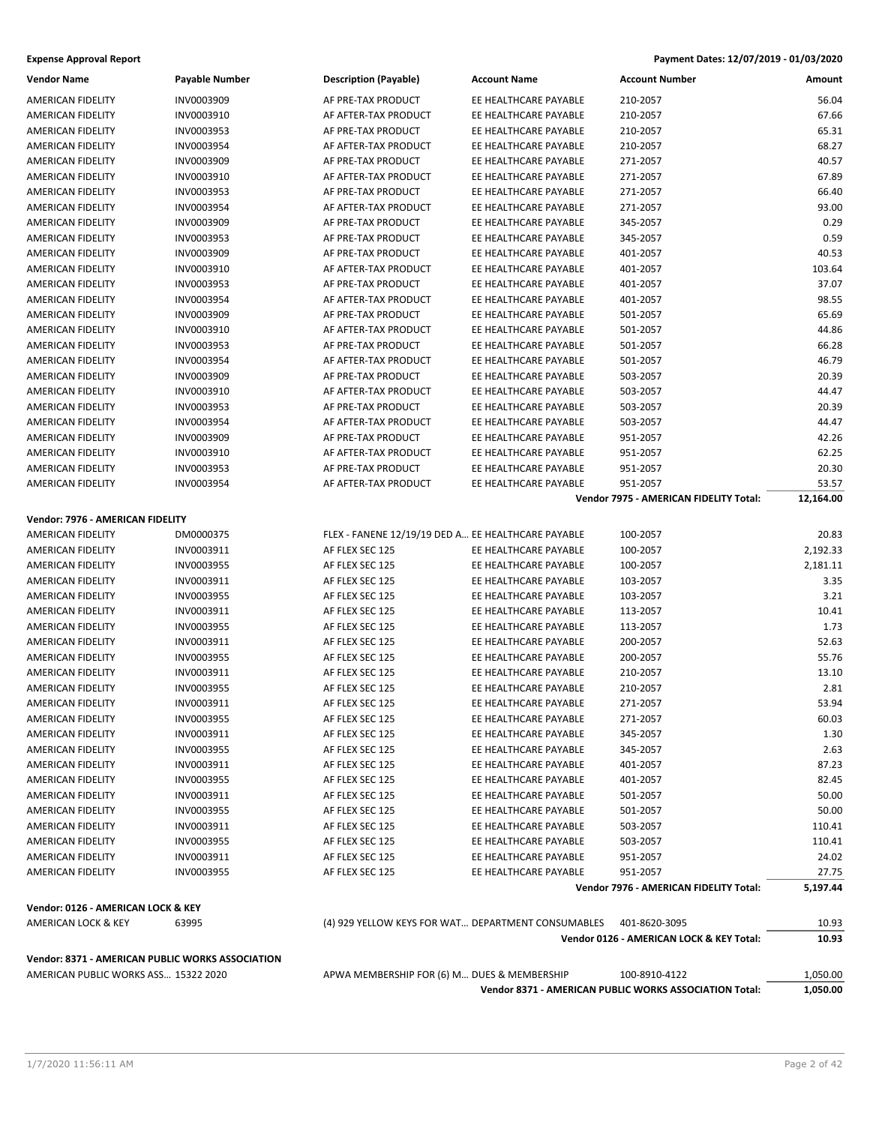| <b>Vendor Name</b>                               | Payable Number | <b>Description (Payable)</b>                       | <b>Account Name</b>                                | <b>Account Number</b>                                  | Amount    |
|--------------------------------------------------|----------------|----------------------------------------------------|----------------------------------------------------|--------------------------------------------------------|-----------|
| AMERICAN FIDELITY                                | INV0003909     | AF PRE-TAX PRODUCT                                 | EE HEALTHCARE PAYABLE                              | 210-2057                                               | 56.04     |
| AMERICAN FIDELITY                                | INV0003910     | AF AFTER-TAX PRODUCT                               | EE HEALTHCARE PAYABLE                              | 210-2057                                               | 67.66     |
| AMERICAN FIDELITY                                | INV0003953     | AF PRE-TAX PRODUCT                                 | EE HEALTHCARE PAYABLE                              | 210-2057                                               | 65.31     |
| AMERICAN FIDELITY                                | INV0003954     | AF AFTER-TAX PRODUCT                               | EE HEALTHCARE PAYABLE                              | 210-2057                                               | 68.27     |
| AMERICAN FIDELITY                                | INV0003909     | AF PRE-TAX PRODUCT                                 | EE HEALTHCARE PAYABLE                              | 271-2057                                               | 40.57     |
| AMERICAN FIDELITY                                | INV0003910     | AF AFTER-TAX PRODUCT                               | EE HEALTHCARE PAYABLE                              | 271-2057                                               | 67.89     |
| AMERICAN FIDELITY                                | INV0003953     | AF PRE-TAX PRODUCT                                 | EE HEALTHCARE PAYABLE                              | 271-2057                                               | 66.40     |
| AMERICAN FIDELITY                                | INV0003954     | AF AFTER-TAX PRODUCT                               | EE HEALTHCARE PAYABLE                              | 271-2057                                               | 93.00     |
| AMERICAN FIDELITY                                | INV0003909     | AF PRE-TAX PRODUCT                                 | EE HEALTHCARE PAYABLE                              | 345-2057                                               | 0.29      |
| AMERICAN FIDELITY                                | INV0003953     | AF PRE-TAX PRODUCT                                 | EE HEALTHCARE PAYABLE                              | 345-2057                                               | 0.59      |
| <b>AMERICAN FIDELITY</b>                         | INV0003909     | AF PRE-TAX PRODUCT                                 | EE HEALTHCARE PAYABLE                              | 401-2057                                               | 40.53     |
| AMERICAN FIDELITY                                | INV0003910     | AF AFTER-TAX PRODUCT                               | EE HEALTHCARE PAYABLE                              | 401-2057                                               | 103.64    |
|                                                  | INV0003953     | AF PRE-TAX PRODUCT                                 | EE HEALTHCARE PAYABLE                              |                                                        | 37.07     |
| AMERICAN FIDELITY                                |                |                                                    |                                                    | 401-2057                                               |           |
| AMERICAN FIDELITY                                | INV0003954     | AF AFTER-TAX PRODUCT                               | EE HEALTHCARE PAYABLE                              | 401-2057                                               | 98.55     |
| AMERICAN FIDELITY                                | INV0003909     | AF PRE-TAX PRODUCT                                 | EE HEALTHCARE PAYABLE                              | 501-2057                                               | 65.69     |
| AMERICAN FIDELITY                                | INV0003910     | AF AFTER-TAX PRODUCT                               | EE HEALTHCARE PAYABLE                              | 501-2057                                               | 44.86     |
| AMERICAN FIDELITY                                | INV0003953     | AF PRE-TAX PRODUCT                                 | EE HEALTHCARE PAYABLE                              | 501-2057                                               | 66.28     |
| AMERICAN FIDELITY                                | INV0003954     | AF AFTER-TAX PRODUCT                               | EE HEALTHCARE PAYABLE                              | 501-2057                                               | 46.79     |
| AMERICAN FIDELITY                                | INV0003909     | AF PRE-TAX PRODUCT                                 | EE HEALTHCARE PAYABLE                              | 503-2057                                               | 20.39     |
| AMERICAN FIDELITY                                | INV0003910     | AF AFTER-TAX PRODUCT                               | EE HEALTHCARE PAYABLE                              | 503-2057                                               | 44.47     |
| AMERICAN FIDELITY                                | INV0003953     | AF PRE-TAX PRODUCT                                 | EE HEALTHCARE PAYABLE                              | 503-2057                                               | 20.39     |
| AMERICAN FIDELITY                                | INV0003954     | AF AFTER-TAX PRODUCT                               | EE HEALTHCARE PAYABLE                              | 503-2057                                               | 44.47     |
| AMERICAN FIDELITY                                | INV0003909     | AF PRE-TAX PRODUCT                                 | EE HEALTHCARE PAYABLE                              | 951-2057                                               | 42.26     |
| AMERICAN FIDELITY                                | INV0003910     | AF AFTER-TAX PRODUCT                               | EE HEALTHCARE PAYABLE                              | 951-2057                                               | 62.25     |
| AMERICAN FIDELITY                                | INV0003953     | AF PRE-TAX PRODUCT                                 | EE HEALTHCARE PAYABLE                              | 951-2057                                               | 20.30     |
| AMERICAN FIDELITY                                | INV0003954     | AF AFTER-TAX PRODUCT                               | EE HEALTHCARE PAYABLE                              | 951-2057                                               | 53.57     |
|                                                  |                |                                                    |                                                    | Vendor 7975 - AMERICAN FIDELITY Total:                 | 12,164.00 |
| Vendor: 7976 - AMERICAN FIDELITY                 |                |                                                    |                                                    |                                                        |           |
| AMERICAN FIDELITY                                | DM0000375      | FLEX - FANENE 12/19/19 DED A EE HEALTHCARE PAYABLE |                                                    | 100-2057                                               | 20.83     |
| AMERICAN FIDELITY                                | INV0003911     | AF FLEX SEC 125                                    | EE HEALTHCARE PAYABLE                              | 100-2057                                               | 2,192.33  |
| AMERICAN FIDELITY                                | INV0003955     | AF FLEX SEC 125                                    | EE HEALTHCARE PAYABLE                              | 100-2057                                               | 2,181.11  |
| AMERICAN FIDELITY                                | INV0003911     | AF FLEX SEC 125                                    | EE HEALTHCARE PAYABLE                              | 103-2057                                               | 3.35      |
| AMERICAN FIDELITY                                | INV0003955     | AF FLEX SEC 125                                    | EE HEALTHCARE PAYABLE                              | 103-2057                                               | 3.21      |
| AMERICAN FIDELITY                                | INV0003911     | AF FLEX SEC 125                                    | EE HEALTHCARE PAYABLE                              | 113-2057                                               | 10.41     |
| AMERICAN FIDELITY                                | INV0003955     | AF FLEX SEC 125                                    | EE HEALTHCARE PAYABLE                              | 113-2057                                               | 1.73      |
| AMERICAN FIDELITY                                | INV0003911     | AF FLEX SEC 125                                    | EE HEALTHCARE PAYABLE                              | 200-2057                                               | 52.63     |
| AMERICAN FIDELITY                                | INV0003955     | AF FLEX SEC 125                                    | EE HEALTHCARE PAYABLE                              | 200-2057                                               | 55.76     |
| AMERICAN FIDELITY                                | INV0003911     | AF FLEX SEC 125                                    | EE HEALTHCARE PAYABLE                              | 210-2057                                               | 13.10     |
| AMERICAN FIDELITY                                | INV0003955     | AF FLEX SEC 125                                    | EE HEALTHCARE PAYABLE                              | 210-2057                                               | 2.81      |
| AMERICAN FIDELITY                                | INV0003911     | AF FLEX SEC 125                                    | EE HEALTHCARE PAYABLE                              | 271-2057                                               | 53.94     |
| AMERICAN FIDELITY                                | INV0003955     | AF FLEX SEC 125                                    | EE HEALTHCARE PAYABLE                              | 271-2057                                               | 60.03     |
| AMERICAN FIDELITY                                | INV0003911     | AF FLEX SEC 125                                    |                                                    |                                                        |           |
|                                                  |                |                                                    | EE HEALTHCARE PAYABLE                              | 345-2057                                               | 1.30      |
| AMERICAN FIDELITY                                | INV0003955     | AF FLEX SEC 125                                    | EE HEALTHCARE PAYABLE                              | 345-2057                                               | 2.63      |
| AMERICAN FIDELITY                                | INV0003911     | AF FLEX SEC 125                                    | EE HEALTHCARE PAYABLE                              | 401-2057                                               | 87.23     |
| AMERICAN FIDELITY                                | INV0003955     | AF FLEX SEC 125                                    | EE HEALTHCARE PAYABLE                              | 401-2057                                               | 82.45     |
| AMERICAN FIDELITY                                | INV0003911     | AF FLEX SEC 125                                    | EE HEALTHCARE PAYABLE                              | 501-2057                                               | 50.00     |
| AMERICAN FIDELITY                                | INV0003955     | AF FLEX SEC 125                                    | EE HEALTHCARE PAYABLE                              | 501-2057                                               | 50.00     |
| AMERICAN FIDELITY                                | INV0003911     | AF FLEX SEC 125                                    | EE HEALTHCARE PAYABLE                              | 503-2057                                               | 110.41    |
| <b>AMERICAN FIDELITY</b>                         | INV0003955     | AF FLEX SEC 125                                    | EE HEALTHCARE PAYABLE                              | 503-2057                                               | 110.41    |
| AMERICAN FIDELITY                                | INV0003911     | AF FLEX SEC 125                                    | EE HEALTHCARE PAYABLE                              | 951-2057                                               | 24.02     |
| AMERICAN FIDELITY                                | INV0003955     | AF FLEX SEC 125                                    | EE HEALTHCARE PAYABLE                              | 951-2057                                               | 27.75     |
|                                                  |                |                                                    |                                                    | Vendor 7976 - AMERICAN FIDELITY Total:                 | 5,197.44  |
| Vendor: 0126 - AMERICAN LOCK & KEY               |                |                                                    |                                                    |                                                        |           |
| AMERICAN LOCK & KEY                              | 63995          |                                                    | (4) 929 YELLOW KEYS FOR WAT DEPARTMENT CONSUMABLES | 401-8620-3095                                          | 10.93     |
|                                                  |                |                                                    |                                                    | Vendor 0126 - AMERICAN LOCK & KEY Total:               | 10.93     |
|                                                  |                |                                                    |                                                    |                                                        |           |
| Vendor: 8371 - AMERICAN PUBLIC WORKS ASSOCIATION |                |                                                    |                                                    |                                                        |           |
| AMERICAN PUBLIC WORKS ASS 15322 2020             |                | APWA MEMBERSHIP FOR (6) M DUES & MEMBERSHIP        |                                                    | 100-8910-4122                                          | 1,050.00  |
|                                                  |                |                                                    |                                                    | Vendor 8371 - AMERICAN PUBLIC WORKS ASSOCIATION Total: | 1,050.00  |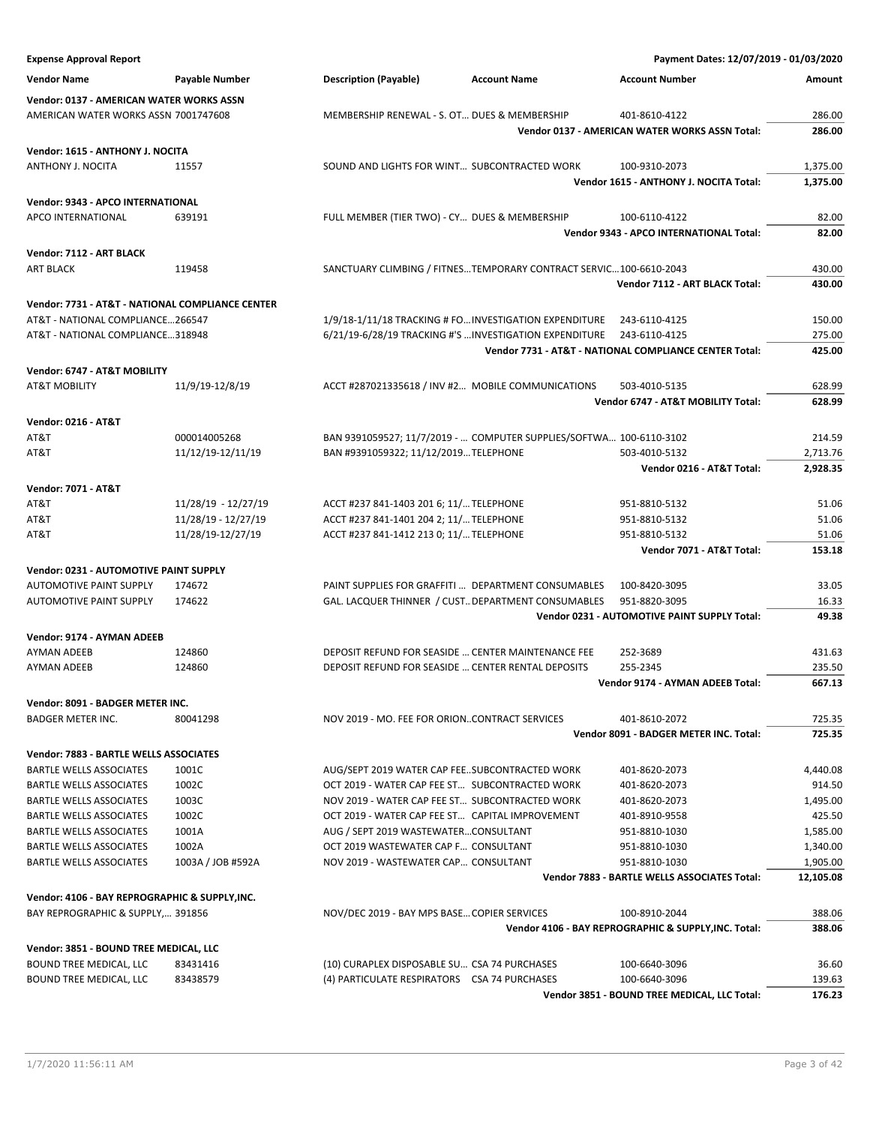| <b>Expense Approval Report</b>                                           |                                          |                                                                                    | Payment Dates: 12/07/2019 - 01/03/2020                        |                  |
|--------------------------------------------------------------------------|------------------------------------------|------------------------------------------------------------------------------------|---------------------------------------------------------------|------------------|
| <b>Vendor Name</b>                                                       | <b>Payable Number</b>                    | <b>Description (Payable)</b><br><b>Account Name</b>                                | <b>Account Number</b>                                         | Amount           |
| Vendor: 0137 - AMERICAN WATER WORKS ASSN                                 |                                          |                                                                                    |                                                               |                  |
| AMERICAN WATER WORKS ASSN 7001747608                                     |                                          | MEMBERSHIP RENEWAL - S. OT DUES & MEMBERSHIP                                       | 401-8610-4122                                                 | 286.00           |
|                                                                          |                                          |                                                                                    | <b>Vendor 0137 - AMERICAN WATER WORKS ASSN Total:</b>         | 286.00           |
| Vendor: 1615 - ANTHONY J. NOCITA                                         |                                          |                                                                                    |                                                               |                  |
| ANTHONY J. NOCITA                                                        | 11557                                    | SOUND AND LIGHTS FOR WINT SUBCONTRACTED WORK                                       | 100-9310-2073                                                 | 1,375.00         |
|                                                                          |                                          |                                                                                    | Vendor 1615 - ANTHONY J. NOCITA Total:                        | 1,375.00         |
| Vendor: 9343 - APCO INTERNATIONAL                                        |                                          |                                                                                    |                                                               |                  |
| <b>APCO INTERNATIONAL</b>                                                | 639191                                   | FULL MEMBER (TIER TWO) - CY DUES & MEMBERSHIP                                      | 100-6110-4122                                                 | 82.00            |
|                                                                          |                                          |                                                                                    | Vendor 9343 - APCO INTERNATIONAL Total:                       | 82.00            |
| Vendor: 7112 - ART BLACK                                                 |                                          |                                                                                    |                                                               |                  |
| <b>ART BLACK</b>                                                         | 119458                                   | SANCTUARY CLIMBING / FITNESTEMPORARY CONTRACT SERVIC100-6610-2043                  |                                                               | 430.00           |
|                                                                          |                                          |                                                                                    | Vendor 7112 - ART BLACK Total:                                | 430.00           |
| Vendor: 7731 - AT&T - NATIONAL COMPLIANCE CENTER                         |                                          |                                                                                    |                                                               |                  |
| AT&T - NATIONAL COMPLIANCE266547                                         |                                          | 1/9/18-1/11/18 TRACKING # FO INVESTIGATION EXPENDITURE                             | 243-6110-4125                                                 | 150.00           |
| AT&T - NATIONAL COMPLIANCE318948                                         |                                          | 6/21/19-6/28/19 TRACKING #'S  INVESTIGATION EXPENDITURE                            | 243-6110-4125                                                 | 275.00           |
|                                                                          |                                          |                                                                                    | Vendor 7731 - AT&T - NATIONAL COMPLIANCE CENTER Total:        | 425.00           |
| Vendor: 6747 - AT&T MOBILITY                                             |                                          |                                                                                    |                                                               |                  |
| <b>AT&amp;T MOBILITY</b>                                                 | 11/9/19-12/8/19                          | ACCT #287021335618 / INV #2 MOBILE COMMUNICATIONS                                  | 503-4010-5135                                                 | 628.99           |
|                                                                          |                                          |                                                                                    | Vendor 6747 - AT&T MOBILITY Total:                            | 628.99           |
| <b>Vendor: 0216 - AT&amp;T</b>                                           |                                          |                                                                                    |                                                               |                  |
| AT&T                                                                     | 000014005268                             | BAN 9391059527; 11/7/2019 -  COMPUTER SUPPLIES/SOFTWA 100-6110-3102                |                                                               | 214.59           |
| AT&T                                                                     | 11/12/19-12/11/19                        | BAN #9391059322; 11/12/2019 TELEPHONE                                              | 503-4010-5132                                                 | 2,713.76         |
|                                                                          |                                          |                                                                                    | Vendor 0216 - AT&T Total:                                     | 2,928.35         |
| <b>Vendor: 7071 - AT&amp;T</b>                                           |                                          |                                                                                    |                                                               |                  |
| AT&T                                                                     | 11/28/19 - 12/27/19                      | ACCT #237 841-1403 201 6; 11/ TELEPHONE                                            | 951-8810-5132                                                 | 51.06            |
| AT&T<br>AT&T                                                             | 11/28/19 - 12/27/19<br>11/28/19-12/27/19 | ACCT #237 841-1401 204 2; 11/ TELEPHONE<br>ACCT #237 841-1412 213 0; 11/ TELEPHONE | 951-8810-5132<br>951-8810-5132                                | 51.06<br>51.06   |
|                                                                          |                                          |                                                                                    | Vendor 7071 - AT&T Total:                                     | 153.18           |
|                                                                          |                                          |                                                                                    |                                                               |                  |
| Vendor: 0231 - AUTOMOTIVE PAINT SUPPLY<br><b>AUTOMOTIVE PAINT SUPPLY</b> | 174672                                   | PAINT SUPPLIES FOR GRAFFITI  DEPARTMENT CONSUMABLES                                | 100-8420-3095                                                 | 33.05            |
| <b>AUTOMOTIVE PAINT SUPPLY</b>                                           | 174622                                   | GAL. LACQUER THINNER / CUST DEPARTMENT CONSUMABLES                                 | 951-8820-3095                                                 | 16.33            |
|                                                                          |                                          |                                                                                    | Vendor 0231 - AUTOMOTIVE PAINT SUPPLY Total:                  | 49.38            |
| Vendor: 9174 - AYMAN ADEEB                                               |                                          |                                                                                    |                                                               |                  |
| <b>AYMAN ADEEB</b>                                                       | 124860                                   | DEPOSIT REFUND FOR SEASIDE  CENTER MAINTENANCE FEE                                 | 252-3689                                                      | 431.63           |
| <b>AYMAN ADEEB</b>                                                       | 124860                                   | DEPOSIT REFUND FOR SEASIDE  CENTER RENTAL DEPOSITS                                 | 255-2345                                                      | 235.50           |
|                                                                          |                                          |                                                                                    | Vendor 9174 - AYMAN ADEEB Total:                              | 667.13           |
| Vendor: 8091 - BADGER METER INC.                                         |                                          |                                                                                    |                                                               |                  |
| <b>BADGER METER INC.</b>                                                 | 80041298                                 | NOV 2019 - MO. FEE FOR ORIONCONTRACT SERVICES                                      | 401-8610-2072                                                 | 725.35           |
|                                                                          |                                          |                                                                                    | Vendor 8091 - BADGER METER INC. Total:                        | 725.35           |
| Vendor: 7883 - BARTLE WELLS ASSOCIATES                                   |                                          |                                                                                    |                                                               |                  |
| <b>BARTLE WELLS ASSOCIATES</b>                                           | 1001C                                    | AUG/SEPT 2019 WATER CAP FEESUBCONTRACTED WORK                                      | 401-8620-2073                                                 | 4,440.08         |
| <b>BARTLE WELLS ASSOCIATES</b>                                           | 1002C                                    | OCT 2019 - WATER CAP FEE ST SUBCONTRACTED WORK                                     | 401-8620-2073                                                 | 914.50           |
| <b>BARTLE WELLS ASSOCIATES</b>                                           | 1003C                                    | NOV 2019 - WATER CAP FEE ST SUBCONTRACTED WORK                                     | 401-8620-2073                                                 | 1,495.00         |
| BARTLE WELLS ASSOCIATES                                                  | 1002C                                    | OCT 2019 - WATER CAP FEE ST CAPITAL IMPROVEMENT                                    | 401-8910-9558                                                 | 425.50           |
| <b>BARTLE WELLS ASSOCIATES</b>                                           | 1001A                                    | AUG / SEPT 2019 WASTEWATERCONSULTANT                                               | 951-8810-1030                                                 | 1,585.00         |
| <b>BARTLE WELLS ASSOCIATES</b>                                           | 1002A                                    | OCT 2019 WASTEWATER CAP F CONSULTANT                                               | 951-8810-1030                                                 | 1,340.00         |
| BARTLE WELLS ASSOCIATES                                                  | 1003A / JOB #592A                        | NOV 2019 - WASTEWATER CAP CONSULTANT                                               | 951-8810-1030                                                 | 1,905.00         |
|                                                                          |                                          |                                                                                    | Vendor 7883 - BARTLE WELLS ASSOCIATES Total:                  | 12,105.08        |
| Vendor: 4106 - BAY REPROGRAPHIC & SUPPLY, INC.                           |                                          |                                                                                    |                                                               |                  |
| BAY REPROGRAPHIC & SUPPLY, 391856                                        |                                          | NOV/DEC 2019 - BAY MPS BASE COPIER SERVICES                                        | 100-8910-2044                                                 | 388.06           |
|                                                                          |                                          |                                                                                    | Vendor 4106 - BAY REPROGRAPHIC & SUPPLY, INC. Total:          | 388.06           |
| Vendor: 3851 - BOUND TREE MEDICAL, LLC                                   |                                          |                                                                                    |                                                               |                  |
| <b>BOUND TREE MEDICAL, LLC</b>                                           | 83431416                                 | (10) CURAPLEX DISPOSABLE SU CSA 74 PURCHASES                                       | 100-6640-3096                                                 | 36.60            |
| BOUND TREE MEDICAL, LLC                                                  | 83438579                                 | (4) PARTICULATE RESPIRATORS CSA 74 PURCHASES                                       | 100-6640-3096<br>Vendor 3851 - BOUND TREE MEDICAL, LLC Total: | 139.63<br>176.23 |
|                                                                          |                                          |                                                                                    |                                                               |                  |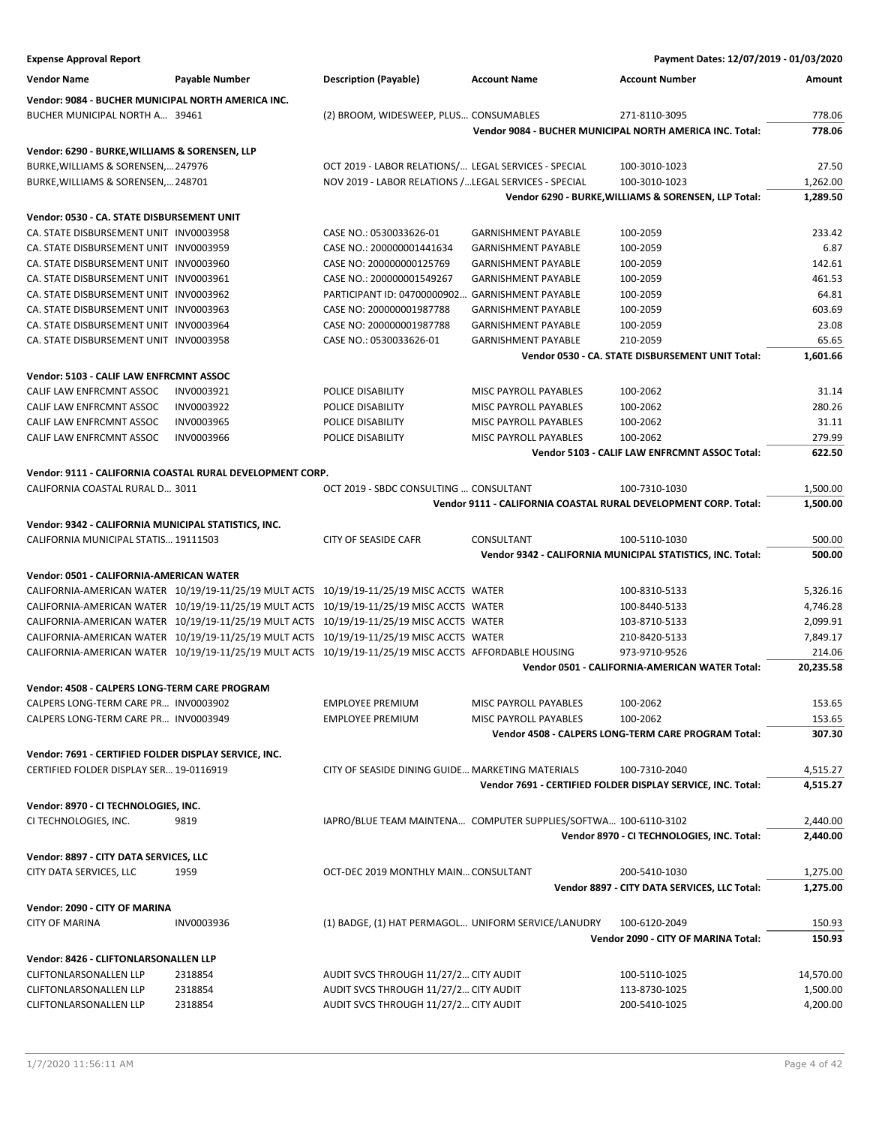| <b>Expense Approval Report</b>                        |                                                           |                                                                                                       |                            | Payment Dates: 12/07/2019 - 01/03/2020                          |                      |
|-------------------------------------------------------|-----------------------------------------------------------|-------------------------------------------------------------------------------------------------------|----------------------------|-----------------------------------------------------------------|----------------------|
| <b>Vendor Name</b>                                    | <b>Payable Number</b>                                     | <b>Description (Payable)</b>                                                                          | <b>Account Name</b>        | <b>Account Number</b>                                           | Amount               |
| Vendor: 9084 - BUCHER MUNICIPAL NORTH AMERICA INC.    |                                                           |                                                                                                       |                            |                                                                 |                      |
| BUCHER MUNICIPAL NORTH A 39461                        |                                                           | (2) BROOM, WIDESWEEP, PLUS CONSUMABLES                                                                |                            | 271-8110-3095                                                   | 778.06               |
|                                                       |                                                           |                                                                                                       |                            | Vendor 9084 - BUCHER MUNICIPAL NORTH AMERICA INC. Total:        | 778.06               |
| Vendor: 6290 - BURKE,WILLIAMS & SORENSEN, LLP         |                                                           |                                                                                                       |                            |                                                                 |                      |
| BURKE, WILLIAMS & SORENSEN, 247976                    |                                                           | OCT 2019 - LABOR RELATIONS/ LEGAL SERVICES - SPECIAL                                                  |                            | 100-3010-1023                                                   | 27.50                |
| BURKE, WILLIAMS & SORENSEN, 248701                    |                                                           | NOV 2019 - LABOR RELATIONS / LEGAL SERVICES - SPECIAL                                                 |                            | 100-3010-1023                                                   | 1,262.00             |
|                                                       |                                                           |                                                                                                       |                            | Vendor 6290 - BURKE, WILLIAMS & SORENSEN, LLP Total:            | 1,289.50             |
| Vendor: 0530 - CA. STATE DISBURSEMENT UNIT            |                                                           |                                                                                                       |                            |                                                                 |                      |
| CA. STATE DISBURSEMENT UNIT INV0003958                |                                                           | CASE NO.: 0530033626-01                                                                               | <b>GARNISHMENT PAYABLE</b> | 100-2059                                                        | 233.42               |
| CA. STATE DISBURSEMENT UNIT INV0003959                |                                                           | CASE NO.: 200000001441634                                                                             | <b>GARNISHMENT PAYABLE</b> | 100-2059                                                        | 6.87                 |
| CA. STATE DISBURSEMENT UNIT INV0003960                |                                                           | CASE NO: 200000000125769                                                                              | <b>GARNISHMENT PAYABLE</b> | 100-2059                                                        | 142.61               |
| CA. STATE DISBURSEMENT UNIT INV0003961                |                                                           | CASE NO.: 200000001549267                                                                             | <b>GARNISHMENT PAYABLE</b> | 100-2059                                                        | 461.53               |
| CA. STATE DISBURSEMENT UNIT INV0003962                |                                                           | PARTICIPANT ID: 04700000902.                                                                          | <b>GARNISHMENT PAYABLE</b> | 100-2059                                                        | 64.81                |
| CA. STATE DISBURSEMENT UNIT INV0003963                |                                                           | CASE NO: 200000001987788                                                                              | <b>GARNISHMENT PAYABLE</b> | 100-2059                                                        | 603.69               |
| CA. STATE DISBURSEMENT UNIT INV0003964                |                                                           | CASE NO: 200000001987788                                                                              | <b>GARNISHMENT PAYABLE</b> | 100-2059                                                        | 23.08                |
| CA. STATE DISBURSEMENT UNIT INV0003958                |                                                           | CASE NO.: 0530033626-01                                                                               | <b>GARNISHMENT PAYABLE</b> | 210-2059                                                        | 65.65                |
|                                                       |                                                           |                                                                                                       |                            | Vendor 0530 - CA. STATE DISBURSEMENT UNIT Total:                | 1,601.66             |
| Vendor: 5103 - CALIF LAW ENFRCMNT ASSOC               |                                                           |                                                                                                       |                            |                                                                 |                      |
| CALIF LAW ENFRCMNT ASSOC                              | INV0003921                                                | POLICE DISABILITY                                                                                     | MISC PAYROLL PAYABLES      | 100-2062                                                        | 31.14                |
| CALIF LAW ENFRCMNT ASSOC                              | INV0003922                                                | POLICE DISABILITY                                                                                     | MISC PAYROLL PAYABLES      | 100-2062                                                        | 280.26               |
| CALIF LAW ENFRCMNT ASSOC                              | INV0003965                                                | POLICE DISABILITY                                                                                     | MISC PAYROLL PAYABLES      | 100-2062                                                        | 31.11                |
| CALIF LAW ENFRCMNT ASSOC                              | INV0003966                                                | POLICE DISABILITY                                                                                     | MISC PAYROLL PAYABLES      | 100-2062                                                        | 279.99               |
|                                                       |                                                           |                                                                                                       |                            | Vendor 5103 - CALIF LAW ENFRCMNT ASSOC Total:                   | 622.50               |
|                                                       | Vendor: 9111 - CALIFORNIA COASTAL RURAL DEVELOPMENT CORP. |                                                                                                       |                            |                                                                 |                      |
| CALIFORNIA COASTAL RURAL D 3011                       |                                                           | OCT 2019 - SBDC CONSULTING  CONSULTANT                                                                |                            | 100-7310-1030                                                   | 1,500.00             |
|                                                       |                                                           |                                                                                                       |                            | Vendor 9111 - CALIFORNIA COASTAL RURAL DEVELOPMENT CORP. Total: | 1,500.00             |
| Vendor: 9342 - CALIFORNIA MUNICIPAL STATISTICS, INC.  |                                                           |                                                                                                       |                            |                                                                 |                      |
| CALIFORNIA MUNICIPAL STATIS 19111503                  |                                                           | <b>CITY OF SEASIDE CAFR</b>                                                                           | CONSULTANT                 | 100-5110-1030                                                   | 500.00               |
|                                                       |                                                           |                                                                                                       |                            | Vendor 9342 - CALIFORNIA MUNICIPAL STATISTICS, INC. Total:      | 500.00               |
| Vendor: 0501 - CALIFORNIA-AMERICAN WATER              |                                                           |                                                                                                       |                            |                                                                 |                      |
|                                                       |                                                           | CALIFORNIA-AMERICAN WATER 10/19/19-11/25/19 MULT ACTS 10/19/19-11/25/19 MISC ACCTS WATER              |                            | 100-8310-5133                                                   | 5,326.16             |
|                                                       |                                                           | CALIFORNIA-AMERICAN WATER 10/19/19-11/25/19 MULT ACTS 10/19/19-11/25/19 MISC ACCTS WATER              |                            | 100-8440-5133                                                   | 4,746.28             |
|                                                       |                                                           | CALIFORNIA-AMERICAN WATER 10/19/19-11/25/19 MULT ACTS 10/19/19-11/25/19 MISC ACCTS WATER              |                            | 103-8710-5133                                                   | 2,099.91             |
|                                                       |                                                           | CALIFORNIA-AMERICAN WATER 10/19/19-11/25/19 MULT ACTS 10/19/19-11/25/19 MISC ACCTS WATER              |                            | 210-8420-5133                                                   | 7,849.17             |
|                                                       |                                                           | CALIFORNIA-AMERICAN WATER 10/19/19-11/25/19 MULT ACTS 10/19/19-11/25/19 MISC ACCTS AFFORDABLE HOUSING |                            | 973-9710-9526                                                   | 214.06               |
|                                                       |                                                           |                                                                                                       |                            | Vendor 0501 - CALIFORNIA-AMERICAN WATER Total:                  | 20,235.58            |
| Vendor: 4508 - CALPERS LONG-TERM CARE PROGRAM         |                                                           |                                                                                                       |                            |                                                                 |                      |
| CALPERS LONG-TERM CARE PR INV0003902                  |                                                           | <b>EMPLOYEE PREMIUM</b>                                                                               | MISC PAYROLL PAYABLES      | 100-2062                                                        | 153.65               |
| CALPERS LONG-TERM CARE PR INV0003949                  |                                                           | <b>EMPLOYEE PREMIUM</b>                                                                               | MISC PAYROLL PAYABLES      | 100-2062                                                        | 153.65               |
|                                                       |                                                           |                                                                                                       |                            | Vendor 4508 - CALPERS LONG-TERM CARE PROGRAM Total:             | 307.30               |
| Vendor: 7691 - CERTIFIED FOLDER DISPLAY SERVICE, INC. |                                                           |                                                                                                       |                            |                                                                 |                      |
| CERTIFIED FOLDER DISPLAY SER 19-0116919               |                                                           | CITY OF SEASIDE DINING GUIDE MARKETING MATERIALS                                                      |                            | 100-7310-2040                                                   | 4,515.27             |
|                                                       |                                                           |                                                                                                       |                            | Vendor 7691 - CERTIFIED FOLDER DISPLAY SERVICE, INC. Total:     | 4,515.27             |
|                                                       |                                                           |                                                                                                       |                            |                                                                 |                      |
| Vendor: 8970 - CI TECHNOLOGIES, INC.                  |                                                           |                                                                                                       |                            |                                                                 |                      |
| CI TECHNOLOGIES, INC.                                 | 9819                                                      | IAPRO/BLUE TEAM MAINTENA COMPUTER SUPPLIES/SOFTWA 100-6110-3102                                       |                            | Vendor 8970 - CI TECHNOLOGIES, INC. Total:                      | 2,440.00<br>2,440.00 |
|                                                       |                                                           |                                                                                                       |                            |                                                                 |                      |
| Vendor: 8897 - CITY DATA SERVICES, LLC                |                                                           |                                                                                                       |                            |                                                                 |                      |
| CITY DATA SERVICES, LLC                               | 1959                                                      | OCT-DEC 2019 MONTHLY MAIN CONSULTANT                                                                  |                            | 200-5410-1030                                                   | 1,275.00             |
|                                                       |                                                           |                                                                                                       |                            | Vendor 8897 - CITY DATA SERVICES, LLC Total:                    | 1,275.00             |
| Vendor: 2090 - CITY OF MARINA                         |                                                           |                                                                                                       |                            |                                                                 |                      |
| <b>CITY OF MARINA</b>                                 | INV0003936                                                | (1) BADGE, (1) HAT PERMAGOL UNIFORM SERVICE/LANUDRY                                                   |                            | 100-6120-2049                                                   | 150.93               |
|                                                       |                                                           |                                                                                                       |                            | Vendor 2090 - CITY OF MARINA Total:                             | 150.93               |
| Vendor: 8426 - CLIFTONLARSONALLEN LLP                 |                                                           |                                                                                                       |                            |                                                                 |                      |
| <b>CLIFTONLARSONALLEN LLP</b>                         | 2318854                                                   | AUDIT SVCS THROUGH 11/27/2 CITY AUDIT                                                                 |                            | 100-5110-1025                                                   | 14,570.00            |
| <b>CLIFTONLARSONALLEN LLP</b>                         | 2318854                                                   | AUDIT SVCS THROUGH 11/27/2 CITY AUDIT                                                                 |                            | 113-8730-1025                                                   | 1,500.00             |
| <b>CLIFTONLARSONALLEN LLP</b>                         | 2318854                                                   | AUDIT SVCS THROUGH 11/27/2 CITY AUDIT                                                                 |                            | 200-5410-1025                                                   | 4,200.00             |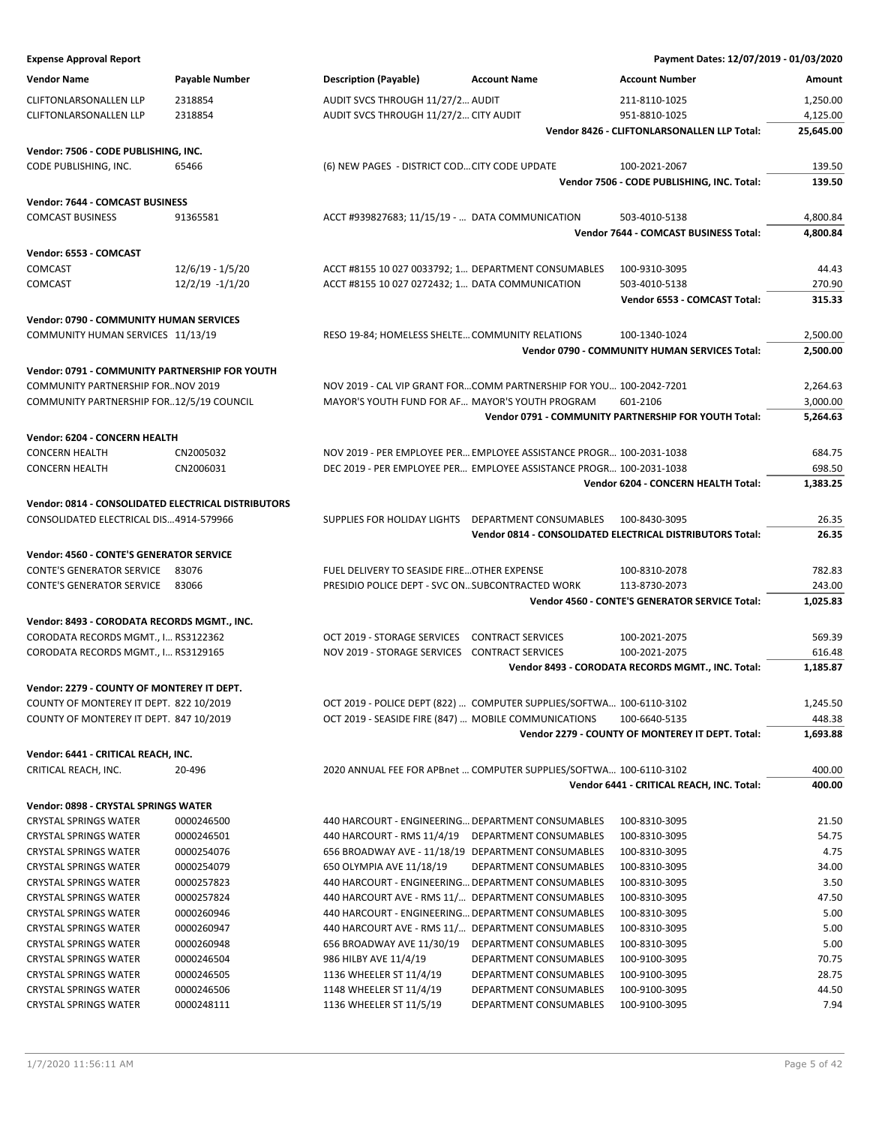| <b>Expense Approval Report</b>                               |                          |                                                      |                                                                      | Payment Dates: 12/07/2019 - 01/03/2020                    |                      |
|--------------------------------------------------------------|--------------------------|------------------------------------------------------|----------------------------------------------------------------------|-----------------------------------------------------------|----------------------|
| <b>Vendor Name</b>                                           | <b>Payable Number</b>    | <b>Description (Payable)</b>                         | <b>Account Name</b>                                                  | <b>Account Number</b>                                     | Amount               |
| <b>CLIFTONLARSONALLEN LLP</b>                                | 2318854                  | AUDIT SVCS THROUGH 11/27/2 AUDIT                     |                                                                      | 211-8110-1025                                             | 1,250.00             |
| <b>CLIFTONLARSONALLEN LLP</b>                                | 2318854                  | AUDIT SVCS THROUGH 11/27/2 CITY AUDIT                |                                                                      | 951-8810-1025                                             | 4,125.00             |
|                                                              |                          |                                                      |                                                                      | Vendor 8426 - CLIFTONLARSONALLEN LLP Total:               | 25,645.00            |
| Vendor: 7506 - CODE PUBLISHING, INC.                         |                          |                                                      |                                                                      |                                                           |                      |
| CODE PUBLISHING, INC.                                        | 65466                    | (6) NEW PAGES - DISTRICT COD CITY CODE UPDATE        |                                                                      | 100-2021-2067                                             | 139.50               |
|                                                              |                          |                                                      |                                                                      | Vendor 7506 - CODE PUBLISHING, INC. Total:                | 139.50               |
| Vendor: 7644 - COMCAST BUSINESS                              |                          |                                                      |                                                                      |                                                           |                      |
| <b>COMCAST BUSINESS</b>                                      | 91365581                 | ACCT #939827683; 11/15/19 -  DATA COMMUNICATION      |                                                                      | 503-4010-5138                                             | 4,800.84             |
|                                                              |                          |                                                      |                                                                      | Vendor 7644 - COMCAST BUSINESS Total:                     | 4,800.84             |
| Vendor: 6553 - COMCAST                                       |                          |                                                      |                                                                      |                                                           |                      |
| <b>COMCAST</b>                                               | 12/6/19 - 1/5/20         | ACCT #8155 10 027 0033792; 1 DEPARTMENT CONSUMABLES  |                                                                      | 100-9310-3095                                             | 44.43                |
| COMCAST                                                      | $12/2/19 - 1/1/20$       | ACCT #8155 10 027 0272432; 1 DATA COMMUNICATION      |                                                                      | 503-4010-5138                                             | 270.90               |
|                                                              |                          |                                                      |                                                                      | Vendor 6553 - COMCAST Total:                              | 315.33               |
|                                                              |                          |                                                      |                                                                      |                                                           |                      |
| <b>Vendor: 0790 - COMMUNITY HUMAN SERVICES</b>               |                          |                                                      |                                                                      | 100-1340-1024                                             |                      |
| COMMUNITY HUMAN SERVICES 11/13/19                            |                          | RESO 19-84; HOMELESS SHELTE COMMUNITY RELATIONS      |                                                                      | Vendor 0790 - COMMUNITY HUMAN SERVICES Total:             | 2,500.00<br>2,500.00 |
|                                                              |                          |                                                      |                                                                      |                                                           |                      |
| Vendor: 0791 - COMMUNITY PARTNERSHIP FOR YOUTH               |                          |                                                      |                                                                      |                                                           |                      |
| COMMUNITY PARTNERSHIP FORNOV 2019                            |                          |                                                      | NOV 2019 - CAL VIP GRANT FORCOMM PARTNERSHIP FOR YOU 100-2042-7201   |                                                           | 2,264.63             |
| COMMUNITY PARTNERSHIP FOR12/5/19 COUNCIL                     |                          | MAYOR'S YOUTH FUND FOR AF MAYOR'S YOUTH PROGRAM      |                                                                      | 601-2106                                                  | 3,000.00             |
|                                                              |                          |                                                      |                                                                      | Vendor 0791 - COMMUNITY PARTNERSHIP FOR YOUTH Total:      | 5,264.63             |
| Vendor: 6204 - CONCERN HEALTH                                |                          |                                                      |                                                                      |                                                           |                      |
| <b>CONCERN HEALTH</b>                                        | CN2005032                |                                                      | NOV 2019 - PER EMPLOYEE PER EMPLOYEE ASSISTANCE PROGR 100-2031-1038  |                                                           | 684.75               |
| <b>CONCERN HEALTH</b>                                        | CN2006031                |                                                      | DEC 2019 - PER EMPLOYEE PER EMPLOYEE ASSISTANCE PROGR 100-2031-1038  |                                                           | 698.50               |
|                                                              |                          |                                                      |                                                                      | Vendor 6204 - CONCERN HEALTH Total:                       | 1,383.25             |
| Vendor: 0814 - CONSOLIDATED ELECTRICAL DISTRIBUTORS          |                          |                                                      |                                                                      |                                                           |                      |
| CONSOLIDATED ELECTRICAL DIS4914-579966                       |                          | SUPPLIES FOR HOLIDAY LIGHTS DEPARTMENT CONSUMABLES   |                                                                      | 100-8430-3095                                             | 26.35                |
|                                                              |                          |                                                      |                                                                      | Vendor 0814 - CONSOLIDATED ELECTRICAL DISTRIBUTORS Total: | 26.35                |
| Vendor: 4560 - CONTE'S GENERATOR SERVICE                     |                          |                                                      |                                                                      |                                                           |                      |
| <b>CONTE'S GENERATOR SERVICE</b>                             | 83076                    | FUEL DELIVERY TO SEASIDE FIRE OTHER EXPENSE          |                                                                      | 100-8310-2078                                             | 782.83               |
| <b>CONTE'S GENERATOR SERVICE</b>                             | 83066                    | PRESIDIO POLICE DEPT - SVC ON SUBCONTRACTED WORK     |                                                                      | 113-8730-2073                                             | 243.00               |
|                                                              |                          |                                                      |                                                                      | Vendor 4560 - CONTE'S GENERATOR SERVICE Total:            | 1,025.83             |
| Vendor: 8493 - CORODATA RECORDS MGMT., INC.                  |                          |                                                      |                                                                      |                                                           |                      |
| CORODATA RECORDS MGMT., I RS3122362                          |                          | OCT 2019 - STORAGE SERVICES                          | <b>CONTRACT SERVICES</b>                                             | 100-2021-2075                                             | 569.39               |
| CORODATA RECORDS MGMT., I RS3129165                          |                          | NOV 2019 - STORAGE SERVICES CONTRACT SERVICES        |                                                                      | 100-2021-2075                                             | 616.48               |
|                                                              |                          |                                                      |                                                                      | Vendor 8493 - CORODATA RECORDS MGMT., INC. Total:         | 1,185.87             |
| Vendor: 2279 - COUNTY OF MONTEREY IT DEPT.                   |                          |                                                      |                                                                      |                                                           |                      |
| COUNTY OF MONTEREY IT DEPT. 822 10/2019                      |                          |                                                      | OCT 2019 - POLICE DEPT (822)  COMPUTER SUPPLIES/SOFTWA 100-6110-3102 |                                                           | 1,245.50             |
| COUNTY OF MONTEREY IT DEPT. 847 10/2019                      |                          | OCT 2019 - SEASIDE FIRE (847)  MOBILE COMMUNICATIONS |                                                                      | 100-6640-5135                                             | 448.38               |
|                                                              |                          |                                                      |                                                                      | Vendor 2279 - COUNTY OF MONTEREY IT DEPT. Total:          | 1,693.88             |
| Vendor: 6441 - CRITICAL REACH, INC.                          |                          |                                                      |                                                                      |                                                           |                      |
| CRITICAL REACH, INC.                                         | 20-496                   |                                                      | 2020 ANNUAL FEE FOR APBnet  COMPUTER SUPPLIES/SOFTWA 100-6110-3102   |                                                           | 400.00               |
|                                                              |                          |                                                      |                                                                      | Vendor 6441 - CRITICAL REACH, INC. Total:                 | 400.00               |
| Vendor: 0898 - CRYSTAL SPRINGS WATER                         |                          |                                                      |                                                                      |                                                           |                      |
| <b>CRYSTAL SPRINGS WATER</b>                                 | 0000246500               | 440 HARCOURT - ENGINEERING DEPARTMENT CONSUMABLES    |                                                                      | 100-8310-3095                                             | 21.50                |
| <b>CRYSTAL SPRINGS WATER</b>                                 | 0000246501               | 440 HARCOURT - RMS 11/4/19                           | DEPARTMENT CONSUMABLES                                               | 100-8310-3095                                             | 54.75                |
| <b>CRYSTAL SPRINGS WATER</b>                                 | 0000254076               | 656 BROADWAY AVE - 11/18/19 DEPARTMENT CONSUMABLES   |                                                                      | 100-8310-3095                                             | 4.75                 |
| <b>CRYSTAL SPRINGS WATER</b>                                 | 0000254079               | 650 OLYMPIA AVE 11/18/19                             | DEPARTMENT CONSUMABLES                                               | 100-8310-3095                                             | 34.00                |
| <b>CRYSTAL SPRINGS WATER</b>                                 | 0000257823               | 440 HARCOURT - ENGINEERING DEPARTMENT CONSUMABLES    |                                                                      | 100-8310-3095                                             | 3.50                 |
| <b>CRYSTAL SPRINGS WATER</b>                                 | 0000257824               | 440 HARCOURT AVE - RMS 11/ DEPARTMENT CONSUMABLES    |                                                                      | 100-8310-3095                                             | 47.50                |
| <b>CRYSTAL SPRINGS WATER</b>                                 | 0000260946               | 440 HARCOURT - ENGINEERING DEPARTMENT CONSUMABLES    |                                                                      | 100-8310-3095                                             | 5.00                 |
| <b>CRYSTAL SPRINGS WATER</b>                                 | 0000260947               | 440 HARCOURT AVE - RMS 11/ DEPARTMENT CONSUMABLES    |                                                                      | 100-8310-3095                                             | 5.00                 |
| <b>CRYSTAL SPRINGS WATER</b>                                 | 0000260948               | 656 BROADWAY AVE 11/30/19                            | DEPARTMENT CONSUMABLES                                               | 100-8310-3095                                             | 5.00                 |
| <b>CRYSTAL SPRINGS WATER</b>                                 | 0000246504               | 986 HILBY AVE 11/4/19                                | DEPARTMENT CONSUMABLES                                               | 100-9100-3095                                             | 70.75                |
| <b>CRYSTAL SPRINGS WATER</b>                                 | 0000246505               | 1136 WHEELER ST 11/4/19                              | DEPARTMENT CONSUMABLES                                               | 100-9100-3095                                             | 28.75                |
| <b>CRYSTAL SPRINGS WATER</b><br><b>CRYSTAL SPRINGS WATER</b> | 0000246506<br>0000248111 | 1148 WHEELER ST 11/4/19<br>1136 WHEELER ST 11/5/19   | DEPARTMENT CONSUMABLES<br>DEPARTMENT CONSUMABLES                     | 100-9100-3095<br>100-9100-3095                            | 44.50<br>7.94        |
|                                                              |                          |                                                      |                                                                      |                                                           |                      |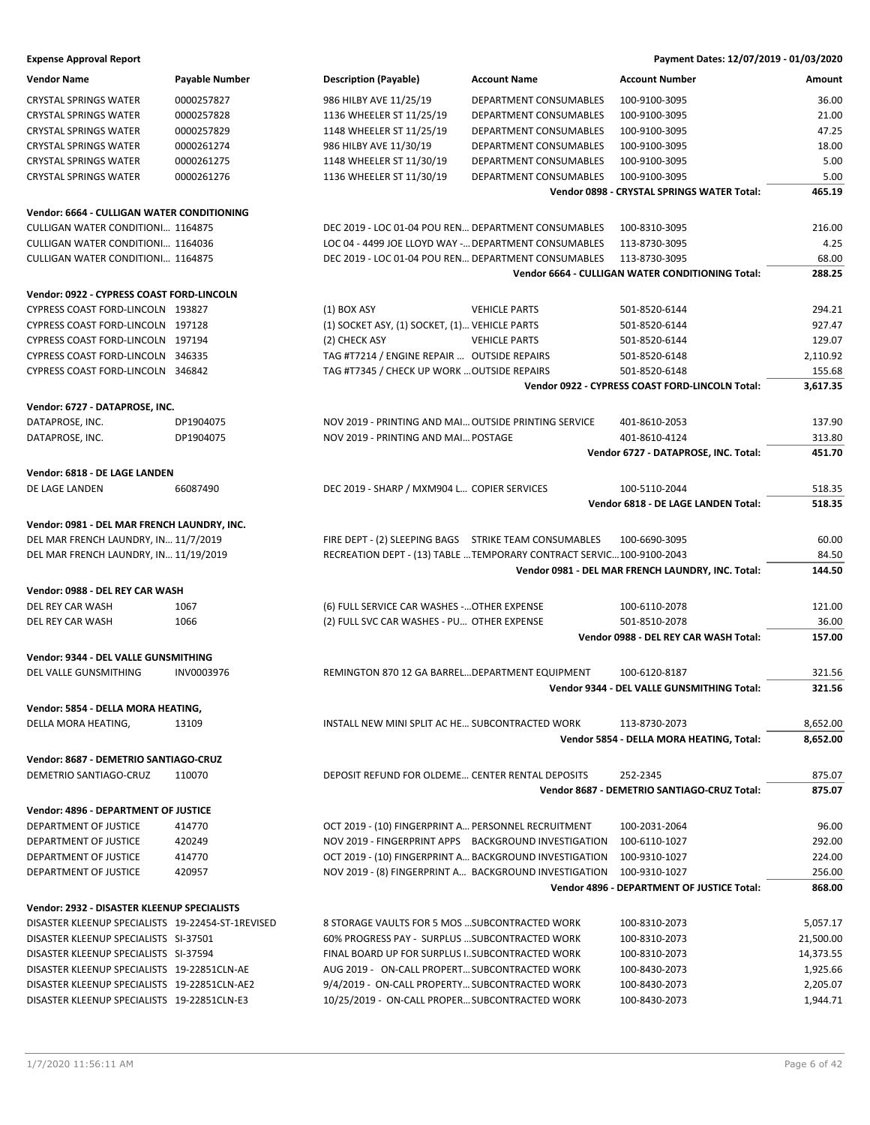| <b>Vendor Name</b>                                | <b>Payable Number</b> | <b>Description (Payable)</b>                         | <b>Account Name</b>                                                   | <b>Account Number</b>                                  | Amount          |
|---------------------------------------------------|-----------------------|------------------------------------------------------|-----------------------------------------------------------------------|--------------------------------------------------------|-----------------|
| <b>CRYSTAL SPRINGS WATER</b>                      | 0000257827            | 986 HILBY AVE 11/25/19                               | DEPARTMENT CONSUMABLES                                                | 100-9100-3095                                          | 36.00           |
| <b>CRYSTAL SPRINGS WATER</b>                      | 0000257828            | 1136 WHEELER ST 11/25/19                             | DEPARTMENT CONSUMABLES                                                | 100-9100-3095                                          | 21.00           |
| <b>CRYSTAL SPRINGS WATER</b>                      | 0000257829            | 1148 WHEELER ST 11/25/19                             | DEPARTMENT CONSUMABLES                                                | 100-9100-3095                                          | 47.25           |
| <b>CRYSTAL SPRINGS WATER</b>                      | 0000261274            | 986 HILBY AVE 11/30/19                               | <b>DEPARTMENT CONSUMABLES</b>                                         | 100-9100-3095                                          | 18.00           |
| <b>CRYSTAL SPRINGS WATER</b>                      | 0000261275            | 1148 WHEELER ST 11/30/19                             | <b>DEPARTMENT CONSUMABLES</b>                                         | 100-9100-3095                                          | 5.00            |
| <b>CRYSTAL SPRINGS WATER</b>                      | 0000261276            | 1136 WHEELER ST 11/30/19                             | DEPARTMENT CONSUMABLES                                                | 100-9100-3095                                          | 5.00            |
|                                                   |                       |                                                      |                                                                       | Vendor 0898 - CRYSTAL SPRINGS WATER Total:             | 465.19          |
| Vendor: 6664 - CULLIGAN WATER CONDITIONING        |                       |                                                      |                                                                       |                                                        |                 |
| <b>CULLIGAN WATER CONDITIONI 1164875</b>          |                       |                                                      | DEC 2019 - LOC 01-04 POU REN DEPARTMENT CONSUMABLES                   | 100-8310-3095                                          | 216.00          |
| CULLIGAN WATER CONDITIONI 1164036                 |                       |                                                      | LOC 04 - 4499 JOE LLOYD WAY - DEPARTMENT CONSUMABLES                  | 113-8730-3095                                          | 4.25            |
| <b>CULLIGAN WATER CONDITIONI 1164875</b>          |                       |                                                      | DEC 2019 - LOC 01-04 POU REN DEPARTMENT CONSUMABLES                   | 113-8730-3095                                          | 68.00           |
|                                                   |                       |                                                      |                                                                       | Vendor 6664 - CULLIGAN WATER CONDITIONING Total:       | 288.25          |
|                                                   |                       |                                                      |                                                                       |                                                        |                 |
| Vendor: 0922 - CYPRESS COAST FORD-LINCOLN         |                       |                                                      |                                                                       |                                                        |                 |
| CYPRESS COAST FORD-LINCOLN 193827                 |                       | $(1)$ BOX ASY                                        | <b>VEHICLE PARTS</b>                                                  | 501-8520-6144                                          | 294.21          |
| CYPRESS COAST FORD-LINCOLN 197128                 |                       | (1) SOCKET ASY, (1) SOCKET, (1) VEHICLE PARTS        |                                                                       | 501-8520-6144                                          | 927.47          |
| CYPRESS COAST FORD-LINCOLN 197194                 |                       | (2) CHECK ASY                                        | <b>VEHICLE PARTS</b>                                                  | 501-8520-6144                                          | 129.07          |
| CYPRESS COAST FORD-LINCOLN 346335                 |                       | TAG #T7214 / ENGINE REPAIR  OUTSIDE REPAIRS          |                                                                       | 501-8520-6148                                          | 2,110.92        |
| CYPRESS COAST FORD-LINCOLN 346842                 |                       | TAG #T7345 / CHECK UP WORK  OUTSIDE REPAIRS          |                                                                       | 501-8520-6148                                          | 155.68          |
|                                                   |                       |                                                      |                                                                       | Vendor 0922 - CYPRESS COAST FORD-LINCOLN Total:        | 3,617.35        |
| Vendor: 6727 - DATAPROSE, INC.                    |                       |                                                      |                                                                       |                                                        |                 |
| DATAPROSE, INC.                                   | DP1904075             | NOV 2019 - PRINTING AND MAI OUTSIDE PRINTING SERVICE |                                                                       | 401-8610-2053                                          | 137.90          |
| DATAPROSE, INC.                                   | DP1904075             | NOV 2019 - PRINTING AND MAI POSTAGE                  |                                                                       | 401-8610-4124                                          | 313.80          |
|                                                   |                       |                                                      |                                                                       | Vendor 6727 - DATAPROSE, INC. Total:                   | 451.70          |
| Vendor: 6818 - DE LAGE LANDEN                     |                       |                                                      |                                                                       |                                                        |                 |
| DE LAGE LANDEN                                    | 66087490              | DEC 2019 - SHARP / MXM904 L COPIER SERVICES          |                                                                       | 100-5110-2044                                          | 518.35          |
|                                                   |                       |                                                      |                                                                       | Vendor 6818 - DE LAGE LANDEN Total:                    | 518.35          |
| Vendor: 0981 - DEL MAR FRENCH LAUNDRY, INC.       |                       |                                                      |                                                                       |                                                        |                 |
| DEL MAR FRENCH LAUNDRY, IN 11/7/2019              |                       |                                                      | FIRE DEPT - (2) SLEEPING BAGS STRIKE TEAM CONSUMABLES                 | 100-6690-3095                                          | 60.00           |
| DEL MAR FRENCH LAUNDRY, IN 11/19/2019             |                       |                                                      | RECREATION DEPT - (13) TABLE  TEMPORARY CONTRACT SERVIC 100-9100-2043 |                                                        | 84.50           |
|                                                   |                       |                                                      |                                                                       | Vendor 0981 - DEL MAR FRENCH LAUNDRY, INC. Total:      | 144.50          |
|                                                   |                       |                                                      |                                                                       |                                                        |                 |
| Vendor: 0988 - DEL REY CAR WASH                   |                       |                                                      |                                                                       |                                                        |                 |
| DEL REY CAR WASH                                  | 1067                  | (6) FULL SERVICE CAR WASHES - OTHER EXPENSE          |                                                                       | 100-6110-2078                                          | 121.00          |
| DEL REY CAR WASH                                  | 1066                  | (2) FULL SVC CAR WASHES - PU OTHER EXPENSE           |                                                                       | 501-8510-2078<br>Vendor 0988 - DEL REY CAR WASH Total: | 36.00<br>157.00 |
|                                                   |                       |                                                      |                                                                       |                                                        |                 |
| Vendor: 9344 - DEL VALLE GUNSMITHING              |                       |                                                      |                                                                       |                                                        |                 |
| DEL VALLE GUNSMITHING                             | INV0003976            | REMINGTON 870 12 GA BARRELDEPARTMENT EQUIPMENT       |                                                                       | 100-6120-8187                                          | 321.56          |
|                                                   |                       |                                                      |                                                                       | Vendor 9344 - DEL VALLE GUNSMITHING Total:             | 321.56          |
| Vendor: 5854 - DELLA MORA HEATING,                |                       |                                                      |                                                                       |                                                        |                 |
| DELLA MORA HEATING,                               | 13109                 | INSTALL NEW MINI SPLIT AC HE SUBCONTRACTED WORK      |                                                                       | 113-8730-2073                                          | 8,652.00        |
|                                                   |                       |                                                      |                                                                       | Vendor 5854 - DELLA MORA HEATING, Total:               | 8,652.00        |
| Vendor: 8687 - DEMETRIO SANTIAGO-CRUZ             |                       |                                                      |                                                                       |                                                        |                 |
| DEMETRIO SANTIAGO-CRUZ                            | 110070                | DEPOSIT REFUND FOR OLDEME CENTER RENTAL DEPOSITS     |                                                                       | 252-2345                                               | 875.07          |
|                                                   |                       |                                                      |                                                                       | Vendor 8687 - DEMETRIO SANTIAGO-CRUZ Total:            | 875.07          |
| Vendor: 4896 - DEPARTMENT OF JUSTICE              |                       |                                                      |                                                                       |                                                        |                 |
| DEPARTMENT OF JUSTICE                             | 414770                | OCT 2019 - (10) FINGERPRINT A PERSONNEL RECRUITMENT  |                                                                       | 100-2031-2064                                          | 96.00           |
| DEPARTMENT OF JUSTICE                             | 420249                |                                                      | NOV 2019 - FINGERPRINT APPS BACKGROUND INVESTIGATION                  | 100-6110-1027                                          | 292.00          |
| DEPARTMENT OF JUSTICE                             | 414770                |                                                      | OCT 2019 - (10) FINGERPRINT A BACKGROUND INVESTIGATION                | 100-9310-1027                                          | 224.00          |
| DEPARTMENT OF JUSTICE                             | 420957                |                                                      | NOV 2019 - (8) FINGERPRINT A BACKGROUND INVESTIGATION                 | 100-9310-1027                                          | 256.00          |
|                                                   |                       |                                                      |                                                                       | Vendor 4896 - DEPARTMENT OF JUSTICE Total:             | 868.00          |
|                                                   |                       |                                                      |                                                                       |                                                        |                 |
| Vendor: 2932 - DISASTER KLEENUP SPECIALISTS       |                       |                                                      |                                                                       |                                                        |                 |
| DISASTER KLEENUP SPECIALISTS 19-22454-ST-1REVISED |                       | 8 STORAGE VAULTS FOR 5 MOS  SUBCONTRACTED WORK       |                                                                       | 100-8310-2073                                          | 5,057.17        |
| DISASTER KLEENUP SPECIALISTS SI-37501             |                       | 60% PROGRESS PAY - SURPLUS  SUBCONTRACTED WORK       |                                                                       | 100-8310-2073                                          | 21,500.00       |
| DISASTER KLEENUP SPECIALISTS SI-37594             |                       | FINAL BOARD UP FOR SURPLUS ISUBCONTRACTED WORK       |                                                                       | 100-8310-2073                                          | 14,373.55       |
| DISASTER KLEENUP SPECIALISTS 19-22851CLN-AE       |                       | AUG 2019 - ON-CALL PROPERT SUBCONTRACTED WORK        |                                                                       | 100-8430-2073                                          | 1,925.66        |
| DISASTER KLEENUP SPECIALISTS 19-22851CLN-AE2      |                       | 9/4/2019 - ON-CALL PROPERTY SUBCONTRACTED WORK       |                                                                       | 100-8430-2073                                          | 2,205.07        |
| DISASTER KLEENUP SPECIALISTS 19-22851CLN-E3       |                       | 10/25/2019 - ON-CALL PROPER SUBCONTRACTED WORK       |                                                                       | 100-8430-2073                                          | 1,944.71        |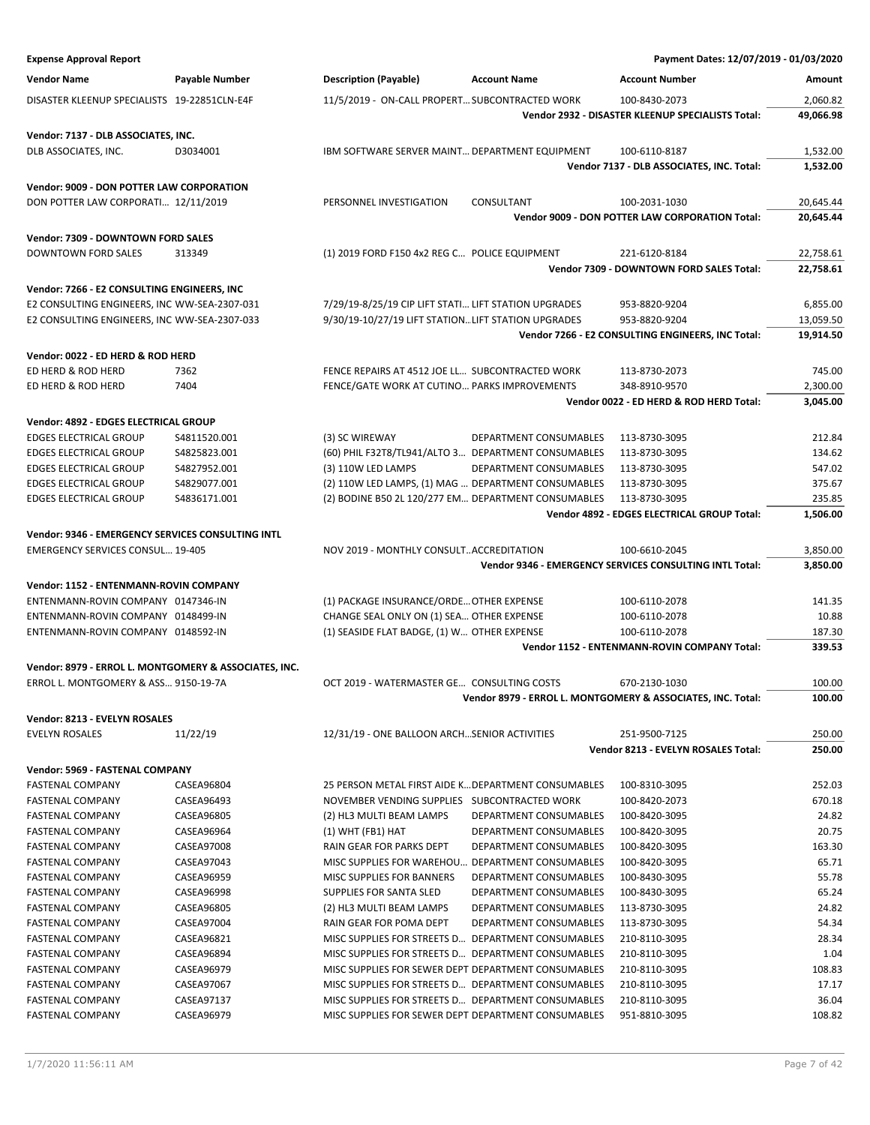| <b>Expense Approval Report</b>                                                               |                |                                                      |                                                     | Payment Dates: 12/07/2019 - 01/03/2020                      |           |
|----------------------------------------------------------------------------------------------|----------------|------------------------------------------------------|-----------------------------------------------------|-------------------------------------------------------------|-----------|
| <b>Vendor Name</b>                                                                           | Payable Number | <b>Description (Payable)</b>                         | <b>Account Name</b>                                 | <b>Account Number</b>                                       | Amount    |
| DISASTER KLEENUP SPECIALISTS 19-22851CLN-E4F                                                 |                | 11/5/2019 - ON-CALL PROPERT SUBCONTRACTED WORK       |                                                     | 100-8430-2073                                               | 2,060.82  |
|                                                                                              |                |                                                      |                                                     | Vendor 2932 - DISASTER KLEENUP SPECIALISTS Total:           | 49,066.98 |
|                                                                                              |                |                                                      |                                                     |                                                             |           |
| Vendor: 7137 - DLB ASSOCIATES, INC.<br>DLB ASSOCIATES, INC.                                  | D3034001       | IBM SOFTWARE SERVER MAINT DEPARTMENT EQUIPMENT       |                                                     |                                                             | 1,532.00  |
|                                                                                              |                |                                                      |                                                     | 100-6110-8187<br>Vendor 7137 - DLB ASSOCIATES, INC. Total:  | 1,532.00  |
|                                                                                              |                |                                                      |                                                     |                                                             |           |
| <b>Vendor: 9009 - DON POTTER LAW CORPORATION</b>                                             |                |                                                      |                                                     |                                                             |           |
| DON POTTER LAW CORPORATI 12/11/2019                                                          |                | PERSONNEL INVESTIGATION                              | CONSULTANT                                          | 100-2031-1030                                               | 20,645.44 |
|                                                                                              |                |                                                      |                                                     | Vendor 9009 - DON POTTER LAW CORPORATION Total:             | 20,645.44 |
| Vendor: 7309 - DOWNTOWN FORD SALES                                                           |                |                                                      |                                                     |                                                             |           |
| DOWNTOWN FORD SALES                                                                          | 313349         | (1) 2019 FORD F150 4x2 REG C POLICE EQUIPMENT        |                                                     | 221-6120-8184                                               | 22,758.61 |
|                                                                                              |                |                                                      |                                                     | Vendor 7309 - DOWNTOWN FORD SALES Total:                    | 22,758.61 |
| Vendor: 7266 - E2 CONSULTING ENGINEERS, INC                                                  |                |                                                      |                                                     |                                                             |           |
| E2 CONSULTING ENGINEERS, INC WW-SEA-2307-031                                                 |                | 7/29/19-8/25/19 CIP LIFT STATI LIFT STATION UPGRADES |                                                     | 953-8820-9204                                               | 6,855.00  |
| E2 CONSULTING ENGINEERS, INC WW-SEA-2307-033                                                 |                | 9/30/19-10/27/19 LIFT STATION LIFT STATION UPGRADES  |                                                     | 953-8820-9204                                               | 13,059.50 |
|                                                                                              |                |                                                      |                                                     | Vendor 7266 - E2 CONSULTING ENGINEERS, INC Total:           | 19,914.50 |
| Vendor: 0022 - ED HERD & ROD HERD                                                            |                |                                                      |                                                     |                                                             |           |
| ED HERD & ROD HERD                                                                           | 7362           | FENCE REPAIRS AT 4512 JOE LL SUBCONTRACTED WORK      |                                                     | 113-8730-2073                                               | 745.00    |
| ED HERD & ROD HERD                                                                           | 7404           | FENCE/GATE WORK AT CUTINO PARKS IMPROVEMENTS         |                                                     | 348-8910-9570                                               | 2,300.00  |
|                                                                                              |                |                                                      |                                                     | Vendor 0022 - ED HERD & ROD HERD Total:                     | 3,045.00  |
| Vendor: 4892 - EDGES ELECTRICAL GROUP                                                        |                |                                                      |                                                     |                                                             |           |
| <b>EDGES ELECTRICAL GROUP</b>                                                                | S4811520.001   | (3) SC WIREWAY                                       | DEPARTMENT CONSUMABLES                              | 113-8730-3095                                               | 212.84    |
| <b>EDGES ELECTRICAL GROUP</b>                                                                | S4825823.001   | (60) PHIL F32T8/TL941/ALTO 3 DEPARTMENT CONSUMABLES  |                                                     | 113-8730-3095                                               | 134.62    |
| <b>EDGES ELECTRICAL GROUP</b>                                                                | S4827952.001   | (3) 110W LED LAMPS                                   | DEPARTMENT CONSUMABLES                              | 113-8730-3095                                               | 547.02    |
| <b>EDGES ELECTRICAL GROUP</b>                                                                | S4829077.001   | (2) 110W LED LAMPS, (1) MAG  DEPARTMENT CONSUMABLES  |                                                     | 113-8730-3095                                               | 375.67    |
| <b>EDGES ELECTRICAL GROUP</b>                                                                | S4836171.001   | (2) BODINE B50 2L 120/277 EM DEPARTMENT CONSUMABLES  |                                                     | 113-8730-3095                                               | 235.85    |
|                                                                                              |                |                                                      |                                                     | Vendor 4892 - EDGES ELECTRICAL GROUP Total:                 | 1,506.00  |
|                                                                                              |                |                                                      |                                                     |                                                             |           |
| Vendor: 9346 - EMERGENCY SERVICES CONSULTING INTL<br><b>EMERGENCY SERVICES CONSUL 19-405</b> |                | NOV 2019 - MONTHLY CONSULTACCREDITATION              |                                                     | 100-6610-2045                                               | 3,850.00  |
|                                                                                              |                |                                                      |                                                     | Vendor 9346 - EMERGENCY SERVICES CONSULTING INTL Total:     | 3,850.00  |
|                                                                                              |                |                                                      |                                                     |                                                             |           |
| Vendor: 1152 - ENTENMANN-ROVIN COMPANY                                                       |                |                                                      |                                                     |                                                             |           |
| ENTENMANN-ROVIN COMPANY 0147346-IN                                                           |                | (1) PACKAGE INSURANCE/ORDE OTHER EXPENSE             |                                                     | 100-6110-2078                                               | 141.35    |
| ENTENMANN-ROVIN COMPANY 0148499-IN                                                           |                | CHANGE SEAL ONLY ON (1) SEA OTHER EXPENSE            |                                                     | 100-6110-2078                                               | 10.88     |
| ENTENMANN-ROVIN COMPANY 0148592-IN                                                           |                | (1) SEASIDE FLAT BADGE, (1) W OTHER EXPENSE          |                                                     | 100-6110-2078                                               | 187.30    |
|                                                                                              |                |                                                      |                                                     | Vendor 1152 - ENTENMANN-ROVIN COMPANY Total:                | 339.53    |
| Vendor: 8979 - ERROL L. MONTGOMERY & ASSOCIATES, INC.                                        |                |                                                      |                                                     |                                                             |           |
| ERROL L. MONTGOMERY & ASS 9150-19-7A                                                         |                | OCT 2019 - WATERMASTER GE CONSULTING COSTS           |                                                     | 670-2130-1030                                               | 100.00    |
|                                                                                              |                |                                                      |                                                     | Vendor 8979 - ERROL L. MONTGOMERY & ASSOCIATES, INC. Total: | 100.00    |
| Vendor: 8213 - EVELYN ROSALES                                                                |                |                                                      |                                                     |                                                             |           |
| <b>EVELYN ROSALES</b>                                                                        | 11/22/19       | 12/31/19 - ONE BALLOON ARCHSENIOR ACTIVITIES         |                                                     | 251-9500-7125                                               | 250.00    |
|                                                                                              |                |                                                      |                                                     | Vendor 8213 - EVELYN ROSALES Total:                         | 250.00    |
| Vendor: 5969 - FASTENAL COMPANY                                                              |                |                                                      |                                                     |                                                             |           |
| <b>FASTENAL COMPANY</b>                                                                      | CASEA96804     | 25 PERSON METAL FIRST AIDE K DEPARTMENT CONSUMABLES  |                                                     | 100-8310-3095                                               | 252.03    |
| <b>FASTENAL COMPANY</b>                                                                      | CASEA96493     | NOVEMBER VENDING SUPPLIES SUBCONTRACTED WORK         |                                                     | 100-8420-2073                                               | 670.18    |
| <b>FASTENAL COMPANY</b>                                                                      | CASEA96805     | (2) HL3 MULTI BEAM LAMPS                             | DEPARTMENT CONSUMABLES                              | 100-8420-3095                                               | 24.82     |
| <b>FASTENAL COMPANY</b>                                                                      | CASEA96964     | $(1)$ WHT (FB1) HAT                                  | DEPARTMENT CONSUMABLES                              | 100-8420-3095                                               | 20.75     |
| <b>FASTENAL COMPANY</b>                                                                      | CASEA97008     | RAIN GEAR FOR PARKS DEPT                             | DEPARTMENT CONSUMABLES                              | 100-8420-3095                                               | 163.30    |
| <b>FASTENAL COMPANY</b>                                                                      | CASEA97043     | MISC SUPPLIES FOR WAREHOU DEPARTMENT CONSUMABLES     |                                                     | 100-8420-3095                                               | 65.71     |
| <b>FASTENAL COMPANY</b>                                                                      | CASEA96959     | MISC SUPPLIES FOR BANNERS                            | DEPARTMENT CONSUMABLES                              | 100-8430-3095                                               | 55.78     |
| <b>FASTENAL COMPANY</b>                                                                      | CASEA96998     | SUPPLIES FOR SANTA SLED                              | DEPARTMENT CONSUMABLES                              | 100-8430-3095                                               | 65.24     |
| <b>FASTENAL COMPANY</b>                                                                      | CASEA96805     | (2) HL3 MULTI BEAM LAMPS                             | DEPARTMENT CONSUMABLES                              | 113-8730-3095                                               | 24.82     |
| <b>FASTENAL COMPANY</b>                                                                      | CASEA97004     | RAIN GEAR FOR POMA DEPT                              | DEPARTMENT CONSUMABLES                              | 113-8730-3095                                               | 54.34     |
| <b>FASTENAL COMPANY</b>                                                                      | CASEA96821     | MISC SUPPLIES FOR STREETS D DEPARTMENT CONSUMABLES   |                                                     | 210-8110-3095                                               | 28.34     |
| <b>FASTENAL COMPANY</b>                                                                      | CASEA96894     | MISC SUPPLIES FOR STREETS D DEPARTMENT CONSUMABLES   |                                                     | 210-8110-3095                                               | 1.04      |
| <b>FASTENAL COMPANY</b>                                                                      | CASEA96979     | MISC SUPPLIES FOR SEWER DEPT DEPARTMENT CONSUMABLES  |                                                     | 210-8110-3095                                               | 108.83    |
| <b>FASTENAL COMPANY</b>                                                                      | CASEA97067     | MISC SUPPLIES FOR STREETS D DEPARTMENT CONSUMABLES   |                                                     | 210-8110-3095                                               | 17.17     |
| <b>FASTENAL COMPANY</b>                                                                      | CASEA97137     | MISC SUPPLIES FOR STREETS D DEPARTMENT CONSUMABLES   |                                                     | 210-8110-3095                                               | 36.04     |
| <b>FASTENAL COMPANY</b>                                                                      | CASEA96979     |                                                      | MISC SUPPLIES FOR SEWER DEPT DEPARTMENT CONSUMABLES | 951-8810-3095                                               | 108.82    |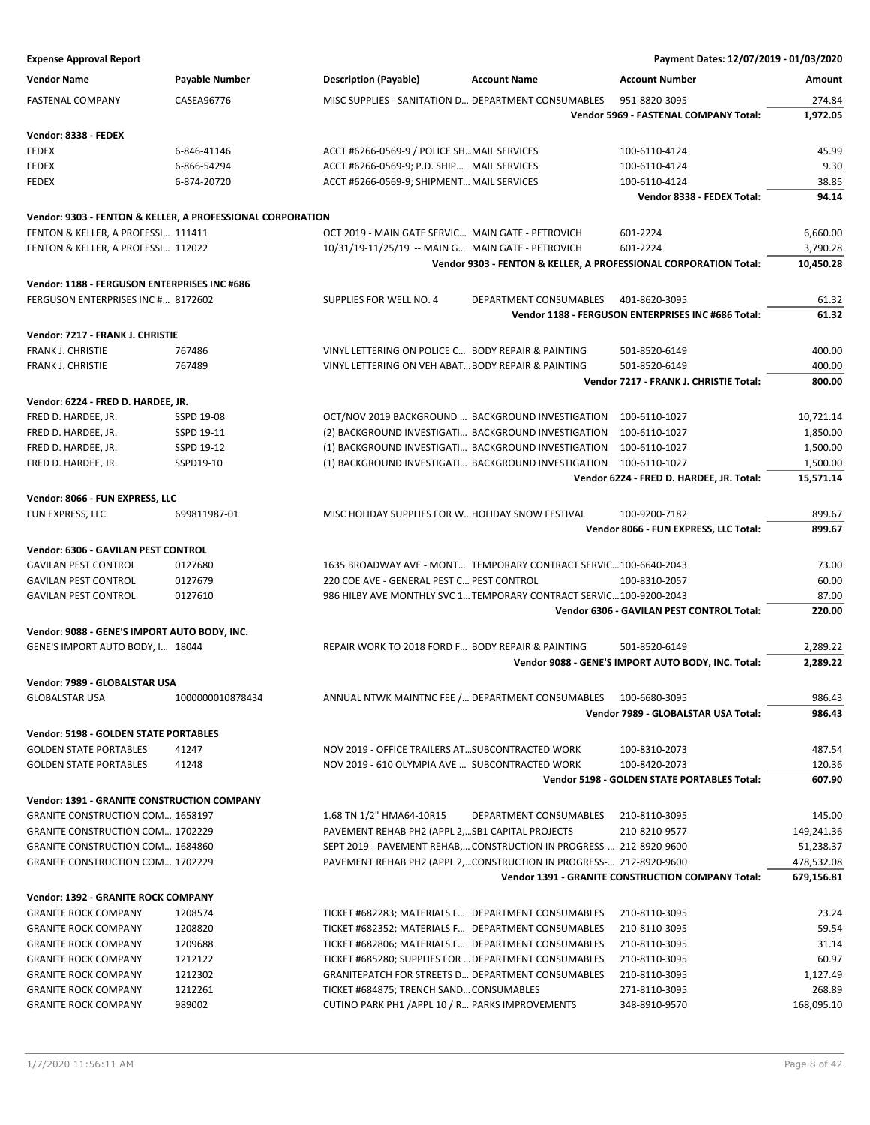**Expense Approval Report Payment Dates: 12/07/2019 - 01/03/2020 Vendor Name Payable Number Description (Payable) Account Name Account Number Amount** FASTENAL COMPANY CASEA96776 MISC SUPPLIES - SANITATION D… DEPARTMENT CONSUMABLES 951-8820-3095 274.84 **Vendor 5969 - FASTENAL COMPANY Total: 1,972.05 Vendor: 8338 - FEDEX** FEDEX 6-846-41146 ACCT #6266-0569-9 / POLICE SH...MAIL SERVICES 100-6110-4124 45.99 FEDEX 6-866-54294 ACCT #6266-0569-9; P.D. SHIP… MAIL SERVICES 100-6110-4124 9.30 FEDEX 6-874-20720 ACCT #6266-0569-9; SHIPMENT…MAIL SERVICES 100-6110-4124 38.85 **Vendor 8338 - FEDEX Total: 94.14 Vendor: 9303 - FENTON & KELLER, A PROFESSIONAL CORPORATION** FENTON & KELLER, A PROFESSI… 111411 OCT 2019 - MAIN GATE SERVIC… MAIN GATE - PETROVICH 601-2224 6,660.00 FENTON & KELLER, A PROFESSI… 112022 10/31/19-11/25/19 -- MAIN G… MAIN GATE - PETROVICH 601-2224 3,790.28 **Vendor 9303 - FENTON & KELLER, A PROFESSIONAL CORPORATION Total: 10,450.28 Vendor: 1188 - FERGUSON ENTERPRISES INC #686** FERGUSON ENTERPRISES INC #… 8172602 SUPPLIES FOR WELL NO. 4 DEPARTMENT CONSUMABLES 401-8620-3095 61.32 **Vendor 1188 - FERGUSON ENTERPRISES INC #686 Total: 61.32 Vendor: 7217 - FRANK J. CHRISTIE** FRANK J. CHRISTIE 767486 VINYL LETTERING ON POLICE C… BODY REPAIR & PAINTING 501-8520-6149 400.00 FRANK J. CHRISTIE 767489 VINYL LETTERING ON VEH ABAT…BODY REPAIR & PAINTING 501-8520-6149 400.00 **Vendor 7217 - FRANK J. CHRISTIE Total: 800.00 Vendor: 6224 - FRED D. HARDEE, JR.** FRED D. HARDEE, JR. SSPD 19-08 CT/NOV 2019 BACKGROUND ... BACKGROUND INVESTIGATION 100-6110-1027 10,721.14 FRED D. HARDEE, JR. SSPD 19-11 (2) BACKGROUND INVESTIGATI... BACKGROUND INVESTIGATION 100-6110-1027 1,850.00 FRED D. HARDEE, JR. SSPD 19-12 (1) BACKGROUND INVESTIGATI... BACKGROUND INVESTIGATION 100-6110-1027 1,500.00 FRED D. HARDEE, JR. SSPD19-10 (1) BACKGROUND INVESTIGATI... BACKGROUND INVESTIGATION 100-6110-1027 1,500.00 **Vendor 6224 - FRED D. HARDEE, JR. Total: 15,571.14 Vendor: 8066 - FUN EXPRESS, LLC** FUN EXPRESS, LLC 699811987-01 MISC HOLIDAY SUPPLIES FOR W...HOLIDAY SNOW FESTIVAL 100-9200-7182 699.67 **Vendor 8066 - FUN EXPRESS, LLC Total: 899.67 Vendor: 6306 - GAVILAN PEST CONTROL** GAVILAN PEST CONTROL 0127680 1635 BROADWAY AVE - MONT… TEMPORARY CONTRACT SERVIC…100-6640-2043 73.00 GAVILAN PEST CONTROL 0127679 220 COE AVE - GENERAL PEST C… PEST CONTROL 100-8310-2057 60.00 GAVILAN PEST CONTROL 0127610 0127610 986 HILBY AVE MONTHLY SVC 1... TEMPORARY CONTRACT SERVIC...100-9200-2043 87.00 **Vendor 6306 - GAVILAN PEST CONTROL Total: 220.00 Vendor: 9088 - GENE'S IMPORT AUTO BODY, INC.** GENE'S IMPORT AUTO BODY, I… 18044 REPAIR WORK TO 2018 FORD F… BODY REPAIR & PAINTING 501-8520-6149 2,289.22 **Vendor 9088 - GENE'S IMPORT AUTO BODY, INC. Total: 2,289.22 Vendor: 7989 - GLOBALSTAR USA** GLOBALSTAR USA 1000000010878434 ANNUAL NTWK MAINTNC FEE /... DEPARTMENT CONSUMABLES 100-6680-3095 **Vendor 7989 - GLOBALSTAR USA Total: 986.43 Vendor: 5198 - GOLDEN STATE PORTABLES** GOLDEN STATE PORTABLES 41247 NOV 2019 - OFFICE TRAILERS AT...SUBCONTRACTED WORK 100-8310-2073 487.54 GOLDEN STATE PORTABLES 41248 120.36 NOV 2019 - 610 OLYMPIA AVE ... SUBCONTRACTED WORK 100-8420-2073 120.36 **Vendor 5198 - GOLDEN STATE PORTABLES Total: 607.90 Vendor: 1391 - GRANITE CONSTRUCTION COMPANY** GRANITE CONSTRUCTION COM... 1658197 1.68 TN 1/2" HMA64-10R15 DEPARTMENT CONSUMABLES 210-8110-3095 145.00 GRANITE CONSTRUCTION COM... 1702229 PAVEMENT REHAB PH2 (APPL 2,...SB1 CAPITAL PROJECTS 210-8210-9577 149,241.36 GRANITE CONSTRUCTION COM... 1684860 SEPT 2019 - PAVEMENT REHAB,... CONSTRUCTION IN PROGRESS-... 212-8920-9600 51,238.37 GRANITE CONSTRUCTION COM... 1702229 PAVEMENT REHAB PH2 (APPL 2,...CONSTRUCTION IN PROGRESS-... 212-8920-9600 478,532.08 **Vendor 1391 - GRANITE CONSTRUCTION COMPANY Total: 679,156.81 Vendor: 1392 - GRANITE ROCK COMPANY** GRANITE ROCK COMPANY 1208574 TICKET #682283; MATERIALS E. DEPARTMENT CONSUMARIES 210-8110-3095 GRANITE ROCK COMPANY 1208820 TICKET #682352; MATERIALS F... DEPARTMENT CONSUMABLES 210-8110-3095 59.54 GRANITE ROCK COMPANY 1209688 TICKET #682806: MATERIALS F... DEPARTMENT CONSUMABLES 210-8110-3095 31.14 GRANITE ROCK COMPANY 1212122 TICKET #685280; SUPPLIES FOR ... DEPARTMENT CONSUMABLES 210-8110-3095 60.97 GRANITE ROCK COMPANY 1212302 GRANITEPATCH FOR STREETS D… DEPARTMENT CONSUMABLES 210-8110-3095 1,127.49

GRANITE ROCK COMPANY 1212261 TICKET #684875; TRENCH SAND... CONSUMABLES 271-8110-3095 271-8110-3095 GRANITE ROCK COMPANY 989002 CUTINO PARK PH1 /APPL 10 / R… PARKS IMPROVEMENTS 348-8910-9570 168,095.10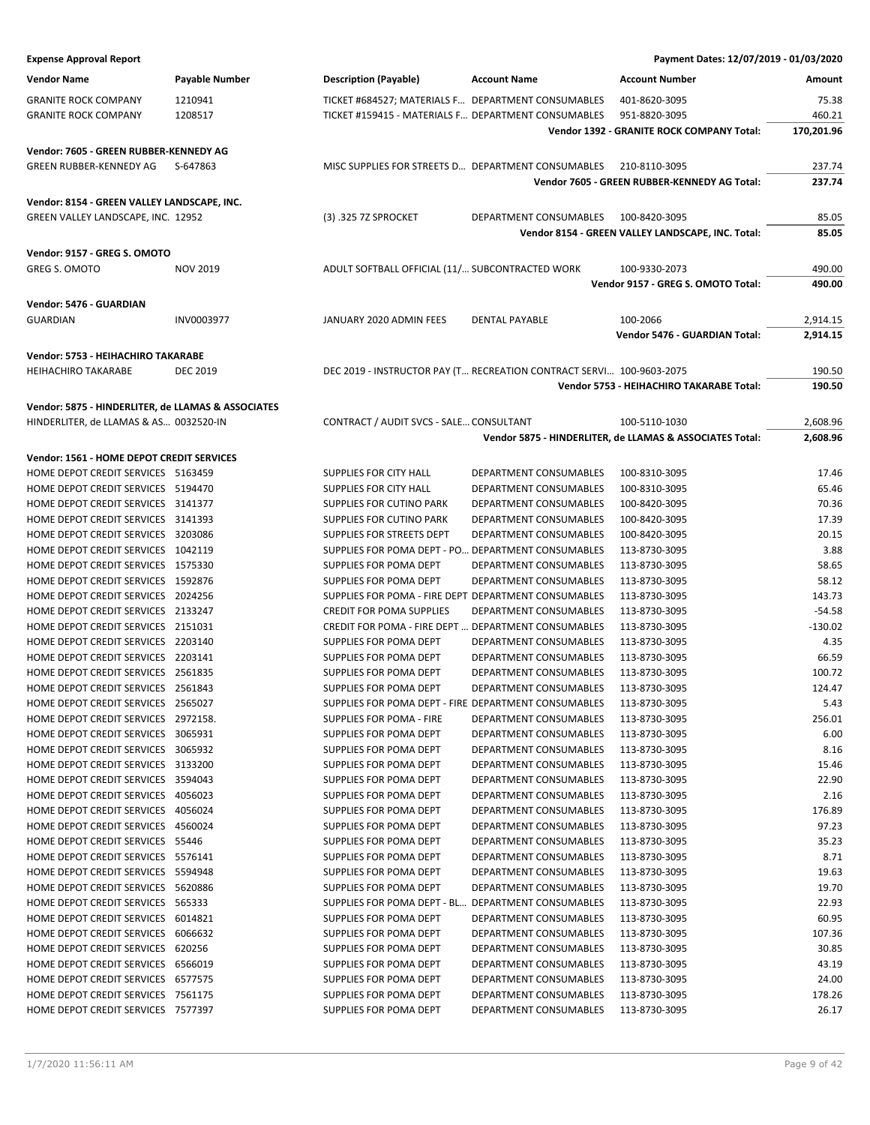| <b>Expense Approval Report</b>                     |                 |                                                      |                                                                      | Payment Dates: 12/07/2019 - 01/03/2020                   |            |
|----------------------------------------------------|-----------------|------------------------------------------------------|----------------------------------------------------------------------|----------------------------------------------------------|------------|
| <b>Vendor Name</b>                                 | Payable Number  | <b>Description (Payable)</b>                         | <b>Account Name</b>                                                  | <b>Account Number</b>                                    | Amount     |
| <b>GRANITE ROCK COMPANY</b>                        | 1210941         | TICKET #684527; MATERIALS F DEPARTMENT CONSUMABLES   |                                                                      | 401-8620-3095                                            | 75.38      |
| <b>GRANITE ROCK COMPANY</b>                        | 1208517         | TICKET #159415 - MATERIALS F DEPARTMENT CONSUMABLES  |                                                                      | 951-8820-3095                                            | 460.21     |
|                                                    |                 |                                                      |                                                                      | Vendor 1392 - GRANITE ROCK COMPANY Total:                | 170,201.96 |
|                                                    |                 |                                                      |                                                                      |                                                          |            |
| Vendor: 7605 - GREEN RUBBER-KENNEDY AG             |                 |                                                      |                                                                      |                                                          |            |
| <b>GREEN RUBBER-KENNEDY AG</b>                     | S-647863        | MISC SUPPLIES FOR STREETS D DEPARTMENT CONSUMABLES   |                                                                      | 210-8110-3095                                            | 237.74     |
|                                                    |                 |                                                      |                                                                      | Vendor 7605 - GREEN RUBBER-KENNEDY AG Total:             | 237.74     |
| Vendor: 8154 - GREEN VALLEY LANDSCAPE, INC.        |                 |                                                      |                                                                      |                                                          |            |
| GREEN VALLEY LANDSCAPE, INC. 12952                 |                 | (3) .325 7Z SPROCKET                                 | DEPARTMENT CONSUMABLES                                               | 100-8420-3095                                            | 85.05      |
|                                                    |                 |                                                      |                                                                      | Vendor 8154 - GREEN VALLEY LANDSCAPE, INC. Total:        | 85.05      |
| Vendor: 9157 - GREG S. OMOTO                       |                 |                                                      |                                                                      |                                                          |            |
| GREG S. OMOTO                                      | <b>NOV 2019</b> | ADULT SOFTBALL OFFICIAL (11/ SUBCONTRACTED WORK      |                                                                      | 100-9330-2073                                            | 490.00     |
|                                                    |                 |                                                      |                                                                      | Vendor 9157 - GREG S. OMOTO Total:                       | 490.00     |
|                                                    |                 |                                                      |                                                                      |                                                          |            |
| Vendor: 5476 - GUARDIAN                            |                 |                                                      |                                                                      |                                                          |            |
| <b>GUARDIAN</b>                                    | INV0003977      | JANUARY 2020 ADMIN FEES                              | <b>DENTAL PAYABLE</b>                                                | 100-2066                                                 | 2,914.15   |
|                                                    |                 |                                                      |                                                                      | Vendor 5476 - GUARDIAN Total:                            | 2,914.15   |
| Vendor: 5753 - HEIHACHIRO TAKARABE                 |                 |                                                      |                                                                      |                                                          |            |
| <b>HEIHACHIRO TAKARABE</b>                         | <b>DEC 2019</b> |                                                      | DEC 2019 - INSTRUCTOR PAY (T RECREATION CONTRACT SERVI 100-9603-2075 |                                                          | 190.50     |
|                                                    |                 |                                                      |                                                                      | Vendor 5753 - HEIHACHIRO TAKARABE Total:                 | 190.50     |
| Vendor: 5875 - HINDERLITER, de LLAMAS & ASSOCIATES |                 |                                                      |                                                                      |                                                          |            |
| HINDERLITER, de LLAMAS & AS 0032520-IN             |                 | CONTRACT / AUDIT SVCS - SALE CONSULTANT              |                                                                      | 100-5110-1030                                            | 2,608.96   |
|                                                    |                 |                                                      |                                                                      | Vendor 5875 - HINDERLITER, de LLAMAS & ASSOCIATES Total: | 2,608.96   |
| Vendor: 1561 - HOME DEPOT CREDIT SERVICES          |                 |                                                      |                                                                      |                                                          |            |
| HOME DEPOT CREDIT SERVICES 5163459                 |                 | SUPPLIES FOR CITY HALL                               | DEPARTMENT CONSUMABLES                                               | 100-8310-3095                                            | 17.46      |
| HOME DEPOT CREDIT SERVICES 5194470                 |                 | SUPPLIES FOR CITY HALL                               | DEPARTMENT CONSUMABLES                                               | 100-8310-3095                                            | 65.46      |
| HOME DEPOT CREDIT SERVICES 3141377                 |                 | SUPPLIES FOR CUTINO PARK                             | DEPARTMENT CONSUMABLES                                               | 100-8420-3095                                            | 70.36      |
| HOME DEPOT CREDIT SERVICES 3141393                 |                 | <b>SUPPLIES FOR CUTINO PARK</b>                      | DEPARTMENT CONSUMABLES                                               | 100-8420-3095                                            | 17.39      |
| HOME DEPOT CREDIT SERVICES 3203086                 |                 | SUPPLIES FOR STREETS DEPT                            | DEPARTMENT CONSUMABLES                                               | 100-8420-3095                                            | 20.15      |
| HOME DEPOT CREDIT SERVICES 1042119                 |                 | SUPPLIES FOR POMA DEPT - PO DEPARTMENT CONSUMABLES   |                                                                      | 113-8730-3095                                            | 3.88       |
| HOME DEPOT CREDIT SERVICES 1575330                 |                 | SUPPLIES FOR POMA DEPT                               | DEPARTMENT CONSUMABLES                                               | 113-8730-3095                                            | 58.65      |
| HOME DEPOT CREDIT SERVICES 1592876                 |                 | SUPPLIES FOR POMA DEPT                               | DEPARTMENT CONSUMABLES                                               | 113-8730-3095                                            | 58.12      |
| HOME DEPOT CREDIT SERVICES 2024256                 |                 | SUPPLIES FOR POMA - FIRE DEPT DEPARTMENT CONSUMABLES |                                                                      | 113-8730-3095                                            | 143.73     |
| HOME DEPOT CREDIT SERVICES 2133247                 |                 | <b>CREDIT FOR POMA SUPPLIES</b>                      | DEPARTMENT CONSUMABLES                                               | 113-8730-3095                                            | $-54.58$   |
| HOME DEPOT CREDIT SERVICES 2151031                 |                 | CREDIT FOR POMA - FIRE DEPT  DEPARTMENT CONSUMABLES  |                                                                      | 113-8730-3095                                            | $-130.02$  |
| HOME DEPOT CREDIT SERVICES 2203140                 |                 | SUPPLIES FOR POMA DEPT                               | DEPARTMENT CONSUMABLES                                               | 113-8730-3095                                            | 4.35       |
| HOME DEPOT CREDIT SERVICES 2203141                 |                 | SUPPLIES FOR POMA DEPT                               | DEPARTMENT CONSUMABLES                                               | 113-8730-3095                                            | 66.59      |
| HOME DEPOT CREDIT SERVICES 2561835                 |                 | <b>SUPPLIES FOR POMA DEPT</b>                        | DEPARTMENT CONSUMABLES                                               | 113-8730-3095                                            | 100.72     |
| HOME DEPOT CREDIT SERVICES 2561843                 |                 | SUPPLIES FOR POMA DEPT                               | DEPARTMENT CONSUMABLES                                               | 113-8730-3095                                            | 124.47     |
| HOME DEPOT CREDIT SERVICES 2565027                 |                 | SUPPLIES FOR POMA DEPT - FIRE DEPARTMENT CONSUMABLES |                                                                      | 113-8730-3095                                            | 5.43       |
| HOME DEPOT CREDIT SERVICES 2972158.                |                 | <b>SUPPLIES FOR POMA - FIRE</b>                      | DEPARTMENT CONSUMABLES                                               | 113-8730-3095                                            | 256.01     |
| HOME DEPOT CREDIT SERVICES 3065931                 |                 | SUPPLIES FOR POMA DEPT                               | DEPARTMENT CONSUMABLES                                               | 113-8730-3095                                            | 6.00       |
| HOME DEPOT CREDIT SERVICES 3065932                 |                 | <b>SUPPLIES FOR POMA DEPT</b>                        | DEPARTMENT CONSUMABLES                                               | 113-8730-3095                                            | 8.16       |
| HOME DEPOT CREDIT SERVICES 3133200                 |                 | SUPPLIES FOR POMA DEPT                               | DEPARTMENT CONSUMABLES                                               | 113-8730-3095                                            | 15.46      |
| HOME DEPOT CREDIT SERVICES 3594043                 |                 | SUPPLIES FOR POMA DEPT                               | DEPARTMENT CONSUMABLES                                               | 113-8730-3095                                            | 22.90      |
| HOME DEPOT CREDIT SERVICES 4056023                 |                 | SUPPLIES FOR POMA DEPT                               | DEPARTMENT CONSUMABLES                                               | 113-8730-3095                                            | 2.16       |
| HOME DEPOT CREDIT SERVICES 4056024                 |                 | SUPPLIES FOR POMA DEPT                               | DEPARTMENT CONSUMABLES                                               | 113-8730-3095                                            | 176.89     |
| HOME DEPOT CREDIT SERVICES 4560024                 |                 | SUPPLIES FOR POMA DEPT                               | DEPARTMENT CONSUMABLES                                               | 113-8730-3095                                            | 97.23      |
| HOME DEPOT CREDIT SERVICES 55446                   |                 | SUPPLIES FOR POMA DEPT                               | DEPARTMENT CONSUMABLES                                               | 113-8730-3095                                            | 35.23      |
| HOME DEPOT CREDIT SERVICES 5576141                 |                 | SUPPLIES FOR POMA DEPT                               | DEPARTMENT CONSUMABLES                                               | 113-8730-3095                                            | 8.71       |
| HOME DEPOT CREDIT SERVICES 5594948                 |                 | SUPPLIES FOR POMA DEPT                               | DEPARTMENT CONSUMABLES                                               | 113-8730-3095                                            | 19.63      |
| HOME DEPOT CREDIT SERVICES 5620886                 |                 | SUPPLIES FOR POMA DEPT                               | DEPARTMENT CONSUMABLES                                               | 113-8730-3095                                            | 19.70      |
| HOME DEPOT CREDIT SERVICES 565333                  |                 | SUPPLIES FOR POMA DEPT - BL DEPARTMENT CONSUMABLES   |                                                                      | 113-8730-3095                                            | 22.93      |
| HOME DEPOT CREDIT SERVICES 6014821                 |                 | SUPPLIES FOR POMA DEPT                               | DEPARTMENT CONSUMABLES                                               | 113-8730-3095                                            | 60.95      |
| HOME DEPOT CREDIT SERVICES 6066632                 |                 | SUPPLIES FOR POMA DEPT                               | DEPARTMENT CONSUMABLES                                               | 113-8730-3095                                            | 107.36     |
| HOME DEPOT CREDIT SERVICES 620256                  |                 | SUPPLIES FOR POMA DEPT                               | DEPARTMENT CONSUMABLES                                               | 113-8730-3095                                            | 30.85      |
| HOME DEPOT CREDIT SERVICES 6566019                 |                 | SUPPLIES FOR POMA DEPT                               | DEPARTMENT CONSUMABLES                                               | 113-8730-3095                                            | 43.19      |
| HOME DEPOT CREDIT SERVICES 6577575                 |                 | SUPPLIES FOR POMA DEPT                               | DEPARTMENT CONSUMABLES                                               | 113-8730-3095                                            | 24.00      |
| HOME DEPOT CREDIT SERVICES 7561175                 |                 | SUPPLIES FOR POMA DEPT                               | DEPARTMENT CONSUMABLES                                               | 113-8730-3095                                            | 178.26     |
| HOME DEPOT CREDIT SERVICES 7577397                 |                 | SUPPLIES FOR POMA DEPT                               | DEPARTMENT CONSUMABLES                                               | 113-8730-3095                                            | 26.17      |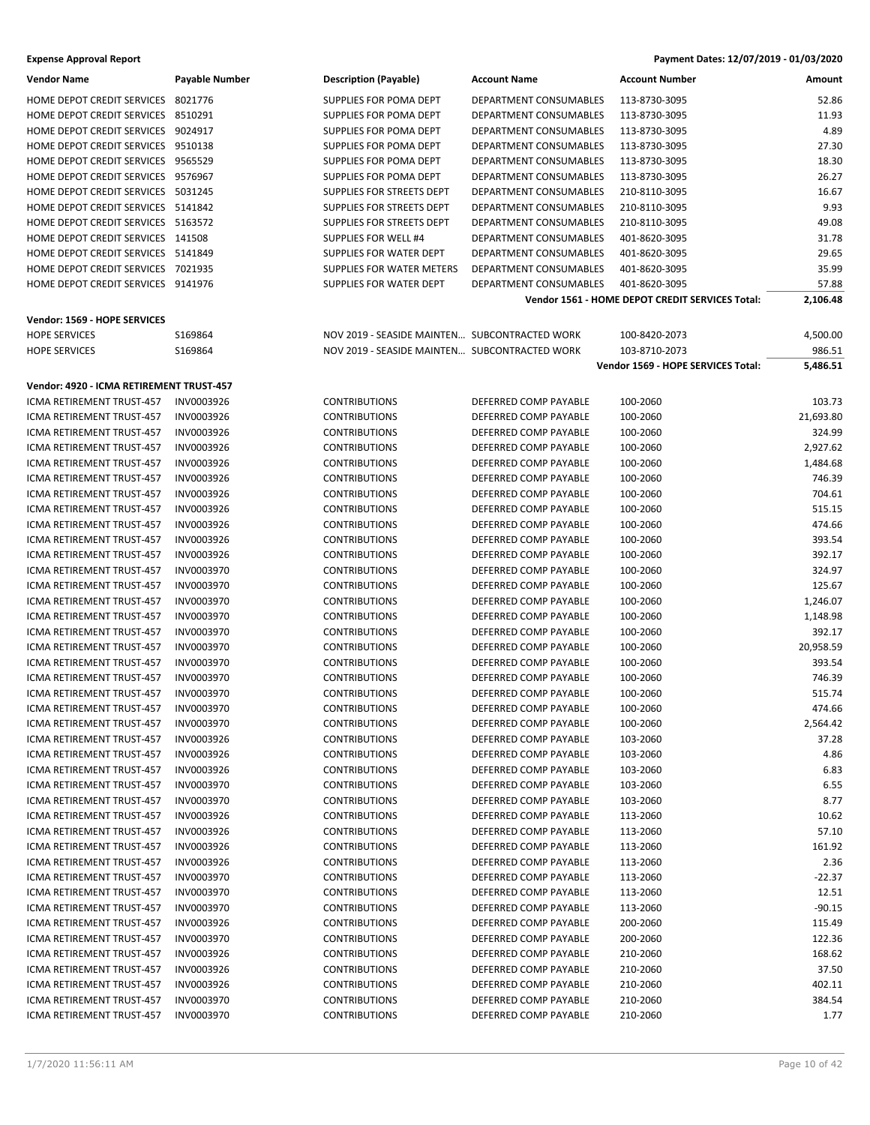| Payment Dates: 12/07/2019 - 01/03/2020 |  |  |  |  |
|----------------------------------------|--|--|--|--|
|----------------------------------------|--|--|--|--|

| <b>Vendor Name</b><br><b>Description (Payable)</b><br><b>Account Name</b><br><b>Account Number</b><br>Payable Number<br>Amount<br>HOME DEPOT CREDIT SERVICES<br>8021776<br>SUPPLIES FOR POMA DEPT<br>DEPARTMENT CONSUMABLES<br>113-8730-3095<br>52.86<br>11.93<br>HOME DEPOT CREDIT SERVICES<br>8510291<br>SUPPLIES FOR POMA DEPT<br>DEPARTMENT CONSUMABLES<br>113-8730-3095<br>4.89<br>HOME DEPOT CREDIT SERVICES<br>9024917<br>SUPPLIES FOR POMA DEPT<br>DEPARTMENT CONSUMABLES<br>113-8730-3095<br>HOME DEPOT CREDIT SERVICES 9510138<br>SUPPLIES FOR POMA DEPT<br>DEPARTMENT CONSUMABLES<br>27.30<br>113-8730-3095<br>HOME DEPOT CREDIT SERVICES 9565529<br>18.30<br>SUPPLIES FOR POMA DEPT<br>DEPARTMENT CONSUMABLES<br>113-8730-3095<br>26.27<br>HOME DEPOT CREDIT SERVICES 9576967<br>SUPPLIES FOR POMA DEPT<br>DEPARTMENT CONSUMABLES<br>113-8730-3095<br>HOME DEPOT CREDIT SERVICES 5031245<br>16.67<br>SUPPLIES FOR STREETS DEPT<br>DEPARTMENT CONSUMABLES<br>210-8110-3095<br>9.93<br>HOME DEPOT CREDIT SERVICES 5141842<br>SUPPLIES FOR STREETS DEPT<br>DEPARTMENT CONSUMABLES<br>210-8110-3095<br>HOME DEPOT CREDIT SERVICES 5163572<br>SUPPLIES FOR STREETS DEPT<br><b>DEPARTMENT CONSUMABLES</b><br>210-8110-3095<br>49.08<br>31.78<br>HOME DEPOT CREDIT SERVICES 141508<br><b>SUPPLIES FOR WELL #4</b><br>DEPARTMENT CONSUMABLES<br>401-8620-3095<br>HOME DEPOT CREDIT SERVICES 5141849<br>SUPPLIES FOR WATER DEPT<br>DEPARTMENT CONSUMABLES<br>29.65<br>401-8620-3095<br>35.99<br>HOME DEPOT CREDIT SERVICES 7021935<br>SUPPLIES FOR WATER METERS<br>DEPARTMENT CONSUMABLES<br>401-8620-3095<br>HOME DEPOT CREDIT SERVICES 9141976<br>SUPPLIES FOR WATER DEPT<br>DEPARTMENT CONSUMABLES<br>57.88<br>401-8620-3095<br>Vendor 1561 - HOME DEPOT CREDIT SERVICES Total:<br>2,106.48<br>Vendor: 1569 - HOPE SERVICES<br>S169864<br>NOV 2019 - SEASIDE MAINTEN SUBCONTRACTED WORK<br>4,500.00<br><b>HOPE SERVICES</b><br>100-8420-2073<br><b>HOPE SERVICES</b><br>S169864<br>NOV 2019 - SEASIDE MAINTEN SUBCONTRACTED WORK<br>103-8710-2073<br>986.51<br>Vendor 1569 - HOPE SERVICES Total:<br>5,486.51<br>Vendor: 4920 - ICMA RETIREMENT TRUST-457<br>ICMA RETIREMENT TRUST-457<br>INV0003926<br><b>CONTRIBUTIONS</b><br>DEFERRED COMP PAYABLE<br>100-2060<br>103.73<br>21,693.80<br>INV0003926<br><b>CONTRIBUTIONS</b><br>DEFERRED COMP PAYABLE<br>100-2060<br>ICMA RETIREMENT TRUST-457<br>324.99<br>ICMA RETIREMENT TRUST-457<br>INV0003926<br><b>CONTRIBUTIONS</b><br>DEFERRED COMP PAYABLE<br>100-2060<br>2,927.62<br>ICMA RETIREMENT TRUST-457<br>INV0003926<br><b>CONTRIBUTIONS</b><br>DEFERRED COMP PAYABLE<br>100-2060<br>ICMA RETIREMENT TRUST-457<br>INV0003926<br><b>CONTRIBUTIONS</b><br>DEFERRED COMP PAYABLE<br>100-2060<br>1,484.68<br>ICMA RETIREMENT TRUST-457<br>INV0003926<br><b>CONTRIBUTIONS</b><br>DEFERRED COMP PAYABLE<br>100-2060<br>746.39<br>ICMA RETIREMENT TRUST-457<br>INV0003926<br><b>CONTRIBUTIONS</b><br>DEFERRED COMP PAYABLE<br>100-2060<br>704.61<br>INV0003926<br>515.15<br>ICMA RETIREMENT TRUST-457<br><b>CONTRIBUTIONS</b><br>DEFERRED COMP PAYABLE<br>100-2060<br>474.66<br>ICMA RETIREMENT TRUST-457<br>INV0003926<br><b>CONTRIBUTIONS</b><br>DEFERRED COMP PAYABLE<br>100-2060<br>INV0003926<br><b>CONTRIBUTIONS</b><br>DEFERRED COMP PAYABLE<br>100-2060<br>393.54<br>ICMA RETIREMENT TRUST-457<br>ICMA RETIREMENT TRUST-457<br>INV0003926<br><b>CONTRIBUTIONS</b><br>DEFERRED COMP PAYABLE<br>100-2060<br>392.17<br>ICMA RETIREMENT TRUST-457<br>INV0003970<br><b>CONTRIBUTIONS</b><br>DEFERRED COMP PAYABLE<br>324.97<br>100-2060<br>ICMA RETIREMENT TRUST-457<br>INV0003970<br>DEFERRED COMP PAYABLE<br>125.67<br><b>CONTRIBUTIONS</b><br>100-2060<br>ICMA RETIREMENT TRUST-457<br>INV0003970<br><b>CONTRIBUTIONS</b><br>DEFERRED COMP PAYABLE<br>100-2060<br>1,246.07<br>ICMA RETIREMENT TRUST-457<br>INV0003970<br><b>CONTRIBUTIONS</b><br>DEFERRED COMP PAYABLE<br>100-2060<br>1,148.98<br><b>ICMA RETIREMENT TRUST-457</b><br>INV0003970<br><b>CONTRIBUTIONS</b><br>DEFERRED COMP PAYABLE<br>100-2060<br>392.17<br>ICMA RETIREMENT TRUST-457<br>INV0003970<br>DEFERRED COMP PAYABLE<br>20,958.59<br><b>CONTRIBUTIONS</b><br>100-2060<br>INV0003970<br>393.54<br>ICMA RETIREMENT TRUST-457<br><b>CONTRIBUTIONS</b><br>DEFERRED COMP PAYABLE<br>100-2060<br>746.39<br><b>ICMA RETIREMENT TRUST-457</b><br><b>INV0003970</b><br><b>CONTRIBUTIONS</b><br>DEFERRED COMP PAYABLE<br>100-2060<br><b>CONTRIBUTIONS</b><br>100-2060<br>515.74<br>ICMA RETIREMENT TRUST-457<br>INV0003970<br>DEFERRED COMP PAYABLE<br>474.66<br>ICMA RETIREMENT TRUST-457<br>INV0003970<br><b>CONTRIBUTIONS</b><br>DEFERRED COMP PAYABLE<br>100-2060<br>INV0003970<br>ICMA RETIREMENT TRUST-457<br><b>CONTRIBUTIONS</b><br>DEFERRED COMP PAYABLE<br>100-2060<br>2,564.42<br>37.28<br>ICMA RETIREMENT TRUST-457<br>INV0003926<br><b>CONTRIBUTIONS</b><br>DEFERRED COMP PAYABLE<br>103-2060<br>4.86<br>ICMA RETIREMENT TRUST-457<br>INV0003926<br><b>CONTRIBUTIONS</b><br>DEFERRED COMP PAYABLE<br>103-2060<br>INV0003926<br>DEFERRED COMP PAYABLE<br>6.83<br>ICMA RETIREMENT TRUST-457<br><b>CONTRIBUTIONS</b><br>103-2060<br><b>CONTRIBUTIONS</b><br>6.55<br><b>ICMA RETIREMENT TRUST-457</b><br>INV0003970<br>DEFERRED COMP PAYABLE<br>103-2060<br>8.77<br>INV0003970<br><b>CONTRIBUTIONS</b><br>DEFERRED COMP PAYABLE<br>103-2060<br>ICMA RETIREMENT TRUST-457<br>INV0003926<br>10.62<br>ICMA RETIREMENT TRUST-457<br><b>CONTRIBUTIONS</b><br>DEFERRED COMP PAYABLE<br>113-2060<br>57.10<br>ICMA RETIREMENT TRUST-457<br>INV0003926<br><b>CONTRIBUTIONS</b><br>DEFERRED COMP PAYABLE<br>113-2060<br>INV0003926<br>DEFERRED COMP PAYABLE<br>113-2060<br>161.92<br>ICMA RETIREMENT TRUST-457<br><b>CONTRIBUTIONS</b><br>ICMA RETIREMENT TRUST-457<br><b>CONTRIBUTIONS</b><br>DEFERRED COMP PAYABLE<br>2.36<br>INV0003926<br>113-2060<br>INV0003970<br>DEFERRED COMP PAYABLE<br>$-22.37$<br>ICMA RETIREMENT TRUST-457<br><b>CONTRIBUTIONS</b><br>113-2060<br>12.51<br>ICMA RETIREMENT TRUST-457<br>INV0003970<br><b>CONTRIBUTIONS</b><br>DEFERRED COMP PAYABLE<br>113-2060<br>$-90.15$<br>ICMA RETIREMENT TRUST-457<br>INV0003970<br><b>CONTRIBUTIONS</b><br>DEFERRED COMP PAYABLE<br>113-2060<br>200-2060<br>115.49<br>ICMA RETIREMENT TRUST-457<br>INV0003926<br><b>CONTRIBUTIONS</b><br>DEFERRED COMP PAYABLE<br><b>CONTRIBUTIONS</b><br>DEFERRED COMP PAYABLE<br>200-2060<br>122.36<br>ICMA RETIREMENT TRUST-457<br>INV0003970<br>INV0003926<br><b>CONTRIBUTIONS</b><br>DEFERRED COMP PAYABLE<br>210-2060<br>168.62<br>ICMA RETIREMENT TRUST-457<br>INV0003926<br>37.50<br>ICMA RETIREMENT TRUST-457<br><b>CONTRIBUTIONS</b><br>DEFERRED COMP PAYABLE<br>210-2060<br>402.11<br>ICMA RETIREMENT TRUST-457<br>INV0003926<br><b>CONTRIBUTIONS</b><br>DEFERRED COMP PAYABLE<br>210-2060<br>INV0003970<br><b>CONTRIBUTIONS</b><br>DEFERRED COMP PAYABLE<br>210-2060<br>384.54<br>ICMA RETIREMENT TRUST-457<br>ICMA RETIREMENT TRUST-457<br>INV0003970<br><b>CONTRIBUTIONS</b><br>DEFERRED COMP PAYABLE<br>210-2060<br>1.77 | <b>Expense Approval Report</b> |  | Payment Dates: 12/07/2019 - 01/03/2020 |  |
|------------------------------------------------------------------------------------------------------------------------------------------------------------------------------------------------------------------------------------------------------------------------------------------------------------------------------------------------------------------------------------------------------------------------------------------------------------------------------------------------------------------------------------------------------------------------------------------------------------------------------------------------------------------------------------------------------------------------------------------------------------------------------------------------------------------------------------------------------------------------------------------------------------------------------------------------------------------------------------------------------------------------------------------------------------------------------------------------------------------------------------------------------------------------------------------------------------------------------------------------------------------------------------------------------------------------------------------------------------------------------------------------------------------------------------------------------------------------------------------------------------------------------------------------------------------------------------------------------------------------------------------------------------------------------------------------------------------------------------------------------------------------------------------------------------------------------------------------------------------------------------------------------------------------------------------------------------------------------------------------------------------------------------------------------------------------------------------------------------------------------------------------------------------------------------------------------------------------------------------------------------------------------------------------------------------------------------------------------------------------------------------------------------------------------------------------------------------------------------------------------------------------------------------------------------------------------------------------------------------------------------------------------------------------------------------------------------------------------------------------------------------------------------------------------------------------------------------------------------------------------------------------------------------------------------------------------------------------------------------------------------------------------------------------------------------------------------------------------------------------------------------------------------------------------------------------------------------------------------------------------------------------------------------------------------------------------------------------------------------------------------------------------------------------------------------------------------------------------------------------------------------------------------------------------------------------------------------------------------------------------------------------------------------------------------------------------------------------------------------------------------------------------------------------------------------------------------------------------------------------------------------------------------------------------------------------------------------------------------------------------------------------------------------------------------------------------------------------------------------------------------------------------------------------------------------------------------------------------------------------------------------------------------------------------------------------------------------------------------------------------------------------------------------------------------------------------------------------------------------------------------------------------------------------------------------------------------------------------------------------------------------------------------------------------------------------------------------------------------------------------------------------------------------------------------------------------------------------------------------------------------------------------------------------------------------------------------------------------------------------------------------------------------------------------------------------------------------------------------------------------------------------------------------------------------------------------------------------------------------------------------------------------------------------------------------------------------------------------------------------------------------------------------------------------------------------------------------------------------------------------------------------------------------------------------------------------------------------------------------------------------------------------------------------------------------------------------------------------------------------------------------------------------------------------------------------------------------------------------------------------------------------------------------------------------------------------------------------------------------------------------------------------------------------------------------------------------------------------------------------------------------------------------------------------------------------------------------------------------------------------------------------------------------------------------------------------------------------------------------------------------------------------------------------------------------------------------------------------------------------------------------------------------------------------------------------------------------------------------------------------------------------------------------------------------------------------------------------------------------------------------------------------------------------------------------------------------------------------------------------------------------------------------------------------------------------------------------------------------------------------------------------------------------------------------------|--------------------------------|--|----------------------------------------|--|
|                                                                                                                                                                                                                                                                                                                                                                                                                                                                                                                                                                                                                                                                                                                                                                                                                                                                                                                                                                                                                                                                                                                                                                                                                                                                                                                                                                                                                                                                                                                                                                                                                                                                                                                                                                                                                                                                                                                                                                                                                                                                                                                                                                                                                                                                                                                                                                                                                                                                                                                                                                                                                                                                                                                                                                                                                                                                                                                                                                                                                                                                                                                                                                                                                                                                                                                                                                                                                                                                                                                                                                                                                                                                                                                                                                                                                                                                                                                                                                                                                                                                                                                                                                                                                                                                                                                                                                                                                                                                                                                                                                                                                                                                                                                                                                                                                                                                                                                                                                                                                                                                                                                                                                                                                                                                                                                                                                                                                                                                                                                                                                                                                                                                                                                                                                                                                                                                                                                                                                                                                                                                                                                                                                                                                                                                                                                                                                                                                                                                                                                                                                                                                                                                                                                                                                                                                                                                                                                                                                                                                                                                  |                                |  |                                        |  |
|                                                                                                                                                                                                                                                                                                                                                                                                                                                                                                                                                                                                                                                                                                                                                                                                                                                                                                                                                                                                                                                                                                                                                                                                                                                                                                                                                                                                                                                                                                                                                                                                                                                                                                                                                                                                                                                                                                                                                                                                                                                                                                                                                                                                                                                                                                                                                                                                                                                                                                                                                                                                                                                                                                                                                                                                                                                                                                                                                                                                                                                                                                                                                                                                                                                                                                                                                                                                                                                                                                                                                                                                                                                                                                                                                                                                                                                                                                                                                                                                                                                                                                                                                                                                                                                                                                                                                                                                                                                                                                                                                                                                                                                                                                                                                                                                                                                                                                                                                                                                                                                                                                                                                                                                                                                                                                                                                                                                                                                                                                                                                                                                                                                                                                                                                                                                                                                                                                                                                                                                                                                                                                                                                                                                                                                                                                                                                                                                                                                                                                                                                                                                                                                                                                                                                                                                                                                                                                                                                                                                                                                                  |                                |  |                                        |  |
|                                                                                                                                                                                                                                                                                                                                                                                                                                                                                                                                                                                                                                                                                                                                                                                                                                                                                                                                                                                                                                                                                                                                                                                                                                                                                                                                                                                                                                                                                                                                                                                                                                                                                                                                                                                                                                                                                                                                                                                                                                                                                                                                                                                                                                                                                                                                                                                                                                                                                                                                                                                                                                                                                                                                                                                                                                                                                                                                                                                                                                                                                                                                                                                                                                                                                                                                                                                                                                                                                                                                                                                                                                                                                                                                                                                                                                                                                                                                                                                                                                                                                                                                                                                                                                                                                                                                                                                                                                                                                                                                                                                                                                                                                                                                                                                                                                                                                                                                                                                                                                                                                                                                                                                                                                                                                                                                                                                                                                                                                                                                                                                                                                                                                                                                                                                                                                                                                                                                                                                                                                                                                                                                                                                                                                                                                                                                                                                                                                                                                                                                                                                                                                                                                                                                                                                                                                                                                                                                                                                                                                                                  |                                |  |                                        |  |
|                                                                                                                                                                                                                                                                                                                                                                                                                                                                                                                                                                                                                                                                                                                                                                                                                                                                                                                                                                                                                                                                                                                                                                                                                                                                                                                                                                                                                                                                                                                                                                                                                                                                                                                                                                                                                                                                                                                                                                                                                                                                                                                                                                                                                                                                                                                                                                                                                                                                                                                                                                                                                                                                                                                                                                                                                                                                                                                                                                                                                                                                                                                                                                                                                                                                                                                                                                                                                                                                                                                                                                                                                                                                                                                                                                                                                                                                                                                                                                                                                                                                                                                                                                                                                                                                                                                                                                                                                                                                                                                                                                                                                                                                                                                                                                                                                                                                                                                                                                                                                                                                                                                                                                                                                                                                                                                                                                                                                                                                                                                                                                                                                                                                                                                                                                                                                                                                                                                                                                                                                                                                                                                                                                                                                                                                                                                                                                                                                                                                                                                                                                                                                                                                                                                                                                                                                                                                                                                                                                                                                                                                  |                                |  |                                        |  |
|                                                                                                                                                                                                                                                                                                                                                                                                                                                                                                                                                                                                                                                                                                                                                                                                                                                                                                                                                                                                                                                                                                                                                                                                                                                                                                                                                                                                                                                                                                                                                                                                                                                                                                                                                                                                                                                                                                                                                                                                                                                                                                                                                                                                                                                                                                                                                                                                                                                                                                                                                                                                                                                                                                                                                                                                                                                                                                                                                                                                                                                                                                                                                                                                                                                                                                                                                                                                                                                                                                                                                                                                                                                                                                                                                                                                                                                                                                                                                                                                                                                                                                                                                                                                                                                                                                                                                                                                                                                                                                                                                                                                                                                                                                                                                                                                                                                                                                                                                                                                                                                                                                                                                                                                                                                                                                                                                                                                                                                                                                                                                                                                                                                                                                                                                                                                                                                                                                                                                                                                                                                                                                                                                                                                                                                                                                                                                                                                                                                                                                                                                                                                                                                                                                                                                                                                                                                                                                                                                                                                                                                                  |                                |  |                                        |  |
|                                                                                                                                                                                                                                                                                                                                                                                                                                                                                                                                                                                                                                                                                                                                                                                                                                                                                                                                                                                                                                                                                                                                                                                                                                                                                                                                                                                                                                                                                                                                                                                                                                                                                                                                                                                                                                                                                                                                                                                                                                                                                                                                                                                                                                                                                                                                                                                                                                                                                                                                                                                                                                                                                                                                                                                                                                                                                                                                                                                                                                                                                                                                                                                                                                                                                                                                                                                                                                                                                                                                                                                                                                                                                                                                                                                                                                                                                                                                                                                                                                                                                                                                                                                                                                                                                                                                                                                                                                                                                                                                                                                                                                                                                                                                                                                                                                                                                                                                                                                                                                                                                                                                                                                                                                                                                                                                                                                                                                                                                                                                                                                                                                                                                                                                                                                                                                                                                                                                                                                                                                                                                                                                                                                                                                                                                                                                                                                                                                                                                                                                                                                                                                                                                                                                                                                                                                                                                                                                                                                                                                                                  |                                |  |                                        |  |
|                                                                                                                                                                                                                                                                                                                                                                                                                                                                                                                                                                                                                                                                                                                                                                                                                                                                                                                                                                                                                                                                                                                                                                                                                                                                                                                                                                                                                                                                                                                                                                                                                                                                                                                                                                                                                                                                                                                                                                                                                                                                                                                                                                                                                                                                                                                                                                                                                                                                                                                                                                                                                                                                                                                                                                                                                                                                                                                                                                                                                                                                                                                                                                                                                                                                                                                                                                                                                                                                                                                                                                                                                                                                                                                                                                                                                                                                                                                                                                                                                                                                                                                                                                                                                                                                                                                                                                                                                                                                                                                                                                                                                                                                                                                                                                                                                                                                                                                                                                                                                                                                                                                                                                                                                                                                                                                                                                                                                                                                                                                                                                                                                                                                                                                                                                                                                                                                                                                                                                                                                                                                                                                                                                                                                                                                                                                                                                                                                                                                                                                                                                                                                                                                                                                                                                                                                                                                                                                                                                                                                                                                  |                                |  |                                        |  |
|                                                                                                                                                                                                                                                                                                                                                                                                                                                                                                                                                                                                                                                                                                                                                                                                                                                                                                                                                                                                                                                                                                                                                                                                                                                                                                                                                                                                                                                                                                                                                                                                                                                                                                                                                                                                                                                                                                                                                                                                                                                                                                                                                                                                                                                                                                                                                                                                                                                                                                                                                                                                                                                                                                                                                                                                                                                                                                                                                                                                                                                                                                                                                                                                                                                                                                                                                                                                                                                                                                                                                                                                                                                                                                                                                                                                                                                                                                                                                                                                                                                                                                                                                                                                                                                                                                                                                                                                                                                                                                                                                                                                                                                                                                                                                                                                                                                                                                                                                                                                                                                                                                                                                                                                                                                                                                                                                                                                                                                                                                                                                                                                                                                                                                                                                                                                                                                                                                                                                                                                                                                                                                                                                                                                                                                                                                                                                                                                                                                                                                                                                                                                                                                                                                                                                                                                                                                                                                                                                                                                                                                                  |                                |  |                                        |  |
|                                                                                                                                                                                                                                                                                                                                                                                                                                                                                                                                                                                                                                                                                                                                                                                                                                                                                                                                                                                                                                                                                                                                                                                                                                                                                                                                                                                                                                                                                                                                                                                                                                                                                                                                                                                                                                                                                                                                                                                                                                                                                                                                                                                                                                                                                                                                                                                                                                                                                                                                                                                                                                                                                                                                                                                                                                                                                                                                                                                                                                                                                                                                                                                                                                                                                                                                                                                                                                                                                                                                                                                                                                                                                                                                                                                                                                                                                                                                                                                                                                                                                                                                                                                                                                                                                                                                                                                                                                                                                                                                                                                                                                                                                                                                                                                                                                                                                                                                                                                                                                                                                                                                                                                                                                                                                                                                                                                                                                                                                                                                                                                                                                                                                                                                                                                                                                                                                                                                                                                                                                                                                                                                                                                                                                                                                                                                                                                                                                                                                                                                                                                                                                                                                                                                                                                                                                                                                                                                                                                                                                                                  |                                |  |                                        |  |
|                                                                                                                                                                                                                                                                                                                                                                                                                                                                                                                                                                                                                                                                                                                                                                                                                                                                                                                                                                                                                                                                                                                                                                                                                                                                                                                                                                                                                                                                                                                                                                                                                                                                                                                                                                                                                                                                                                                                                                                                                                                                                                                                                                                                                                                                                                                                                                                                                                                                                                                                                                                                                                                                                                                                                                                                                                                                                                                                                                                                                                                                                                                                                                                                                                                                                                                                                                                                                                                                                                                                                                                                                                                                                                                                                                                                                                                                                                                                                                                                                                                                                                                                                                                                                                                                                                                                                                                                                                                                                                                                                                                                                                                                                                                                                                                                                                                                                                                                                                                                                                                                                                                                                                                                                                                                                                                                                                                                                                                                                                                                                                                                                                                                                                                                                                                                                                                                                                                                                                                                                                                                                                                                                                                                                                                                                                                                                                                                                                                                                                                                                                                                                                                                                                                                                                                                                                                                                                                                                                                                                                                                  |                                |  |                                        |  |
|                                                                                                                                                                                                                                                                                                                                                                                                                                                                                                                                                                                                                                                                                                                                                                                                                                                                                                                                                                                                                                                                                                                                                                                                                                                                                                                                                                                                                                                                                                                                                                                                                                                                                                                                                                                                                                                                                                                                                                                                                                                                                                                                                                                                                                                                                                                                                                                                                                                                                                                                                                                                                                                                                                                                                                                                                                                                                                                                                                                                                                                                                                                                                                                                                                                                                                                                                                                                                                                                                                                                                                                                                                                                                                                                                                                                                                                                                                                                                                                                                                                                                                                                                                                                                                                                                                                                                                                                                                                                                                                                                                                                                                                                                                                                                                                                                                                                                                                                                                                                                                                                                                                                                                                                                                                                                                                                                                                                                                                                                                                                                                                                                                                                                                                                                                                                                                                                                                                                                                                                                                                                                                                                                                                                                                                                                                                                                                                                                                                                                                                                                                                                                                                                                                                                                                                                                                                                                                                                                                                                                                                                  |                                |  |                                        |  |
|                                                                                                                                                                                                                                                                                                                                                                                                                                                                                                                                                                                                                                                                                                                                                                                                                                                                                                                                                                                                                                                                                                                                                                                                                                                                                                                                                                                                                                                                                                                                                                                                                                                                                                                                                                                                                                                                                                                                                                                                                                                                                                                                                                                                                                                                                                                                                                                                                                                                                                                                                                                                                                                                                                                                                                                                                                                                                                                                                                                                                                                                                                                                                                                                                                                                                                                                                                                                                                                                                                                                                                                                                                                                                                                                                                                                                                                                                                                                                                                                                                                                                                                                                                                                                                                                                                                                                                                                                                                                                                                                                                                                                                                                                                                                                                                                                                                                                                                                                                                                                                                                                                                                                                                                                                                                                                                                                                                                                                                                                                                                                                                                                                                                                                                                                                                                                                                                                                                                                                                                                                                                                                                                                                                                                                                                                                                                                                                                                                                                                                                                                                                                                                                                                                                                                                                                                                                                                                                                                                                                                                                                  |                                |  |                                        |  |
|                                                                                                                                                                                                                                                                                                                                                                                                                                                                                                                                                                                                                                                                                                                                                                                                                                                                                                                                                                                                                                                                                                                                                                                                                                                                                                                                                                                                                                                                                                                                                                                                                                                                                                                                                                                                                                                                                                                                                                                                                                                                                                                                                                                                                                                                                                                                                                                                                                                                                                                                                                                                                                                                                                                                                                                                                                                                                                                                                                                                                                                                                                                                                                                                                                                                                                                                                                                                                                                                                                                                                                                                                                                                                                                                                                                                                                                                                                                                                                                                                                                                                                                                                                                                                                                                                                                                                                                                                                                                                                                                                                                                                                                                                                                                                                                                                                                                                                                                                                                                                                                                                                                                                                                                                                                                                                                                                                                                                                                                                                                                                                                                                                                                                                                                                                                                                                                                                                                                                                                                                                                                                                                                                                                                                                                                                                                                                                                                                                                                                                                                                                                                                                                                                                                                                                                                                                                                                                                                                                                                                                                                  |                                |  |                                        |  |
|                                                                                                                                                                                                                                                                                                                                                                                                                                                                                                                                                                                                                                                                                                                                                                                                                                                                                                                                                                                                                                                                                                                                                                                                                                                                                                                                                                                                                                                                                                                                                                                                                                                                                                                                                                                                                                                                                                                                                                                                                                                                                                                                                                                                                                                                                                                                                                                                                                                                                                                                                                                                                                                                                                                                                                                                                                                                                                                                                                                                                                                                                                                                                                                                                                                                                                                                                                                                                                                                                                                                                                                                                                                                                                                                                                                                                                                                                                                                                                                                                                                                                                                                                                                                                                                                                                                                                                                                                                                                                                                                                                                                                                                                                                                                                                                                                                                                                                                                                                                                                                                                                                                                                                                                                                                                                                                                                                                                                                                                                                                                                                                                                                                                                                                                                                                                                                                                                                                                                                                                                                                                                                                                                                                                                                                                                                                                                                                                                                                                                                                                                                                                                                                                                                                                                                                                                                                                                                                                                                                                                                                                  |                                |  |                                        |  |
|                                                                                                                                                                                                                                                                                                                                                                                                                                                                                                                                                                                                                                                                                                                                                                                                                                                                                                                                                                                                                                                                                                                                                                                                                                                                                                                                                                                                                                                                                                                                                                                                                                                                                                                                                                                                                                                                                                                                                                                                                                                                                                                                                                                                                                                                                                                                                                                                                                                                                                                                                                                                                                                                                                                                                                                                                                                                                                                                                                                                                                                                                                                                                                                                                                                                                                                                                                                                                                                                                                                                                                                                                                                                                                                                                                                                                                                                                                                                                                                                                                                                                                                                                                                                                                                                                                                                                                                                                                                                                                                                                                                                                                                                                                                                                                                                                                                                                                                                                                                                                                                                                                                                                                                                                                                                                                                                                                                                                                                                                                                                                                                                                                                                                                                                                                                                                                                                                                                                                                                                                                                                                                                                                                                                                                                                                                                                                                                                                                                                                                                                                                                                                                                                                                                                                                                                                                                                                                                                                                                                                                                                  |                                |  |                                        |  |
|                                                                                                                                                                                                                                                                                                                                                                                                                                                                                                                                                                                                                                                                                                                                                                                                                                                                                                                                                                                                                                                                                                                                                                                                                                                                                                                                                                                                                                                                                                                                                                                                                                                                                                                                                                                                                                                                                                                                                                                                                                                                                                                                                                                                                                                                                                                                                                                                                                                                                                                                                                                                                                                                                                                                                                                                                                                                                                                                                                                                                                                                                                                                                                                                                                                                                                                                                                                                                                                                                                                                                                                                                                                                                                                                                                                                                                                                                                                                                                                                                                                                                                                                                                                                                                                                                                                                                                                                                                                                                                                                                                                                                                                                                                                                                                                                                                                                                                                                                                                                                                                                                                                                                                                                                                                                                                                                                                                                                                                                                                                                                                                                                                                                                                                                                                                                                                                                                                                                                                                                                                                                                                                                                                                                                                                                                                                                                                                                                                                                                                                                                                                                                                                                                                                                                                                                                                                                                                                                                                                                                                                                  |                                |  |                                        |  |
|                                                                                                                                                                                                                                                                                                                                                                                                                                                                                                                                                                                                                                                                                                                                                                                                                                                                                                                                                                                                                                                                                                                                                                                                                                                                                                                                                                                                                                                                                                                                                                                                                                                                                                                                                                                                                                                                                                                                                                                                                                                                                                                                                                                                                                                                                                                                                                                                                                                                                                                                                                                                                                                                                                                                                                                                                                                                                                                                                                                                                                                                                                                                                                                                                                                                                                                                                                                                                                                                                                                                                                                                                                                                                                                                                                                                                                                                                                                                                                                                                                                                                                                                                                                                                                                                                                                                                                                                                                                                                                                                                                                                                                                                                                                                                                                                                                                                                                                                                                                                                                                                                                                                                                                                                                                                                                                                                                                                                                                                                                                                                                                                                                                                                                                                                                                                                                                                                                                                                                                                                                                                                                                                                                                                                                                                                                                                                                                                                                                                                                                                                                                                                                                                                                                                                                                                                                                                                                                                                                                                                                                                  |                                |  |                                        |  |
|                                                                                                                                                                                                                                                                                                                                                                                                                                                                                                                                                                                                                                                                                                                                                                                                                                                                                                                                                                                                                                                                                                                                                                                                                                                                                                                                                                                                                                                                                                                                                                                                                                                                                                                                                                                                                                                                                                                                                                                                                                                                                                                                                                                                                                                                                                                                                                                                                                                                                                                                                                                                                                                                                                                                                                                                                                                                                                                                                                                                                                                                                                                                                                                                                                                                                                                                                                                                                                                                                                                                                                                                                                                                                                                                                                                                                                                                                                                                                                                                                                                                                                                                                                                                                                                                                                                                                                                                                                                                                                                                                                                                                                                                                                                                                                                                                                                                                                                                                                                                                                                                                                                                                                                                                                                                                                                                                                                                                                                                                                                                                                                                                                                                                                                                                                                                                                                                                                                                                                                                                                                                                                                                                                                                                                                                                                                                                                                                                                                                                                                                                                                                                                                                                                                                                                                                                                                                                                                                                                                                                                                                  |                                |  |                                        |  |
|                                                                                                                                                                                                                                                                                                                                                                                                                                                                                                                                                                                                                                                                                                                                                                                                                                                                                                                                                                                                                                                                                                                                                                                                                                                                                                                                                                                                                                                                                                                                                                                                                                                                                                                                                                                                                                                                                                                                                                                                                                                                                                                                                                                                                                                                                                                                                                                                                                                                                                                                                                                                                                                                                                                                                                                                                                                                                                                                                                                                                                                                                                                                                                                                                                                                                                                                                                                                                                                                                                                                                                                                                                                                                                                                                                                                                                                                                                                                                                                                                                                                                                                                                                                                                                                                                                                                                                                                                                                                                                                                                                                                                                                                                                                                                                                                                                                                                                                                                                                                                                                                                                                                                                                                                                                                                                                                                                                                                                                                                                                                                                                                                                                                                                                                                                                                                                                                                                                                                                                                                                                                                                                                                                                                                                                                                                                                                                                                                                                                                                                                                                                                                                                                                                                                                                                                                                                                                                                                                                                                                                                                  |                                |  |                                        |  |
|                                                                                                                                                                                                                                                                                                                                                                                                                                                                                                                                                                                                                                                                                                                                                                                                                                                                                                                                                                                                                                                                                                                                                                                                                                                                                                                                                                                                                                                                                                                                                                                                                                                                                                                                                                                                                                                                                                                                                                                                                                                                                                                                                                                                                                                                                                                                                                                                                                                                                                                                                                                                                                                                                                                                                                                                                                                                                                                                                                                                                                                                                                                                                                                                                                                                                                                                                                                                                                                                                                                                                                                                                                                                                                                                                                                                                                                                                                                                                                                                                                                                                                                                                                                                                                                                                                                                                                                                                                                                                                                                                                                                                                                                                                                                                                                                                                                                                                                                                                                                                                                                                                                                                                                                                                                                                                                                                                                                                                                                                                                                                                                                                                                                                                                                                                                                                                                                                                                                                                                                                                                                                                                                                                                                                                                                                                                                                                                                                                                                                                                                                                                                                                                                                                                                                                                                                                                                                                                                                                                                                                                                  |                                |  |                                        |  |
|                                                                                                                                                                                                                                                                                                                                                                                                                                                                                                                                                                                                                                                                                                                                                                                                                                                                                                                                                                                                                                                                                                                                                                                                                                                                                                                                                                                                                                                                                                                                                                                                                                                                                                                                                                                                                                                                                                                                                                                                                                                                                                                                                                                                                                                                                                                                                                                                                                                                                                                                                                                                                                                                                                                                                                                                                                                                                                                                                                                                                                                                                                                                                                                                                                                                                                                                                                                                                                                                                                                                                                                                                                                                                                                                                                                                                                                                                                                                                                                                                                                                                                                                                                                                                                                                                                                                                                                                                                                                                                                                                                                                                                                                                                                                                                                                                                                                                                                                                                                                                                                                                                                                                                                                                                                                                                                                                                                                                                                                                                                                                                                                                                                                                                                                                                                                                                                                                                                                                                                                                                                                                                                                                                                                                                                                                                                                                                                                                                                                                                                                                                                                                                                                                                                                                                                                                                                                                                                                                                                                                                                                  |                                |  |                                        |  |
|                                                                                                                                                                                                                                                                                                                                                                                                                                                                                                                                                                                                                                                                                                                                                                                                                                                                                                                                                                                                                                                                                                                                                                                                                                                                                                                                                                                                                                                                                                                                                                                                                                                                                                                                                                                                                                                                                                                                                                                                                                                                                                                                                                                                                                                                                                                                                                                                                                                                                                                                                                                                                                                                                                                                                                                                                                                                                                                                                                                                                                                                                                                                                                                                                                                                                                                                                                                                                                                                                                                                                                                                                                                                                                                                                                                                                                                                                                                                                                                                                                                                                                                                                                                                                                                                                                                                                                                                                                                                                                                                                                                                                                                                                                                                                                                                                                                                                                                                                                                                                                                                                                                                                                                                                                                                                                                                                                                                                                                                                                                                                                                                                                                                                                                                                                                                                                                                                                                                                                                                                                                                                                                                                                                                                                                                                                                                                                                                                                                                                                                                                                                                                                                                                                                                                                                                                                                                                                                                                                                                                                                                  |                                |  |                                        |  |
|                                                                                                                                                                                                                                                                                                                                                                                                                                                                                                                                                                                                                                                                                                                                                                                                                                                                                                                                                                                                                                                                                                                                                                                                                                                                                                                                                                                                                                                                                                                                                                                                                                                                                                                                                                                                                                                                                                                                                                                                                                                                                                                                                                                                                                                                                                                                                                                                                                                                                                                                                                                                                                                                                                                                                                                                                                                                                                                                                                                                                                                                                                                                                                                                                                                                                                                                                                                                                                                                                                                                                                                                                                                                                                                                                                                                                                                                                                                                                                                                                                                                                                                                                                                                                                                                                                                                                                                                                                                                                                                                                                                                                                                                                                                                                                                                                                                                                                                                                                                                                                                                                                                                                                                                                                                                                                                                                                                                                                                                                                                                                                                                                                                                                                                                                                                                                                                                                                                                                                                                                                                                                                                                                                                                                                                                                                                                                                                                                                                                                                                                                                                                                                                                                                                                                                                                                                                                                                                                                                                                                                                                  |                                |  |                                        |  |
|                                                                                                                                                                                                                                                                                                                                                                                                                                                                                                                                                                                                                                                                                                                                                                                                                                                                                                                                                                                                                                                                                                                                                                                                                                                                                                                                                                                                                                                                                                                                                                                                                                                                                                                                                                                                                                                                                                                                                                                                                                                                                                                                                                                                                                                                                                                                                                                                                                                                                                                                                                                                                                                                                                                                                                                                                                                                                                                                                                                                                                                                                                                                                                                                                                                                                                                                                                                                                                                                                                                                                                                                                                                                                                                                                                                                                                                                                                                                                                                                                                                                                                                                                                                                                                                                                                                                                                                                                                                                                                                                                                                                                                                                                                                                                                                                                                                                                                                                                                                                                                                                                                                                                                                                                                                                                                                                                                                                                                                                                                                                                                                                                                                                                                                                                                                                                                                                                                                                                                                                                                                                                                                                                                                                                                                                                                                                                                                                                                                                                                                                                                                                                                                                                                                                                                                                                                                                                                                                                                                                                                                                  |                                |  |                                        |  |
|                                                                                                                                                                                                                                                                                                                                                                                                                                                                                                                                                                                                                                                                                                                                                                                                                                                                                                                                                                                                                                                                                                                                                                                                                                                                                                                                                                                                                                                                                                                                                                                                                                                                                                                                                                                                                                                                                                                                                                                                                                                                                                                                                                                                                                                                                                                                                                                                                                                                                                                                                                                                                                                                                                                                                                                                                                                                                                                                                                                                                                                                                                                                                                                                                                                                                                                                                                                                                                                                                                                                                                                                                                                                                                                                                                                                                                                                                                                                                                                                                                                                                                                                                                                                                                                                                                                                                                                                                                                                                                                                                                                                                                                                                                                                                                                                                                                                                                                                                                                                                                                                                                                                                                                                                                                                                                                                                                                                                                                                                                                                                                                                                                                                                                                                                                                                                                                                                                                                                                                                                                                                                                                                                                                                                                                                                                                                                                                                                                                                                                                                                                                                                                                                                                                                                                                                                                                                                                                                                                                                                                                                  |                                |  |                                        |  |
|                                                                                                                                                                                                                                                                                                                                                                                                                                                                                                                                                                                                                                                                                                                                                                                                                                                                                                                                                                                                                                                                                                                                                                                                                                                                                                                                                                                                                                                                                                                                                                                                                                                                                                                                                                                                                                                                                                                                                                                                                                                                                                                                                                                                                                                                                                                                                                                                                                                                                                                                                                                                                                                                                                                                                                                                                                                                                                                                                                                                                                                                                                                                                                                                                                                                                                                                                                                                                                                                                                                                                                                                                                                                                                                                                                                                                                                                                                                                                                                                                                                                                                                                                                                                                                                                                                                                                                                                                                                                                                                                                                                                                                                                                                                                                                                                                                                                                                                                                                                                                                                                                                                                                                                                                                                                                                                                                                                                                                                                                                                                                                                                                                                                                                                                                                                                                                                                                                                                                                                                                                                                                                                                                                                                                                                                                                                                                                                                                                                                                                                                                                                                                                                                                                                                                                                                                                                                                                                                                                                                                                                                  |                                |  |                                        |  |
|                                                                                                                                                                                                                                                                                                                                                                                                                                                                                                                                                                                                                                                                                                                                                                                                                                                                                                                                                                                                                                                                                                                                                                                                                                                                                                                                                                                                                                                                                                                                                                                                                                                                                                                                                                                                                                                                                                                                                                                                                                                                                                                                                                                                                                                                                                                                                                                                                                                                                                                                                                                                                                                                                                                                                                                                                                                                                                                                                                                                                                                                                                                                                                                                                                                                                                                                                                                                                                                                                                                                                                                                                                                                                                                                                                                                                                                                                                                                                                                                                                                                                                                                                                                                                                                                                                                                                                                                                                                                                                                                                                                                                                                                                                                                                                                                                                                                                                                                                                                                                                                                                                                                                                                                                                                                                                                                                                                                                                                                                                                                                                                                                                                                                                                                                                                                                                                                                                                                                                                                                                                                                                                                                                                                                                                                                                                                                                                                                                                                                                                                                                                                                                                                                                                                                                                                                                                                                                                                                                                                                                                                  |                                |  |                                        |  |
|                                                                                                                                                                                                                                                                                                                                                                                                                                                                                                                                                                                                                                                                                                                                                                                                                                                                                                                                                                                                                                                                                                                                                                                                                                                                                                                                                                                                                                                                                                                                                                                                                                                                                                                                                                                                                                                                                                                                                                                                                                                                                                                                                                                                                                                                                                                                                                                                                                                                                                                                                                                                                                                                                                                                                                                                                                                                                                                                                                                                                                                                                                                                                                                                                                                                                                                                                                                                                                                                                                                                                                                                                                                                                                                                                                                                                                                                                                                                                                                                                                                                                                                                                                                                                                                                                                                                                                                                                                                                                                                                                                                                                                                                                                                                                                                                                                                                                                                                                                                                                                                                                                                                                                                                                                                                                                                                                                                                                                                                                                                                                                                                                                                                                                                                                                                                                                                                                                                                                                                                                                                                                                                                                                                                                                                                                                                                                                                                                                                                                                                                                                                                                                                                                                                                                                                                                                                                                                                                                                                                                                                                  |                                |  |                                        |  |
|                                                                                                                                                                                                                                                                                                                                                                                                                                                                                                                                                                                                                                                                                                                                                                                                                                                                                                                                                                                                                                                                                                                                                                                                                                                                                                                                                                                                                                                                                                                                                                                                                                                                                                                                                                                                                                                                                                                                                                                                                                                                                                                                                                                                                                                                                                                                                                                                                                                                                                                                                                                                                                                                                                                                                                                                                                                                                                                                                                                                                                                                                                                                                                                                                                                                                                                                                                                                                                                                                                                                                                                                                                                                                                                                                                                                                                                                                                                                                                                                                                                                                                                                                                                                                                                                                                                                                                                                                                                                                                                                                                                                                                                                                                                                                                                                                                                                                                                                                                                                                                                                                                                                                                                                                                                                                                                                                                                                                                                                                                                                                                                                                                                                                                                                                                                                                                                                                                                                                                                                                                                                                                                                                                                                                                                                                                                                                                                                                                                                                                                                                                                                                                                                                                                                                                                                                                                                                                                                                                                                                                                                  |                                |  |                                        |  |
|                                                                                                                                                                                                                                                                                                                                                                                                                                                                                                                                                                                                                                                                                                                                                                                                                                                                                                                                                                                                                                                                                                                                                                                                                                                                                                                                                                                                                                                                                                                                                                                                                                                                                                                                                                                                                                                                                                                                                                                                                                                                                                                                                                                                                                                                                                                                                                                                                                                                                                                                                                                                                                                                                                                                                                                                                                                                                                                                                                                                                                                                                                                                                                                                                                                                                                                                                                                                                                                                                                                                                                                                                                                                                                                                                                                                                                                                                                                                                                                                                                                                                                                                                                                                                                                                                                                                                                                                                                                                                                                                                                                                                                                                                                                                                                                                                                                                                                                                                                                                                                                                                                                                                                                                                                                                                                                                                                                                                                                                                                                                                                                                                                                                                                                                                                                                                                                                                                                                                                                                                                                                                                                                                                                                                                                                                                                                                                                                                                                                                                                                                                                                                                                                                                                                                                                                                                                                                                                                                                                                                                                                  |                                |  |                                        |  |
|                                                                                                                                                                                                                                                                                                                                                                                                                                                                                                                                                                                                                                                                                                                                                                                                                                                                                                                                                                                                                                                                                                                                                                                                                                                                                                                                                                                                                                                                                                                                                                                                                                                                                                                                                                                                                                                                                                                                                                                                                                                                                                                                                                                                                                                                                                                                                                                                                                                                                                                                                                                                                                                                                                                                                                                                                                                                                                                                                                                                                                                                                                                                                                                                                                                                                                                                                                                                                                                                                                                                                                                                                                                                                                                                                                                                                                                                                                                                                                                                                                                                                                                                                                                                                                                                                                                                                                                                                                                                                                                                                                                                                                                                                                                                                                                                                                                                                                                                                                                                                                                                                                                                                                                                                                                                                                                                                                                                                                                                                                                                                                                                                                                                                                                                                                                                                                                                                                                                                                                                                                                                                                                                                                                                                                                                                                                                                                                                                                                                                                                                                                                                                                                                                                                                                                                                                                                                                                                                                                                                                                                                  |                                |  |                                        |  |
|                                                                                                                                                                                                                                                                                                                                                                                                                                                                                                                                                                                                                                                                                                                                                                                                                                                                                                                                                                                                                                                                                                                                                                                                                                                                                                                                                                                                                                                                                                                                                                                                                                                                                                                                                                                                                                                                                                                                                                                                                                                                                                                                                                                                                                                                                                                                                                                                                                                                                                                                                                                                                                                                                                                                                                                                                                                                                                                                                                                                                                                                                                                                                                                                                                                                                                                                                                                                                                                                                                                                                                                                                                                                                                                                                                                                                                                                                                                                                                                                                                                                                                                                                                                                                                                                                                                                                                                                                                                                                                                                                                                                                                                                                                                                                                                                                                                                                                                                                                                                                                                                                                                                                                                                                                                                                                                                                                                                                                                                                                                                                                                                                                                                                                                                                                                                                                                                                                                                                                                                                                                                                                                                                                                                                                                                                                                                                                                                                                                                                                                                                                                                                                                                                                                                                                                                                                                                                                                                                                                                                                                                  |                                |  |                                        |  |
|                                                                                                                                                                                                                                                                                                                                                                                                                                                                                                                                                                                                                                                                                                                                                                                                                                                                                                                                                                                                                                                                                                                                                                                                                                                                                                                                                                                                                                                                                                                                                                                                                                                                                                                                                                                                                                                                                                                                                                                                                                                                                                                                                                                                                                                                                                                                                                                                                                                                                                                                                                                                                                                                                                                                                                                                                                                                                                                                                                                                                                                                                                                                                                                                                                                                                                                                                                                                                                                                                                                                                                                                                                                                                                                                                                                                                                                                                                                                                                                                                                                                                                                                                                                                                                                                                                                                                                                                                                                                                                                                                                                                                                                                                                                                                                                                                                                                                                                                                                                                                                                                                                                                                                                                                                                                                                                                                                                                                                                                                                                                                                                                                                                                                                                                                                                                                                                                                                                                                                                                                                                                                                                                                                                                                                                                                                                                                                                                                                                                                                                                                                                                                                                                                                                                                                                                                                                                                                                                                                                                                                                                  |                                |  |                                        |  |
|                                                                                                                                                                                                                                                                                                                                                                                                                                                                                                                                                                                                                                                                                                                                                                                                                                                                                                                                                                                                                                                                                                                                                                                                                                                                                                                                                                                                                                                                                                                                                                                                                                                                                                                                                                                                                                                                                                                                                                                                                                                                                                                                                                                                                                                                                                                                                                                                                                                                                                                                                                                                                                                                                                                                                                                                                                                                                                                                                                                                                                                                                                                                                                                                                                                                                                                                                                                                                                                                                                                                                                                                                                                                                                                                                                                                                                                                                                                                                                                                                                                                                                                                                                                                                                                                                                                                                                                                                                                                                                                                                                                                                                                                                                                                                                                                                                                                                                                                                                                                                                                                                                                                                                                                                                                                                                                                                                                                                                                                                                                                                                                                                                                                                                                                                                                                                                                                                                                                                                                                                                                                                                                                                                                                                                                                                                                                                                                                                                                                                                                                                                                                                                                                                                                                                                                                                                                                                                                                                                                                                                                                  |                                |  |                                        |  |
|                                                                                                                                                                                                                                                                                                                                                                                                                                                                                                                                                                                                                                                                                                                                                                                                                                                                                                                                                                                                                                                                                                                                                                                                                                                                                                                                                                                                                                                                                                                                                                                                                                                                                                                                                                                                                                                                                                                                                                                                                                                                                                                                                                                                                                                                                                                                                                                                                                                                                                                                                                                                                                                                                                                                                                                                                                                                                                                                                                                                                                                                                                                                                                                                                                                                                                                                                                                                                                                                                                                                                                                                                                                                                                                                                                                                                                                                                                                                                                                                                                                                                                                                                                                                                                                                                                                                                                                                                                                                                                                                                                                                                                                                                                                                                                                                                                                                                                                                                                                                                                                                                                                                                                                                                                                                                                                                                                                                                                                                                                                                                                                                                                                                                                                                                                                                                                                                                                                                                                                                                                                                                                                                                                                                                                                                                                                                                                                                                                                                                                                                                                                                                                                                                                                                                                                                                                                                                                                                                                                                                                                                  |                                |  |                                        |  |
|                                                                                                                                                                                                                                                                                                                                                                                                                                                                                                                                                                                                                                                                                                                                                                                                                                                                                                                                                                                                                                                                                                                                                                                                                                                                                                                                                                                                                                                                                                                                                                                                                                                                                                                                                                                                                                                                                                                                                                                                                                                                                                                                                                                                                                                                                                                                                                                                                                                                                                                                                                                                                                                                                                                                                                                                                                                                                                                                                                                                                                                                                                                                                                                                                                                                                                                                                                                                                                                                                                                                                                                                                                                                                                                                                                                                                                                                                                                                                                                                                                                                                                                                                                                                                                                                                                                                                                                                                                                                                                                                                                                                                                                                                                                                                                                                                                                                                                                                                                                                                                                                                                                                                                                                                                                                                                                                                                                                                                                                                                                                                                                                                                                                                                                                                                                                                                                                                                                                                                                                                                                                                                                                                                                                                                                                                                                                                                                                                                                                                                                                                                                                                                                                                                                                                                                                                                                                                                                                                                                                                                                                  |                                |  |                                        |  |
|                                                                                                                                                                                                                                                                                                                                                                                                                                                                                                                                                                                                                                                                                                                                                                                                                                                                                                                                                                                                                                                                                                                                                                                                                                                                                                                                                                                                                                                                                                                                                                                                                                                                                                                                                                                                                                                                                                                                                                                                                                                                                                                                                                                                                                                                                                                                                                                                                                                                                                                                                                                                                                                                                                                                                                                                                                                                                                                                                                                                                                                                                                                                                                                                                                                                                                                                                                                                                                                                                                                                                                                                                                                                                                                                                                                                                                                                                                                                                                                                                                                                                                                                                                                                                                                                                                                                                                                                                                                                                                                                                                                                                                                                                                                                                                                                                                                                                                                                                                                                                                                                                                                                                                                                                                                                                                                                                                                                                                                                                                                                                                                                                                                                                                                                                                                                                                                                                                                                                                                                                                                                                                                                                                                                                                                                                                                                                                                                                                                                                                                                                                                                                                                                                                                                                                                                                                                                                                                                                                                                                                                                  |                                |  |                                        |  |
|                                                                                                                                                                                                                                                                                                                                                                                                                                                                                                                                                                                                                                                                                                                                                                                                                                                                                                                                                                                                                                                                                                                                                                                                                                                                                                                                                                                                                                                                                                                                                                                                                                                                                                                                                                                                                                                                                                                                                                                                                                                                                                                                                                                                                                                                                                                                                                                                                                                                                                                                                                                                                                                                                                                                                                                                                                                                                                                                                                                                                                                                                                                                                                                                                                                                                                                                                                                                                                                                                                                                                                                                                                                                                                                                                                                                                                                                                                                                                                                                                                                                                                                                                                                                                                                                                                                                                                                                                                                                                                                                                                                                                                                                                                                                                                                                                                                                                                                                                                                                                                                                                                                                                                                                                                                                                                                                                                                                                                                                                                                                                                                                                                                                                                                                                                                                                                                                                                                                                                                                                                                                                                                                                                                                                                                                                                                                                                                                                                                                                                                                                                                                                                                                                                                                                                                                                                                                                                                                                                                                                                                                  |                                |  |                                        |  |
|                                                                                                                                                                                                                                                                                                                                                                                                                                                                                                                                                                                                                                                                                                                                                                                                                                                                                                                                                                                                                                                                                                                                                                                                                                                                                                                                                                                                                                                                                                                                                                                                                                                                                                                                                                                                                                                                                                                                                                                                                                                                                                                                                                                                                                                                                                                                                                                                                                                                                                                                                                                                                                                                                                                                                                                                                                                                                                                                                                                                                                                                                                                                                                                                                                                                                                                                                                                                                                                                                                                                                                                                                                                                                                                                                                                                                                                                                                                                                                                                                                                                                                                                                                                                                                                                                                                                                                                                                                                                                                                                                                                                                                                                                                                                                                                                                                                                                                                                                                                                                                                                                                                                                                                                                                                                                                                                                                                                                                                                                                                                                                                                                                                                                                                                                                                                                                                                                                                                                                                                                                                                                                                                                                                                                                                                                                                                                                                                                                                                                                                                                                                                                                                                                                                                                                                                                                                                                                                                                                                                                                                                  |                                |  |                                        |  |
|                                                                                                                                                                                                                                                                                                                                                                                                                                                                                                                                                                                                                                                                                                                                                                                                                                                                                                                                                                                                                                                                                                                                                                                                                                                                                                                                                                                                                                                                                                                                                                                                                                                                                                                                                                                                                                                                                                                                                                                                                                                                                                                                                                                                                                                                                                                                                                                                                                                                                                                                                                                                                                                                                                                                                                                                                                                                                                                                                                                                                                                                                                                                                                                                                                                                                                                                                                                                                                                                                                                                                                                                                                                                                                                                                                                                                                                                                                                                                                                                                                                                                                                                                                                                                                                                                                                                                                                                                                                                                                                                                                                                                                                                                                                                                                                                                                                                                                                                                                                                                                                                                                                                                                                                                                                                                                                                                                                                                                                                                                                                                                                                                                                                                                                                                                                                                                                                                                                                                                                                                                                                                                                                                                                                                                                                                                                                                                                                                                                                                                                                                                                                                                                                                                                                                                                                                                                                                                                                                                                                                                                                  |                                |  |                                        |  |
|                                                                                                                                                                                                                                                                                                                                                                                                                                                                                                                                                                                                                                                                                                                                                                                                                                                                                                                                                                                                                                                                                                                                                                                                                                                                                                                                                                                                                                                                                                                                                                                                                                                                                                                                                                                                                                                                                                                                                                                                                                                                                                                                                                                                                                                                                                                                                                                                                                                                                                                                                                                                                                                                                                                                                                                                                                                                                                                                                                                                                                                                                                                                                                                                                                                                                                                                                                                                                                                                                                                                                                                                                                                                                                                                                                                                                                                                                                                                                                                                                                                                                                                                                                                                                                                                                                                                                                                                                                                                                                                                                                                                                                                                                                                                                                                                                                                                                                                                                                                                                                                                                                                                                                                                                                                                                                                                                                                                                                                                                                                                                                                                                                                                                                                                                                                                                                                                                                                                                                                                                                                                                                                                                                                                                                                                                                                                                                                                                                                                                                                                                                                                                                                                                                                                                                                                                                                                                                                                                                                                                                                                  |                                |  |                                        |  |
|                                                                                                                                                                                                                                                                                                                                                                                                                                                                                                                                                                                                                                                                                                                                                                                                                                                                                                                                                                                                                                                                                                                                                                                                                                                                                                                                                                                                                                                                                                                                                                                                                                                                                                                                                                                                                                                                                                                                                                                                                                                                                                                                                                                                                                                                                                                                                                                                                                                                                                                                                                                                                                                                                                                                                                                                                                                                                                                                                                                                                                                                                                                                                                                                                                                                                                                                                                                                                                                                                                                                                                                                                                                                                                                                                                                                                                                                                                                                                                                                                                                                                                                                                                                                                                                                                                                                                                                                                                                                                                                                                                                                                                                                                                                                                                                                                                                                                                                                                                                                                                                                                                                                                                                                                                                                                                                                                                                                                                                                                                                                                                                                                                                                                                                                                                                                                                                                                                                                                                                                                                                                                                                                                                                                                                                                                                                                                                                                                                                                                                                                                                                                                                                                                                                                                                                                                                                                                                                                                                                                                                                                  |                                |  |                                        |  |
|                                                                                                                                                                                                                                                                                                                                                                                                                                                                                                                                                                                                                                                                                                                                                                                                                                                                                                                                                                                                                                                                                                                                                                                                                                                                                                                                                                                                                                                                                                                                                                                                                                                                                                                                                                                                                                                                                                                                                                                                                                                                                                                                                                                                                                                                                                                                                                                                                                                                                                                                                                                                                                                                                                                                                                                                                                                                                                                                                                                                                                                                                                                                                                                                                                                                                                                                                                                                                                                                                                                                                                                                                                                                                                                                                                                                                                                                                                                                                                                                                                                                                                                                                                                                                                                                                                                                                                                                                                                                                                                                                                                                                                                                                                                                                                                                                                                                                                                                                                                                                                                                                                                                                                                                                                                                                                                                                                                                                                                                                                                                                                                                                                                                                                                                                                                                                                                                                                                                                                                                                                                                                                                                                                                                                                                                                                                                                                                                                                                                                                                                                                                                                                                                                                                                                                                                                                                                                                                                                                                                                                                                  |                                |  |                                        |  |
|                                                                                                                                                                                                                                                                                                                                                                                                                                                                                                                                                                                                                                                                                                                                                                                                                                                                                                                                                                                                                                                                                                                                                                                                                                                                                                                                                                                                                                                                                                                                                                                                                                                                                                                                                                                                                                                                                                                                                                                                                                                                                                                                                                                                                                                                                                                                                                                                                                                                                                                                                                                                                                                                                                                                                                                                                                                                                                                                                                                                                                                                                                                                                                                                                                                                                                                                                                                                                                                                                                                                                                                                                                                                                                                                                                                                                                                                                                                                                                                                                                                                                                                                                                                                                                                                                                                                                                                                                                                                                                                                                                                                                                                                                                                                                                                                                                                                                                                                                                                                                                                                                                                                                                                                                                                                                                                                                                                                                                                                                                                                                                                                                                                                                                                                                                                                                                                                                                                                                                                                                                                                                                                                                                                                                                                                                                                                                                                                                                                                                                                                                                                                                                                                                                                                                                                                                                                                                                                                                                                                                                                                  |                                |  |                                        |  |
|                                                                                                                                                                                                                                                                                                                                                                                                                                                                                                                                                                                                                                                                                                                                                                                                                                                                                                                                                                                                                                                                                                                                                                                                                                                                                                                                                                                                                                                                                                                                                                                                                                                                                                                                                                                                                                                                                                                                                                                                                                                                                                                                                                                                                                                                                                                                                                                                                                                                                                                                                                                                                                                                                                                                                                                                                                                                                                                                                                                                                                                                                                                                                                                                                                                                                                                                                                                                                                                                                                                                                                                                                                                                                                                                                                                                                                                                                                                                                                                                                                                                                                                                                                                                                                                                                                                                                                                                                                                                                                                                                                                                                                                                                                                                                                                                                                                                                                                                                                                                                                                                                                                                                                                                                                                                                                                                                                                                                                                                                                                                                                                                                                                                                                                                                                                                                                                                                                                                                                                                                                                                                                                                                                                                                                                                                                                                                                                                                                                                                                                                                                                                                                                                                                                                                                                                                                                                                                                                                                                                                                                                  |                                |  |                                        |  |
|                                                                                                                                                                                                                                                                                                                                                                                                                                                                                                                                                                                                                                                                                                                                                                                                                                                                                                                                                                                                                                                                                                                                                                                                                                                                                                                                                                                                                                                                                                                                                                                                                                                                                                                                                                                                                                                                                                                                                                                                                                                                                                                                                                                                                                                                                                                                                                                                                                                                                                                                                                                                                                                                                                                                                                                                                                                                                                                                                                                                                                                                                                                                                                                                                                                                                                                                                                                                                                                                                                                                                                                                                                                                                                                                                                                                                                                                                                                                                                                                                                                                                                                                                                                                                                                                                                                                                                                                                                                                                                                                                                                                                                                                                                                                                                                                                                                                                                                                                                                                                                                                                                                                                                                                                                                                                                                                                                                                                                                                                                                                                                                                                                                                                                                                                                                                                                                                                                                                                                                                                                                                                                                                                                                                                                                                                                                                                                                                                                                                                                                                                                                                                                                                                                                                                                                                                                                                                                                                                                                                                                                                  |                                |  |                                        |  |
|                                                                                                                                                                                                                                                                                                                                                                                                                                                                                                                                                                                                                                                                                                                                                                                                                                                                                                                                                                                                                                                                                                                                                                                                                                                                                                                                                                                                                                                                                                                                                                                                                                                                                                                                                                                                                                                                                                                                                                                                                                                                                                                                                                                                                                                                                                                                                                                                                                                                                                                                                                                                                                                                                                                                                                                                                                                                                                                                                                                                                                                                                                                                                                                                                                                                                                                                                                                                                                                                                                                                                                                                                                                                                                                                                                                                                                                                                                                                                                                                                                                                                                                                                                                                                                                                                                                                                                                                                                                                                                                                                                                                                                                                                                                                                                                                                                                                                                                                                                                                                                                                                                                                                                                                                                                                                                                                                                                                                                                                                                                                                                                                                                                                                                                                                                                                                                                                                                                                                                                                                                                                                                                                                                                                                                                                                                                                                                                                                                                                                                                                                                                                                                                                                                                                                                                                                                                                                                                                                                                                                                                                  |                                |  |                                        |  |
|                                                                                                                                                                                                                                                                                                                                                                                                                                                                                                                                                                                                                                                                                                                                                                                                                                                                                                                                                                                                                                                                                                                                                                                                                                                                                                                                                                                                                                                                                                                                                                                                                                                                                                                                                                                                                                                                                                                                                                                                                                                                                                                                                                                                                                                                                                                                                                                                                                                                                                                                                                                                                                                                                                                                                                                                                                                                                                                                                                                                                                                                                                                                                                                                                                                                                                                                                                                                                                                                                                                                                                                                                                                                                                                                                                                                                                                                                                                                                                                                                                                                                                                                                                                                                                                                                                                                                                                                                                                                                                                                                                                                                                                                                                                                                                                                                                                                                                                                                                                                                                                                                                                                                                                                                                                                                                                                                                                                                                                                                                                                                                                                                                                                                                                                                                                                                                                                                                                                                                                                                                                                                                                                                                                                                                                                                                                                                                                                                                                                                                                                                                                                                                                                                                                                                                                                                                                                                                                                                                                                                                                                  |                                |  |                                        |  |
|                                                                                                                                                                                                                                                                                                                                                                                                                                                                                                                                                                                                                                                                                                                                                                                                                                                                                                                                                                                                                                                                                                                                                                                                                                                                                                                                                                                                                                                                                                                                                                                                                                                                                                                                                                                                                                                                                                                                                                                                                                                                                                                                                                                                                                                                                                                                                                                                                                                                                                                                                                                                                                                                                                                                                                                                                                                                                                                                                                                                                                                                                                                                                                                                                                                                                                                                                                                                                                                                                                                                                                                                                                                                                                                                                                                                                                                                                                                                                                                                                                                                                                                                                                                                                                                                                                                                                                                                                                                                                                                                                                                                                                                                                                                                                                                                                                                                                                                                                                                                                                                                                                                                                                                                                                                                                                                                                                                                                                                                                                                                                                                                                                                                                                                                                                                                                                                                                                                                                                                                                                                                                                                                                                                                                                                                                                                                                                                                                                                                                                                                                                                                                                                                                                                                                                                                                                                                                                                                                                                                                                                                  |                                |  |                                        |  |
|                                                                                                                                                                                                                                                                                                                                                                                                                                                                                                                                                                                                                                                                                                                                                                                                                                                                                                                                                                                                                                                                                                                                                                                                                                                                                                                                                                                                                                                                                                                                                                                                                                                                                                                                                                                                                                                                                                                                                                                                                                                                                                                                                                                                                                                                                                                                                                                                                                                                                                                                                                                                                                                                                                                                                                                                                                                                                                                                                                                                                                                                                                                                                                                                                                                                                                                                                                                                                                                                                                                                                                                                                                                                                                                                                                                                                                                                                                                                                                                                                                                                                                                                                                                                                                                                                                                                                                                                                                                                                                                                                                                                                                                                                                                                                                                                                                                                                                                                                                                                                                                                                                                                                                                                                                                                                                                                                                                                                                                                                                                                                                                                                                                                                                                                                                                                                                                                                                                                                                                                                                                                                                                                                                                                                                                                                                                                                                                                                                                                                                                                                                                                                                                                                                                                                                                                                                                                                                                                                                                                                                                                  |                                |  |                                        |  |
|                                                                                                                                                                                                                                                                                                                                                                                                                                                                                                                                                                                                                                                                                                                                                                                                                                                                                                                                                                                                                                                                                                                                                                                                                                                                                                                                                                                                                                                                                                                                                                                                                                                                                                                                                                                                                                                                                                                                                                                                                                                                                                                                                                                                                                                                                                                                                                                                                                                                                                                                                                                                                                                                                                                                                                                                                                                                                                                                                                                                                                                                                                                                                                                                                                                                                                                                                                                                                                                                                                                                                                                                                                                                                                                                                                                                                                                                                                                                                                                                                                                                                                                                                                                                                                                                                                                                                                                                                                                                                                                                                                                                                                                                                                                                                                                                                                                                                                                                                                                                                                                                                                                                                                                                                                                                                                                                                                                                                                                                                                                                                                                                                                                                                                                                                                                                                                                                                                                                                                                                                                                                                                                                                                                                                                                                                                                                                                                                                                                                                                                                                                                                                                                                                                                                                                                                                                                                                                                                                                                                                                                                  |                                |  |                                        |  |
|                                                                                                                                                                                                                                                                                                                                                                                                                                                                                                                                                                                                                                                                                                                                                                                                                                                                                                                                                                                                                                                                                                                                                                                                                                                                                                                                                                                                                                                                                                                                                                                                                                                                                                                                                                                                                                                                                                                                                                                                                                                                                                                                                                                                                                                                                                                                                                                                                                                                                                                                                                                                                                                                                                                                                                                                                                                                                                                                                                                                                                                                                                                                                                                                                                                                                                                                                                                                                                                                                                                                                                                                                                                                                                                                                                                                                                                                                                                                                                                                                                                                                                                                                                                                                                                                                                                                                                                                                                                                                                                                                                                                                                                                                                                                                                                                                                                                                                                                                                                                                                                                                                                                                                                                                                                                                                                                                                                                                                                                                                                                                                                                                                                                                                                                                                                                                                                                                                                                                                                                                                                                                                                                                                                                                                                                                                                                                                                                                                                                                                                                                                                                                                                                                                                                                                                                                                                                                                                                                                                                                                                                  |                                |  |                                        |  |
|                                                                                                                                                                                                                                                                                                                                                                                                                                                                                                                                                                                                                                                                                                                                                                                                                                                                                                                                                                                                                                                                                                                                                                                                                                                                                                                                                                                                                                                                                                                                                                                                                                                                                                                                                                                                                                                                                                                                                                                                                                                                                                                                                                                                                                                                                                                                                                                                                                                                                                                                                                                                                                                                                                                                                                                                                                                                                                                                                                                                                                                                                                                                                                                                                                                                                                                                                                                                                                                                                                                                                                                                                                                                                                                                                                                                                                                                                                                                                                                                                                                                                                                                                                                                                                                                                                                                                                                                                                                                                                                                                                                                                                                                                                                                                                                                                                                                                                                                                                                                                                                                                                                                                                                                                                                                                                                                                                                                                                                                                                                                                                                                                                                                                                                                                                                                                                                                                                                                                                                                                                                                                                                                                                                                                                                                                                                                                                                                                                                                                                                                                                                                                                                                                                                                                                                                                                                                                                                                                                                                                                                                  |                                |  |                                        |  |
|                                                                                                                                                                                                                                                                                                                                                                                                                                                                                                                                                                                                                                                                                                                                                                                                                                                                                                                                                                                                                                                                                                                                                                                                                                                                                                                                                                                                                                                                                                                                                                                                                                                                                                                                                                                                                                                                                                                                                                                                                                                                                                                                                                                                                                                                                                                                                                                                                                                                                                                                                                                                                                                                                                                                                                                                                                                                                                                                                                                                                                                                                                                                                                                                                                                                                                                                                                                                                                                                                                                                                                                                                                                                                                                                                                                                                                                                                                                                                                                                                                                                                                                                                                                                                                                                                                                                                                                                                                                                                                                                                                                                                                                                                                                                                                                                                                                                                                                                                                                                                                                                                                                                                                                                                                                                                                                                                                                                                                                                                                                                                                                                                                                                                                                                                                                                                                                                                                                                                                                                                                                                                                                                                                                                                                                                                                                                                                                                                                                                                                                                                                                                                                                                                                                                                                                                                                                                                                                                                                                                                                                                  |                                |  |                                        |  |
|                                                                                                                                                                                                                                                                                                                                                                                                                                                                                                                                                                                                                                                                                                                                                                                                                                                                                                                                                                                                                                                                                                                                                                                                                                                                                                                                                                                                                                                                                                                                                                                                                                                                                                                                                                                                                                                                                                                                                                                                                                                                                                                                                                                                                                                                                                                                                                                                                                                                                                                                                                                                                                                                                                                                                                                                                                                                                                                                                                                                                                                                                                                                                                                                                                                                                                                                                                                                                                                                                                                                                                                                                                                                                                                                                                                                                                                                                                                                                                                                                                                                                                                                                                                                                                                                                                                                                                                                                                                                                                                                                                                                                                                                                                                                                                                                                                                                                                                                                                                                                                                                                                                                                                                                                                                                                                                                                                                                                                                                                                                                                                                                                                                                                                                                                                                                                                                                                                                                                                                                                                                                                                                                                                                                                                                                                                                                                                                                                                                                                                                                                                                                                                                                                                                                                                                                                                                                                                                                                                                                                                                                  |                                |  |                                        |  |
|                                                                                                                                                                                                                                                                                                                                                                                                                                                                                                                                                                                                                                                                                                                                                                                                                                                                                                                                                                                                                                                                                                                                                                                                                                                                                                                                                                                                                                                                                                                                                                                                                                                                                                                                                                                                                                                                                                                                                                                                                                                                                                                                                                                                                                                                                                                                                                                                                                                                                                                                                                                                                                                                                                                                                                                                                                                                                                                                                                                                                                                                                                                                                                                                                                                                                                                                                                                                                                                                                                                                                                                                                                                                                                                                                                                                                                                                                                                                                                                                                                                                                                                                                                                                                                                                                                                                                                                                                                                                                                                                                                                                                                                                                                                                                                                                                                                                                                                                                                                                                                                                                                                                                                                                                                                                                                                                                                                                                                                                                                                                                                                                                                                                                                                                                                                                                                                                                                                                                                                                                                                                                                                                                                                                                                                                                                                                                                                                                                                                                                                                                                                                                                                                                                                                                                                                                                                                                                                                                                                                                                                                  |                                |  |                                        |  |
|                                                                                                                                                                                                                                                                                                                                                                                                                                                                                                                                                                                                                                                                                                                                                                                                                                                                                                                                                                                                                                                                                                                                                                                                                                                                                                                                                                                                                                                                                                                                                                                                                                                                                                                                                                                                                                                                                                                                                                                                                                                                                                                                                                                                                                                                                                                                                                                                                                                                                                                                                                                                                                                                                                                                                                                                                                                                                                                                                                                                                                                                                                                                                                                                                                                                                                                                                                                                                                                                                                                                                                                                                                                                                                                                                                                                                                                                                                                                                                                                                                                                                                                                                                                                                                                                                                                                                                                                                                                                                                                                                                                                                                                                                                                                                                                                                                                                                                                                                                                                                                                                                                                                                                                                                                                                                                                                                                                                                                                                                                                                                                                                                                                                                                                                                                                                                                                                                                                                                                                                                                                                                                                                                                                                                                                                                                                                                                                                                                                                                                                                                                                                                                                                                                                                                                                                                                                                                                                                                                                                                                                                  |                                |  |                                        |  |
|                                                                                                                                                                                                                                                                                                                                                                                                                                                                                                                                                                                                                                                                                                                                                                                                                                                                                                                                                                                                                                                                                                                                                                                                                                                                                                                                                                                                                                                                                                                                                                                                                                                                                                                                                                                                                                                                                                                                                                                                                                                                                                                                                                                                                                                                                                                                                                                                                                                                                                                                                                                                                                                                                                                                                                                                                                                                                                                                                                                                                                                                                                                                                                                                                                                                                                                                                                                                                                                                                                                                                                                                                                                                                                                                                                                                                                                                                                                                                                                                                                                                                                                                                                                                                                                                                                                                                                                                                                                                                                                                                                                                                                                                                                                                                                                                                                                                                                                                                                                                                                                                                                                                                                                                                                                                                                                                                                                                                                                                                                                                                                                                                                                                                                                                                                                                                                                                                                                                                                                                                                                                                                                                                                                                                                                                                                                                                                                                                                                                                                                                                                                                                                                                                                                                                                                                                                                                                                                                                                                                                                                                  |                                |  |                                        |  |
|                                                                                                                                                                                                                                                                                                                                                                                                                                                                                                                                                                                                                                                                                                                                                                                                                                                                                                                                                                                                                                                                                                                                                                                                                                                                                                                                                                                                                                                                                                                                                                                                                                                                                                                                                                                                                                                                                                                                                                                                                                                                                                                                                                                                                                                                                                                                                                                                                                                                                                                                                                                                                                                                                                                                                                                                                                                                                                                                                                                                                                                                                                                                                                                                                                                                                                                                                                                                                                                                                                                                                                                                                                                                                                                                                                                                                                                                                                                                                                                                                                                                                                                                                                                                                                                                                                                                                                                                                                                                                                                                                                                                                                                                                                                                                                                                                                                                                                                                                                                                                                                                                                                                                                                                                                                                                                                                                                                                                                                                                                                                                                                                                                                                                                                                                                                                                                                                                                                                                                                                                                                                                                                                                                                                                                                                                                                                                                                                                                                                                                                                                                                                                                                                                                                                                                                                                                                                                                                                                                                                                                                                  |                                |  |                                        |  |
|                                                                                                                                                                                                                                                                                                                                                                                                                                                                                                                                                                                                                                                                                                                                                                                                                                                                                                                                                                                                                                                                                                                                                                                                                                                                                                                                                                                                                                                                                                                                                                                                                                                                                                                                                                                                                                                                                                                                                                                                                                                                                                                                                                                                                                                                                                                                                                                                                                                                                                                                                                                                                                                                                                                                                                                                                                                                                                                                                                                                                                                                                                                                                                                                                                                                                                                                                                                                                                                                                                                                                                                                                                                                                                                                                                                                                                                                                                                                                                                                                                                                                                                                                                                                                                                                                                                                                                                                                                                                                                                                                                                                                                                                                                                                                                                                                                                                                                                                                                                                                                                                                                                                                                                                                                                                                                                                                                                                                                                                                                                                                                                                                                                                                                                                                                                                                                                                                                                                                                                                                                                                                                                                                                                                                                                                                                                                                                                                                                                                                                                                                                                                                                                                                                                                                                                                                                                                                                                                                                                                                                                                  |                                |  |                                        |  |
|                                                                                                                                                                                                                                                                                                                                                                                                                                                                                                                                                                                                                                                                                                                                                                                                                                                                                                                                                                                                                                                                                                                                                                                                                                                                                                                                                                                                                                                                                                                                                                                                                                                                                                                                                                                                                                                                                                                                                                                                                                                                                                                                                                                                                                                                                                                                                                                                                                                                                                                                                                                                                                                                                                                                                                                                                                                                                                                                                                                                                                                                                                                                                                                                                                                                                                                                                                                                                                                                                                                                                                                                                                                                                                                                                                                                                                                                                                                                                                                                                                                                                                                                                                                                                                                                                                                                                                                                                                                                                                                                                                                                                                                                                                                                                                                                                                                                                                                                                                                                                                                                                                                                                                                                                                                                                                                                                                                                                                                                                                                                                                                                                                                                                                                                                                                                                                                                                                                                                                                                                                                                                                                                                                                                                                                                                                                                                                                                                                                                                                                                                                                                                                                                                                                                                                                                                                                                                                                                                                                                                                                                  |                                |  |                                        |  |
|                                                                                                                                                                                                                                                                                                                                                                                                                                                                                                                                                                                                                                                                                                                                                                                                                                                                                                                                                                                                                                                                                                                                                                                                                                                                                                                                                                                                                                                                                                                                                                                                                                                                                                                                                                                                                                                                                                                                                                                                                                                                                                                                                                                                                                                                                                                                                                                                                                                                                                                                                                                                                                                                                                                                                                                                                                                                                                                                                                                                                                                                                                                                                                                                                                                                                                                                                                                                                                                                                                                                                                                                                                                                                                                                                                                                                                                                                                                                                                                                                                                                                                                                                                                                                                                                                                                                                                                                                                                                                                                                                                                                                                                                                                                                                                                                                                                                                                                                                                                                                                                                                                                                                                                                                                                                                                                                                                                                                                                                                                                                                                                                                                                                                                                                                                                                                                                                                                                                                                                                                                                                                                                                                                                                                                                                                                                                                                                                                                                                                                                                                                                                                                                                                                                                                                                                                                                                                                                                                                                                                                                                  |                                |  |                                        |  |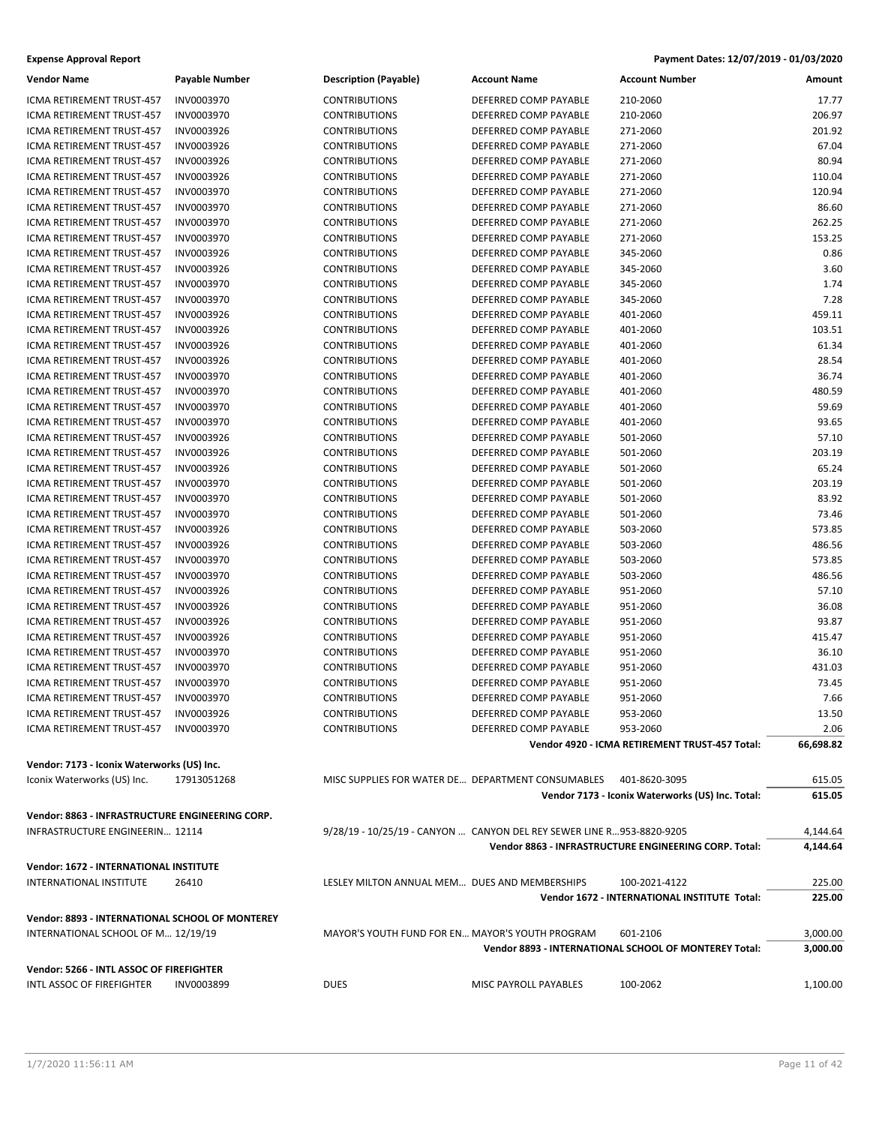| <b>Expense Approval Report</b> | Payment Dates: 12/07/2019 - 01/03/2020 |
|--------------------------------|----------------------------------------|
|--------------------------------|----------------------------------------|

| <b>Vendor Name</b>                              | <b>Payable Number</b>    | <b>Description (Payable)</b>                      | <b>Account Name</b>                                                   | <b>Account Number</b>                                 | Amount    |
|-------------------------------------------------|--------------------------|---------------------------------------------------|-----------------------------------------------------------------------|-------------------------------------------------------|-----------|
| ICMA RETIREMENT TRUST-457                       | INV0003970               | <b>CONTRIBUTIONS</b>                              | DEFERRED COMP PAYABLE                                                 | 210-2060                                              | 17.77     |
| ICMA RETIREMENT TRUST-457                       | INV0003970               | <b>CONTRIBUTIONS</b>                              | DEFERRED COMP PAYABLE                                                 | 210-2060                                              | 206.97    |
| ICMA RETIREMENT TRUST-457                       | INV0003926               | <b>CONTRIBUTIONS</b>                              | DEFERRED COMP PAYABLE                                                 | 271-2060                                              | 201.92    |
| ICMA RETIREMENT TRUST-457                       | INV0003926               | <b>CONTRIBUTIONS</b>                              | DEFERRED COMP PAYABLE                                                 | 271-2060                                              | 67.04     |
| <b>ICMA RETIREMENT TRUST-457</b>                | INV0003926               | <b>CONTRIBUTIONS</b>                              | DEFERRED COMP PAYABLE                                                 | 271-2060                                              | 80.94     |
| ICMA RETIREMENT TRUST-457                       | INV0003926               | <b>CONTRIBUTIONS</b>                              | DEFERRED COMP PAYABLE                                                 | 271-2060                                              | 110.04    |
| ICMA RETIREMENT TRUST-457                       | INV0003970               | <b>CONTRIBUTIONS</b>                              | DEFERRED COMP PAYABLE                                                 | 271-2060                                              | 120.94    |
| ICMA RETIREMENT TRUST-457                       | INV0003970               | <b>CONTRIBUTIONS</b>                              | DEFERRED COMP PAYABLE                                                 | 271-2060                                              | 86.60     |
| ICMA RETIREMENT TRUST-457                       | INV0003970               | <b>CONTRIBUTIONS</b>                              | DEFERRED COMP PAYABLE                                                 | 271-2060                                              | 262.25    |
| ICMA RETIREMENT TRUST-457                       | INV0003970               | <b>CONTRIBUTIONS</b>                              | DEFERRED COMP PAYABLE                                                 | 271-2060                                              | 153.25    |
| ICMA RETIREMENT TRUST-457                       | INV0003926               | <b>CONTRIBUTIONS</b>                              | DEFERRED COMP PAYABLE                                                 | 345-2060                                              | 0.86      |
| <b>ICMA RETIREMENT TRUST-457</b>                | INV0003926               | <b>CONTRIBUTIONS</b>                              | DEFERRED COMP PAYABLE                                                 | 345-2060                                              | 3.60      |
| ICMA RETIREMENT TRUST-457                       | INV0003970               | <b>CONTRIBUTIONS</b>                              | DEFERRED COMP PAYABLE                                                 | 345-2060                                              | 1.74      |
| ICMA RETIREMENT TRUST-457                       | INV0003970               | <b>CONTRIBUTIONS</b>                              | DEFERRED COMP PAYABLE                                                 | 345-2060                                              | 7.28      |
| ICMA RETIREMENT TRUST-457                       | INV0003926               | <b>CONTRIBUTIONS</b>                              | DEFERRED COMP PAYABLE                                                 | 401-2060                                              | 459.11    |
| ICMA RETIREMENT TRUST-457                       | INV0003926               | <b>CONTRIBUTIONS</b>                              | DEFERRED COMP PAYABLE                                                 | 401-2060                                              | 103.51    |
| ICMA RETIREMENT TRUST-457                       | INV0003926               | <b>CONTRIBUTIONS</b>                              | DEFERRED COMP PAYABLE                                                 | 401-2060                                              | 61.34     |
| ICMA RETIREMENT TRUST-457                       | INV0003926               | <b>CONTRIBUTIONS</b>                              | DEFERRED COMP PAYABLE                                                 | 401-2060                                              | 28.54     |
| ICMA RETIREMENT TRUST-457                       | INV0003970               | <b>CONTRIBUTIONS</b>                              | DEFERRED COMP PAYABLE                                                 | 401-2060                                              | 36.74     |
| ICMA RETIREMENT TRUST-457                       | INV0003970               | <b>CONTRIBUTIONS</b>                              | DEFERRED COMP PAYABLE                                                 | 401-2060                                              | 480.59    |
| ICMA RETIREMENT TRUST-457                       | INV0003970               | <b>CONTRIBUTIONS</b>                              | DEFERRED COMP PAYABLE                                                 | 401-2060                                              | 59.69     |
| <b>ICMA RETIREMENT TRUST-457</b>                | INV0003970               | <b>CONTRIBUTIONS</b>                              | DEFERRED COMP PAYABLE                                                 | 401-2060                                              | 93.65     |
| ICMA RETIREMENT TRUST-457                       | INV0003926               | <b>CONTRIBUTIONS</b>                              | DEFERRED COMP PAYABLE                                                 | 501-2060                                              | 57.10     |
| ICMA RETIREMENT TRUST-457                       | INV0003926               | <b>CONTRIBUTIONS</b>                              | DEFERRED COMP PAYABLE                                                 | 501-2060                                              | 203.19    |
| ICMA RETIREMENT TRUST-457                       | INV0003926               | <b>CONTRIBUTIONS</b>                              | DEFERRED COMP PAYABLE                                                 | 501-2060                                              | 65.24     |
| ICMA RETIREMENT TRUST-457                       | INV0003970               | <b>CONTRIBUTIONS</b>                              | DEFERRED COMP PAYABLE                                                 | 501-2060                                              | 203.19    |
| ICMA RETIREMENT TRUST-457                       | INV0003970               | <b>CONTRIBUTIONS</b>                              | DEFERRED COMP PAYABLE                                                 | 501-2060                                              | 83.92     |
| ICMA RETIREMENT TRUST-457                       | INV0003970               | <b>CONTRIBUTIONS</b>                              | DEFERRED COMP PAYABLE                                                 | 501-2060                                              | 73.46     |
| ICMA RETIREMENT TRUST-457                       | INV0003926               | <b>CONTRIBUTIONS</b>                              | DEFERRED COMP PAYABLE                                                 | 503-2060                                              | 573.85    |
| ICMA RETIREMENT TRUST-457                       | INV0003926               | <b>CONTRIBUTIONS</b>                              | DEFERRED COMP PAYABLE                                                 | 503-2060                                              | 486.56    |
| ICMA RETIREMENT TRUST-457                       | INV0003970               | <b>CONTRIBUTIONS</b>                              | DEFERRED COMP PAYABLE                                                 | 503-2060                                              | 573.85    |
| ICMA RETIREMENT TRUST-457                       | INV0003970               | <b>CONTRIBUTIONS</b>                              | DEFERRED COMP PAYABLE                                                 | 503-2060                                              | 486.56    |
| ICMA RETIREMENT TRUST-457                       | INV0003926               | <b>CONTRIBUTIONS</b>                              | DEFERRED COMP PAYABLE                                                 | 951-2060                                              | 57.10     |
| ICMA RETIREMENT TRUST-457                       | INV0003926               | <b>CONTRIBUTIONS</b>                              | DEFERRED COMP PAYABLE                                                 | 951-2060                                              | 36.08     |
| ICMA RETIREMENT TRUST-457                       | INV0003926               | <b>CONTRIBUTIONS</b>                              | DEFERRED COMP PAYABLE                                                 | 951-2060                                              | 93.87     |
| ICMA RETIREMENT TRUST-457                       | INV0003926               | <b>CONTRIBUTIONS</b>                              | DEFERRED COMP PAYABLE                                                 | 951-2060                                              | 415.47    |
| ICMA RETIREMENT TRUST-457                       | INV0003970               | <b>CONTRIBUTIONS</b>                              | DEFERRED COMP PAYABLE                                                 | 951-2060                                              | 36.10     |
| ICMA RETIREMENT TRUST-457                       | INV0003970               | <b>CONTRIBUTIONS</b>                              | DEFERRED COMP PAYABLE                                                 | 951-2060                                              | 431.03    |
| ICMA RETIREMENT TRUST-457                       | INV0003970               |                                                   | DEFERRED COMP PAYABLE                                                 |                                                       | 73.45     |
| ICMA RETIREMENT TRUST-457                       | INV0003970               | <b>CONTRIBUTIONS</b><br><b>CONTRIBUTIONS</b>      | DEFERRED COMP PAYABLE                                                 | 951-2060<br>951-2060                                  | 7.66      |
| ICMA RETIREMENT TRUST-457                       |                          | <b>CONTRIBUTIONS</b>                              | DEFERRED COMP PAYABLE                                                 | 953-2060                                              | 13.50     |
| ICMA RETIREMENT TRUST-457                       | INV0003926<br>INV0003970 | <b>CONTRIBUTIONS</b>                              | DEFERRED COMP PAYABLE                                                 | 953-2060                                              | 2.06      |
|                                                 |                          |                                                   |                                                                       | Vendor 4920 - ICMA RETIREMENT TRUST-457 Total:        | 66,698.82 |
|                                                 |                          |                                                   |                                                                       |                                                       |           |
| Vendor: 7173 - Iconix Waterworks (US) Inc.      |                          |                                                   |                                                                       |                                                       |           |
| Iconix Waterworks (US) Inc.                     | 17913051268              | MISC SUPPLIES FOR WATER DE DEPARTMENT CONSUMABLES |                                                                       | 401-8620-3095                                         | 615.05    |
|                                                 |                          |                                                   |                                                                       | Vendor 7173 - Iconix Waterworks (US) Inc. Total:      | 615.05    |
| Vendor: 8863 - INFRASTRUCTURE ENGINEERING CORP. |                          |                                                   |                                                                       |                                                       |           |
| <b>INFRASTRUCTURE ENGINEERIN 12114</b>          |                          |                                                   | 9/28/19 - 10/25/19 - CANYON  CANYON DEL REY SEWER LINE R953-8820-9205 |                                                       | 4,144.64  |
|                                                 |                          |                                                   |                                                                       | Vendor 8863 - INFRASTRUCTURE ENGINEERING CORP. Total: | 4,144.64  |
| Vendor: 1672 - INTERNATIONAL INSTITUTE          |                          |                                                   |                                                                       |                                                       |           |
| <b>INTERNATIONAL INSTITUTE</b>                  | 26410                    | LESLEY MILTON ANNUAL MEM DUES AND MEMBERSHIPS     |                                                                       | 100-2021-4122                                         | 225.00    |
|                                                 |                          |                                                   |                                                                       | Vendor 1672 - INTERNATIONAL INSTITUTE Total:          | 225.00    |
|                                                 |                          |                                                   |                                                                       |                                                       |           |
| Vendor: 8893 - INTERNATIONAL SCHOOL OF MONTEREY |                          |                                                   |                                                                       |                                                       |           |
| INTERNATIONAL SCHOOL OF M 12/19/19              |                          | MAYOR'S YOUTH FUND FOR EN MAYOR'S YOUTH PROGRAM   |                                                                       | 601-2106                                              | 3,000.00  |
|                                                 |                          |                                                   |                                                                       | Vendor 8893 - INTERNATIONAL SCHOOL OF MONTEREY Total: | 3,000.00  |
| Vendor: 5266 - INTL ASSOC OF FIREFIGHTER        |                          |                                                   |                                                                       |                                                       |           |
| INTL ASSOC OF FIREFIGHTER                       | INV0003899               | <b>DUES</b>                                       | MISC PAYROLL PAYABLES                                                 | 100-2062                                              | 1,100.00  |
|                                                 |                          |                                                   |                                                                       |                                                       |           |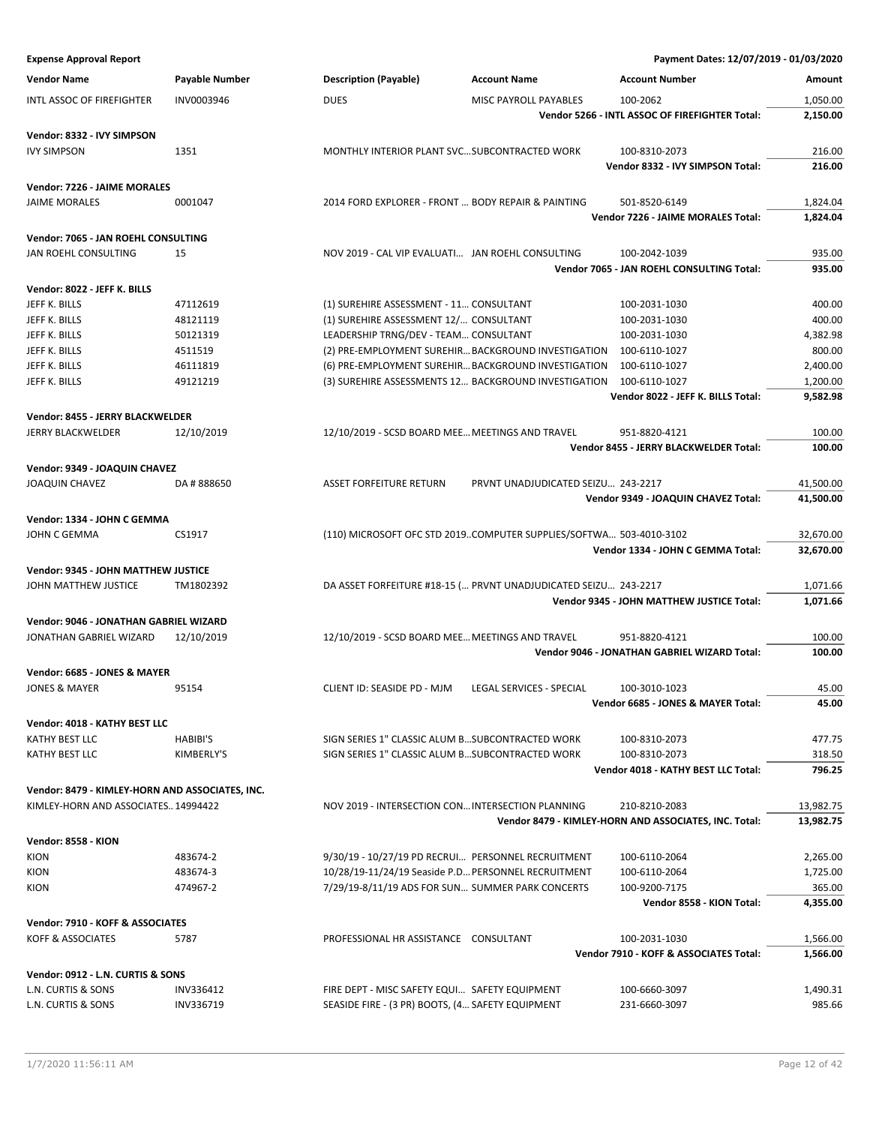| <b>Vendor Name</b>                              | <b>Payable Number</b> | <b>Description (Payable)</b>                        | <b>Account Name</b>                                                | <b>Account Number</b>                                 | Amount    |
|-------------------------------------------------|-----------------------|-----------------------------------------------------|--------------------------------------------------------------------|-------------------------------------------------------|-----------|
| INTL ASSOC OF FIREFIGHTER                       | INV0003946            | <b>DUES</b>                                         | MISC PAYROLL PAYABLES                                              | 100-2062                                              | 1,050.00  |
|                                                 |                       |                                                     |                                                                    | Vendor 5266 - INTL ASSOC OF FIREFIGHTER Total:        | 2,150.00  |
|                                                 |                       |                                                     |                                                                    |                                                       |           |
| Vendor: 8332 - IVY SIMPSON                      |                       |                                                     |                                                                    |                                                       |           |
| <b>IVY SIMPSON</b>                              | 1351                  | MONTHLY INTERIOR PLANT SVC SUBCONTRACTED WORK       |                                                                    | 100-8310-2073                                         | 216.00    |
|                                                 |                       |                                                     |                                                                    | Vendor 8332 - IVY SIMPSON Total:                      | 216.00    |
| Vendor: 7226 - JAIME MORALES                    |                       |                                                     |                                                                    |                                                       |           |
| <b>JAIME MORALES</b>                            | 0001047               | 2014 FORD EXPLORER - FRONT  BODY REPAIR & PAINTING  |                                                                    | 501-8520-6149                                         | 1,824.04  |
|                                                 |                       |                                                     |                                                                    | Vendor 7226 - JAIME MORALES Total:                    | 1,824.04  |
| Vendor: 7065 - JAN ROEHL CONSULTING             |                       |                                                     |                                                                    |                                                       |           |
| JAN ROEHL CONSULTING                            | 15                    | NOV 2019 - CAL VIP EVALUATI JAN ROEHL CONSULTING    |                                                                    | 100-2042-1039                                         | 935.00    |
|                                                 |                       |                                                     |                                                                    | Vendor 7065 - JAN ROEHL CONSULTING Total:             | 935.00    |
|                                                 |                       |                                                     |                                                                    |                                                       |           |
| Vendor: 8022 - JEFF K. BILLS                    |                       |                                                     |                                                                    |                                                       |           |
| JEFF K. BILLS                                   | 47112619              | (1) SUREHIRE ASSESSMENT - 11 CONSULTANT             |                                                                    | 100-2031-1030                                         | 400.00    |
| JEFF K. BILLS                                   | 48121119              | (1) SUREHIRE ASSESSMENT 12/ CONSULTANT              |                                                                    | 100-2031-1030                                         | 400.00    |
| JEFF K. BILLS                                   | 50121319              | LEADERSHIP TRNG/DEV - TEAM CONSULTANT               |                                                                    | 100-2031-1030                                         | 4,382.98  |
| JEFF K. BILLS                                   | 4511519               |                                                     | (2) PRE-EMPLOYMENT SUREHIR BACKGROUND INVESTIGATION                | 100-6110-1027                                         | 800.00    |
| JEFF K. BILLS                                   | 46111819              |                                                     | (6) PRE-EMPLOYMENT SUREHIR BACKGROUND INVESTIGATION                | 100-6110-1027                                         | 2,400.00  |
| JEFF K. BILLS                                   | 49121219              |                                                     | (3) SUREHIRE ASSESSMENTS 12 BACKGROUND INVESTIGATION               | 100-6110-1027                                         | 1,200.00  |
|                                                 |                       |                                                     |                                                                    | Vendor 8022 - JEFF K. BILLS Total:                    | 9,582.98  |
| Vendor: 8455 - JERRY BLACKWELDER                |                       |                                                     |                                                                    |                                                       |           |
| <b>JERRY BLACKWELDER</b>                        | 12/10/2019            | 12/10/2019 - SCSD BOARD MEE MEETINGS AND TRAVEL     |                                                                    | 951-8820-4121                                         | 100.00    |
|                                                 |                       |                                                     |                                                                    | Vendor 8455 - JERRY BLACKWELDER Total:                | 100.00    |
|                                                 |                       |                                                     |                                                                    |                                                       |           |
| Vendor: 9349 - JOAQUIN CHAVEZ                   |                       |                                                     |                                                                    |                                                       |           |
| <b>JOAQUIN CHAVEZ</b>                           | DA #888650            | <b>ASSET FORFEITURE RETURN</b>                      | PRVNT UNADJUDICATED SEIZU 243-2217                                 |                                                       | 41,500.00 |
|                                                 |                       |                                                     |                                                                    | Vendor 9349 - JOAQUIN CHAVEZ Total:                   | 41,500.00 |
| Vendor: 1334 - JOHN C GEMMA                     |                       |                                                     |                                                                    |                                                       |           |
| JOHN C GEMMA                                    | CS1917                |                                                     | (110) MICROSOFT OFC STD 2019COMPUTER SUPPLIES/SOFTWA 503-4010-3102 |                                                       | 32,670.00 |
|                                                 |                       |                                                     |                                                                    | Vendor 1334 - JOHN C GEMMA Total:                     | 32,670.00 |
|                                                 |                       |                                                     |                                                                    |                                                       |           |
| Vendor: 9345 - JOHN MATTHEW JUSTICE             |                       |                                                     |                                                                    |                                                       |           |
| JOHN MATTHEW JUSTICE                            | TM1802392             |                                                     | DA ASSET FORFEITURE #18-15 ( PRVNT UNADJUDICATED SEIZU 243-2217    |                                                       | 1,071.66  |
|                                                 |                       |                                                     |                                                                    | <b>Vendor 9345 - JOHN MATTHEW JUSTICE Total:</b>      | 1,071.66  |
| Vendor: 9046 - JONATHAN GABRIEL WIZARD          |                       |                                                     |                                                                    |                                                       |           |
| JONATHAN GABRIEL WIZARD                         | 12/10/2019            | 12/10/2019 - SCSD BOARD MEE MEETINGS AND TRAVEL     |                                                                    | 951-8820-4121                                         | 100.00    |
|                                                 |                       |                                                     |                                                                    | Vendor 9046 - JONATHAN GABRIEL WIZARD Total:          | 100.00    |
| Vendor: 6685 - JONES & MAYER                    |                       |                                                     |                                                                    |                                                       |           |
| <b>JONES &amp; MAYER</b>                        | 95154                 | CLIENT ID: SEASIDE PD - MJM                         | LEGAL SERVICES - SPECIAL                                           | 100-3010-1023                                         | 45.00     |
|                                                 |                       |                                                     |                                                                    | Vendor 6685 - JONES & MAYER Total:                    | 45.00     |
|                                                 |                       |                                                     |                                                                    |                                                       |           |
| Vendor: 4018 - KATHY BEST LLC                   |                       |                                                     |                                                                    |                                                       |           |
| KATHY BEST LLC                                  | HABIBI'S              | SIGN SERIES 1" CLASSIC ALUM B SUBCONTRACTED WORK    |                                                                    | 100-8310-2073                                         | 477.75    |
| KATHY BEST LLC                                  | KIMBERLY'S            | SIGN SERIES 1" CLASSIC ALUM B SUBCONTRACTED WORK    |                                                                    | 100-8310-2073                                         | 318.50    |
|                                                 |                       |                                                     |                                                                    | Vendor 4018 - KATHY BEST LLC Total:                   | 796.25    |
| Vendor: 8479 - KIMLEY-HORN AND ASSOCIATES, INC. |                       |                                                     |                                                                    |                                                       |           |
| KIMLEY-HORN AND ASSOCIATES14994422              |                       | NOV 2019 - INTERSECTION CON INTERSECTION PLANNING   |                                                                    | 210-8210-2083                                         | 13,982.75 |
|                                                 |                       |                                                     |                                                                    | Vendor 8479 - KIMLEY-HORN AND ASSOCIATES, INC. Total: | 13,982.75 |
|                                                 |                       |                                                     |                                                                    |                                                       |           |
| Vendor: 8558 - KION                             |                       |                                                     |                                                                    |                                                       |           |
| <b>KION</b>                                     | 483674-2              | 9/30/19 - 10/27/19 PD RECRUI PERSONNEL RECRUITMENT  |                                                                    | 100-6110-2064                                         | 2,265.00  |
| <b>KION</b>                                     | 483674-3              | 10/28/19-11/24/19 Seaside P.D PERSONNEL RECRUITMENT |                                                                    | 100-6110-2064                                         | 1,725.00  |
| <b>KION</b>                                     | 474967-2              | 7/29/19-8/11/19 ADS FOR SUN SUMMER PARK CONCERTS    |                                                                    | 100-9200-7175                                         | 365.00    |
|                                                 |                       |                                                     |                                                                    | Vendor 8558 - KION Total:                             | 4,355.00  |
| Vendor: 7910 - KOFF & ASSOCIATES                |                       |                                                     |                                                                    |                                                       |           |
| KOFF & ASSOCIATES                               | 5787                  | PROFESSIONAL HR ASSISTANCE CONSULTANT               |                                                                    | 100-2031-1030                                         | 1,566.00  |
|                                                 |                       |                                                     |                                                                    | Vendor 7910 - KOFF & ASSOCIATES Total:                | 1,566.00  |
|                                                 |                       |                                                     |                                                                    |                                                       |           |
| Vendor: 0912 - L.N. CURTIS & SONS               |                       |                                                     |                                                                    |                                                       |           |
| L.N. CURTIS & SONS                              | INV336412             | FIRE DEPT - MISC SAFETY EQUI SAFETY EQUIPMENT       |                                                                    | 100-6660-3097                                         | 1,490.31  |
| L.N. CURTIS & SONS                              | INV336719             | SEASIDE FIRE - (3 PR) BOOTS, (4 SAFETY EQUIPMENT    |                                                                    | 231-6660-3097                                         | 985.66    |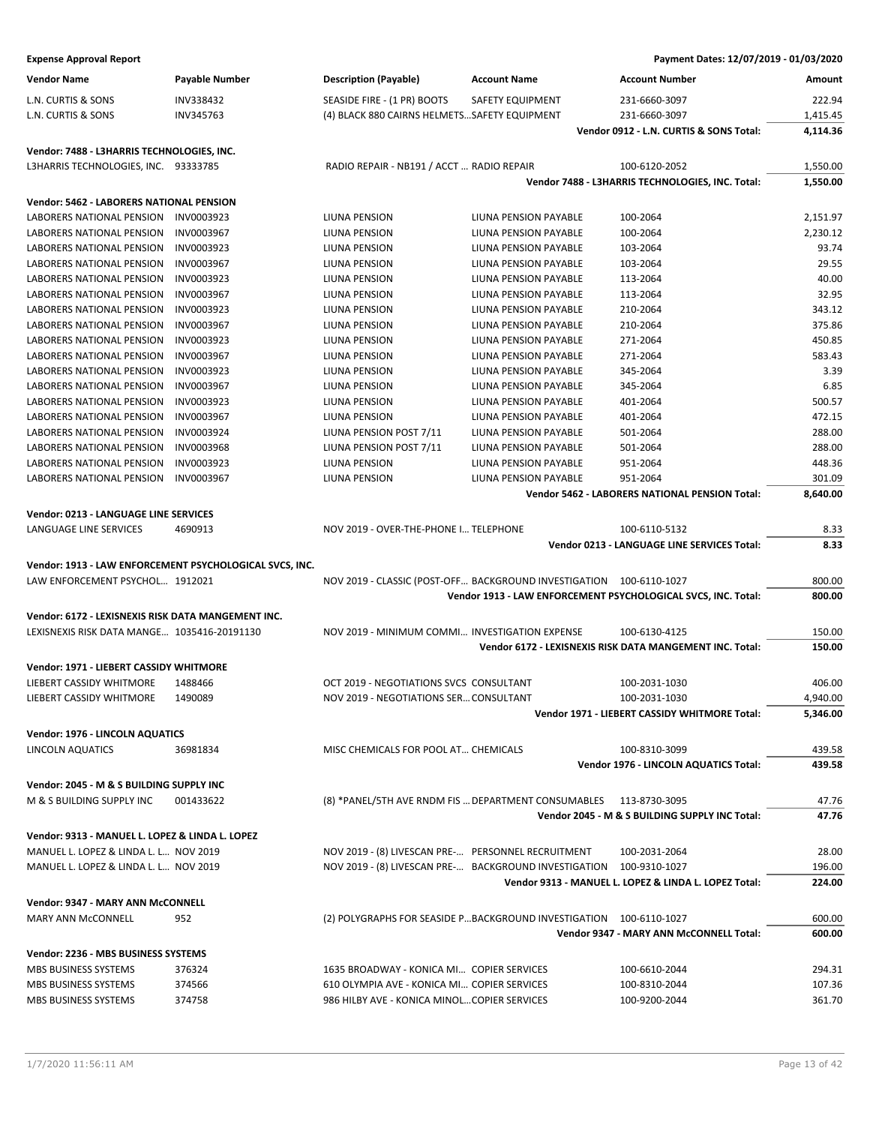| <b>Expense Approval Report</b> | Payment Dates: 12/07/2019 - 01/03/2020 |
|--------------------------------|----------------------------------------|
|--------------------------------|----------------------------------------|

|                                                    | <b>Payable Number</b>                                   | <b>Description (Payable)</b>                                        | <b>Account Name</b>   | <b>Account Number</b>                                         | Amount   |
|----------------------------------------------------|---------------------------------------------------------|---------------------------------------------------------------------|-----------------------|---------------------------------------------------------------|----------|
| L.N. CURTIS & SONS                                 | INV338432                                               | SEASIDE FIRE - (1 PR) BOOTS                                         | SAFETY EQUIPMENT      | 231-6660-3097                                                 | 222.94   |
| L.N. CURTIS & SONS                                 | INV345763                                               | (4) BLACK 880 CAIRNS HELMETSSAFETY EQUIPMENT                        |                       | 231-6660-3097                                                 | 1,415.45 |
|                                                    |                                                         |                                                                     |                       | Vendor 0912 - L.N. CURTIS & SONS Total:                       | 4,114.36 |
| Vendor: 7488 - L3HARRIS TECHNOLOGIES, INC.         |                                                         |                                                                     |                       |                                                               |          |
| L3HARRIS TECHNOLOGIES, INC. 93333785               |                                                         | RADIO REPAIR - NB191 / ACCT  RADIO REPAIR                           |                       | 100-6120-2052                                                 | 1,550.00 |
|                                                    |                                                         |                                                                     |                       | Vendor 7488 - L3HARRIS TECHNOLOGIES, INC. Total:              | 1,550.00 |
| Vendor: 5462 - LABORERS NATIONAL PENSION           |                                                         |                                                                     |                       |                                                               |          |
| LABORERS NATIONAL PENSION                          | INV0003923                                              | LIUNA PENSION                                                       | LIUNA PENSION PAYABLE | 100-2064                                                      | 2,151.97 |
| LABORERS NATIONAL PENSION                          | INV0003967                                              | LIUNA PENSION                                                       | LIUNA PENSION PAYABLE | 100-2064                                                      | 2,230.12 |
| LABORERS NATIONAL PENSION                          | INV0003923                                              | LIUNA PENSION                                                       | LIUNA PENSION PAYABLE | 103-2064                                                      | 93.74    |
| LABORERS NATIONAL PENSION                          | INV0003967                                              | LIUNA PENSION                                                       | LIUNA PENSION PAYABLE | 103-2064                                                      | 29.55    |
| LABORERS NATIONAL PENSION                          | INV0003923                                              | LIUNA PENSION                                                       | LIUNA PENSION PAYABLE | 113-2064                                                      | 40.00    |
| LABORERS NATIONAL PENSION                          | INV0003967                                              | LIUNA PENSION                                                       | LIUNA PENSION PAYABLE | 113-2064                                                      | 32.95    |
| LABORERS NATIONAL PENSION                          | INV0003923                                              | LIUNA PENSION                                                       | LIUNA PENSION PAYABLE | 210-2064                                                      | 343.12   |
| LABORERS NATIONAL PENSION                          | INV0003967                                              | LIUNA PENSION                                                       | LIUNA PENSION PAYABLE | 210-2064                                                      | 375.86   |
| LABORERS NATIONAL PENSION                          | INV0003923                                              | LIUNA PENSION                                                       | LIUNA PENSION PAYABLE | 271-2064                                                      | 450.85   |
| LABORERS NATIONAL PENSION                          | INV0003967                                              | LIUNA PENSION                                                       | LIUNA PENSION PAYABLE | 271-2064                                                      | 583.43   |
| LABORERS NATIONAL PENSION                          | INV0003923                                              | LIUNA PENSION                                                       | LIUNA PENSION PAYABLE | 345-2064                                                      | 3.39     |
| LABORERS NATIONAL PENSION                          | INV0003967                                              | LIUNA PENSION                                                       | LIUNA PENSION PAYABLE | 345-2064                                                      | 6.85     |
| LABORERS NATIONAL PENSION                          | INV0003923                                              | LIUNA PENSION                                                       | LIUNA PENSION PAYABLE | 401-2064                                                      | 500.57   |
| <b>LABORERS NATIONAL PENSION</b>                   | INV0003967                                              | LIUNA PENSION                                                       | LIUNA PENSION PAYABLE | 401-2064                                                      | 472.15   |
| LABORERS NATIONAL PENSION                          | INV0003924                                              | LIUNA PENSION POST 7/11                                             | LIUNA PENSION PAYABLE | 501-2064                                                      | 288.00   |
| LABORERS NATIONAL PENSION                          | INV0003968                                              | LIUNA PENSION POST 7/11                                             | LIUNA PENSION PAYABLE | 501-2064                                                      | 288.00   |
| LABORERS NATIONAL PENSION                          | INV0003923                                              | LIUNA PENSION                                                       | LIUNA PENSION PAYABLE | 951-2064                                                      | 448.36   |
| LABORERS NATIONAL PENSION                          | INV0003967                                              | LIUNA PENSION                                                       | LIUNA PENSION PAYABLE | 951-2064                                                      | 301.09   |
|                                                    |                                                         |                                                                     |                       | Vendor 5462 - LABORERS NATIONAL PENSION Total:                | 8,640.00 |
| Vendor: 0213 - LANGUAGE LINE SERVICES              |                                                         |                                                                     |                       |                                                               |          |
| LANGUAGE LINE SERVICES                             | 4690913                                                 | NOV 2019 - OVER-THE-PHONE I TELEPHONE                               |                       | 100-6110-5132                                                 | 8.33     |
|                                                    |                                                         |                                                                     |                       | Vendor 0213 - LANGUAGE LINE SERVICES Total:                   | 8.33     |
|                                                    |                                                         |                                                                     |                       |                                                               |          |
|                                                    |                                                         |                                                                     |                       |                                                               |          |
|                                                    | Vendor: 1913 - LAW ENFORCEMENT PSYCHOLOGICAL SVCS, INC. |                                                                     |                       |                                                               |          |
| LAW ENFORCEMENT PSYCHOL 1912021                    |                                                         | NOV 2019 - CLASSIC (POST-OFF BACKGROUND INVESTIGATION 100-6110-1027 |                       |                                                               | 800.00   |
|                                                    |                                                         |                                                                     |                       | Vendor 1913 - LAW ENFORCEMENT PSYCHOLOGICAL SVCS, INC. Total: | 800.00   |
| Vendor: 6172 - LEXISNEXIS RISK DATA MANGEMENT INC. |                                                         |                                                                     |                       |                                                               |          |
| LEXISNEXIS RISK DATA MANGE 1035416-20191130        |                                                         | NOV 2019 - MINIMUM COMMI INVESTIGATION EXPENSE                      |                       | 100-6130-4125                                                 | 150.00   |
|                                                    |                                                         |                                                                     |                       | Vendor 6172 - LEXISNEXIS RISK DATA MANGEMENT INC. Total:      | 150.00   |
| Vendor: 1971 - LIEBERT CASSIDY WHITMORE            |                                                         |                                                                     |                       |                                                               |          |
| LIEBERT CASSIDY WHITMORE                           | 1488466                                                 | OCT 2019 - NEGOTIATIONS SVCS CONSULTANT                             |                       | 100-2031-1030                                                 | 406.00   |
| LIEBERT CASSIDY WHITMORE                           | 1490089                                                 | NOV 2019 - NEGOTIATIONS SER CONSULTANT                              |                       | 100-2031-1030                                                 | 4,940.00 |
|                                                    |                                                         |                                                                     |                       | Vendor 1971 - LIEBERT CASSIDY WHITMORE Total:                 | 5,346.00 |
| Vendor: 1976 - LINCOLN AQUATICS                    |                                                         |                                                                     |                       |                                                               |          |
| LINCOLN AQUATICS                                   | 36981834                                                | MISC CHEMICALS FOR POOL AT CHEMICALS                                |                       | 100-8310-3099                                                 | 439.58   |
|                                                    |                                                         |                                                                     |                       | Vendor 1976 - LINCOLN AQUATICS Total:                         | 439.58   |
|                                                    |                                                         |                                                                     |                       |                                                               |          |
| Vendor: 2045 - M & S BUILDING SUPPLY INC           |                                                         |                                                                     |                       |                                                               |          |
| M & S BUILDING SUPPLY INC                          | 001433622                                               | (8) *PANEL/5TH AVE RNDM FIS  DEPARTMENT CONSUMABLES 113-8730-3095   |                       |                                                               | 47.76    |
|                                                    |                                                         |                                                                     |                       | Vendor 2045 - M & S BUILDING SUPPLY INC Total:                | 47.76    |
| Vendor: 9313 - MANUEL L. LOPEZ & LINDA L. LOPEZ    |                                                         |                                                                     |                       |                                                               |          |
| MANUEL L. LOPEZ & LINDA L. L NOV 2019              |                                                         | NOV 2019 - (8) LIVESCAN PRE- PERSONNEL RECRUITMENT                  |                       | 100-2031-2064                                                 | 28.00    |
| MANUEL L. LOPEZ & LINDA L. L NOV 2019              |                                                         | NOV 2019 - (8) LIVESCAN PRE- BACKGROUND INVESTIGATION 100-9310-1027 |                       |                                                               | 196.00   |
|                                                    |                                                         |                                                                     |                       | Vendor 9313 - MANUEL L. LOPEZ & LINDA L. LOPEZ Total:         | 224.00   |
| Vendor: 9347 - MARY ANN McCONNELL                  |                                                         |                                                                     |                       |                                                               |          |
| MARY ANN McCONNELL                                 | 952                                                     | (2) POLYGRAPHS FOR SEASIDE PBACKGROUND INVESTIGATION 100-6110-1027  |                       |                                                               | 600.00   |
|                                                    |                                                         |                                                                     |                       | Vendor 9347 - MARY ANN McCONNELL Total:                       | 600.00   |
| Vendor: 2236 - MBS BUSINESS SYSTEMS                |                                                         |                                                                     |                       |                                                               |          |
| MBS BUSINESS SYSTEMS                               | 376324                                                  | 1635 BROADWAY - KONICA MI COPIER SERVICES                           |                       | 100-6610-2044                                                 | 294.31   |
| MBS BUSINESS SYSTEMS                               | 374566                                                  | 610 OLYMPIA AVE - KONICA MI COPIER SERVICES                         |                       | 100-8310-2044                                                 | 107.36   |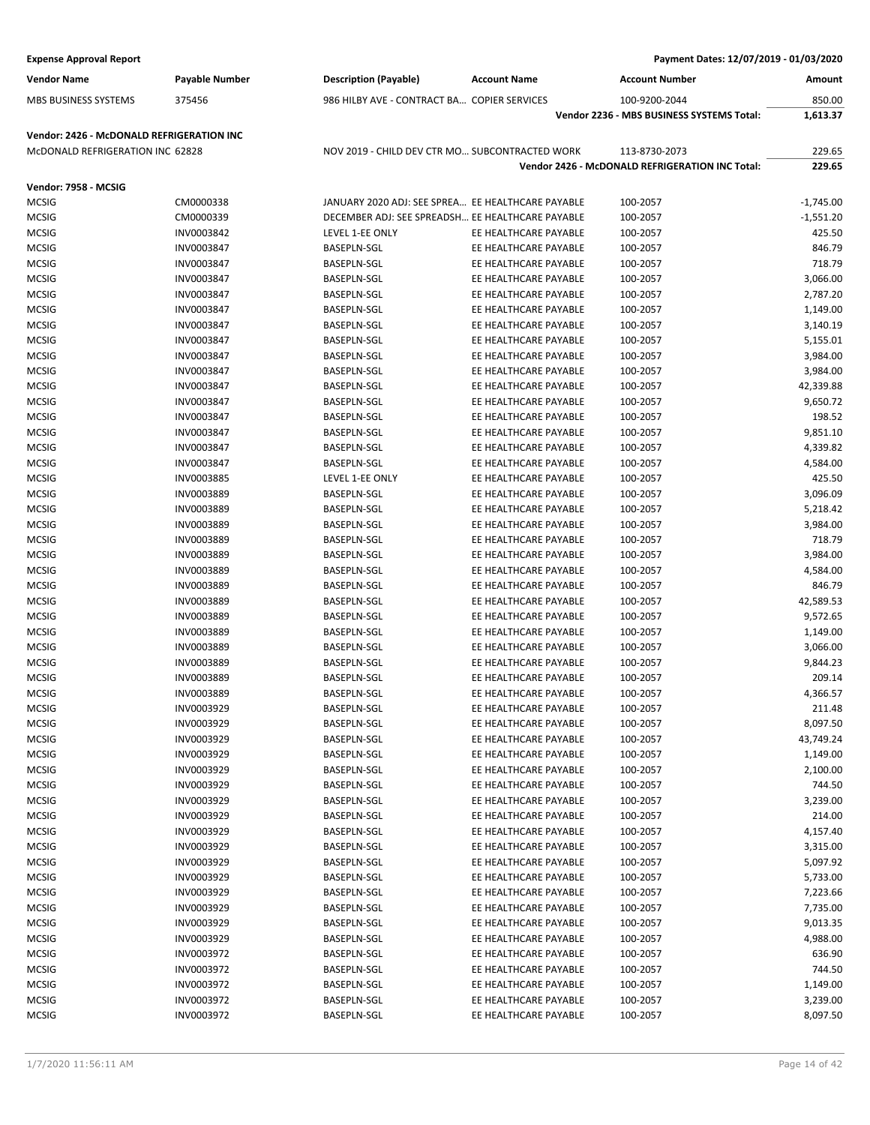| <b>Expense Approval Report</b>            |                          |                                                   |                                                | Payment Dates: 12/07/2019 - 01/03/2020          |                    |
|-------------------------------------------|--------------------------|---------------------------------------------------|------------------------------------------------|-------------------------------------------------|--------------------|
| <b>Vendor Name</b>                        | <b>Payable Number</b>    | <b>Description (Payable)</b>                      | <b>Account Name</b>                            | <b>Account Number</b>                           | Amount             |
| MBS BUSINESS SYSTEMS                      | 375456                   | 986 HILBY AVE - CONTRACT BA COPIER SERVICES       |                                                | 100-9200-2044                                   | 850.00             |
|                                           |                          |                                                   |                                                | Vendor 2236 - MBS BUSINESS SYSTEMS Total:       | 1,613.37           |
| Vendor: 2426 - McDONALD REFRIGERATION INC |                          |                                                   |                                                |                                                 |                    |
| McDONALD REFRIGERATION INC 62828          |                          | NOV 2019 - CHILD DEV CTR MO SUBCONTRACTED WORK    |                                                | 113-8730-2073                                   | 229.65             |
|                                           |                          |                                                   |                                                | Vendor 2426 - McDONALD REFRIGERATION INC Total: | 229.65             |
| Vendor: 7958 - MCSIG                      |                          |                                                   |                                                |                                                 |                    |
| <b>MCSIG</b>                              | CM0000338                | JANUARY 2020 ADJ: SEE SPREA EE HEALTHCARE PAYABLE |                                                | 100-2057                                        | $-1,745.00$        |
| <b>MCSIG</b>                              | CM0000339                | DECEMBER ADJ: SEE SPREADSH EE HEALTHCARE PAYABLE  |                                                | 100-2057                                        | $-1,551.20$        |
| <b>MCSIG</b>                              | INV0003842               | LEVEL 1-EE ONLY                                   | EE HEALTHCARE PAYABLE                          | 100-2057                                        | 425.50             |
| <b>MCSIG</b>                              | INV0003847               | <b>BASEPLN-SGL</b>                                | EE HEALTHCARE PAYABLE                          | 100-2057                                        | 846.79             |
| <b>MCSIG</b>                              | INV0003847               | <b>BASEPLN-SGL</b>                                | EE HEALTHCARE PAYABLE                          | 100-2057                                        | 718.79             |
| <b>MCSIG</b>                              | INV0003847               | <b>BASEPLN-SGL</b>                                | EE HEALTHCARE PAYABLE                          | 100-2057                                        | 3,066.00           |
| <b>MCSIG</b>                              | INV0003847               | <b>BASEPLN-SGL</b>                                | EE HEALTHCARE PAYABLE                          | 100-2057                                        | 2,787.20           |
| <b>MCSIG</b>                              | INV0003847               | <b>BASEPLN-SGL</b>                                | EE HEALTHCARE PAYABLE                          | 100-2057                                        | 1,149.00           |
| <b>MCSIG</b>                              | INV0003847               | <b>BASEPLN-SGL</b>                                | EE HEALTHCARE PAYABLE                          | 100-2057                                        | 3,140.19           |
| <b>MCSIG</b>                              | INV0003847               | BASEPLN-SGL                                       | EE HEALTHCARE PAYABLE                          | 100-2057                                        | 5,155.01           |
| <b>MCSIG</b>                              | INV0003847               | <b>BASEPLN-SGL</b>                                | EE HEALTHCARE PAYABLE                          | 100-2057                                        | 3,984.00           |
| <b>MCSIG</b>                              | INV0003847               | BASEPLN-SGL                                       | EE HEALTHCARE PAYABLE                          | 100-2057                                        | 3,984.00           |
| <b>MCSIG</b>                              | INV0003847               | <b>BASEPLN-SGL</b>                                | EE HEALTHCARE PAYABLE                          | 100-2057                                        | 42,339.88          |
| <b>MCSIG</b>                              | INV0003847               | <b>BASEPLN-SGL</b>                                | EE HEALTHCARE PAYABLE                          | 100-2057                                        | 9,650.72           |
| <b>MCSIG</b>                              | INV0003847               | <b>BASEPLN-SGL</b>                                | EE HEALTHCARE PAYABLE                          | 100-2057                                        | 198.52             |
| <b>MCSIG</b>                              | INV0003847               | <b>BASEPLN-SGL</b>                                | EE HEALTHCARE PAYABLE                          | 100-2057                                        | 9,851.10           |
| <b>MCSIG</b>                              | INV0003847               | <b>BASEPLN-SGL</b>                                | EE HEALTHCARE PAYABLE                          | 100-2057                                        | 4,339.82           |
| <b>MCSIG</b>                              | INV0003847               | <b>BASEPLN-SGL</b>                                | EE HEALTHCARE PAYABLE                          | 100-2057                                        | 4,584.00           |
| <b>MCSIG</b>                              | INV0003885               | LEVEL 1-EE ONLY                                   | EE HEALTHCARE PAYABLE                          | 100-2057                                        | 425.50             |
| <b>MCSIG</b>                              | INV0003889               | <b>BASEPLN-SGL</b>                                | EE HEALTHCARE PAYABLE                          | 100-2057                                        | 3,096.09           |
| <b>MCSIG</b>                              | INV0003889               | <b>BASEPLN-SGL</b>                                | EE HEALTHCARE PAYABLE                          | 100-2057                                        | 5,218.42           |
| <b>MCSIG</b>                              | <b>INV0003889</b>        | <b>BASEPLN-SGL</b>                                | EE HEALTHCARE PAYABLE<br>EE HEALTHCARE PAYABLE | 100-2057                                        | 3,984.00           |
| <b>MCSIG</b><br><b>MCSIG</b>              | INV0003889<br>INV0003889 | <b>BASEPLN-SGL</b><br><b>BASEPLN-SGL</b>          | EE HEALTHCARE PAYABLE                          | 100-2057<br>100-2057                            | 718.79<br>3,984.00 |
| <b>MCSIG</b>                              | INV0003889               | <b>BASEPLN-SGL</b>                                | EE HEALTHCARE PAYABLE                          | 100-2057                                        | 4,584.00           |
| <b>MCSIG</b>                              | INV0003889               | <b>BASEPLN-SGL</b>                                | EE HEALTHCARE PAYABLE                          | 100-2057                                        | 846.79             |
| <b>MCSIG</b>                              | <b>INV0003889</b>        | BASEPLN-SGL                                       | EE HEALTHCARE PAYABLE                          | 100-2057                                        | 42,589.53          |
| <b>MCSIG</b>                              | INV0003889               | <b>BASEPLN-SGL</b>                                | EE HEALTHCARE PAYABLE                          | 100-2057                                        | 9,572.65           |
| <b>MCSIG</b>                              | INV0003889               | <b>BASEPLN-SGL</b>                                | EE HEALTHCARE PAYABLE                          | 100-2057                                        | 1,149.00           |
| <b>MCSIG</b>                              | INV0003889               | <b>BASEPLN-SGL</b>                                | EE HEALTHCARE PAYABLE                          | 100-2057                                        | 3,066.00           |
| <b>MCSIG</b>                              | INV0003889               | BASEPLN-SGL                                       | EE HEALTHCARE PAYABLE                          | 100-2057                                        | 9,844.23           |
| <b>MCSIG</b>                              | INV0003889               | <b>BASEPLN-SGL</b>                                | EE HEALTHCARE PAYABLE                          | 100-2057                                        | 209.14             |
| <b>MCSIG</b>                              | INV0003889               | <b>BASEPLN-SGL</b>                                | EE HEALTHCARE PAYABLE                          | 100-2057                                        | 4,366.57           |
| <b>MCSIG</b>                              | INV0003929               | <b>BASEPLN-SGL</b>                                | EE HEALTHCARE PAYABLE                          | 100-2057                                        | 211.48             |
| <b>MCSIG</b>                              | INV0003929               | <b>BASEPLN-SGL</b>                                | EE HEALTHCARE PAYABLE                          | 100-2057                                        | 8,097.50           |
| <b>MCSIG</b>                              | INV0003929               | <b>BASEPLN-SGL</b>                                | EE HEALTHCARE PAYABLE                          | 100-2057                                        | 43,749.24          |
| <b>MCSIG</b>                              | INV0003929               | BASEPLN-SGL                                       | EE HEALTHCARE PAYABLE                          | 100-2057                                        | 1,149.00           |
| <b>MCSIG</b>                              | INV0003929               | BASEPLN-SGL                                       | EE HEALTHCARE PAYABLE                          | 100-2057                                        | 2,100.00           |
| <b>MCSIG</b>                              | INV0003929               | <b>BASEPLN-SGL</b>                                | EE HEALTHCARE PAYABLE                          | 100-2057                                        | 744.50             |
| <b>MCSIG</b>                              | INV0003929               | BASEPLN-SGL                                       | EE HEALTHCARE PAYABLE                          | 100-2057                                        | 3,239.00           |
| <b>MCSIG</b>                              | INV0003929               | <b>BASEPLN-SGL</b>                                | EE HEALTHCARE PAYABLE                          | 100-2057                                        | 214.00             |
| <b>MCSIG</b>                              | INV0003929               | BASEPLN-SGL                                       | EE HEALTHCARE PAYABLE                          | 100-2057                                        | 4,157.40           |
| <b>MCSIG</b>                              | INV0003929               | BASEPLN-SGL                                       | EE HEALTHCARE PAYABLE                          | 100-2057                                        | 3,315.00           |
| <b>MCSIG</b>                              | INV0003929               | <b>BASEPLN-SGL</b>                                | EE HEALTHCARE PAYABLE                          | 100-2057                                        | 5,097.92           |
| <b>MCSIG</b>                              | INV0003929               | <b>BASEPLN-SGL</b>                                | EE HEALTHCARE PAYABLE                          | 100-2057                                        | 5,733.00           |
| <b>MCSIG</b>                              | INV0003929               | BASEPLN-SGL                                       | EE HEALTHCARE PAYABLE                          | 100-2057                                        | 7,223.66           |
| <b>MCSIG</b>                              | INV0003929               | BASEPLN-SGL                                       | EE HEALTHCARE PAYABLE                          | 100-2057                                        | 7,735.00           |
| <b>MCSIG</b>                              | INV0003929               | BASEPLN-SGL                                       | EE HEALTHCARE PAYABLE                          | 100-2057                                        | 9,013.35           |
| <b>MCSIG</b>                              | INV0003929               | <b>BASEPLN-SGL</b>                                | EE HEALTHCARE PAYABLE                          | 100-2057                                        | 4,988.00           |
| <b>MCSIG</b>                              | INV0003972               | BASEPLN-SGL                                       | EE HEALTHCARE PAYABLE                          | 100-2057                                        | 636.90             |
| <b>MCSIG</b>                              | INV0003972               | BASEPLN-SGL                                       | EE HEALTHCARE PAYABLE                          | 100-2057                                        | 744.50             |
| <b>MCSIG</b>                              | INV0003972               | BASEPLN-SGL                                       | EE HEALTHCARE PAYABLE                          | 100-2057                                        | 1,149.00           |
| <b>MCSIG</b>                              | INV0003972               | BASEPLN-SGL                                       | EE HEALTHCARE PAYABLE                          | 100-2057                                        | 3,239.00           |
| <b>MCSIG</b>                              | INV0003972               | <b>BASEPLN-SGL</b>                                | EE HEALTHCARE PAYABLE                          | 100-2057                                        | 8,097.50           |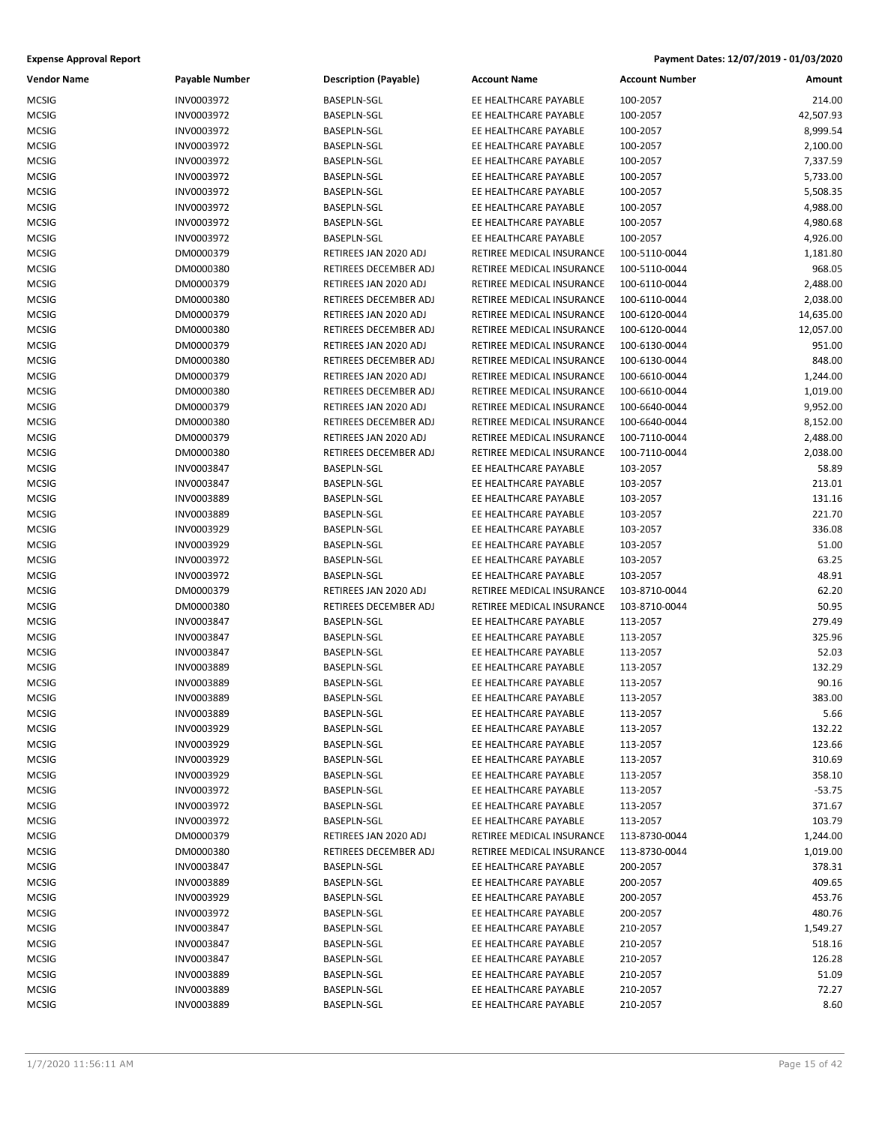| Vendor Name  | Payable Number           | <b>Description (Payable)</b> | <b>Account Name</b>       | <b>Account Number</b> | Amount    |
|--------------|--------------------------|------------------------------|---------------------------|-----------------------|-----------|
| <b>MCSIG</b> | INV0003972               | <b>BASEPLN-SGL</b>           | EE HEALTHCARE PAYABLE     | 100-2057              | 214.00    |
| <b>MCSIG</b> | INV0003972               | BASEPLN-SGL                  | EE HEALTHCARE PAYABLE     | 100-2057              | 42,507.93 |
| <b>MCSIG</b> | INV0003972               | BASEPLN-SGL                  | EE HEALTHCARE PAYABLE     | 100-2057              | 8,999.54  |
| MCSIG        | INV0003972               | BASEPLN-SGL                  | EE HEALTHCARE PAYABLE     | 100-2057              | 2,100.00  |
| <b>MCSIG</b> | INV0003972               | BASEPLN-SGL                  | EE HEALTHCARE PAYABLE     | 100-2057              | 7,337.59  |
| <b>MCSIG</b> | INV0003972               | BASEPLN-SGL                  | EE HEALTHCARE PAYABLE     | 100-2057              | 5,733.00  |
| MCSIG        | INV0003972               | BASEPLN-SGL                  | EE HEALTHCARE PAYABLE     | 100-2057              | 5,508.35  |
| <b>MCSIG</b> | INV0003972               | BASEPLN-SGL                  | EE HEALTHCARE PAYABLE     | 100-2057              | 4,988.00  |
| MCSIG        | INV0003972               | BASEPLN-SGL                  | EE HEALTHCARE PAYABLE     | 100-2057              | 4,980.68  |
| <b>MCSIG</b> | INV0003972               | <b>BASEPLN-SGL</b>           | EE HEALTHCARE PAYABLE     | 100-2057              | 4,926.00  |
| MCSIG        | DM0000379                | RETIREES JAN 2020 ADJ        | RETIREE MEDICAL INSURANCE | 100-5110-0044         | 1,181.80  |
| MCSIG        | DM0000380                | RETIREES DECEMBER ADJ        | RETIREE MEDICAL INSURANCE | 100-5110-0044         | 968.05    |
| <b>MCSIG</b> | DM0000379                | RETIREES JAN 2020 ADJ        | RETIREE MEDICAL INSURANCE | 100-6110-0044         | 2,488.00  |
| <b>MCSIG</b> | DM0000380                | RETIREES DECEMBER ADJ        | RETIREE MEDICAL INSURANCE | 100-6110-0044         | 2,038.00  |
| <b>MCSIG</b> | DM0000379                | RETIREES JAN 2020 ADJ        | RETIREE MEDICAL INSURANCE | 100-6120-0044         | 14,635.00 |
| MCSIG        | DM0000380                | RETIREES DECEMBER ADJ        | RETIREE MEDICAL INSURANCE | 100-6120-0044         | 12,057.00 |
| MCSIG        | DM0000379                | RETIREES JAN 2020 ADJ        | RETIREE MEDICAL INSURANCE | 100-6130-0044         | 951.00    |
| <b>MCSIG</b> | DM0000380                | RETIREES DECEMBER ADJ        | RETIREE MEDICAL INSURANCE | 100-6130-0044         | 848.00    |
| <b>MCSIG</b> | DM0000379                | RETIREES JAN 2020 ADJ        | RETIREE MEDICAL INSURANCE | 100-6610-0044         | 1,244.00  |
| <b>MCSIG</b> | DM0000380                | RETIREES DECEMBER ADJ        | RETIREE MEDICAL INSURANCE | 100-6610-0044         | 1,019.00  |
| MCSIG        | DM0000379                | RETIREES JAN 2020 ADJ        | RETIREE MEDICAL INSURANCE | 100-6640-0044         | 9,952.00  |
| MCSIG        | DM0000380                | RETIREES DECEMBER ADJ        | RETIREE MEDICAL INSURANCE | 100-6640-0044         | 8,152.00  |
| <b>MCSIG</b> | DM0000379                | RETIREES JAN 2020 ADJ        | RETIREE MEDICAL INSURANCE | 100-7110-0044         | 2,488.00  |
| <b>MCSIG</b> | DM0000380                | <b>RETIREES DECEMBER ADJ</b> | RETIREE MEDICAL INSURANCE | 100-7110-0044         | 2,038.00  |
| <b>MCSIG</b> |                          |                              | EE HEALTHCARE PAYABLE     |                       | 58.89     |
| <b>MCSIG</b> | INV0003847<br>INV0003847 | BASEPLN-SGL                  | EE HEALTHCARE PAYABLE     | 103-2057              |           |
|              |                          | BASEPLN-SGL                  |                           | 103-2057              | 213.01    |
| <b>MCSIG</b> | INV0003889               | BASEPLN-SGL                  | EE HEALTHCARE PAYABLE     | 103-2057              | 131.16    |
| <b>MCSIG</b> | INV0003889               | BASEPLN-SGL                  | EE HEALTHCARE PAYABLE     | 103-2057              | 221.70    |
| <b>MCSIG</b> | INV0003929               | BASEPLN-SGL                  | EE HEALTHCARE PAYABLE     | 103-2057              | 336.08    |
| <b>MCSIG</b> | INV0003929               | BASEPLN-SGL                  | EE HEALTHCARE PAYABLE     | 103-2057              | 51.00     |
| MCSIG        | INV0003972               | BASEPLN-SGL                  | EE HEALTHCARE PAYABLE     | 103-2057              | 63.25     |
| MCSIG        | INV0003972               | BASEPLN-SGL                  | EE HEALTHCARE PAYABLE     | 103-2057              | 48.91     |
| <b>MCSIG</b> | DM0000379                | RETIREES JAN 2020 ADJ        | RETIREE MEDICAL INSURANCE | 103-8710-0044         | 62.20     |
| <b>MCSIG</b> | DM0000380                | RETIREES DECEMBER ADJ        | RETIREE MEDICAL INSURANCE | 103-8710-0044         | 50.95     |
| <b>MCSIG</b> | INV0003847               | BASEPLN-SGL                  | EE HEALTHCARE PAYABLE     | 113-2057              | 279.49    |
| MCSIG        | INV0003847               | BASEPLN-SGL                  | EE HEALTHCARE PAYABLE     | 113-2057              | 325.96    |
| <b>MCSIG</b> | INV0003847               | BASEPLN-SGL                  | EE HEALTHCARE PAYABLE     | 113-2057              | 52.03     |
| <b>MCSIG</b> | INV0003889               | BASEPLN-SGL                  | EE HEALTHCARE PAYABLE     | 113-2057              | 132.29    |
| <b>MCSIG</b> | INV0003889               | BASEPLN-SGL                  | EE HEALTHCARE PAYABLE     | 113-2057              | 90.16     |
| <b>MCSIG</b> | INV0003889               | BASEPLN-SGL                  | EE HEALTHCARE PAYABLE     | 113-2057              | 383.00    |
| MCSIG        | INV0003889               | BASEPLN-SGL                  | EE HEALTHCARE PAYABLE     | 113-2057              | 5.66      |
| MCSIG        | INV0003929               | BASEPLN-SGL                  | EE HEALTHCARE PAYABLE     | 113-2057              | 132.22    |
| <b>MCSIG</b> | INV0003929               | BASEPLN-SGL                  | EE HEALTHCARE PAYABLE     | 113-2057              | 123.66    |
| MCSIG        | INV0003929               | BASEPLN-SGL                  | EE HEALTHCARE PAYABLE     | 113-2057              | 310.69    |
| <b>MCSIG</b> | INV0003929               | <b>BASEPLN-SGL</b>           | EE HEALTHCARE PAYABLE     | 113-2057              | 358.10    |
| MCSIG        | INV0003972               | BASEPLN-SGL                  | EE HEALTHCARE PAYABLE     | 113-2057              | $-53.75$  |
| MCSIG        | INV0003972               | BASEPLN-SGL                  | EE HEALTHCARE PAYABLE     | 113-2057              | 371.67    |
| <b>MCSIG</b> | INV0003972               | BASEPLN-SGL                  | EE HEALTHCARE PAYABLE     | 113-2057              | 103.79    |
| MCSIG        | DM0000379                | RETIREES JAN 2020 ADJ        | RETIREE MEDICAL INSURANCE | 113-8730-0044         | 1,244.00  |
| <b>MCSIG</b> | DM0000380                | RETIREES DECEMBER ADJ        | RETIREE MEDICAL INSURANCE | 113-8730-0044         | 1,019.00  |
| MCSIG        | INV0003847               | BASEPLN-SGL                  | EE HEALTHCARE PAYABLE     | 200-2057              | 378.31    |
| <b>MCSIG</b> | INV0003889               | BASEPLN-SGL                  | EE HEALTHCARE PAYABLE     | 200-2057              | 409.65    |
| <b>MCSIG</b> | INV0003929               | BASEPLN-SGL                  | EE HEALTHCARE PAYABLE     | 200-2057              | 453.76    |
| MCSIG        | INV0003972               | BASEPLN-SGL                  | EE HEALTHCARE PAYABLE     | 200-2057              | 480.76    |
| MCSIG        | INV0003847               | BASEPLN-SGL                  | EE HEALTHCARE PAYABLE     | 210-2057              | 1,549.27  |
| MCSIG        | INV0003847               | BASEPLN-SGL                  | EE HEALTHCARE PAYABLE     | 210-2057              | 518.16    |
| MCSIG        | INV0003847               | BASEPLN-SGL                  | EE HEALTHCARE PAYABLE     | 210-2057              | 126.28    |
| <b>MCSIG</b> | INV0003889               | BASEPLN-SGL                  | EE HEALTHCARE PAYABLE     | 210-2057              | 51.09     |
| MCSIG        | INV0003889               | BASEPLN-SGL                  | EE HEALTHCARE PAYABLE     | 210-2057              | 72.27     |
| <b>MCSIG</b> | INV0003889               | BASEPLN-SGL                  | EE HEALTHCARE PAYABLE     | 210-2057              | 8.60      |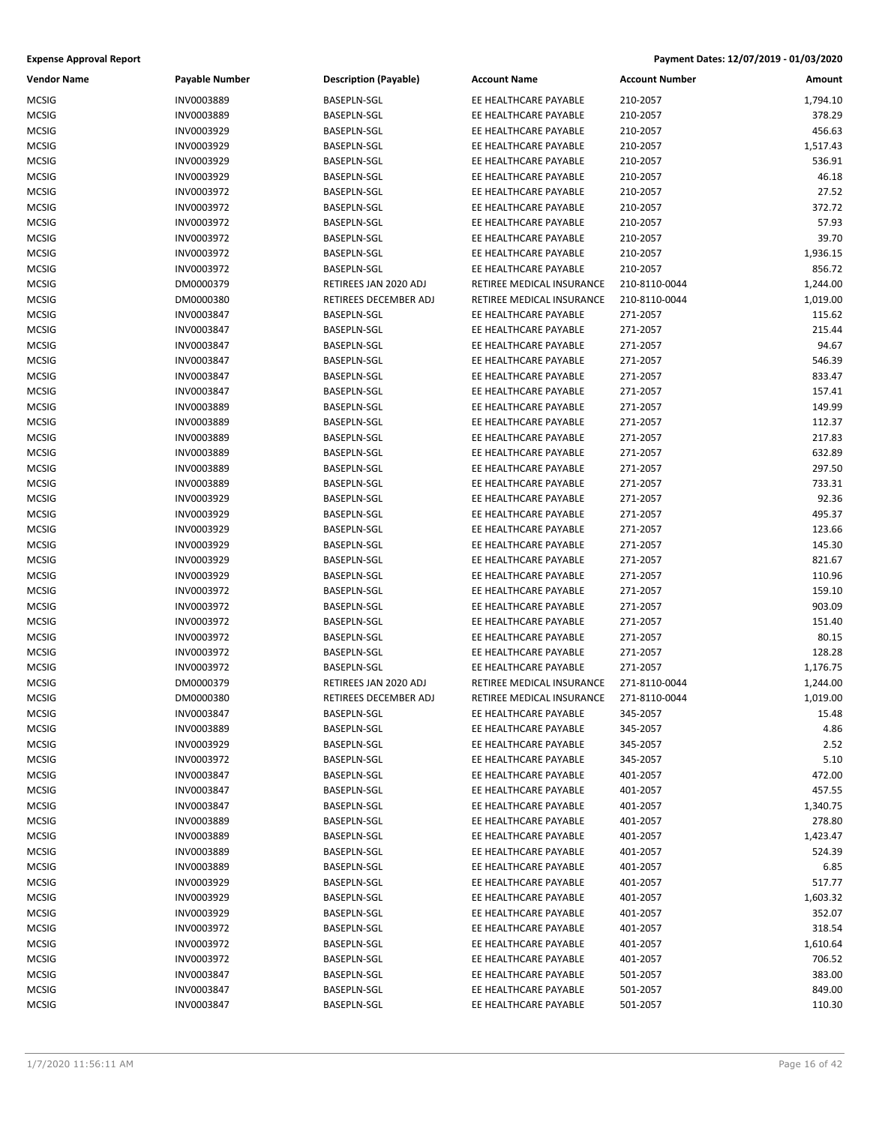| Vendor Name  | <b>Payable Number</b>    | <b>Description (Payable)</b> | <b>Account Name</b>                            | <b>Account Number</b> | Amount           |
|--------------|--------------------------|------------------------------|------------------------------------------------|-----------------------|------------------|
| <b>MCSIG</b> | INV0003889               | <b>BASEPLN-SGL</b>           | EE HEALTHCARE PAYABLE                          | 210-2057              | 1,794.10         |
| <b>MCSIG</b> | INV0003889               | BASEPLN-SGL                  | EE HEALTHCARE PAYABLE                          | 210-2057              | 378.29           |
| <b>MCSIG</b> | INV0003929               | BASEPLN-SGL                  | EE HEALTHCARE PAYABLE                          | 210-2057              | 456.63           |
| MCSIG        | INV0003929               | BASEPLN-SGL                  | EE HEALTHCARE PAYABLE                          | 210-2057              | 1,517.43         |
| <b>MCSIG</b> | INV0003929               | BASEPLN-SGL                  | EE HEALTHCARE PAYABLE                          | 210-2057              | 536.91           |
| MCSIG        | INV0003929               | BASEPLN-SGL                  | EE HEALTHCARE PAYABLE                          | 210-2057              | 46.18            |
| MCSIG        | INV0003972               | BASEPLN-SGL                  | EE HEALTHCARE PAYABLE                          | 210-2057              | 27.52            |
| <b>MCSIG</b> | INV0003972               | BASEPLN-SGL                  | EE HEALTHCARE PAYABLE                          | 210-2057              | 372.72           |
| MCSIG        | INV0003972               | BASEPLN-SGL                  | EE HEALTHCARE PAYABLE                          | 210-2057              | 57.93            |
| <b>MCSIG</b> | INV0003972               | <b>BASEPLN-SGL</b>           | EE HEALTHCARE PAYABLE                          | 210-2057              | 39.70            |
| MCSIG        | INV0003972               | <b>BASEPLN-SGL</b>           | EE HEALTHCARE PAYABLE                          | 210-2057              | 1,936.15         |
| MCSIG        | INV0003972               | BASEPLN-SGL                  | EE HEALTHCARE PAYABLE                          | 210-2057              | 856.72           |
| <b>MCSIG</b> | DM0000379                | RETIREES JAN 2020 ADJ        | RETIREE MEDICAL INSURANCE                      | 210-8110-0044         | 1,244.00         |
| <b>MCSIG</b> | DM0000380                | RETIREES DECEMBER ADJ        | RETIREE MEDICAL INSURANCE                      | 210-8110-0044         | 1,019.00         |
| <b>MCSIG</b> | INV0003847               | BASEPLN-SGL                  | EE HEALTHCARE PAYABLE                          | 271-2057              | 115.62           |
| MCSIG        | INV0003847               | BASEPLN-SGL                  | EE HEALTHCARE PAYABLE                          | 271-2057              | 215.44           |
| <b>MCSIG</b> | INV0003847               | BASEPLN-SGL                  | EE HEALTHCARE PAYABLE                          | 271-2057              | 94.67            |
| <b>MCSIG</b> | INV0003847               | BASEPLN-SGL                  | EE HEALTHCARE PAYABLE                          | 271-2057              | 546.39           |
| MCSIG        | INV0003847               | <b>BASEPLN-SGL</b>           | EE HEALTHCARE PAYABLE                          | 271-2057              | 833.47           |
| <b>MCSIG</b> | INV0003847               | BASEPLN-SGL                  | EE HEALTHCARE PAYABLE                          | 271-2057              | 157.41           |
| MCSIG        | INV0003889               | BASEPLN-SGL                  | EE HEALTHCARE PAYABLE                          | 271-2057              | 149.99           |
| MCSIG        | INV0003889               | <b>BASEPLN-SGL</b>           | EE HEALTHCARE PAYABLE                          | 271-2057              | 112.37           |
| <b>MCSIG</b> | INV0003889               | BASEPLN-SGL                  | EE HEALTHCARE PAYABLE                          | 271-2057              | 217.83           |
| <b>MCSIG</b> | INV0003889               | BASEPLN-SGL                  | EE HEALTHCARE PAYABLE                          | 271-2057              | 632.89           |
| <b>MCSIG</b> | INV0003889               | BASEPLN-SGL                  | EE HEALTHCARE PAYABLE                          | 271-2057              | 297.50           |
| MCSIG        | INV0003889               | BASEPLN-SGL                  | EE HEALTHCARE PAYABLE                          | 271-2057              | 733.31           |
| <b>MCSIG</b> | INV0003929               | BASEPLN-SGL                  | EE HEALTHCARE PAYABLE                          | 271-2057              | 92.36            |
| <b>MCSIG</b> | INV0003929               | BASEPLN-SGL                  | EE HEALTHCARE PAYABLE                          | 271-2057              | 495.37           |
|              |                          |                              | EE HEALTHCARE PAYABLE                          |                       |                  |
| <b>MCSIG</b> | INV0003929               | BASEPLN-SGL                  | EE HEALTHCARE PAYABLE                          | 271-2057              | 123.66           |
| MCSIG        | INV0003929<br>INV0003929 | BASEPLN-SGL<br>BASEPLN-SGL   | EE HEALTHCARE PAYABLE                          | 271-2057<br>271-2057  | 145.30<br>821.67 |
| MCSIG        |                          |                              |                                                |                       |                  |
| MCSIG        | INV0003929               | BASEPLN-SGL                  | EE HEALTHCARE PAYABLE                          | 271-2057              | 110.96<br>159.10 |
| <b>MCSIG</b> | INV0003972               | BASEPLN-SGL                  | EE HEALTHCARE PAYABLE                          | 271-2057              |                  |
| <b>MCSIG</b> | INV0003972               | BASEPLN-SGL                  | EE HEALTHCARE PAYABLE                          | 271-2057              | 903.09           |
| <b>MCSIG</b> | INV0003972               | BASEPLN-SGL                  | EE HEALTHCARE PAYABLE<br>EE HEALTHCARE PAYABLE | 271-2057              | 151.40           |
| MCSIG        | INV0003972               | BASEPLN-SGL                  | EE HEALTHCARE PAYABLE                          | 271-2057              | 80.15            |
| <b>MCSIG</b> | INV0003972               | BASEPLN-SGL                  |                                                | 271-2057              | 128.28           |
| <b>MCSIG</b> | INV0003972               | <b>BASEPLN-SGL</b>           | EE HEALTHCARE PAYABLE                          | 271-2057              | 1,176.75         |
| <b>MCSIG</b> | DM0000379                | RETIREES JAN 2020 ADJ        | RETIREE MEDICAL INSURANCE                      | 271-8110-0044         | 1,244.00         |
| <b>MCSIG</b> | DM0000380                | RETIREES DECEMBER ADJ        | RETIREE MEDICAL INSURANCE                      | 271-8110-0044         | 1,019.00         |
| MCSIG        | INV0003847               | BASEPLN-SGL                  | EE HEALTHCARE PAYABLE                          | 345-2057              | 15.48            |
| MCSIG        | INV0003889               | BASEPLN-SGL                  | EE HEALTHCARE PAYABLE                          | 345-2057              | 4.86             |
| <b>MCSIG</b> | INV0003929               | BASEPLN-SGL                  | EE HEALTHCARE PAYABLE                          | 345-2057              | 2.52             |
| MCSIG        | INV0003972               | BASEPLN-SGL                  | EE HEALTHCARE PAYABLE                          | 345-2057              | 5.10             |
| <b>MCSIG</b> | INV0003847               | <b>BASEPLN-SGL</b>           | EE HEALTHCARE PAYABLE                          | 401-2057              | 472.00           |
| MCSIG        | INV0003847               | BASEPLN-SGL                  | EE HEALTHCARE PAYABLE                          | 401-2057              | 457.55           |
| MCSIG        | INV0003847               | BASEPLN-SGL                  | EE HEALTHCARE PAYABLE                          | 401-2057              | 1,340.75         |
| <b>MCSIG</b> | INV0003889               | BASEPLN-SGL                  | EE HEALTHCARE PAYABLE                          | 401-2057              | 278.80           |
| MCSIG        | INV0003889               | BASEPLN-SGL                  | EE HEALTHCARE PAYABLE                          | 401-2057              | 1,423.47         |
| <b>MCSIG</b> | INV0003889               | BASEPLN-SGL                  | EE HEALTHCARE PAYABLE                          | 401-2057              | 524.39           |
| <b>MCSIG</b> | INV0003889               | BASEPLN-SGL                  | EE HEALTHCARE PAYABLE                          | 401-2057              | 6.85             |
| <b>MCSIG</b> | INV0003929               | BASEPLN-SGL                  | EE HEALTHCARE PAYABLE                          | 401-2057              | 517.77           |
| <b>MCSIG</b> | INV0003929               | BASEPLN-SGL                  | EE HEALTHCARE PAYABLE                          | 401-2057              | 1,603.32         |
| MCSIG        | INV0003929               | BASEPLN-SGL                  | EE HEALTHCARE PAYABLE                          | 401-2057              | 352.07           |
| <b>MCSIG</b> | INV0003972               | BASEPLN-SGL                  | EE HEALTHCARE PAYABLE                          | 401-2057              | 318.54           |
| MCSIG        | INV0003972               | BASEPLN-SGL                  | EE HEALTHCARE PAYABLE                          | 401-2057              | 1,610.64         |
| MCSIG        | INV0003972               | BASEPLN-SGL                  | EE HEALTHCARE PAYABLE                          | 401-2057              | 706.52           |
| <b>MCSIG</b> | INV0003847               | BASEPLN-SGL                  | EE HEALTHCARE PAYABLE                          | 501-2057              | 383.00           |
| MCSIG        | INV0003847               | BASEPLN-SGL                  | EE HEALTHCARE PAYABLE                          | 501-2057              | 849.00           |
| <b>MCSIG</b> | INV0003847               | <b>BASEPLN-SGL</b>           | EE HEALTHCARE PAYABLE                          | 501-2057              | 110.30           |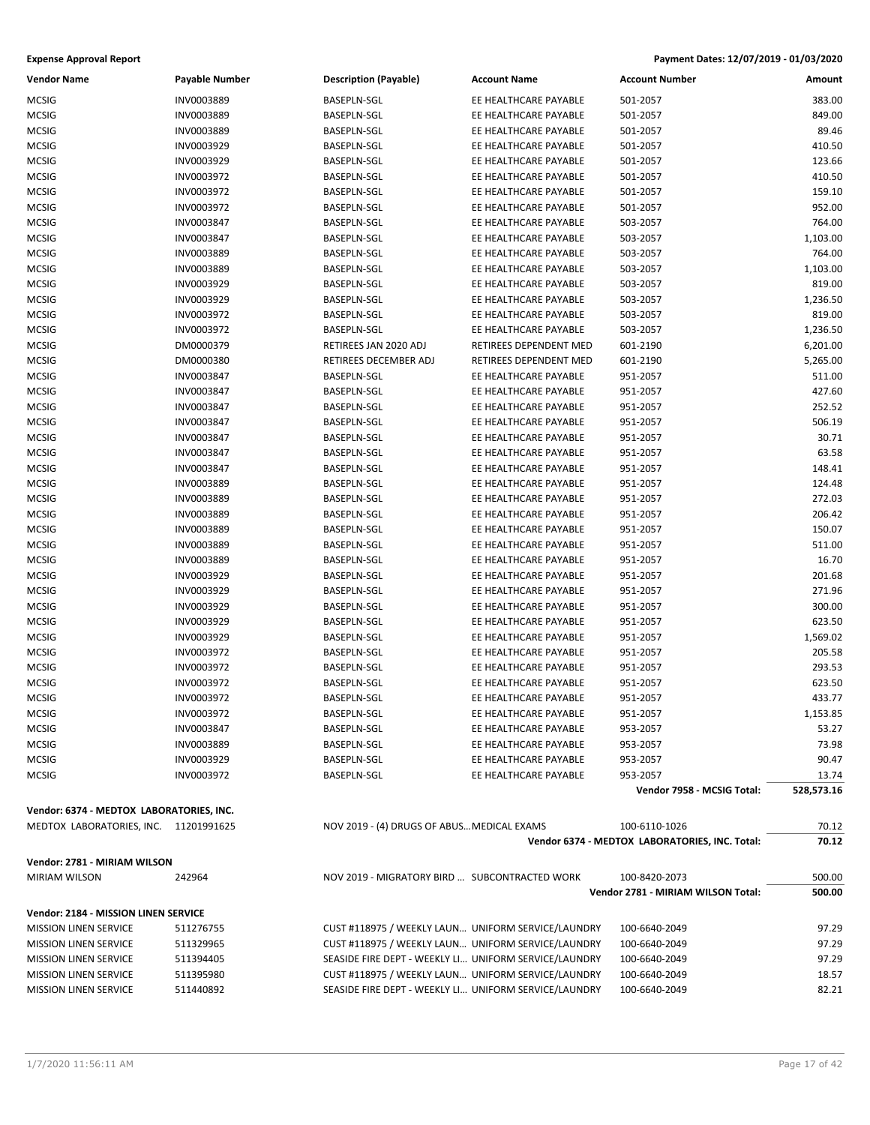| <b>Vendor Name</b>                       | Payable Number | <b>Description (Payable)</b>                          | <b>Account Name</b>    | <b>Account Number</b>                          | Amount     |
|------------------------------------------|----------------|-------------------------------------------------------|------------------------|------------------------------------------------|------------|
| <b>MCSIG</b>                             | INV0003889     | <b>BASEPLN-SGL</b>                                    | EE HEALTHCARE PAYABLE  | 501-2057                                       | 383.00     |
| <b>MCSIG</b>                             | INV0003889     | <b>BASEPLN-SGL</b>                                    | EE HEALTHCARE PAYABLE  | 501-2057                                       | 849.00     |
| <b>MCSIG</b>                             | INV0003889     | BASEPLN-SGL                                           | EE HEALTHCARE PAYABLE  | 501-2057                                       | 89.46      |
| <b>MCSIG</b>                             | INV0003929     | BASEPLN-SGL                                           | EE HEALTHCARE PAYABLE  | 501-2057                                       | 410.50     |
| <b>MCSIG</b>                             | INV0003929     | BASEPLN-SGL                                           | EE HEALTHCARE PAYABLE  | 501-2057                                       | 123.66     |
| <b>MCSIG</b>                             | INV0003972     | BASEPLN-SGL                                           | EE HEALTHCARE PAYABLE  | 501-2057                                       | 410.50     |
| <b>MCSIG</b>                             | INV0003972     | BASEPLN-SGL                                           | EE HEALTHCARE PAYABLE  | 501-2057                                       | 159.10     |
| <b>MCSIG</b>                             | INV0003972     | BASEPLN-SGL                                           | EE HEALTHCARE PAYABLE  | 501-2057                                       | 952.00     |
| <b>MCSIG</b>                             | INV0003847     | BASEPLN-SGL                                           | EE HEALTHCARE PAYABLE  | 503-2057                                       | 764.00     |
| <b>MCSIG</b>                             | INV0003847     | BASEPLN-SGL                                           | EE HEALTHCARE PAYABLE  | 503-2057                                       | 1,103.00   |
| <b>MCSIG</b>                             | INV0003889     | BASEPLN-SGL                                           | EE HEALTHCARE PAYABLE  | 503-2057                                       | 764.00     |
| <b>MCSIG</b>                             | INV0003889     | BASEPLN-SGL                                           | EE HEALTHCARE PAYABLE  | 503-2057                                       | 1,103.00   |
| <b>MCSIG</b>                             | INV0003929     | BASEPLN-SGL                                           | EE HEALTHCARE PAYABLE  | 503-2057                                       | 819.00     |
| <b>MCSIG</b>                             | INV0003929     | BASEPLN-SGL                                           | EE HEALTHCARE PAYABLE  | 503-2057                                       | 1,236.50   |
| <b>MCSIG</b>                             | INV0003972     | <b>BASEPLN-SGL</b>                                    | EE HEALTHCARE PAYABLE  | 503-2057                                       | 819.00     |
| <b>MCSIG</b>                             | INV0003972     | BASEPLN-SGL                                           | EE HEALTHCARE PAYABLE  | 503-2057                                       | 1,236.50   |
| <b>MCSIG</b>                             | DM0000379      | RETIREES JAN 2020 ADJ                                 | RETIREES DEPENDENT MED | 601-2190                                       | 6,201.00   |
| <b>MCSIG</b>                             | DM0000380      | RETIREES DECEMBER ADJ                                 | RETIREES DEPENDENT MED | 601-2190                                       | 5,265.00   |
| <b>MCSIG</b>                             | INV0003847     | <b>BASEPLN-SGL</b>                                    | EE HEALTHCARE PAYABLE  | 951-2057                                       | 511.00     |
| <b>MCSIG</b>                             | INV0003847     | BASEPLN-SGL                                           | EE HEALTHCARE PAYABLE  | 951-2057                                       | 427.60     |
|                                          | INV0003847     | BASEPLN-SGL                                           | EE HEALTHCARE PAYABLE  |                                                | 252.52     |
| <b>MCSIG</b>                             |                |                                                       | EE HEALTHCARE PAYABLE  | 951-2057                                       |            |
| <b>MCSIG</b>                             | INV0003847     | BASEPLN-SGL                                           |                        | 951-2057                                       | 506.19     |
| <b>MCSIG</b>                             | INV0003847     | BASEPLN-SGL                                           | EE HEALTHCARE PAYABLE  | 951-2057                                       | 30.71      |
| <b>MCSIG</b>                             | INV0003847     | BASEPLN-SGL                                           | EE HEALTHCARE PAYABLE  | 951-2057                                       | 63.58      |
| <b>MCSIG</b>                             | INV0003847     | BASEPLN-SGL                                           | EE HEALTHCARE PAYABLE  | 951-2057                                       | 148.41     |
| <b>MCSIG</b>                             | INV0003889     | BASEPLN-SGL                                           | EE HEALTHCARE PAYABLE  | 951-2057                                       | 124.48     |
| <b>MCSIG</b>                             | INV0003889     | BASEPLN-SGL                                           | EE HEALTHCARE PAYABLE  | 951-2057                                       | 272.03     |
| <b>MCSIG</b>                             | INV0003889     | BASEPLN-SGL                                           | EE HEALTHCARE PAYABLE  | 951-2057                                       | 206.42     |
| <b>MCSIG</b>                             | INV0003889     | BASEPLN-SGL                                           | EE HEALTHCARE PAYABLE  | 951-2057                                       | 150.07     |
| <b>MCSIG</b>                             | INV0003889     | BASEPLN-SGL                                           | EE HEALTHCARE PAYABLE  | 951-2057                                       | 511.00     |
| <b>MCSIG</b>                             | INV0003889     | BASEPLN-SGL                                           | EE HEALTHCARE PAYABLE  | 951-2057                                       | 16.70      |
| <b>MCSIG</b>                             | INV0003929     | BASEPLN-SGL                                           | EE HEALTHCARE PAYABLE  | 951-2057                                       | 201.68     |
| <b>MCSIG</b>                             | INV0003929     | BASEPLN-SGL                                           | EE HEALTHCARE PAYABLE  | 951-2057                                       | 271.96     |
| <b>MCSIG</b>                             | INV0003929     | BASEPLN-SGL                                           | EE HEALTHCARE PAYABLE  | 951-2057                                       | 300.00     |
| <b>MCSIG</b>                             | INV0003929     | BASEPLN-SGL                                           | EE HEALTHCARE PAYABLE  | 951-2057                                       | 623.50     |
| <b>MCSIG</b>                             | INV0003929     | BASEPLN-SGL                                           | EE HEALTHCARE PAYABLE  | 951-2057                                       | 1,569.02   |
| <b>MCSIG</b>                             | INV0003972     | BASEPLN-SGL                                           | EE HEALTHCARE PAYABLE  | 951-2057                                       | 205.58     |
| <b>MCSIG</b>                             | INV0003972     | BASEPLN-SGL                                           | EE HEALTHCARE PAYABLE  | 951-2057                                       | 293.53     |
| <b>MCSIG</b>                             | INV0003972     | BASEPLN-SGL                                           | EE HEALTHCARE PAYABLE  | 951-2057                                       | 623.50     |
| <b>MCSIG</b>                             | INV0003972     | <b>BASEPLN-SGL</b>                                    | EE HEALTHCARE PAYABLE  | 951-2057                                       | 433.77     |
| MCSIG                                    | INV0003972     | BASEPLN-SGL                                           | EE HEALTHCARE PAYABLE  | 951-2057                                       | 1,153.85   |
| MCSIG                                    | INV0003847     | BASEPLN-SGL                                           | EE HEALTHCARE PAYABLE  | 953-2057                                       | 53.27      |
| <b>MCSIG</b>                             | INV0003889     | BASEPLN-SGL                                           | EE HEALTHCARE PAYABLE  | 953-2057                                       | 73.98      |
| <b>MCSIG</b>                             | INV0003929     | BASEPLN-SGL                                           | EE HEALTHCARE PAYABLE  | 953-2057                                       | 90.47      |
| <b>MCSIG</b>                             | INV0003972     | BASEPLN-SGL                                           | EE HEALTHCARE PAYABLE  | 953-2057                                       | 13.74      |
|                                          |                |                                                       |                        | Vendor 7958 - MCSIG Total:                     | 528,573.16 |
| Vendor: 6374 - MEDTOX LABORATORIES, INC. |                |                                                       |                        |                                                |            |
| MEDTOX LABORATORIES, INC. 11201991625    |                | NOV 2019 - (4) DRUGS OF ABUS MEDICAL EXAMS            |                        | 100-6110-1026                                  | 70.12      |
|                                          |                |                                                       |                        | Vendor 6374 - MEDTOX LABORATORIES, INC. Total: | 70.12      |
|                                          |                |                                                       |                        |                                                |            |
| Vendor: 2781 - MIRIAM WILSON             |                |                                                       |                        |                                                |            |
| <b>MIRIAM WILSON</b>                     | 242964         | NOV 2019 - MIGRATORY BIRD  SUBCONTRACTED WORK         |                        | 100-8420-2073                                  | 500.00     |
|                                          |                |                                                       |                        | Vendor 2781 - MIRIAM WILSON Total:             | 500.00     |
| Vendor: 2184 - MISSION LINEN SERVICE     |                |                                                       |                        |                                                |            |
| <b>MISSION LINEN SERVICE</b>             | 511276755      | CUST #118975 / WEEKLY LAUN UNIFORM SERVICE/LAUNDRY    |                        | 100-6640-2049                                  | 97.29      |
| <b>MISSION LINEN SERVICE</b>             | 511329965      | CUST #118975 / WEEKLY LAUN UNIFORM SERVICE/LAUNDRY    |                        | 100-6640-2049                                  | 97.29      |
| <b>MISSION LINEN SERVICE</b>             | 511394405      | SEASIDE FIRE DEPT - WEEKLY LI UNIFORM SERVICE/LAUNDRY |                        | 100-6640-2049                                  | 97.29      |
| <b>MISSION LINEN SERVICE</b>             | 511395980      | CUST #118975 / WEEKLY LAUN UNIFORM SERVICE/LAUNDRY    |                        | 100-6640-2049                                  | 18.57      |
| <b>MISSION LINEN SERVICE</b>             | 511440892      | SEASIDE FIRE DEPT - WEEKLY LI UNIFORM SERVICE/LAUNDRY |                        | 100-6640-2049                                  | 82.21      |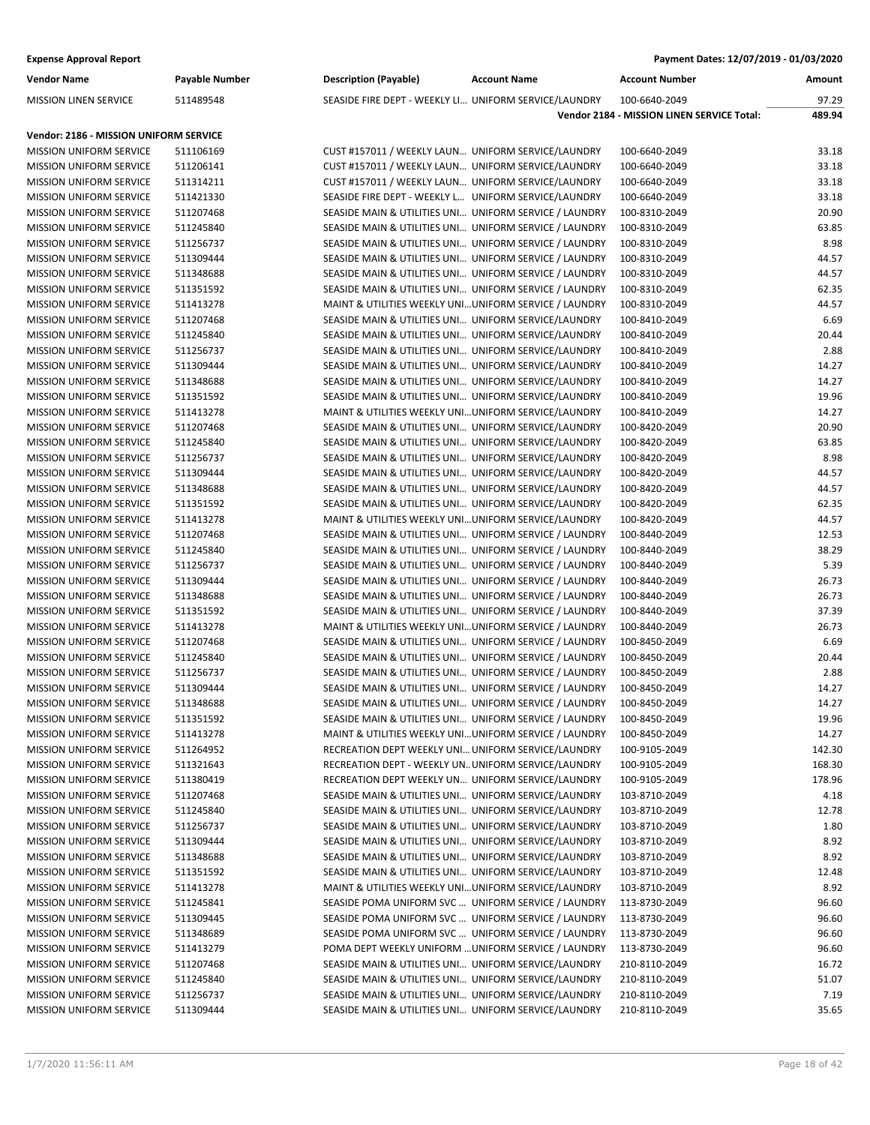| <b>Vendor Name</b>                                                       | Payable Number         | <b>Description (Payable)</b>                                                                                     | <b>Account Name</b> | <b>Account Number</b>                      | Amount         |
|--------------------------------------------------------------------------|------------------------|------------------------------------------------------------------------------------------------------------------|---------------------|--------------------------------------------|----------------|
| <b>MISSION LINEN SERVICE</b>                                             | 511489548              | SEASIDE FIRE DEPT - WEEKLY LI UNIFORM SERVICE/LAUNDRY                                                            |                     | 100-6640-2049                              | 97.29          |
|                                                                          |                        |                                                                                                                  |                     | Vendor 2184 - MISSION LINEN SERVICE Total: | 489.94         |
|                                                                          |                        |                                                                                                                  |                     |                                            |                |
| Vendor: 2186 - MISSION UNIFORM SERVICE<br><b>MISSION UNIFORM SERVICE</b> | 511106169              | CUST #157011 / WEEKLY LAUN UNIFORM SERVICE/LAUNDRY                                                               |                     | 100-6640-2049                              | 33.18          |
| MISSION UNIFORM SERVICE                                                  |                        | CUST #157011 / WEEKLY LAUN UNIFORM SERVICE/LAUNDRY                                                               |                     | 100-6640-2049                              | 33.18          |
| <b>MISSION UNIFORM SERVICE</b>                                           | 511206141<br>511314211 |                                                                                                                  |                     | 100-6640-2049                              | 33.18          |
|                                                                          |                        | CUST #157011 / WEEKLY LAUN UNIFORM SERVICE/LAUNDRY                                                               |                     |                                            |                |
| <b>MISSION UNIFORM SERVICE</b>                                           | 511421330              | SEASIDE FIRE DEPT - WEEKLY L UNIFORM SERVICE/LAUNDRY                                                             |                     | 100-6640-2049                              | 33.18          |
| MISSION UNIFORM SERVICE                                                  | 511207468              | SEASIDE MAIN & UTILITIES UNI UNIFORM SERVICE / LAUNDRY<br>SEASIDE MAIN & UTILITIES UNI UNIFORM SERVICE / LAUNDRY |                     | 100-8310-2049                              | 20.90<br>63.85 |
| <b>MISSION UNIFORM SERVICE</b>                                           | 511245840              |                                                                                                                  |                     | 100-8310-2049                              |                |
| MISSION UNIFORM SERVICE                                                  | 511256737              | SEASIDE MAIN & UTILITIES UNI UNIFORM SERVICE / LAUNDRY                                                           |                     | 100-8310-2049                              | 8.98           |
| <b>MISSION UNIFORM SERVICE</b>                                           | 511309444              | SEASIDE MAIN & UTILITIES UNI UNIFORM SERVICE / LAUNDRY                                                           |                     | 100-8310-2049                              | 44.57          |
| <b>MISSION UNIFORM SERVICE</b>                                           | 511348688              | SEASIDE MAIN & UTILITIES UNI UNIFORM SERVICE / LAUNDRY                                                           |                     | 100-8310-2049                              | 44.57          |
| MISSION UNIFORM SERVICE                                                  | 511351592              | SEASIDE MAIN & UTILITIES UNI UNIFORM SERVICE / LAUNDRY                                                           |                     | 100-8310-2049                              | 62.35          |
| <b>MISSION UNIFORM SERVICE</b>                                           | 511413278              | MAINT & UTILITIES WEEKLY UNIUNIFORM SERVICE / LAUNDRY                                                            |                     | 100-8310-2049                              | 44.57          |
| MISSION UNIFORM SERVICE                                                  | 511207468              | SEASIDE MAIN & UTILITIES UNI UNIFORM SERVICE/LAUNDRY                                                             |                     | 100-8410-2049                              | 6.69           |
| <b>MISSION UNIFORM SERVICE</b>                                           | 511245840              | SEASIDE MAIN & UTILITIES UNI UNIFORM SERVICE/LAUNDRY                                                             |                     | 100-8410-2049                              | 20.44          |
| <b>MISSION UNIFORM SERVICE</b>                                           | 511256737              | SEASIDE MAIN & UTILITIES UNI UNIFORM SERVICE/LAUNDRY                                                             |                     | 100-8410-2049                              | 2.88           |
| <b>MISSION UNIFORM SERVICE</b>                                           | 511309444              | SEASIDE MAIN & UTILITIES UNI UNIFORM SERVICE/LAUNDRY                                                             |                     | 100-8410-2049                              | 14.27          |
| <b>MISSION UNIFORM SERVICE</b>                                           | 511348688              | SEASIDE MAIN & UTILITIES UNI UNIFORM SERVICE/LAUNDRY                                                             |                     | 100-8410-2049                              | 14.27          |
| MISSION UNIFORM SERVICE                                                  | 511351592              | SEASIDE MAIN & UTILITIES UNI UNIFORM SERVICE/LAUNDRY                                                             |                     | 100-8410-2049                              | 19.96          |
| <b>MISSION UNIFORM SERVICE</b>                                           | 511413278              | MAINT & UTILITIES WEEKLY UNIUNIFORM SERVICE/LAUNDRY                                                              |                     | 100-8410-2049                              | 14.27          |
| <b>MISSION UNIFORM SERVICE</b>                                           | 511207468              | SEASIDE MAIN & UTILITIES UNI UNIFORM SERVICE/LAUNDRY                                                             |                     | 100-8420-2049                              | 20.90          |
| MISSION UNIFORM SERVICE                                                  | 511245840              | SEASIDE MAIN & UTILITIES UNI UNIFORM SERVICE/LAUNDRY                                                             |                     | 100-8420-2049                              | 63.85          |
| <b>MISSION UNIFORM SERVICE</b>                                           | 511256737              | SEASIDE MAIN & UTILITIES UNI UNIFORM SERVICE/LAUNDRY                                                             |                     | 100-8420-2049                              | 8.98           |
| MISSION UNIFORM SERVICE                                                  | 511309444              | SEASIDE MAIN & UTILITIES UNI UNIFORM SERVICE/LAUNDRY                                                             |                     | 100-8420-2049                              | 44.57          |
| <b>MISSION UNIFORM SERVICE</b>                                           | 511348688              | SEASIDE MAIN & UTILITIES UNI UNIFORM SERVICE/LAUNDRY                                                             |                     | 100-8420-2049                              | 44.57          |
| <b>MISSION UNIFORM SERVICE</b>                                           | 511351592              | SEASIDE MAIN & UTILITIES UNI UNIFORM SERVICE/LAUNDRY                                                             |                     | 100-8420-2049                              | 62.35          |
| <b>MISSION UNIFORM SERVICE</b>                                           | 511413278              | MAINT & UTILITIES WEEKLY UNIUNIFORM SERVICE/LAUNDRY                                                              |                     | 100-8420-2049                              | 44.57          |
| <b>MISSION UNIFORM SERVICE</b>                                           | 511207468              | SEASIDE MAIN & UTILITIES UNI UNIFORM SERVICE / LAUNDRY                                                           |                     | 100-8440-2049                              | 12.53          |
| MISSION UNIFORM SERVICE                                                  | 511245840              | SEASIDE MAIN & UTILITIES UNI UNIFORM SERVICE / LAUNDRY                                                           |                     | 100-8440-2049                              | 38.29          |
| <b>MISSION UNIFORM SERVICE</b>                                           | 511256737              | SEASIDE MAIN & UTILITIES UNI UNIFORM SERVICE / LAUNDRY                                                           |                     | 100-8440-2049                              | 5.39           |
| <b>MISSION UNIFORM SERVICE</b>                                           | 511309444              | SEASIDE MAIN & UTILITIES UNI UNIFORM SERVICE / LAUNDRY                                                           |                     | 100-8440-2049                              | 26.73          |
| MISSION UNIFORM SERVICE                                                  | 511348688              | SEASIDE MAIN & UTILITIES UNI UNIFORM SERVICE / LAUNDRY                                                           |                     | 100-8440-2049                              | 26.73          |
| <b>MISSION UNIFORM SERVICE</b>                                           | 511351592              | SEASIDE MAIN & UTILITIES UNI UNIFORM SERVICE / LAUNDRY                                                           |                     | 100-8440-2049                              | 37.39          |
| MISSION UNIFORM SERVICE                                                  | 511413278              | MAINT & UTILITIES WEEKLY UNIUNIFORM SERVICE / LAUNDRY                                                            |                     | 100-8440-2049                              | 26.73          |
| <b>MISSION UNIFORM SERVICE</b>                                           | 511207468              | SEASIDE MAIN & UTILITIES UNI UNIFORM SERVICE / LAUNDRY                                                           |                     | 100-8450-2049                              | 6.69           |
| <b>MISSION UNIFORM SERVICE</b>                                           | 511245840              | SEASIDE MAIN & UTILITIES UNI UNIFORM SERVICE / LAUNDRY                                                           |                     | 100-8450-2049                              | 20.44          |
| <b>MISSION UNIFORM SERVICE</b>                                           | 511256737              | SEASIDE MAIN & UTILITIES UNI UNIFORM SERVICE / LAUNDRY                                                           |                     | 100-8450-2049                              | 2.88           |
| <b>MISSION UNIFORM SERVICE</b>                                           | 511309444              | SEASIDE MAIN & UTILITIES UNI UNIFORM SERVICE / LAUNDRY                                                           |                     | 100-8450-2049                              | 14.27          |
| <b>MISSION UNIFORM SERVICE</b>                                           | 511348688              | SEASIDE MAIN & UTILITIES UNI UNIFORM SERVICE / LAUNDRY                                                           |                     | 100-8450-2049                              | 14.27          |
| <b>MISSION UNIFORM SERVICE</b>                                           | 511351592              | SEASIDE MAIN & UTILITIES UNI UNIFORM SERVICE / LAUNDRY                                                           |                     | 100-8450-2049                              | 19.96          |
| <b>MISSION UNIFORM SERVICE</b>                                           | 511413278              | MAINT & UTILITIES WEEKLY UNIUNIFORM SERVICE / LAUNDRY                                                            |                     | 100-8450-2049                              | 14.27          |
| <b>MISSION UNIFORM SERVICE</b>                                           | 511264952              | RECREATION DEPT WEEKLY UNI UNIFORM SERVICE/LAUNDRY                                                               |                     | 100-9105-2049                              | 142.30         |
| <b>MISSION UNIFORM SERVICE</b>                                           | 511321643              | RECREATION DEPT - WEEKLY UNUNIFORM SERVICE/LAUNDRY                                                               |                     | 100-9105-2049                              | 168.30         |
| <b>MISSION UNIFORM SERVICE</b>                                           | 511380419              | RECREATION DEPT WEEKLY UN UNIFORM SERVICE/LAUNDRY                                                                |                     | 100-9105-2049                              | 178.96         |
| MISSION UNIFORM SERVICE                                                  | 511207468              | SEASIDE MAIN & UTILITIES UNI UNIFORM SERVICE/LAUNDRY                                                             |                     | 103-8710-2049                              | 4.18           |
| MISSION UNIFORM SERVICE                                                  | 511245840              | SEASIDE MAIN & UTILITIES UNI UNIFORM SERVICE/LAUNDRY                                                             |                     | 103-8710-2049                              | 12.78          |
| <b>MISSION UNIFORM SERVICE</b>                                           | 511256737              | SEASIDE MAIN & UTILITIES UNI UNIFORM SERVICE/LAUNDRY                                                             |                     | 103-8710-2049                              | 1.80           |
| <b>MISSION UNIFORM SERVICE</b>                                           | 511309444              | SEASIDE MAIN & UTILITIES UNI UNIFORM SERVICE/LAUNDRY                                                             |                     | 103-8710-2049                              | 8.92           |
| <b>MISSION UNIFORM SERVICE</b>                                           | 511348688              | SEASIDE MAIN & UTILITIES UNI UNIFORM SERVICE/LAUNDRY                                                             |                     | 103-8710-2049                              | 8.92           |
| MISSION UNIFORM SERVICE                                                  | 511351592              | SEASIDE MAIN & UTILITIES UNI UNIFORM SERVICE/LAUNDRY                                                             |                     | 103-8710-2049                              | 12.48          |
| <b>MISSION UNIFORM SERVICE</b>                                           | 511413278              | MAINT & UTILITIES WEEKLY UNIUNIFORM SERVICE/LAUNDRY                                                              |                     | 103-8710-2049                              | 8.92           |
| <b>MISSION UNIFORM SERVICE</b>                                           | 511245841              | SEASIDE POMA UNIFORM SVC  UNIFORM SERVICE / LAUNDRY                                                              |                     | 113-8730-2049                              | 96.60          |
| <b>MISSION UNIFORM SERVICE</b>                                           | 511309445              | SEASIDE POMA UNIFORM SVC  UNIFORM SERVICE / LAUNDRY                                                              |                     | 113-8730-2049                              | 96.60          |
| <b>MISSION UNIFORM SERVICE</b>                                           | 511348689              | SEASIDE POMA UNIFORM SVC  UNIFORM SERVICE / LAUNDRY                                                              |                     | 113-8730-2049                              | 96.60          |
| MISSION UNIFORM SERVICE                                                  | 511413279              | POMA DEPT WEEKLY UNIFORM  UNIFORM SERVICE / LAUNDRY                                                              |                     | 113-8730-2049                              | 96.60          |
| MISSION UNIFORM SERVICE                                                  | 511207468              | SEASIDE MAIN & UTILITIES UNI UNIFORM SERVICE/LAUNDRY                                                             |                     | 210-8110-2049                              | 16.72          |
| <b>MISSION UNIFORM SERVICE</b>                                           | 511245840              | SEASIDE MAIN & UTILITIES UNI UNIFORM SERVICE/LAUNDRY                                                             |                     | 210-8110-2049                              | 51.07          |
| <b>MISSION UNIFORM SERVICE</b>                                           | 511256737              | SEASIDE MAIN & UTILITIES UNI UNIFORM SERVICE/LAUNDRY                                                             |                     | 210-8110-2049                              | 7.19           |
| MISSION UNIFORM SERVICE                                                  | 511309444              | SEASIDE MAIN & UTILITIES UNI UNIFORM SERVICE/LAUNDRY                                                             |                     | 210-8110-2049                              | 35.65          |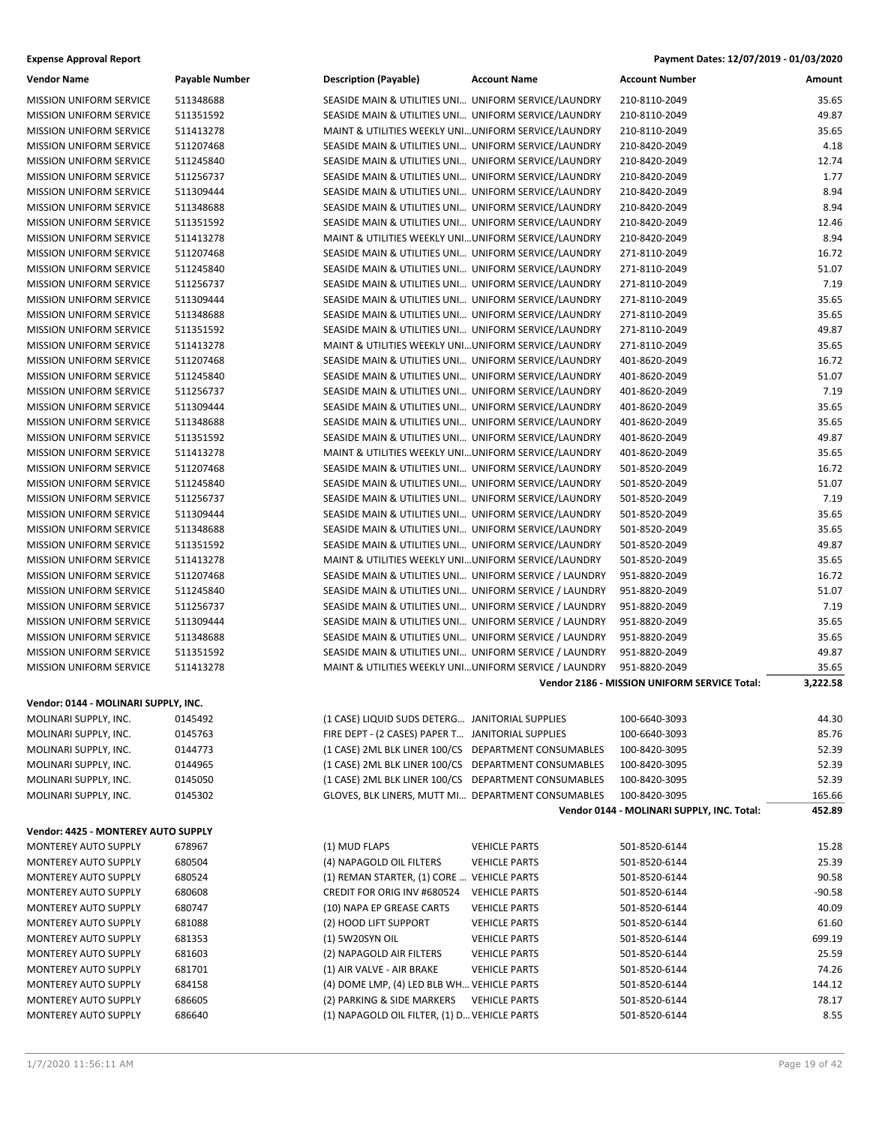### **Expense Approval Report**

| Payment Dates: 12/07/2019 - 01/03/2020 |  |  |  |  |
|----------------------------------------|--|--|--|--|
|----------------------------------------|--|--|--|--|

| <b>Vendor Name</b>                   | <b>Payable Number</b> | <b>Description (Payable)</b>                           | <b>Account Name</b>  | <b>Account Number</b>                               | Amount   |
|--------------------------------------|-----------------------|--------------------------------------------------------|----------------------|-----------------------------------------------------|----------|
| MISSION UNIFORM SERVICE              | 511348688             | SEASIDE MAIN & UTILITIES UNI UNIFORM SERVICE/LAUNDRY   |                      | 210-8110-2049                                       | 35.65    |
| <b>MISSION UNIFORM SERVICE</b>       | 511351592             | SEASIDE MAIN & UTILITIES UNI UNIFORM SERVICE/LAUNDRY   |                      | 210-8110-2049                                       | 49.87    |
| <b>MISSION UNIFORM SERVICE</b>       | 511413278             | MAINT & UTILITIES WEEKLY UNIUNIFORM SERVICE/LAUNDRY    |                      | 210-8110-2049                                       | 35.65    |
| MISSION UNIFORM SERVICE              | 511207468             | SEASIDE MAIN & UTILITIES UNI UNIFORM SERVICE/LAUNDRY   |                      | 210-8420-2049                                       | 4.18     |
| <b>MISSION UNIFORM SERVICE</b>       | 511245840             | SEASIDE MAIN & UTILITIES UNI UNIFORM SERVICE/LAUNDRY   |                      | 210-8420-2049                                       | 12.74    |
| MISSION UNIFORM SERVICE              | 511256737             | SEASIDE MAIN & UTILITIES UNI UNIFORM SERVICE/LAUNDRY   |                      | 210-8420-2049                                       | 1.77     |
| <b>MISSION UNIFORM SERVICE</b>       | 511309444             | SEASIDE MAIN & UTILITIES UNI UNIFORM SERVICE/LAUNDRY   |                      | 210-8420-2049                                       | 8.94     |
| <b>MISSION UNIFORM SERVICE</b>       | 511348688             | SEASIDE MAIN & UTILITIES UNI UNIFORM SERVICE/LAUNDRY   |                      | 210-8420-2049                                       | 8.94     |
| <b>MISSION UNIFORM SERVICE</b>       | 511351592             | SEASIDE MAIN & UTILITIES UNI UNIFORM SERVICE/LAUNDRY   |                      | 210-8420-2049                                       | 12.46    |
| <b>MISSION UNIFORM SERVICE</b>       | 511413278             | MAINT & UTILITIES WEEKLY UNIUNIFORM SERVICE/LAUNDRY    |                      | 210-8420-2049                                       | 8.94     |
| MISSION UNIFORM SERVICE              | 511207468             | SEASIDE MAIN & UTILITIES UNI UNIFORM SERVICE/LAUNDRY   |                      | 271-8110-2049                                       | 16.72    |
| <b>MISSION UNIFORM SERVICE</b>       | 511245840             | SEASIDE MAIN & UTILITIES UNI UNIFORM SERVICE/LAUNDRY   |                      | 271-8110-2049                                       | 51.07    |
| <b>MISSION UNIFORM SERVICE</b>       | 511256737             | SEASIDE MAIN & UTILITIES UNI UNIFORM SERVICE/LAUNDRY   |                      | 271-8110-2049                                       | 7.19     |
| MISSION UNIFORM SERVICE              | 511309444             | SEASIDE MAIN & UTILITIES UNI UNIFORM SERVICE/LAUNDRY   |                      | 271-8110-2049                                       | 35.65    |
| <b>MISSION UNIFORM SERVICE</b>       | 511348688             | SEASIDE MAIN & UTILITIES UNI UNIFORM SERVICE/LAUNDRY   |                      | 271-8110-2049                                       | 35.65    |
| MISSION UNIFORM SERVICE              | 511351592             | SEASIDE MAIN & UTILITIES UNI UNIFORM SERVICE/LAUNDRY   |                      | 271-8110-2049                                       | 49.87    |
| <b>MISSION UNIFORM SERVICE</b>       | 511413278             | MAINT & UTILITIES WEEKLY UNIUNIFORM SERVICE/LAUNDRY    |                      | 271-8110-2049                                       | 35.65    |
| <b>MISSION UNIFORM SERVICE</b>       | 511207468             | SEASIDE MAIN & UTILITIES UNI UNIFORM SERVICE/LAUNDRY   |                      | 401-8620-2049                                       | 16.72    |
| MISSION UNIFORM SERVICE              | 511245840             | SEASIDE MAIN & UTILITIES UNI UNIFORM SERVICE/LAUNDRY   |                      | 401-8620-2049                                       | 51.07    |
| <b>MISSION UNIFORM SERVICE</b>       | 511256737             | SEASIDE MAIN & UTILITIES UNI UNIFORM SERVICE/LAUNDRY   |                      | 401-8620-2049                                       | 7.19     |
| MISSION UNIFORM SERVICE              | 511309444             | SEASIDE MAIN & UTILITIES UNI UNIFORM SERVICE/LAUNDRY   |                      | 401-8620-2049                                       | 35.65    |
| <b>MISSION UNIFORM SERVICE</b>       | 511348688             | SEASIDE MAIN & UTILITIES UNI UNIFORM SERVICE/LAUNDRY   |                      | 401-8620-2049                                       | 35.65    |
| <b>MISSION UNIFORM SERVICE</b>       | 511351592             | SEASIDE MAIN & UTILITIES UNI UNIFORM SERVICE/LAUNDRY   |                      | 401-8620-2049                                       | 49.87    |
| MISSION UNIFORM SERVICE              | 511413278             | MAINT & UTILITIES WEEKLY UNIUNIFORM SERVICE/LAUNDRY    |                      | 401-8620-2049                                       | 35.65    |
| <b>MISSION UNIFORM SERVICE</b>       | 511207468             | SEASIDE MAIN & UTILITIES UNI UNIFORM SERVICE/LAUNDRY   |                      | 501-8520-2049                                       | 16.72    |
| <b>MISSION UNIFORM SERVICE</b>       | 511245840             | SEASIDE MAIN & UTILITIES UNI UNIFORM SERVICE/LAUNDRY   |                      | 501-8520-2049                                       | 51.07    |
| <b>MISSION UNIFORM SERVICE</b>       | 511256737             | SEASIDE MAIN & UTILITIES UNI UNIFORM SERVICE/LAUNDRY   |                      | 501-8520-2049                                       | 7.19     |
| <b>MISSION UNIFORM SERVICE</b>       | 511309444             | SEASIDE MAIN & UTILITIES UNI UNIFORM SERVICE/LAUNDRY   |                      | 501-8520-2049                                       | 35.65    |
| MISSION UNIFORM SERVICE              | 511348688             | SEASIDE MAIN & UTILITIES UNI UNIFORM SERVICE/LAUNDRY   |                      | 501-8520-2049                                       | 35.65    |
| <b>MISSION UNIFORM SERVICE</b>       | 511351592             | SEASIDE MAIN & UTILITIES UNI UNIFORM SERVICE/LAUNDRY   |                      | 501-8520-2049                                       | 49.87    |
| MISSION UNIFORM SERVICE              | 511413278             | MAINT & UTILITIES WEEKLY UNIUNIFORM SERVICE/LAUNDRY    |                      | 501-8520-2049                                       | 35.65    |
| <b>MISSION UNIFORM SERVICE</b>       | 511207468             | SEASIDE MAIN & UTILITIES UNI UNIFORM SERVICE / LAUNDRY |                      | 951-8820-2049                                       | 16.72    |
| <b>MISSION UNIFORM SERVICE</b>       | 511245840             | SEASIDE MAIN & UTILITIES UNI UNIFORM SERVICE / LAUNDRY |                      | 951-8820-2049                                       | 51.07    |
| MISSION UNIFORM SERVICE              | 511256737             | SEASIDE MAIN & UTILITIES UNI UNIFORM SERVICE / LAUNDRY |                      | 951-8820-2049                                       | 7.19     |
| <b>MISSION UNIFORM SERVICE</b>       | 511309444             | SEASIDE MAIN & UTILITIES UNI UNIFORM SERVICE / LAUNDRY |                      | 951-8820-2049                                       | 35.65    |
| MISSION UNIFORM SERVICE              | 511348688             | SEASIDE MAIN & UTILITIES UNI UNIFORM SERVICE / LAUNDRY |                      | 951-8820-2049                                       | 35.65    |
| <b>MISSION UNIFORM SERVICE</b>       | 511351592             | SEASIDE MAIN & UTILITIES UNI UNIFORM SERVICE / LAUNDRY |                      | 951-8820-2049                                       | 49.87    |
| MISSION UNIFORM SERVICE              | 511413278             | MAINT & UTILITIES WEEKLY UNIUNIFORM SERVICE / LAUNDRY  |                      | 951-8820-2049                                       | 35.65    |
|                                      |                       |                                                        |                      | <b>Vendor 2186 - MISSION UNIFORM SERVICE Total:</b> | 3,222.58 |
| Vendor: 0144 - MOLINARI SUPPLY, INC. |                       |                                                        |                      |                                                     |          |
| MOLINARI SUPPLY, INC.                | 0145492               | (1 CASE) LIQUID SUDS DETERG JANITORIAL SUPPLIES        |                      | 100-6640-3093                                       | 44.30    |
| MOLINARI SUPPLY, INC.                | 0145763               | FIRE DEPT - (2 CASES) PAPER T JANITORIAL SUPPLIES      |                      | 100-6640-3093                                       | 85.76    |
| MOLINARI SUPPLY, INC.                | 0144773               | (1 CASE) 2ML BLK LINER 100/CS DEPARTMENT CONSUMABLES   |                      | 100-8420-3095                                       | 52.39    |
| MOLINARI SUPPLY, INC.                | 0144965               | (1 CASE) 2ML BLK LINER 100/CS DEPARTMENT CONSUMABLES   |                      | 100-8420-3095                                       | 52.39    |
| MOLINARI SUPPLY, INC.                | 0145050               | (1 CASE) 2ML BLK LINER 100/CS DEPARTMENT CONSUMABLES   |                      | 100-8420-3095                                       | 52.39    |
| MOLINARI SUPPLY, INC.                | 0145302               | GLOVES, BLK LINERS, MUTT MI DEPARTMENT CONSUMABLES     |                      | 100-8420-3095                                       | 165.66   |
|                                      |                       |                                                        |                      | Vendor 0144 - MOLINARI SUPPLY, INC. Total:          | 452.89   |
| Vendor: 4425 - MONTEREY AUTO SUPPLY  |                       |                                                        |                      |                                                     |          |
| MONTEREY AUTO SUPPLY                 | 678967                | (1) MUD FLAPS                                          | <b>VEHICLE PARTS</b> | 501-8520-6144                                       | 15.28    |
| MONTEREY AUTO SUPPLY                 | 680504                | (4) NAPAGOLD OIL FILTERS                               | <b>VEHICLE PARTS</b> | 501-8520-6144                                       | 25.39    |
| MONTEREY AUTO SUPPLY                 | 680524                | (1) REMAN STARTER, (1) CORE  VEHICLE PARTS             |                      | 501-8520-6144                                       | 90.58    |
| MONTEREY AUTO SUPPLY                 | 680608                | CREDIT FOR ORIG INV #680524                            | <b>VEHICLE PARTS</b> | 501-8520-6144                                       | $-90.58$ |
| MONTEREY AUTO SUPPLY                 | 680747                | (10) NAPA EP GREASE CARTS                              | <b>VEHICLE PARTS</b> | 501-8520-6144                                       | 40.09    |
| MONTEREY AUTO SUPPLY                 | 681088                | (2) HOOD LIFT SUPPORT                                  | <b>VEHICLE PARTS</b> | 501-8520-6144                                       | 61.60    |
| MONTEREY AUTO SUPPLY                 | 681353                | (1) 5W20SYN OIL                                        | <b>VEHICLE PARTS</b> | 501-8520-6144                                       | 699.19   |
| MONTEREY AUTO SUPPLY                 | 681603                | (2) NAPAGOLD AIR FILTERS                               | <b>VEHICLE PARTS</b> | 501-8520-6144                                       | 25.59    |
| MONTEREY AUTO SUPPLY                 | 681701                | (1) AIR VALVE - AIR BRAKE                              | <b>VEHICLE PARTS</b> | 501-8520-6144                                       | 74.26    |
| MONTEREY AUTO SUPPLY                 | 684158                | (4) DOME LMP, (4) LED BLB WH VEHICLE PARTS             |                      | 501-8520-6144                                       | 144.12   |
| MONTEREY AUTO SUPPLY                 | 686605                | (2) PARKING & SIDE MARKERS                             | <b>VEHICLE PARTS</b> | 501-8520-6144                                       | 78.17    |
| MONTEREY AUTO SUPPLY                 | 686640                | (1) NAPAGOLD OIL FILTER, (1) D VEHICLE PARTS           |                      | 501-8520-6144                                       | 8.55     |
|                                      |                       |                                                        |                      |                                                     |          |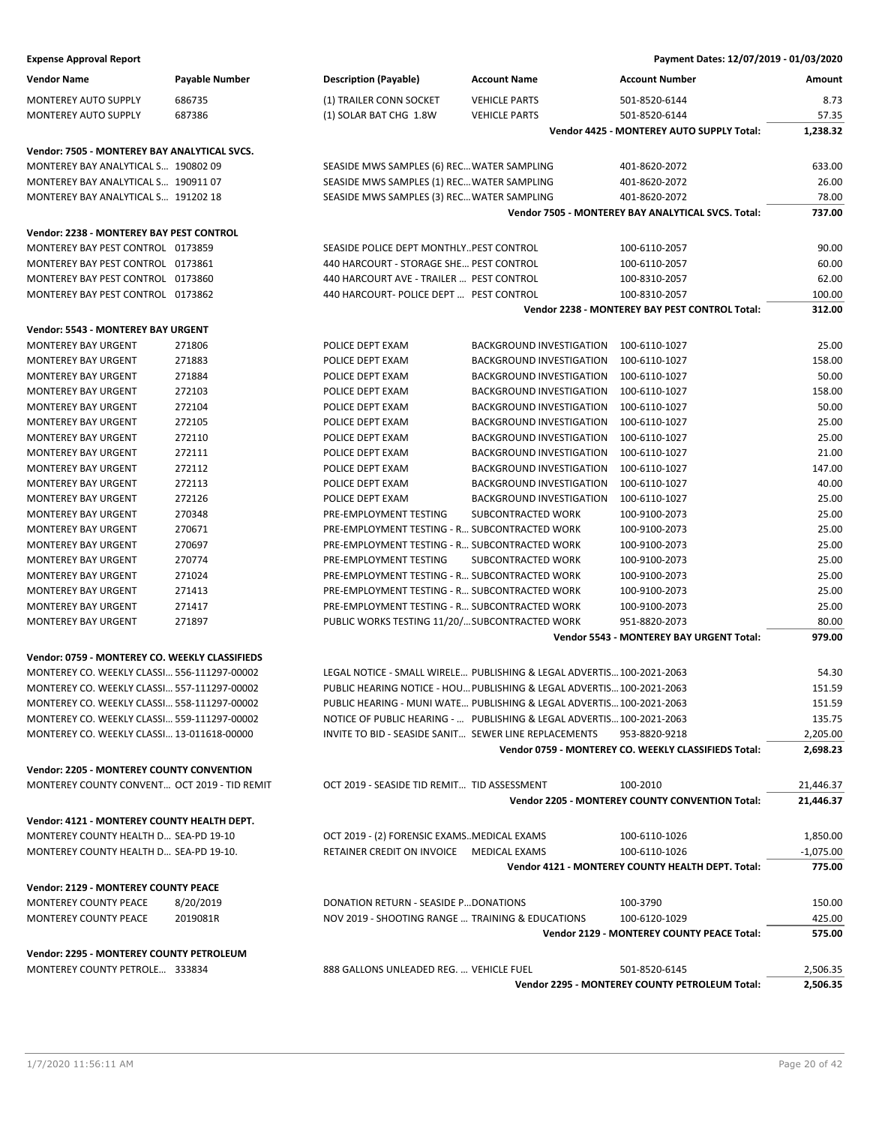| <b>Expense Approval Report</b>                           |                  |                                                       |                                                                       | Payment Dates: 12/07/2019 - 01/03/2020                 |                |
|----------------------------------------------------------|------------------|-------------------------------------------------------|-----------------------------------------------------------------------|--------------------------------------------------------|----------------|
| <b>Vendor Name</b>                                       | Payable Number   | <b>Description (Payable)</b>                          | <b>Account Name</b>                                                   | <b>Account Number</b>                                  | Amount         |
| MONTEREY AUTO SUPPLY                                     | 686735           | (1) TRAILER CONN SOCKET                               | <b>VEHICLE PARTS</b>                                                  | 501-8520-6144                                          | 8.73           |
| MONTEREY AUTO SUPPLY                                     | 687386           | (1) SOLAR BAT CHG 1.8W                                | <b>VEHICLE PARTS</b>                                                  | 501-8520-6144                                          | 57.35          |
|                                                          |                  |                                                       |                                                                       | Vendor 4425 - MONTEREY AUTO SUPPLY Total:              | 1,238.32       |
| Vendor: 7505 - MONTEREY BAY ANALYTICAL SVCS.             |                  |                                                       |                                                                       |                                                        |                |
| MONTEREY BAY ANALYTICAL S 190802 09                      |                  | SEASIDE MWS SAMPLES (6) REC WATER SAMPLING            |                                                                       | 401-8620-2072                                          | 633.00         |
| MONTEREY BAY ANALYTICAL S 190911 07                      |                  | SEASIDE MWS SAMPLES (1) REC WATER SAMPLING            |                                                                       | 401-8620-2072                                          | 26.00          |
| MONTEREY BAY ANALYTICAL S 191202 18                      |                  | SEASIDE MWS SAMPLES (3) REC WATER SAMPLING            |                                                                       | 401-8620-2072                                          | 78.00          |
|                                                          |                  |                                                       |                                                                       | Vendor 7505 - MONTEREY BAY ANALYTICAL SVCS. Total:     | 737.00         |
| Vendor: 2238 - MONTEREY BAY PEST CONTROL                 |                  |                                                       |                                                                       |                                                        |                |
| MONTEREY BAY PEST CONTROL 0173859                        |                  | SEASIDE POLICE DEPT MONTHLYPEST CONTROL               |                                                                       | 100-6110-2057                                          | 90.00          |
| MONTEREY BAY PEST CONTROL 0173861                        |                  | 440 HARCOURT - STORAGE SHE PEST CONTROL               |                                                                       | 100-6110-2057                                          | 60.00          |
| MONTEREY BAY PEST CONTROL 0173860                        |                  | 440 HARCOURT AVE - TRAILER  PEST CONTROL              |                                                                       | 100-8310-2057                                          | 62.00          |
| MONTEREY BAY PEST CONTROL 0173862                        |                  | 440 HARCOURT- POLICE DEPT  PEST CONTROL               |                                                                       | 100-8310-2057                                          | 100.00         |
|                                                          |                  |                                                       |                                                                       | Vendor 2238 - MONTEREY BAY PEST CONTROL Total:         | 312.00         |
| Vendor: 5543 - MONTEREY BAY URGENT                       |                  |                                                       |                                                                       |                                                        |                |
| <b>MONTEREY BAY URGENT</b>                               | 271806           | POLICE DEPT EXAM                                      | <b>BACKGROUND INVESTIGATION</b>                                       | 100-6110-1027                                          | 25.00          |
| <b>MONTEREY BAY URGENT</b>                               | 271883           | POLICE DEPT EXAM                                      | <b>BACKGROUND INVESTIGATION</b>                                       | 100-6110-1027                                          | 158.00         |
| MONTEREY BAY URGENT                                      | 271884           | POLICE DEPT EXAM                                      | <b>BACKGROUND INVESTIGATION</b>                                       | 100-6110-1027                                          | 50.00          |
| <b>MONTEREY BAY URGENT</b>                               | 272103           | POLICE DEPT EXAM                                      | <b>BACKGROUND INVESTIGATION</b>                                       | 100-6110-1027                                          | 158.00         |
| <b>MONTEREY BAY URGENT</b>                               | 272104           | POLICE DEPT EXAM                                      | <b>BACKGROUND INVESTIGATION</b>                                       | 100-6110-1027                                          | 50.00          |
| <b>MONTEREY BAY URGENT</b>                               | 272105           | POLICE DEPT EXAM                                      | <b>BACKGROUND INVESTIGATION</b>                                       | 100-6110-1027                                          | 25.00          |
| <b>MONTEREY BAY URGENT</b>                               | 272110           | POLICE DEPT EXAM                                      | <b>BACKGROUND INVESTIGATION</b>                                       | 100-6110-1027                                          | 25.00          |
| <b>MONTEREY BAY URGENT</b>                               | 272111           | POLICE DEPT EXAM                                      | <b>BACKGROUND INVESTIGATION</b>                                       | 100-6110-1027                                          | 21.00          |
| <b>MONTEREY BAY URGENT</b>                               | 272112           | POLICE DEPT EXAM                                      | <b>BACKGROUND INVESTIGATION</b>                                       | 100-6110-1027                                          | 147.00         |
| <b>MONTEREY BAY URGENT</b>                               | 272113           | POLICE DEPT EXAM                                      | <b>BACKGROUND INVESTIGATION</b>                                       | 100-6110-1027                                          | 40.00          |
| <b>MONTEREY BAY URGENT</b><br><b>MONTEREY BAY URGENT</b> | 272126<br>270348 | POLICE DEPT EXAM<br>PRE-EMPLOYMENT TESTING            | <b>BACKGROUND INVESTIGATION</b><br>SUBCONTRACTED WORK                 | 100-6110-1027<br>100-9100-2073                         | 25.00<br>25.00 |
| MONTEREY BAY URGENT                                      | 270671           | PRE-EMPLOYMENT TESTING - R SUBCONTRACTED WORK         |                                                                       | 100-9100-2073                                          | 25.00          |
| <b>MONTEREY BAY URGENT</b>                               | 270697           | PRE-EMPLOYMENT TESTING - R SUBCONTRACTED WORK         |                                                                       | 100-9100-2073                                          | 25.00          |
| <b>MONTEREY BAY URGENT</b>                               | 270774           | PRE-EMPLOYMENT TESTING                                | SUBCONTRACTED WORK                                                    | 100-9100-2073                                          | 25.00          |
| <b>MONTEREY BAY URGENT</b>                               | 271024           | PRE-EMPLOYMENT TESTING - R SUBCONTRACTED WORK         |                                                                       | 100-9100-2073                                          | 25.00          |
| <b>MONTEREY BAY URGENT</b>                               | 271413           | PRE-EMPLOYMENT TESTING - R SUBCONTRACTED WORK         |                                                                       | 100-9100-2073                                          | 25.00          |
| <b>MONTEREY BAY URGENT</b>                               | 271417           | PRE-EMPLOYMENT TESTING - R SUBCONTRACTED WORK         |                                                                       | 100-9100-2073                                          | 25.00          |
| MONTEREY BAY URGENT                                      | 271897           | PUBLIC WORKS TESTING 11/20/ SUBCONTRACTED WORK        |                                                                       | 951-8820-2073                                          | 80.00          |
|                                                          |                  |                                                       |                                                                       | Vendor 5543 - MONTEREY BAY URGENT Total:               | 979.00         |
| Vendor: 0759 - MONTEREY CO. WEEKLY CLASSIFIEDS           |                  |                                                       |                                                                       |                                                        |                |
| MONTEREY CO. WEEKLY CLASSI 556-111297-00002              |                  |                                                       | LEGAL NOTICE - SMALL WIRELE PUBLISHING & LEGAL ADVERTIS 100-2021-2063 |                                                        | 54.30          |
| MONTEREY CO. WEEKLY CLASSI 557-111297-00002              |                  |                                                       | PUBLIC HEARING NOTICE - HOU PUBLISHING & LEGAL ADVERTIS 100-2021-2063 |                                                        | 151.59         |
| MONTEREY CO. WEEKLY CLASSI 558-111297-00002              |                  |                                                       | PUBLIC HEARING - MUNI WATE PUBLISHING & LEGAL ADVERTIS 100-2021-2063  |                                                        | 151.59         |
| MONTEREY CO. WEEKLY CLASSI 559-111297-00002              |                  |                                                       | NOTICE OF PUBLIC HEARING -  PUBLISHING & LEGAL ADVERTIS 100-2021-2063 |                                                        | 135.75         |
| MONTEREY CO. WEEKLY CLASSI 13-011618-00000               |                  | INVITE TO BID - SEASIDE SANIT SEWER LINE REPLACEMENTS |                                                                       | 953-8820-9218                                          | 2,205.00       |
|                                                          |                  |                                                       |                                                                       | Vendor 0759 - MONTEREY CO. WEEKLY CLASSIFIEDS Total:   | 2,698.23       |
| <b>Vendor: 2205 - MONTEREY COUNTY CONVENTION</b>         |                  |                                                       |                                                                       |                                                        |                |
| MONTEREY COUNTY CONVENT OCT 2019 - TID REMIT             |                  | OCT 2019 - SEASIDE TID REMIT TID ASSESSMENT           |                                                                       | 100-2010                                               | 21,446.37      |
|                                                          |                  |                                                       |                                                                       | <b>Vendor 2205 - MONTEREY COUNTY CONVENTION Total:</b> | 21,446.37      |
| Vendor: 4121 - MONTEREY COUNTY HEALTH DEPT.              |                  |                                                       |                                                                       |                                                        |                |
| MONTEREY COUNTY HEALTH D SEA-PD 19-10                    |                  | OCT 2019 - (2) FORENSIC EXAMSMEDICAL EXAMS            |                                                                       | 100-6110-1026                                          | 1,850.00       |
| MONTEREY COUNTY HEALTH D SEA-PD 19-10.                   |                  | RETAINER CREDIT ON INVOICE MEDICAL EXAMS              |                                                                       | 100-6110-1026                                          | $-1,075.00$    |
|                                                          |                  |                                                       |                                                                       | Vendor 4121 - MONTEREY COUNTY HEALTH DEPT. Total:      | 775.00         |
| Vendor: 2129 - MONTEREY COUNTY PEACE                     |                  |                                                       |                                                                       |                                                        |                |
| MONTEREY COUNTY PEACE                                    | 8/20/2019        | DONATION RETURN - SEASIDE P DONATIONS                 |                                                                       | 100-3790                                               | 150.00         |
| MONTEREY COUNTY PEACE                                    | 2019081R         | NOV 2019 - SHOOTING RANGE  TRAINING & EDUCATIONS      |                                                                       | 100-6120-1029                                          | 425.00         |
|                                                          |                  |                                                       |                                                                       | Vendor 2129 - MONTEREY COUNTY PEACE Total:             | 575.00         |
| Vendor: 2295 - MONTEREY COUNTY PETROLEUM                 |                  |                                                       |                                                                       |                                                        |                |
| MONTEREY COUNTY PETROLE 333834                           |                  | 888 GALLONS UNLEADED REG.  VEHICLE FUEL               |                                                                       | 501-8520-6145                                          | 2,506.35       |
|                                                          |                  |                                                       |                                                                       | Vendor 2295 - MONTEREY COUNTY PETROLEUM Total:         | 2,506.35       |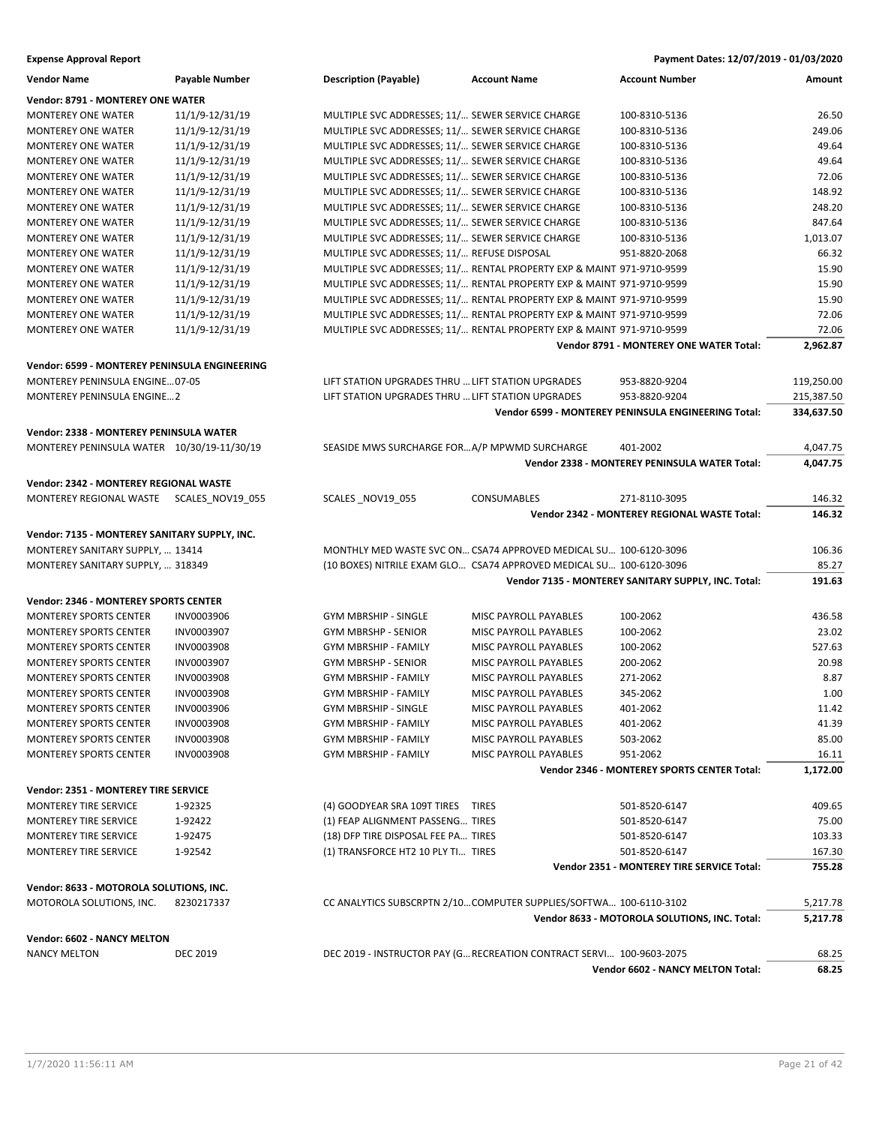| <b>Expense Approval Report</b>                                                        |                   |                                                                       |                              | Payment Dates: 12/07/2019 - 01/03/2020              |            |
|---------------------------------------------------------------------------------------|-------------------|-----------------------------------------------------------------------|------------------------------|-----------------------------------------------------|------------|
| <b>Vendor Name</b>                                                                    | Payable Number    | <b>Description (Payable)</b>                                          | <b>Account Name</b>          | <b>Account Number</b>                               | Amount     |
| Vendor: 8791 - MONTEREY ONE WATER                                                     |                   |                                                                       |                              |                                                     |            |
| <b>MONTEREY ONE WATER</b>                                                             | 11/1/9-12/31/19   | MULTIPLE SVC ADDRESSES; 11/ SEWER SERVICE CHARGE                      |                              | 100-8310-5136                                       | 26.50      |
| <b>MONTEREY ONE WATER</b>                                                             | 11/1/9-12/31/19   | MULTIPLE SVC ADDRESSES; 11/ SEWER SERVICE CHARGE                      |                              | 100-8310-5136                                       | 249.06     |
| <b>MONTEREY ONE WATER</b>                                                             | 11/1/9-12/31/19   | MULTIPLE SVC ADDRESSES; 11/ SEWER SERVICE CHARGE                      |                              | 100-8310-5136                                       | 49.64      |
| <b>MONTEREY ONE WATER</b>                                                             | 11/1/9-12/31/19   | MULTIPLE SVC ADDRESSES; 11/ SEWER SERVICE CHARGE                      |                              | 100-8310-5136                                       | 49.64      |
| <b>MONTEREY ONE WATER</b>                                                             | 11/1/9-12/31/19   | MULTIPLE SVC ADDRESSES; 11/ SEWER SERVICE CHARGE                      |                              | 100-8310-5136                                       | 72.06      |
| MONTEREY ONE WATER                                                                    | 11/1/9-12/31/19   | MULTIPLE SVC ADDRESSES; 11/ SEWER SERVICE CHARGE                      |                              | 100-8310-5136                                       | 148.92     |
| <b>MONTEREY ONE WATER</b>                                                             | 11/1/9-12/31/19   | MULTIPLE SVC ADDRESSES; 11/ SEWER SERVICE CHARGE                      |                              | 100-8310-5136                                       | 248.20     |
| <b>MONTEREY ONE WATER</b>                                                             | 11/1/9-12/31/19   | MULTIPLE SVC ADDRESSES; 11/ SEWER SERVICE CHARGE                      |                              | 100-8310-5136                                       | 847.64     |
| <b>MONTEREY ONE WATER</b>                                                             | 11/1/9-12/31/19   | MULTIPLE SVC ADDRESSES; 11/ SEWER SERVICE CHARGE                      |                              | 100-8310-5136                                       | 1,013.07   |
| <b>MONTEREY ONE WATER</b>                                                             | 11/1/9-12/31/19   | MULTIPLE SVC ADDRESSES; 11/ REFUSE DISPOSAL                           |                              | 951-8820-2068                                       | 66.32      |
| MONTEREY ONE WATER                                                                    | 11/1/9-12/31/19   | MULTIPLE SVC ADDRESSES; 11/ RENTAL PROPERTY EXP & MAINT 971-9710-9599 |                              |                                                     | 15.90      |
| <b>MONTEREY ONE WATER</b>                                                             | 11/1/9-12/31/19   | MULTIPLE SVC ADDRESSES; 11/ RENTAL PROPERTY EXP & MAINT 971-9710-9599 |                              |                                                     | 15.90      |
| <b>MONTEREY ONE WATER</b>                                                             | 11/1/9-12/31/19   | MULTIPLE SVC ADDRESSES; 11/ RENTAL PROPERTY EXP & MAINT 971-9710-9599 |                              |                                                     | 15.90      |
| <b>MONTEREY ONE WATER</b>                                                             | 11/1/9-12/31/19   | MULTIPLE SVC ADDRESSES; 11/ RENTAL PROPERTY EXP & MAINT 971-9710-9599 |                              |                                                     | 72.06      |
| <b>MONTEREY ONE WATER</b>                                                             | 11/1/9-12/31/19   | MULTIPLE SVC ADDRESSES; 11/ RENTAL PROPERTY EXP & MAINT 971-9710-9599 |                              |                                                     | 72.06      |
|                                                                                       |                   |                                                                       |                              | <b>Vendor 8791 - MONTEREY ONE WATER Total:</b>      | 2,962.87   |
| Vendor: 6599 - MONTEREY PENINSULA ENGINEERING                                         |                   |                                                                       |                              |                                                     |            |
| MONTEREY PENINSULA ENGINE 07-05                                                       |                   | LIFT STATION UPGRADES THRU  LIFT STATION UPGRADES                     |                              | 953-8820-9204                                       | 119,250.00 |
| <b>MONTEREY PENINSULA ENGINE2</b>                                                     |                   | LIFT STATION UPGRADES THRU  LIFT STATION UPGRADES                     |                              | 953-8820-9204                                       | 215,387.50 |
|                                                                                       |                   |                                                                       |                              | Vendor 6599 - MONTEREY PENINSULA ENGINEERING Total: | 334,637.50 |
|                                                                                       |                   |                                                                       |                              |                                                     |            |
| Vendor: 2338 - MONTEREY PENINSULA WATER<br>MONTEREY PENINSULA WATER 10/30/19-11/30/19 |                   | SEASIDE MWS SURCHARGE FORA/P MPWMD SURCHARGE                          |                              | 401-2002                                            | 4,047.75   |
|                                                                                       |                   |                                                                       |                              | Vendor 2338 - MONTEREY PENINSULA WATER Total:       | 4,047.75   |
|                                                                                       |                   |                                                                       |                              |                                                     |            |
| Vendor: 2342 - MONTEREY REGIONAL WASTE                                                |                   |                                                                       |                              |                                                     |            |
| MONTEREY REGIONAL WASTE SCALES_NOV19_055                                              |                   | SCALES NOV19 055                                                      | <b>CONSUMABLES</b>           | 271-8110-3095                                       | 146.32     |
|                                                                                       |                   |                                                                       |                              | Vendor 2342 - MONTEREY REGIONAL WASTE Total:        | 146.32     |
| Vendor: 7135 - MONTEREY SANITARY SUPPLY, INC.                                         |                   |                                                                       |                              |                                                     |            |
| MONTEREY SANITARY SUPPLY,  13414                                                      |                   | MONTHLY MED WASTE SVC ON CSA74 APPROVED MEDICAL SU 100-6120-3096      |                              |                                                     | 106.36     |
| MONTEREY SANITARY SUPPLY,  318349                                                     |                   | (10 BOXES) NITRILE EXAM GLO CSA74 APPROVED MEDICAL SU 100-6120-3096   |                              |                                                     | 85.27      |
|                                                                                       |                   |                                                                       |                              | Vendor 7135 - MONTEREY SANITARY SUPPLY, INC. Total: | 191.63     |
| Vendor: 2346 - MONTEREY SPORTS CENTER                                                 |                   |                                                                       |                              |                                                     |            |
| <b>MONTEREY SPORTS CENTER</b>                                                         | INV0003906        | GYM MBRSHIP - SINGLE                                                  | MISC PAYROLL PAYABLES        | 100-2062                                            | 436.58     |
| <b>MONTEREY SPORTS CENTER</b>                                                         | INV0003907        | <b>GYM MBRSHP - SENIOR</b>                                            | MISC PAYROLL PAYABLES        | 100-2062                                            | 23.02      |
| MONTEREY SPORTS CENTER                                                                | <b>INV0003908</b> | <b>GYM MBRSHIP - FAMILY</b>                                           | MISC PAYROLL PAYABLES        | 100-2062                                            | 527.63     |
| <b>MONTEREY SPORTS CENTER</b>                                                         | INV0003907        | <b>GYM MBRSHP - SENIOR</b>                                            | <b>MISC PAYROLL PAYABLES</b> | 200-2062                                            | 20.98      |
| <b>MONTEREY SPORTS CENTER</b>                                                         | <b>INV0003908</b> | <b>GYM MBRSHIP - FAMILY</b>                                           | MISC PAYROLL PAYABLES        | 271-2062                                            | 8.87       |
| <b>MONTEREY SPORTS CENTER</b>                                                         | <b>INV0003908</b> | <b>GYM MBRSHIP - FAMILY</b>                                           | MISC PAYROLL PAYABLES        | 345-2062                                            | 1.00       |
| <b>MONTEREY SPORTS CENTER</b>                                                         | INV0003906        | <b>GYM MBRSHIP - SINGLE</b>                                           | MISC PAYROLL PAYABLES        | 401-2062                                            | 11.42      |
| <b>MONTEREY SPORTS CENTER</b>                                                         | INV0003908        | <b>GYM MBRSHIP - FAMILY</b>                                           | MISC PAYROLL PAYABLES        | 401-2062                                            | 41.39      |
| <b>MONTEREY SPORTS CENTER</b>                                                         | INV0003908        | <b>GYM MBRSHIP - FAMILY</b>                                           | MISC PAYROLL PAYABLES        | 503-2062                                            | 85.00      |
| <b>MONTEREY SPORTS CENTER</b>                                                         | <b>INV0003908</b> | <b>GYM MBRSHIP - FAMILY</b>                                           | MISC PAYROLL PAYABLES        | 951-2062                                            | 16.11      |
|                                                                                       |                   |                                                                       |                              | Vendor 2346 - MONTEREY SPORTS CENTER Total:         | 1,172.00   |
| Vendor: 2351 - MONTEREY TIRE SERVICE                                                  |                   |                                                                       |                              |                                                     |            |
| MONTEREY TIRE SERVICE                                                                 | 1-92325           | (4) GOODYEAR SRA 109T TIRES TIRES                                     |                              | 501-8520-6147                                       | 409.65     |
| MONTEREY TIRE SERVICE                                                                 | 1-92422           | (1) FEAP ALIGNMENT PASSENG TIRES                                      |                              | 501-8520-6147                                       | 75.00      |
| MONTEREY TIRE SERVICE                                                                 | 1-92475           | (18) DFP TIRE DISPOSAL FEE PA TIRES                                   |                              | 501-8520-6147                                       | 103.33     |
| MONTEREY TIRE SERVICE                                                                 | 1-92542           | (1) TRANSFORCE HT2 10 PLY TI TIRES                                    |                              | 501-8520-6147                                       | 167.30     |
|                                                                                       |                   |                                                                       |                              | Vendor 2351 - MONTEREY TIRE SERVICE Total:          | 755.28     |
| Vendor: 8633 - MOTOROLA SOLUTIONS, INC.                                               |                   |                                                                       |                              |                                                     |            |
| MOTOROLA SOLUTIONS, INC.                                                              | 8230217337        | CC ANALYTICS SUBSCRPTN 2/10COMPUTER SUPPLIES/SOFTWA 100-6110-3102     |                              |                                                     | 5,217.78   |
|                                                                                       |                   |                                                                       |                              | Vendor 8633 - MOTOROLA SOLUTIONS, INC. Total:       | 5,217.78   |
| Vendor: 6602 - NANCY MELTON                                                           |                   |                                                                       |                              |                                                     |            |
| <b>NANCY MELTON</b>                                                                   | <b>DEC 2019</b>   | DEC 2019 - INSTRUCTOR PAY (G RECREATION CONTRACT SERVI 100-9603-2075  |                              |                                                     | 68.25      |
|                                                                                       |                   |                                                                       |                              | Vendor 6602 - NANCY MELTON Total:                   | 68.25      |
|                                                                                       |                   |                                                                       |                              |                                                     |            |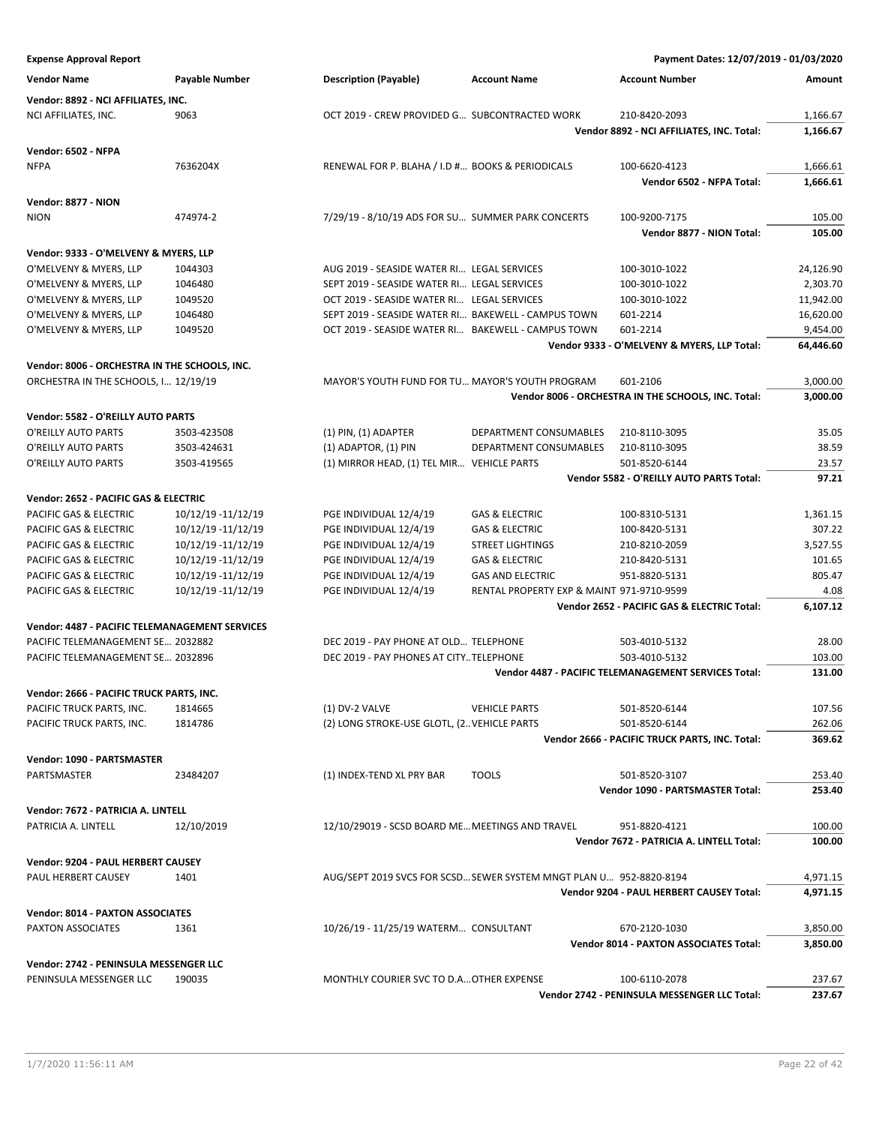**Expense Approval Report Payment Dates: 12/07/2019 - 01/03/2020 Vendor Name Payable Number Description (Payable) Account Name Account Number Amount Vendor: 8892 - NCI AFFILIATES, INC.** NCI AFFILIATES, INC. 9063 0CT 2019 - CREW PROVIDED G... SUBCONTRACTED WORK 210-8420-2093 1,166.67 **Vendor 8892 - NCI AFFILIATES, INC. Total: 1,166.67 Vendor: 6502 - NFPA** NFPA 7636204X RENEWAL FOR P. BLAHA / I.D #… BOOKS & PERIODICALS 100-6620-4123 1,666.61 **Vendor 6502 - NFPA Total: 1,666.61 Vendor: 8877 - NION** NION 474974-2 474974-2 7/29/19 - 8/10/19 ADS FOR SU... SUMMER PARK CONCERTS 100-9200-7175 105.00 **Vendor 8877 - NION Total: 105.00 Vendor: 9333 - O'MELVENY & MYERS, LLP** O'MELVENY & MYERS, LLP 1044303 AUG 2019 - SEASIDE WATER RI... LEGAL SERVICES 100-3010-1022 24,126.90 O'MELVENY & MYERS, LLP 1046480 SEPT 2019 - SEPT 2019 - SEASIDE WATER RI... LEGAL SERVICES 100-3010-1022 2,303.70 O'MELVENY & MYERS, LLP 1049520 0CT 2019 - SEASIDE WATER RI... LEGAL SERVICES 100-3010-1022 11,942.00 O'MELVENY & MYERS, LLP 1046480 SEPT 2019 - SEASIDE WATER RI... BAKEWELL - CAMPUS TOWN 601-2214 601-2214 O'MELVENY & MYERS, LLP 1049520 OCT 2019 - SEASIDE WATER RI... BAKEWELL - CAMPUS TOWN 601-2214 9,454.00 **Vendor 9333 - O'MELVENY & MYERS, LLP Total: 64,446.60 Vendor: 8006 - ORCHESTRA IN THE SCHOOLS, INC.** ORCHESTRA IN THE SCHOOLS, I… 12/19/19 MAYOR'S YOUTH FUND FOR TU… MAYOR'S YOUTH PROGRAM 601-2106 3,000.00 **Vendor 8006 - ORCHESTRA IN THE SCHOOLS, INC. Total: 3,000.00 Vendor: 5582 - O'REILLY AUTO PARTS** O'REILLY AUTO PARTS 3503-423508 (1) PIN, (1) ADAPTER DEPARTMENT CONSUMABLES 210-8110-3095 35.05 O'REILLY AUTO PARTS 3503-424631 (1) ADAPTOR, (1) PIN DEPARTMENT CONSUMABLES 210-8110-3095 38.59 O'REILLY AUTO PARTS 3503-419565 (1) MIRROR HEAD, (1) TEL MIR… VEHICLE PARTS 501-8520-6144 23.57 **Vendor 5582 - O'REILLY AUTO PARTS Total: 97.21 Vendor: 2652 - PACIFIC GAS & ELECTRIC** PACIFIC GAS & ELECTRIC 10/12/19 -11/12/19 PGE INDIVIDUAL 12/4/19 GAS & ELECTRIC 100-8310-5131 1,361.15 PACIFIC GAS & ELECTRIC 10/12/19 -11/12/19 PGE INDIVIDUAL 12/4/19 GAS & ELECTRIC 100-8420-5131 307.22 PACIFIC GAS & ELECTRIC 10/12/19 -11/12/19 PGE INDIVIDUAL 12/4/19 STREET LIGHTINGS 210-8210-2059 3,527.55 PACIFIC GAS & ELECTRIC 10/12/19 -11/12/19 PGE INDIVIDUAL 12/4/19 GAS & ELECTRIC 210-8420-5131 101.65 PACIFIC GAS & ELECTRIC 10/12/19 -11/12/19 PGE INDIVIDUAL 12/4/19 GAS AND ELECTRIC 951-8820-5131 805.47 PACIFIC GAS & ELECTRIC 10/12/19 -11/12/19 PGE INDIVIDUAL 12/4/19 RENTAL PROPERTY EXP & MAINT 971-9710-9599 4.08 **Vendor 2652 - PACIFIC GAS & ELECTRIC Total: 6,107.12 Vendor: 4487 - PACIFIC TELEMANAGEMENT SERVICES** PACIFIC TELEMANAGEMENT SE... 2032882 DEC 2019 - PAY PHONE AT OLD... TELEPHONE 503-4010-5132 28.00 PACIFIC TELEMANAGEMENT SE… 2032896 DEC 2019 - PAY PHONES AT CITY..TELEPHONE 503-4010-5132 103.00 **Vendor 4487 - PACIFIC TELEMANAGEMENT SERVICES Total: 131.00 Vendor: 2666 - PACIFIC TRUCK PARTS, INC.** PACIFIC TRUCK PARTS, INC. 1814665 (1) DV-2 VALVE VEHICLE PARTS 501-8520-6144 107.56 PACIFIC TRUCK PARTS, INC. 1814786 (2) LONG STROKE-USE GLOTL, (2. VEHICLE PARTS 501-8520-6144 262.06 **Vendor 2666 - PACIFIC TRUCK PARTS, INC. Total: 369.62 Vendor: 1090 - PARTSMASTER** PARTSMASTER 23484207 (1) INDEX-TEND XL PRY BAR TOOLS 501-8520-3107 253.40 **Vendor 1090 - PARTSMASTER Total: 253.40 Vendor: 7672 - PATRICIA A. LINTELL** PATRICIA A. LINTELL 12/10/2019 12/10/29019 - SCSD BOARD ME…MEETINGS AND TRAVEL 951-8820-4121 100.00 **Vendor 7672 - PATRICIA A. LINTELL Total: 100.00 Vendor: 9204 - PAUL HERBERT CAUSEY** PAUL HERBERT CAUSEY 1401 1401 AUG/SEPT 2019 SVCS FOR SCSD... SEWER SYSTEM MNGT PLAN U... 952-8820-8194 4,971.15 **Vendor 9204 - PAUL HERBERT CAUSEY Total: 4,971.15 Vendor: 8014 - PAXTON ASSOCIATES** PAXTON ASSOCIATES 1361 1361 10/26/19 - 11/25/19 WATERM... CONSULTANT 670-2120-1030 3,850.00 **Vendor 8014 - PAXTON ASSOCIATES Total: 3,850.00 Vendor: 2742 - PENINSULA MESSENGER LLC** PENINSULA MESSENGER LLC 190035 MONTHLY COURIER SVC TO D.A... OTHER EXPENSE 100-6110-2078 237.67 **Vendor 2742 - PENINSULA MESSENGER LLC Total: 237.67**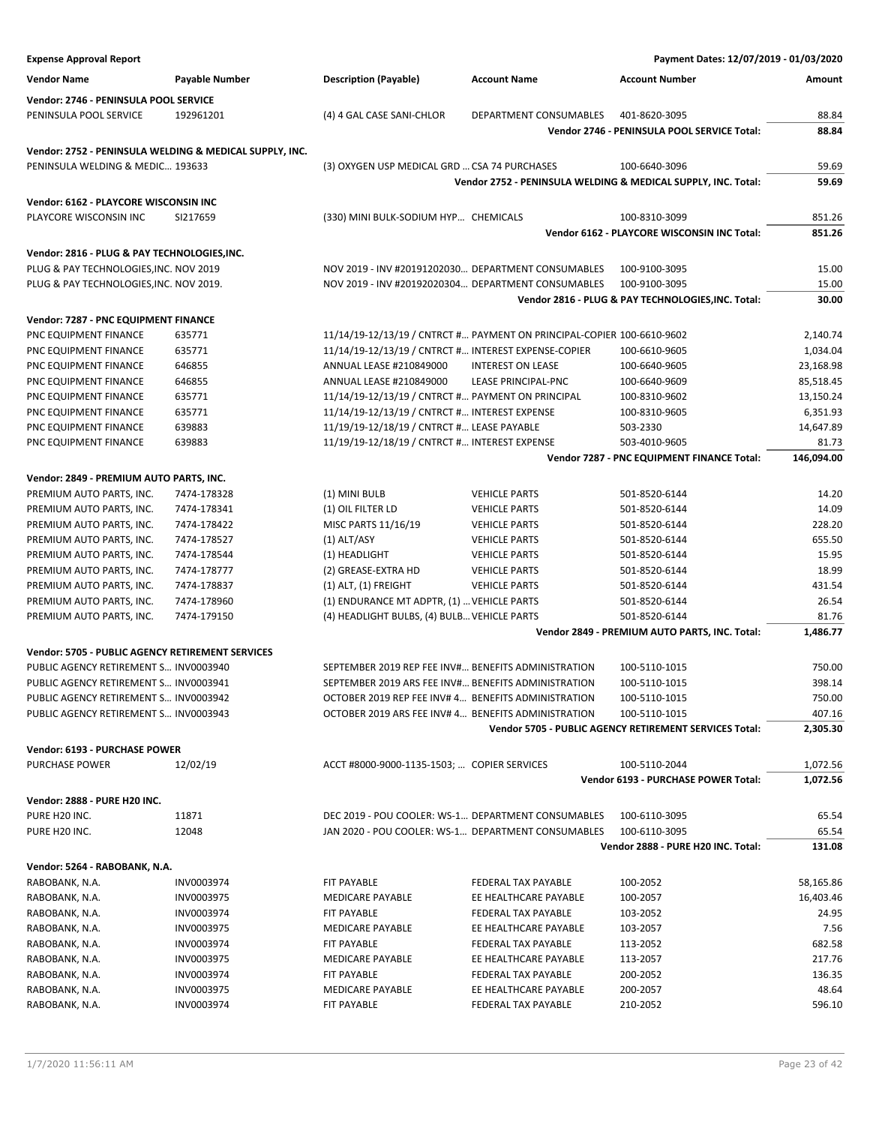| <b>Expense Approval Report</b>                                                            |                |                                                                        |                          | Payment Dates: 12/07/2019 - 01/03/2020                        |            |
|-------------------------------------------------------------------------------------------|----------------|------------------------------------------------------------------------|--------------------------|---------------------------------------------------------------|------------|
| <b>Vendor Name</b>                                                                        | Payable Number | <b>Description (Payable)</b>                                           | <b>Account Name</b>      | <b>Account Number</b>                                         | Amount     |
| Vendor: 2746 - PENINSULA POOL SERVICE                                                     |                |                                                                        |                          |                                                               |            |
| PENINSULA POOL SERVICE                                                                    | 192961201      | (4) 4 GAL CASE SANI-CHLOR                                              | DEPARTMENT CONSUMABLES   | 401-8620-3095                                                 | 88.84      |
|                                                                                           |                |                                                                        |                          | Vendor 2746 - PENINSULA POOL SERVICE Total:                   | 88.84      |
|                                                                                           |                |                                                                        |                          |                                                               |            |
| Vendor: 2752 - PENINSULA WELDING & MEDICAL SUPPLY, INC.                                   |                |                                                                        |                          |                                                               |            |
| PENINSULA WELDING & MEDIC 193633                                                          |                | (3) OXYGEN USP MEDICAL GRD  CSA 74 PURCHASES                           |                          | 100-6640-3096                                                 | 59.69      |
|                                                                                           |                |                                                                        |                          | Vendor 2752 - PENINSULA WELDING & MEDICAL SUPPLY, INC. Total: | 59.69      |
| Vendor: 6162 - PLAYCORE WISCONSIN INC                                                     |                |                                                                        |                          |                                                               |            |
| PLAYCORE WISCONSIN INC                                                                    | SI217659       | (330) MINI BULK-SODIUM HYP CHEMICALS                                   |                          | 100-8310-3099                                                 | 851.26     |
|                                                                                           |                |                                                                        |                          | Vendor 6162 - PLAYCORE WISCONSIN INC Total:                   | 851.26     |
| Vendor: 2816 - PLUG & PAY TECHNOLOGIES, INC.                                              |                |                                                                        |                          |                                                               |            |
| PLUG & PAY TECHNOLOGIES, INC. NOV 2019                                                    |                | NOV 2019 - INV #20191202030 DEPARTMENT CONSUMABLES                     |                          | 100-9100-3095                                                 | 15.00      |
| PLUG & PAY TECHNOLOGIES, INC. NOV 2019.                                                   |                | NOV 2019 - INV #20192020304 DEPARTMENT CONSUMABLES                     |                          | 100-9100-3095                                                 | 15.00      |
|                                                                                           |                |                                                                        |                          | Vendor 2816 - PLUG & PAY TECHNOLOGIES, INC. Total:            | 30.00      |
| Vendor: 7287 - PNC EQUIPMENT FINANCE                                                      |                |                                                                        |                          |                                                               |            |
| PNC EQUIPMENT FINANCE                                                                     | 635771         | 11/14/19-12/13/19 / CNTRCT # PAYMENT ON PRINCIPAL-COPIER 100-6610-9602 |                          |                                                               | 2,140.74   |
| PNC EQUIPMENT FINANCE                                                                     | 635771         | 11/14/19-12/13/19 / CNTRCT # INTEREST EXPENSE-COPIER                   |                          | 100-6610-9605                                                 | 1,034.04   |
| PNC EQUIPMENT FINANCE                                                                     | 646855         | ANNUAL LEASE #210849000                                                | <b>INTEREST ON LEASE</b> | 100-6640-9605                                                 | 23.168.98  |
| PNC EQUIPMENT FINANCE                                                                     | 646855         | ANNUAL LEASE #210849000                                                | LEASE PRINCIPAL-PNC      | 100-6640-9609                                                 | 85,518.45  |
| PNC EQUIPMENT FINANCE                                                                     | 635771         | 11/14/19-12/13/19 / CNTRCT # PAYMENT ON PRINCIPAL                      |                          | 100-8310-9602                                                 | 13,150.24  |
| PNC EQUIPMENT FINANCE                                                                     | 635771         | 11/14/19-12/13/19 / CNTRCT # INTEREST EXPENSE                          |                          | 100-8310-9605                                                 | 6,351.93   |
| PNC EQUIPMENT FINANCE                                                                     | 639883         | 11/19/19-12/18/19 / CNTRCT # LEASE PAYABLE                             |                          | 503-2330                                                      | 14,647.89  |
| PNC EQUIPMENT FINANCE                                                                     | 639883         | 11/19/19-12/18/19 / CNTRCT # INTEREST EXPENSE                          |                          | 503-4010-9605                                                 | 81.73      |
|                                                                                           |                |                                                                        |                          | Vendor 7287 - PNC EQUIPMENT FINANCE Total:                    | 146,094.00 |
|                                                                                           |                |                                                                        |                          |                                                               |            |
| Vendor: 2849 - PREMIUM AUTO PARTS, INC.<br>PREMIUM AUTO PARTS, INC.                       | 7474-178328    | (1) MINI BULB                                                          | <b>VEHICLE PARTS</b>     | 501-8520-6144                                                 | 14.20      |
| PREMIUM AUTO PARTS, INC.                                                                  | 7474-178341    | (1) OIL FILTER LD                                                      | <b>VEHICLE PARTS</b>     | 501-8520-6144                                                 | 14.09      |
| PREMIUM AUTO PARTS, INC.                                                                  | 7474-178422    | MISC PARTS 11/16/19                                                    | <b>VEHICLE PARTS</b>     | 501-8520-6144                                                 | 228.20     |
| PREMIUM AUTO PARTS, INC.                                                                  | 7474-178527    | $(1)$ ALT/ASY                                                          | <b>VEHICLE PARTS</b>     | 501-8520-6144                                                 | 655.50     |
| PREMIUM AUTO PARTS, INC.                                                                  | 7474-178544    | (1) HEADLIGHT                                                          | <b>VEHICLE PARTS</b>     | 501-8520-6144                                                 | 15.95      |
| PREMIUM AUTO PARTS, INC.                                                                  | 7474-178777    | (2) GREASE-EXTRA HD                                                    | <b>VEHICLE PARTS</b>     | 501-8520-6144                                                 | 18.99      |
| PREMIUM AUTO PARTS, INC.                                                                  | 7474-178837    | $(1)$ ALT, $(1)$ FREIGHT                                               | <b>VEHICLE PARTS</b>     | 501-8520-6144                                                 | 431.54     |
| PREMIUM AUTO PARTS, INC.                                                                  | 7474-178960    | (1) ENDURANCE MT ADPTR, (1)  VEHICLE PARTS                             |                          | 501-8520-6144                                                 | 26.54      |
| PREMIUM AUTO PARTS, INC.                                                                  | 7474-179150    | (4) HEADLIGHT BULBS, (4) BULB VEHICLE PARTS                            |                          | 501-8520-6144                                                 | 81.76      |
|                                                                                           |                |                                                                        |                          | Vendor 2849 - PREMIUM AUTO PARTS, INC. Total:                 | 1,486.77   |
|                                                                                           |                |                                                                        |                          |                                                               |            |
| Vendor: 5705 - PUBLIC AGENCY RETIREMENT SERVICES<br>PUBLIC AGENCY RETIREMENT S INV0003940 |                | SEPTEMBER 2019 REP FEE INV# BENEFITS ADMINISTRATION                    |                          |                                                               | 750.00     |
| PUBLIC AGENCY RETIREMENT S INV0003941                                                     |                | SEPTEMBER 2019 ARS FEE INV# BENEFITS ADMINISTRATION                    |                          | 100-5110-1015<br>100-5110-1015                                | 398.14     |
| PUBLIC AGENCY RETIREMENT S INV0003942                                                     |                | OCTOBER 2019 REP FEE INV# 4 BENEFITS ADMINISTRATION                    |                          | 100-5110-1015                                                 | 750.00     |
| PUBLIC AGENCY RETIREMENT S INV0003943                                                     |                | OCTOBER 2019 ARS FEE INV# 4 BENEFITS ADMINISTRATION                    |                          | 100-5110-1015                                                 | 407.16     |
|                                                                                           |                |                                                                        |                          | Vendor 5705 - PUBLIC AGENCY RETIREMENT SERVICES Total:        | 2,305.30   |
|                                                                                           |                |                                                                        |                          |                                                               |            |
| Vendor: 6193 - PURCHASE POWER                                                             |                |                                                                        |                          |                                                               |            |
| <b>PURCHASE POWER</b>                                                                     | 12/02/19       | ACCT #8000-9000-1135-1503;  COPIER SERVICES                            |                          | 100-5110-2044                                                 | 1,072.56   |
|                                                                                           |                |                                                                        |                          | <b>Vendor 6193 - PURCHASE POWER Total:</b>                    | 1,072.56   |
| Vendor: 2888 - PURE H20 INC.                                                              |                |                                                                        |                          |                                                               |            |
| PURE H20 INC.                                                                             | 11871          | DEC 2019 - POU COOLER: WS-1 DEPARTMENT CONSUMABLES                     |                          | 100-6110-3095                                                 | 65.54      |
| PURE H20 INC.                                                                             | 12048          | JAN 2020 - POU COOLER: WS-1 DEPARTMENT CONSUMABLES                     |                          | 100-6110-3095                                                 | 65.54      |
|                                                                                           |                |                                                                        |                          | Vendor 2888 - PURE H20 INC. Total:                            | 131.08     |
| Vendor: 5264 - RABOBANK, N.A.                                                             |                |                                                                        |                          |                                                               |            |
| RABOBANK, N.A.                                                                            | INV0003974     | FIT PAYABLE                                                            | FEDERAL TAX PAYABLE      | 100-2052                                                      | 58,165.86  |
| RABOBANK, N.A.                                                                            | INV0003975     | MEDICARE PAYABLE                                                       | EE HEALTHCARE PAYABLE    | 100-2057                                                      | 16,403.46  |
| RABOBANK, N.A.                                                                            | INV0003974     | FIT PAYABLE                                                            | FEDERAL TAX PAYABLE      | 103-2052                                                      | 24.95      |
| RABOBANK, N.A.                                                                            | INV0003975     | MEDICARE PAYABLE                                                       | EE HEALTHCARE PAYABLE    | 103-2057                                                      | 7.56       |
| RABOBANK, N.A.                                                                            | INV0003974     | FIT PAYABLE                                                            | FEDERAL TAX PAYABLE      | 113-2052                                                      | 682.58     |
| RABOBANK, N.A.                                                                            | INV0003975     | MEDICARE PAYABLE                                                       | EE HEALTHCARE PAYABLE    | 113-2057                                                      | 217.76     |
| RABOBANK, N.A.                                                                            | INV0003974     | FIT PAYABLE                                                            | FEDERAL TAX PAYABLE      | 200-2052                                                      | 136.35     |
| RABOBANK, N.A.                                                                            | INV0003975     | MEDICARE PAYABLE                                                       | EE HEALTHCARE PAYABLE    | 200-2057                                                      | 48.64      |
| RABOBANK, N.A.                                                                            | INV0003974     | FIT PAYABLE                                                            | FEDERAL TAX PAYABLE      | 210-2052                                                      | 596.10     |
|                                                                                           |                |                                                                        |                          |                                                               |            |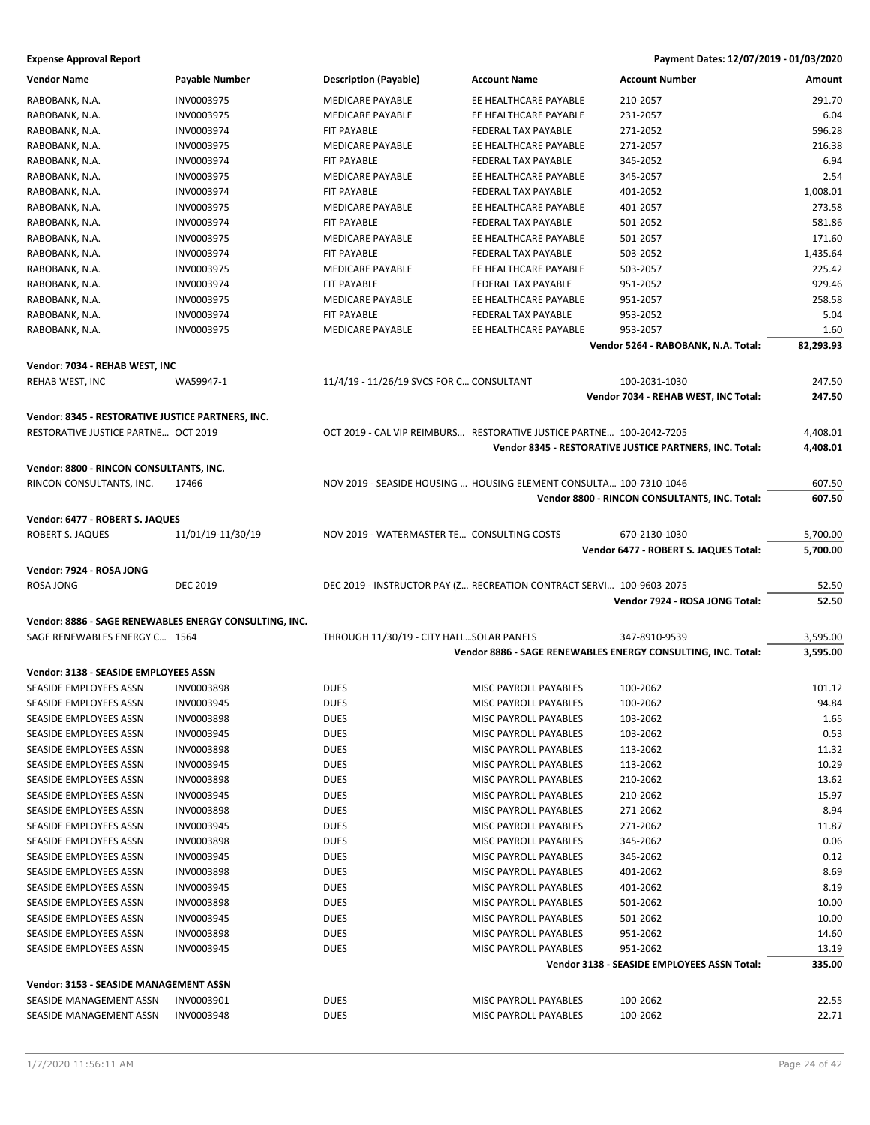| <b>Vendor Name</b>                                     | <b>Payable Number</b> | <b>Description (Payable)</b>                                         | <b>Account Name</b>          | <b>Account Number</b>                                        | Amount    |
|--------------------------------------------------------|-----------------------|----------------------------------------------------------------------|------------------------------|--------------------------------------------------------------|-----------|
| RABOBANK, N.A.                                         | INV0003975            | <b>MEDICARE PAYABLE</b>                                              | EE HEALTHCARE PAYABLE        | 210-2057                                                     | 291.70    |
| RABOBANK, N.A.                                         | INV0003975            | <b>MEDICARE PAYABLE</b>                                              | EE HEALTHCARE PAYABLE        | 231-2057                                                     | 6.04      |
| RABOBANK, N.A.                                         | INV0003974            | FIT PAYABLE                                                          | FEDERAL TAX PAYABLE          | 271-2052                                                     | 596.28    |
| RABOBANK, N.A.                                         | INV0003975            | <b>MEDICARE PAYABLE</b>                                              | EE HEALTHCARE PAYABLE        | 271-2057                                                     | 216.38    |
| RABOBANK, N.A.                                         | INV0003974            | FIT PAYABLE                                                          | FEDERAL TAX PAYABLE          | 345-2052                                                     | 6.94      |
| RABOBANK, N.A.                                         | INV0003975            | MEDICARE PAYABLE                                                     | EE HEALTHCARE PAYABLE        | 345-2057                                                     | 2.54      |
| RABOBANK, N.A.                                         | INV0003974            | FIT PAYABLE                                                          | FEDERAL TAX PAYABLE          | 401-2052                                                     | 1,008.01  |
| RABOBANK, N.A.                                         | INV0003975            | <b>MEDICARE PAYABLE</b>                                              | EE HEALTHCARE PAYABLE        | 401-2057                                                     | 273.58    |
| RABOBANK, N.A.                                         | INV0003974            | FIT PAYABLE                                                          | FEDERAL TAX PAYABLE          | 501-2052                                                     | 581.86    |
| RABOBANK, N.A.                                         | INV0003975            | <b>MEDICARE PAYABLE</b>                                              | EE HEALTHCARE PAYABLE        | 501-2057                                                     | 171.60    |
| RABOBANK, N.A.                                         | INV0003974            | <b>FIT PAYABLE</b>                                                   | FEDERAL TAX PAYABLE          | 503-2052                                                     | 1,435.64  |
| RABOBANK, N.A.                                         | INV0003975            | MEDICARE PAYABLE                                                     | EE HEALTHCARE PAYABLE        | 503-2057                                                     | 225.42    |
| RABOBANK, N.A.                                         | INV0003974            | FIT PAYABLE                                                          | FEDERAL TAX PAYABLE          | 951-2052                                                     | 929.46    |
| RABOBANK, N.A.                                         | INV0003975            | <b>MEDICARE PAYABLE</b>                                              | EE HEALTHCARE PAYABLE        | 951-2057                                                     | 258.58    |
| RABOBANK, N.A.                                         | INV0003974            | FIT PAYABLE                                                          | FEDERAL TAX PAYABLE          | 953-2052                                                     | 5.04      |
| RABOBANK, N.A.                                         | INV0003975            | MEDICARE PAYABLE                                                     | EE HEALTHCARE PAYABLE        | 953-2057                                                     | 1.60      |
|                                                        |                       |                                                                      |                              | Vendor 5264 - RABOBANK, N.A. Total:                          | 82,293.93 |
| Vendor: 7034 - REHAB WEST, INC                         |                       |                                                                      |                              |                                                              |           |
| REHAB WEST, INC                                        | WA59947-1             | 11/4/19 - 11/26/19 SVCS FOR C CONSULTANT                             |                              | 100-2031-1030                                                | 247.50    |
|                                                        |                       |                                                                      |                              | Vendor 7034 - REHAB WEST, INC Total:                         | 247.50    |
| Vendor: 8345 - RESTORATIVE JUSTICE PARTNERS, INC.      |                       |                                                                      |                              |                                                              |           |
| RESTORATIVE JUSTICE PARTNE OCT 2019                    |                       | OCT 2019 - CAL VIP REIMBURS RESTORATIVE JUSTICE PARTNE 100-2042-7205 |                              |                                                              | 4,408.01  |
|                                                        |                       |                                                                      |                              | Vendor 8345 - RESTORATIVE JUSTICE PARTNERS, INC. Total:      | 4,408.01  |
| Vendor: 8800 - RINCON CONSULTANTS, INC.                |                       |                                                                      |                              |                                                              |           |
| RINCON CONSULTANTS, INC.                               | 17466                 | NOV 2019 - SEASIDE HOUSING  HOUSING ELEMENT CONSULTA 100-7310-1046   |                              |                                                              | 607.50    |
|                                                        |                       |                                                                      |                              | Vendor 8800 - RINCON CONSULTANTS, INC. Total:                | 607.50    |
| Vendor: 6477 - ROBERT S. JAQUES                        |                       |                                                                      |                              |                                                              |           |
| ROBERT S. JAQUES                                       | 11/01/19-11/30/19     | NOV 2019 - WATERMASTER TE CONSULTING COSTS                           |                              | 670-2130-1030                                                | 5,700.00  |
|                                                        |                       |                                                                      |                              | Vendor 6477 - ROBERT S. JAQUES Total:                        | 5,700.00  |
| Vendor: 7924 - ROSA JONG                               |                       |                                                                      |                              |                                                              |           |
| ROSA JONG                                              | <b>DEC 2019</b>       | DEC 2019 - INSTRUCTOR PAY (Z RECREATION CONTRACT SERVI 100-9603-2075 |                              |                                                              | 52.50     |
|                                                        |                       |                                                                      |                              | Vendor 7924 - ROSA JONG Total:                               | 52.50     |
|                                                        |                       |                                                                      |                              |                                                              |           |
| Vendor: 8886 - SAGE RENEWABLES ENERGY CONSULTING, INC. |                       |                                                                      |                              |                                                              |           |
| SAGE RENEWABLES ENERGY C 1564                          |                       | THROUGH 11/30/19 - CITY HALL SOLAR PANELS                            |                              | 347-8910-9539                                                | 3,595.00  |
|                                                        |                       |                                                                      |                              | Vendor 8886 - SAGE RENEWABLES ENERGY CONSULTING, INC. Total: | 3,595.00  |
| Vendor: 3138 - SEASIDE EMPLOYEES ASSN                  |                       |                                                                      |                              |                                                              |           |
| SEASIDE EMPLOYEES ASSN                                 | <b>INV0003898</b>     | <b>DUES</b>                                                          | MISC PAYROLL PAYABLES        | 100-2062                                                     | 101.12    |
| SEASIDE EMPLOYEES ASSN                                 | INV0003945            | <b>DUES</b>                                                          | <b>MISC PAYROLL PAYABLES</b> | 100-2062                                                     | 94.84     |
| SEASIDE EMPLOYEES ASSN                                 | INV0003898            | <b>DUES</b>                                                          | MISC PAYROLL PAYABLES        | 103-2062                                                     | 1.65      |
| <b>SEASIDE EMPLOYEES ASSN</b>                          | INV0003945            | <b>DUES</b>                                                          | <b>MISC PAYROLL PAYABLES</b> | 103-2062                                                     | 0.53      |
| SEASIDE EMPLOYEES ASSN                                 | INV0003898            | <b>DUES</b>                                                          | MISC PAYROLL PAYABLES        | 113-2062                                                     | 11.32     |
| SEASIDE EMPLOYEES ASSN                                 | INV0003945            | DUES                                                                 | MISC PAYROLL PAYABLES        | 113-2062                                                     | 10.29     |
| SEASIDE EMPLOYEES ASSN                                 | INV0003898            | <b>DUES</b>                                                          | MISC PAYROLL PAYABLES        | 210-2062                                                     | 13.62     |
| SEASIDE EMPLOYEES ASSN                                 | INV0003945            | <b>DUES</b>                                                          | MISC PAYROLL PAYABLES        | 210-2062                                                     | 15.97     |
| SEASIDE EMPLOYEES ASSN                                 | INV0003898            | <b>DUES</b>                                                          | MISC PAYROLL PAYABLES        | 271-2062                                                     | 8.94      |
| SEASIDE EMPLOYEES ASSN                                 | INV0003945            | <b>DUES</b>                                                          | MISC PAYROLL PAYABLES        | 271-2062                                                     | 11.87     |
| SEASIDE EMPLOYEES ASSN                                 | INV0003898            | <b>DUES</b>                                                          | MISC PAYROLL PAYABLES        | 345-2062                                                     | 0.06      |
| SEASIDE EMPLOYEES ASSN                                 | INV0003945            | <b>DUES</b>                                                          | MISC PAYROLL PAYABLES        | 345-2062                                                     | 0.12      |
| SEASIDE EMPLOYEES ASSN                                 | INV0003898            | <b>DUES</b>                                                          | MISC PAYROLL PAYABLES        | 401-2062                                                     | 8.69      |
| SEASIDE EMPLOYEES ASSN                                 | INV0003945            | <b>DUES</b>                                                          | <b>MISC PAYROLL PAYABLES</b> | 401-2062                                                     | 8.19      |
| SEASIDE EMPLOYEES ASSN                                 | INV0003898            | <b>DUES</b>                                                          | MISC PAYROLL PAYABLES        | 501-2062                                                     | 10.00     |
| SEASIDE EMPLOYEES ASSN                                 | INV0003945            | DUES                                                                 | MISC PAYROLL PAYABLES        | 501-2062                                                     | 10.00     |
| SEASIDE EMPLOYEES ASSN                                 | INV0003898            | <b>DUES</b>                                                          | MISC PAYROLL PAYABLES        | 951-2062                                                     | 14.60     |
| SEASIDE EMPLOYEES ASSN                                 | INV0003945            | <b>DUES</b>                                                          | MISC PAYROLL PAYABLES        | 951-2062                                                     | 13.19     |
|                                                        |                       |                                                                      |                              | Vendor 3138 - SEASIDE EMPLOYEES ASSN Total:                  | 335.00    |
| Vendor: 3153 - SEASIDE MANAGEMENT ASSN                 |                       |                                                                      |                              |                                                              |           |
| SEASIDE MANAGEMENT ASSN                                | INV0003901            | <b>DUES</b>                                                          | MISC PAYROLL PAYABLES        | 100-2062                                                     | 22.55     |
| SEASIDE MANAGEMENT ASSN                                | INV0003948            | <b>DUES</b>                                                          | MISC PAYROLL PAYABLES        | 100-2062                                                     | 22.71     |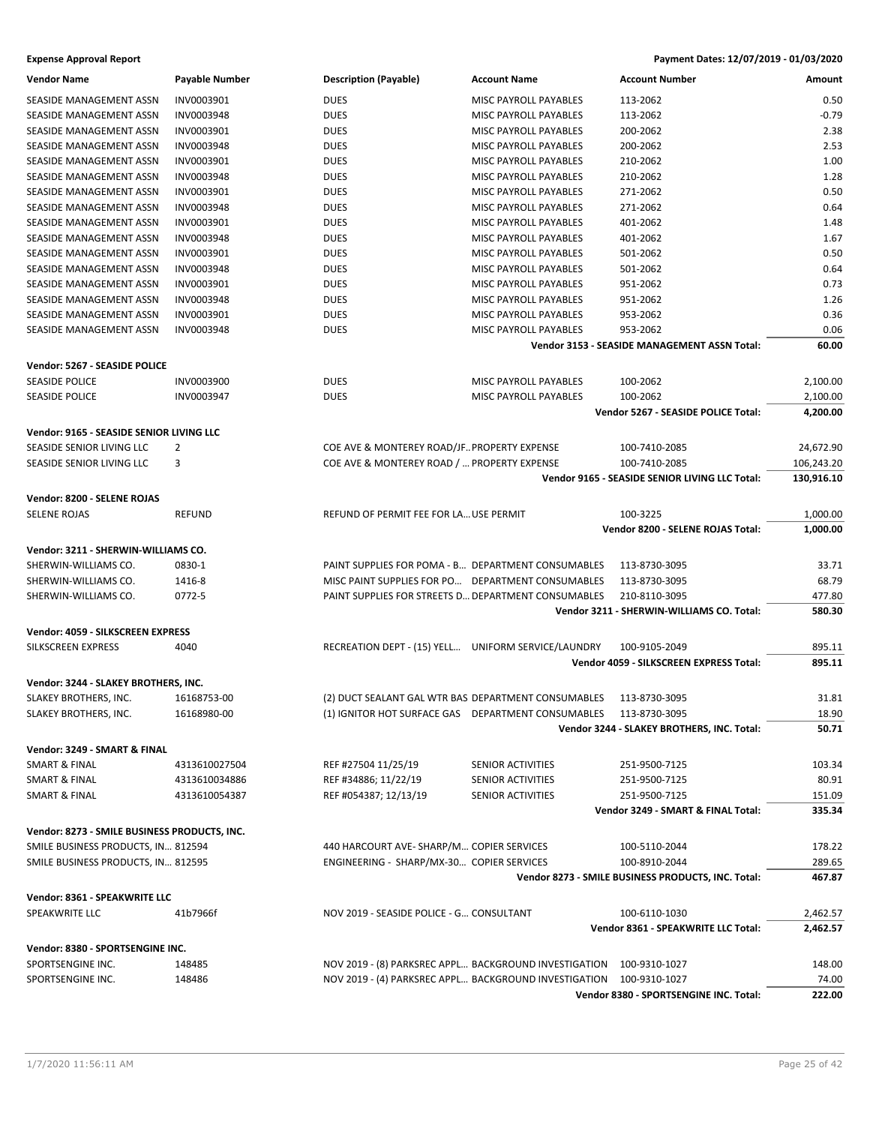| <b>Vendor Name</b>                                                                 | <b>Payable Number</b> | <b>Description (Payable)</b>                        | <b>Account Name</b>                                                 | <b>Account Number</b>                              | Amount     |
|------------------------------------------------------------------------------------|-----------------------|-----------------------------------------------------|---------------------------------------------------------------------|----------------------------------------------------|------------|
| SEASIDE MANAGEMENT ASSN                                                            | INV0003901            | <b>DUES</b>                                         | MISC PAYROLL PAYABLES                                               | 113-2062                                           | 0.50       |
| SEASIDE MANAGEMENT ASSN                                                            | INV0003948            | <b>DUES</b>                                         | MISC PAYROLL PAYABLES                                               | 113-2062                                           | $-0.79$    |
| SEASIDE MANAGEMENT ASSN                                                            | INV0003901            | <b>DUES</b>                                         | MISC PAYROLL PAYABLES                                               | 200-2062                                           | 2.38       |
| SEASIDE MANAGEMENT ASSN                                                            | INV0003948            | <b>DUES</b>                                         | <b>MISC PAYROLL PAYABLES</b>                                        | 200-2062                                           | 2.53       |
| SEASIDE MANAGEMENT ASSN                                                            | INV0003901            | <b>DUES</b>                                         | MISC PAYROLL PAYABLES                                               | 210-2062                                           | 1.00       |
| SEASIDE MANAGEMENT ASSN                                                            | INV0003948            | <b>DUES</b>                                         | MISC PAYROLL PAYABLES                                               | 210-2062                                           | 1.28       |
| SEASIDE MANAGEMENT ASSN                                                            | INV0003901            | <b>DUES</b>                                         | MISC PAYROLL PAYABLES                                               | 271-2062                                           | 0.50       |
| SEASIDE MANAGEMENT ASSN                                                            | INV0003948            | <b>DUES</b>                                         | MISC PAYROLL PAYABLES                                               | 271-2062                                           | 0.64       |
| SEASIDE MANAGEMENT ASSN                                                            | INV0003901            | <b>DUES</b>                                         | <b>MISC PAYROLL PAYABLES</b>                                        | 401-2062                                           | 1.48       |
| SEASIDE MANAGEMENT ASSN                                                            | INV0003948            |                                                     |                                                                     |                                                    | 1.67       |
|                                                                                    |                       | <b>DUES</b>                                         | MISC PAYROLL PAYABLES                                               | 401-2062                                           | 0.50       |
| SEASIDE MANAGEMENT ASSN                                                            | INV0003901            | <b>DUES</b>                                         | MISC PAYROLL PAYABLES                                               | 501-2062                                           |            |
| SEASIDE MANAGEMENT ASSN                                                            | INV0003948            | <b>DUES</b>                                         | <b>MISC PAYROLL PAYABLES</b>                                        | 501-2062                                           | 0.64       |
| SEASIDE MANAGEMENT ASSN                                                            | INV0003901            | <b>DUES</b>                                         | MISC PAYROLL PAYABLES                                               | 951-2062                                           | 0.73       |
| SEASIDE MANAGEMENT ASSN                                                            | INV0003948            | <b>DUES</b>                                         | MISC PAYROLL PAYABLES                                               | 951-2062                                           | 1.26       |
| SEASIDE MANAGEMENT ASSN                                                            | INV0003901            | <b>DUES</b>                                         | MISC PAYROLL PAYABLES                                               | 953-2062                                           | 0.36       |
| SEASIDE MANAGEMENT ASSN                                                            | INV0003948            | <b>DUES</b>                                         | MISC PAYROLL PAYABLES                                               | 953-2062                                           | 0.06       |
|                                                                                    |                       |                                                     |                                                                     | Vendor 3153 - SEASIDE MANAGEMENT ASSN Total:       | 60.00      |
| Vendor: 5267 - SEASIDE POLICE                                                      |                       |                                                     |                                                                     |                                                    |            |
| <b>SEASIDE POLICE</b>                                                              | INV0003900            | <b>DUES</b>                                         | MISC PAYROLL PAYABLES                                               | 100-2062                                           | 2,100.00   |
| <b>SEASIDE POLICE</b>                                                              | INV0003947            | <b>DUES</b>                                         | <b>MISC PAYROLL PAYABLES</b>                                        | 100-2062                                           | 2,100.00   |
|                                                                                    |                       |                                                     |                                                                     | Vendor 5267 - SEASIDE POLICE Total:                | 4,200.00   |
| Vendor: 9165 - SEASIDE SENIOR LIVING LLC                                           |                       |                                                     |                                                                     |                                                    |            |
| SEASIDE SENIOR LIVING LLC                                                          | 2                     | COE AVE & MONTEREY ROAD/JFPROPERTY EXPENSE          |                                                                     | 100-7410-2085                                      | 24,672.90  |
| SEASIDE SENIOR LIVING LLC                                                          | 3                     | COE AVE & MONTEREY ROAD /  PROPERTY EXPENSE         |                                                                     | 100-7410-2085                                      | 106,243.20 |
|                                                                                    |                       |                                                     |                                                                     | Vendor 9165 - SEASIDE SENIOR LIVING LLC Total:     | 130,916.10 |
|                                                                                    |                       |                                                     |                                                                     |                                                    |            |
| Vendor: 8200 - SELENE ROJAS                                                        |                       |                                                     |                                                                     |                                                    |            |
| <b>SELENE ROJAS</b>                                                                | <b>REFUND</b>         | REFUND OF PERMIT FEE FOR LA USE PERMIT              |                                                                     | 100-3225                                           | 1,000.00   |
|                                                                                    |                       |                                                     |                                                                     | Vendor 8200 - SELENE ROJAS Total:                  | 1,000.00   |
| Vendor: 3211 - SHERWIN-WILLIAMS CO.                                                |                       |                                                     |                                                                     |                                                    |            |
| SHERWIN-WILLIAMS CO.                                                               | 0830-1                | PAINT SUPPLIES FOR POMA - B DEPARTMENT CONSUMABLES  |                                                                     | 113-8730-3095                                      | 33.71      |
| SHERWIN-WILLIAMS CO.                                                               | 1416-8                | MISC PAINT SUPPLIES FOR PO DEPARTMENT CONSUMABLES   |                                                                     | 113-8730-3095                                      | 68.79      |
| SHERWIN-WILLIAMS CO.                                                               | 0772-5                | PAINT SUPPLIES FOR STREETS D DEPARTMENT CONSUMABLES |                                                                     | 210-8110-3095                                      | 477.80     |
|                                                                                    |                       |                                                     |                                                                     | Vendor 3211 - SHERWIN-WILLIAMS CO. Total:          | 580.30     |
| Vendor: 4059 - SILKSCREEN EXPRESS                                                  |                       |                                                     |                                                                     |                                                    |            |
| SILKSCREEN EXPRESS                                                                 | 4040                  | RECREATION DEPT - (15) YELL UNIFORM SERVICE/LAUNDRY |                                                                     | 100-9105-2049                                      | 895.11     |
|                                                                                    |                       |                                                     |                                                                     | Vendor 4059 - SILKSCREEN EXPRESS Total:            | 895.11     |
|                                                                                    |                       |                                                     |                                                                     |                                                    |            |
| Vendor: 3244 - SLAKEY BROTHERS, INC.                                               |                       |                                                     |                                                                     |                                                    |            |
| SLAKEY BROTHERS, INC.                                                              | 16168753-00           | (2) DUCT SEALANT GAL WTR BAS DEPARTMENT CONSUMABLES |                                                                     | 113-8730-3095                                      | 31.81      |
| SLAKEY BROTHERS, INC.                                                              | 16168980-00           |                                                     | (1) IGNITOR HOT SURFACE GAS  DEPARTMENT CONSUMABLES  113-8730-3095  |                                                    | 18.90      |
|                                                                                    |                       |                                                     |                                                                     | Vendor 3244 - SLAKEY BROTHERS, INC. Total:         | 50.71      |
| Vendor: 3249 - SMART & FINAL                                                       |                       |                                                     |                                                                     |                                                    |            |
| <b>SMART &amp; FINAL</b>                                                           | 4313610027504         | REF #27504 11/25/19                                 | SENIOR ACTIVITIES                                                   | 251-9500-7125                                      | 103.34     |
| <b>SMART &amp; FINAL</b>                                                           | 4313610034886         | REF #34886; 11/22/19                                | SENIOR ACTIVITIES                                                   | 251-9500-7125                                      | 80.91      |
| SMART & FINAL                                                                      | 4313610054387         | REF #054387; 12/13/19                               | SENIOR ACTIVITIES                                                   | 251-9500-7125                                      | 151.09     |
|                                                                                    |                       |                                                     |                                                                     | Vendor 3249 - SMART & FINAL Total:                 | 335.34     |
|                                                                                    |                       |                                                     |                                                                     |                                                    |            |
| Vendor: 8273 - SMILE BUSINESS PRODUCTS, INC.<br>SMILE BUSINESS PRODUCTS, IN 812594 |                       | 440 HARCOURT AVE- SHARP/M COPIER SERVICES           |                                                                     | 100-5110-2044                                      | 178.22     |
|                                                                                    |                       |                                                     |                                                                     |                                                    |            |
| SMILE BUSINESS PRODUCTS, IN 812595                                                 |                       | ENGINEERING - SHARP/MX-30 COPIER SERVICES           |                                                                     | 100-8910-2044                                      | 289.65     |
|                                                                                    |                       |                                                     |                                                                     | Vendor 8273 - SMILE BUSINESS PRODUCTS, INC. Total: | 467.87     |
| Vendor: 8361 - SPEAKWRITE LLC                                                      |                       |                                                     |                                                                     |                                                    |            |
| SPEAKWRITE LLC                                                                     | 41b7966f              | NOV 2019 - SEASIDE POLICE - G CONSULTANT            |                                                                     | 100-6110-1030                                      | 2,462.57   |
|                                                                                    |                       |                                                     |                                                                     | Vendor 8361 - SPEAKWRITE LLC Total:                | 2,462.57   |
| Vendor: 8380 - SPORTSENGINE INC.                                                   |                       |                                                     |                                                                     |                                                    |            |
| SPORTSENGINE INC.                                                                  | 148485                |                                                     | NOV 2019 - (8) PARKSREC APPL BACKGROUND INVESTIGATION 100-9310-1027 |                                                    | 148.00     |
| SPORTSENGINE INC.                                                                  | 148486                |                                                     | NOV 2019 - (4) PARKSREC APPL BACKGROUND INVESTIGATION 100-9310-1027 |                                                    | 74.00      |
|                                                                                    |                       |                                                     |                                                                     | Vendor 8380 - SPORTSENGINE INC. Total:             | 222.00     |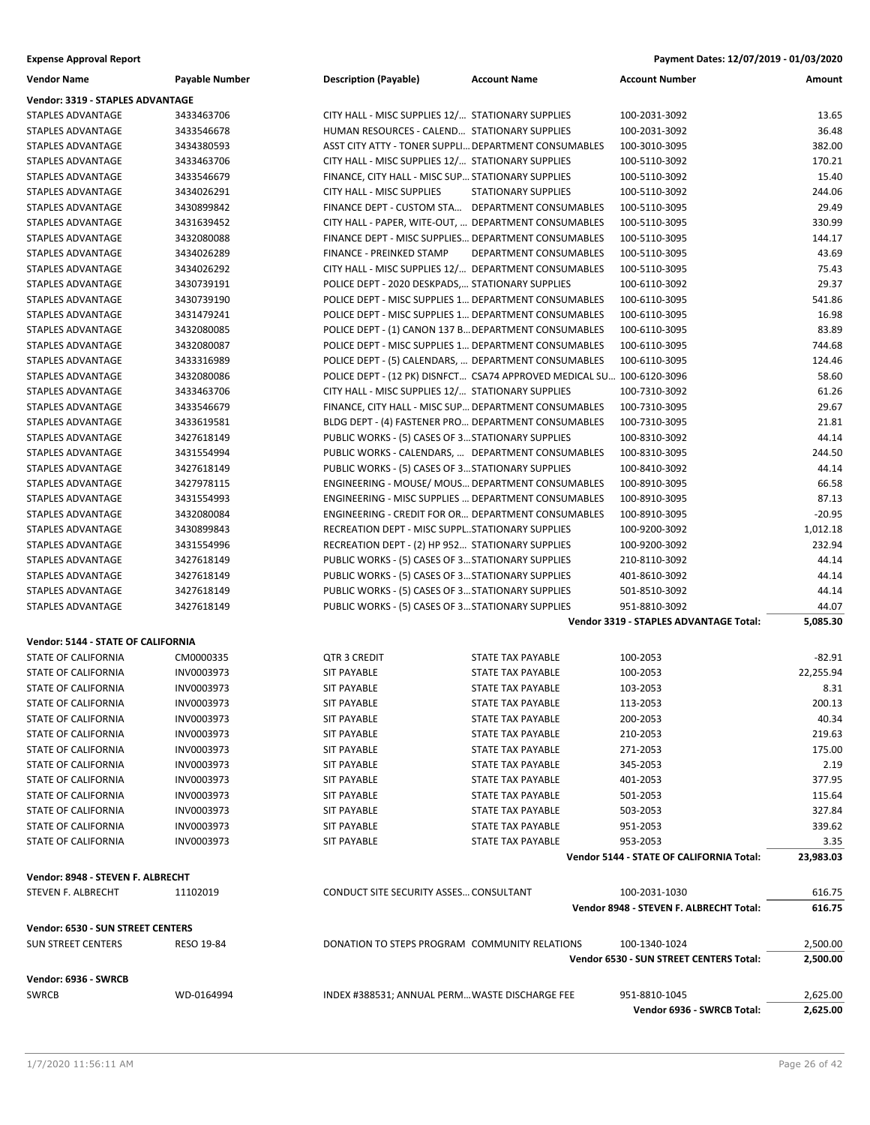| <b>Vendor Name</b>                                             | Payable Number | <b>Description (Payable)</b>                         | <b>Account Name</b>                                                   | <b>Account Number</b>                    | Amount    |
|----------------------------------------------------------------|----------------|------------------------------------------------------|-----------------------------------------------------------------------|------------------------------------------|-----------|
| Vendor: 3319 - STAPLES ADVANTAGE                               |                |                                                      |                                                                       |                                          |           |
| STAPLES ADVANTAGE                                              | 3433463706     | CITY HALL - MISC SUPPLIES 12/ STATIONARY SUPPLIES    |                                                                       | 100-2031-3092                            | 13.65     |
| STAPLES ADVANTAGE                                              | 3433546678     | HUMAN RESOURCES - CALEND STATIONARY SUPPLIES         |                                                                       | 100-2031-3092                            | 36.48     |
| <b>STAPLES ADVANTAGE</b>                                       | 3434380593     | ASST CITY ATTY - TONER SUPPLI DEPARTMENT CONSUMABLES |                                                                       | 100-3010-3095                            | 382.00    |
| STAPLES ADVANTAGE                                              | 3433463706     | CITY HALL - MISC SUPPLIES 12/ STATIONARY SUPPLIES    |                                                                       | 100-5110-3092                            | 170.21    |
|                                                                | 3433546679     | FINANCE, CITY HALL - MISC SUP STATIONARY SUPPLIES    |                                                                       | 100-5110-3092                            | 15.40     |
| STAPLES ADVANTAGE                                              |                |                                                      |                                                                       |                                          |           |
| STAPLES ADVANTAGE                                              | 3434026291     | CITY HALL - MISC SUPPLIES                            | <b>STATIONARY SUPPLIES</b>                                            | 100-5110-3092                            | 244.06    |
| STAPLES ADVANTAGE                                              | 3430899842     | FINANCE DEPT - CUSTOM STA DEPARTMENT CONSUMABLES     |                                                                       | 100-5110-3095                            | 29.49     |
| <b>STAPLES ADVANTAGE</b>                                       | 3431639452     | CITY HALL - PAPER, WITE-OUT,  DEPARTMENT CONSUMABLES |                                                                       | 100-5110-3095                            | 330.99    |
| <b>STAPLES ADVANTAGE</b>                                       | 3432080088     | FINANCE DEPT - MISC SUPPLIES DEPARTMENT CONSUMABLES  |                                                                       | 100-5110-3095                            | 144.17    |
| STAPLES ADVANTAGE                                              | 3434026289     | FINANCE - PREINKED STAMP                             | DEPARTMENT CONSUMABLES                                                | 100-5110-3095                            | 43.69     |
| <b>STAPLES ADVANTAGE</b>                                       | 3434026292     | CITY HALL - MISC SUPPLIES 12/ DEPARTMENT CONSUMABLES |                                                                       | 100-5110-3095                            | 75.43     |
| STAPLES ADVANTAGE                                              | 3430739191     | POLICE DEPT - 2020 DESKPADS, STATIONARY SUPPLIES     |                                                                       | 100-6110-3092                            | 29.37     |
| STAPLES ADVANTAGE                                              | 3430739190     | POLICE DEPT - MISC SUPPLIES 1 DEPARTMENT CONSUMABLES |                                                                       | 100-6110-3095                            | 541.86    |
| STAPLES ADVANTAGE                                              | 3431479241     | POLICE DEPT - MISC SUPPLIES 1 DEPARTMENT CONSUMABLES |                                                                       | 100-6110-3095                            | 16.98     |
| STAPLES ADVANTAGE                                              | 3432080085     | POLICE DEPT - (1) CANON 137 B DEPARTMENT CONSUMABLES |                                                                       | 100-6110-3095                            | 83.89     |
| STAPLES ADVANTAGE                                              | 3432080087     | POLICE DEPT - MISC SUPPLIES 1 DEPARTMENT CONSUMABLES |                                                                       | 100-6110-3095                            | 744.68    |
| STAPLES ADVANTAGE                                              | 3433316989     | POLICE DEPT - (5) CALENDARS,  DEPARTMENT CONSUMABLES |                                                                       | 100-6110-3095                            | 124.46    |
| <b>STAPLES ADVANTAGE</b>                                       | 3432080086     |                                                      | POLICE DEPT - (12 PK) DISNFCT CSA74 APPROVED MEDICAL SU 100-6120-3096 |                                          | 58.60     |
| <b>STAPLES ADVANTAGE</b>                                       | 3433463706     | CITY HALL - MISC SUPPLIES 12/ STATIONARY SUPPLIES    |                                                                       | 100-7310-3092                            | 61.26     |
| STAPLES ADVANTAGE                                              | 3433546679     | FINANCE, CITY HALL - MISC SUP DEPARTMENT CONSUMABLES |                                                                       | 100-7310-3095                            | 29.67     |
| <b>STAPLES ADVANTAGE</b>                                       | 3433619581     | BLDG DEPT - (4) FASTENER PRO DEPARTMENT CONSUMABLES  |                                                                       | 100-7310-3095                            | 21.81     |
| <b>STAPLES ADVANTAGE</b>                                       | 3427618149     | PUBLIC WORKS - (5) CASES OF 3 STATIONARY SUPPLIES    |                                                                       | 100-8310-3092                            | 44.14     |
| STAPLES ADVANTAGE                                              | 3431554994     | PUBLIC WORKS - CALENDARS,  DEPARTMENT CONSUMABLES    |                                                                       | 100-8310-3095                            | 244.50    |
| <b>STAPLES ADVANTAGE</b>                                       | 3427618149     | PUBLIC WORKS - (5) CASES OF 3 STATIONARY SUPPLIES    |                                                                       | 100-8410-3092                            | 44.14     |
| STAPLES ADVANTAGE                                              | 3427978115     | ENGINEERING - MOUSE/ MOUS DEPARTMENT CONSUMABLES     |                                                                       | 100-8910-3095                            | 66.58     |
| STAPLES ADVANTAGE                                              | 3431554993     | ENGINEERING - MISC SUPPLIES  DEPARTMENT CONSUMABLES  |                                                                       | 100-8910-3095                            | 87.13     |
| STAPLES ADVANTAGE                                              | 3432080084     | ENGINEERING - CREDIT FOR OR DEPARTMENT CONSUMABLES   |                                                                       | 100-8910-3095                            | $-20.95$  |
|                                                                |                |                                                      |                                                                       |                                          |           |
| STAPLES ADVANTAGE                                              | 3430899843     | RECREATION DEPT - MISC SUPPLSTATIONARY SUPPLIES      |                                                                       | 100-9200-3092                            | 1,012.18  |
| STAPLES ADVANTAGE                                              | 3431554996     | RECREATION DEPT - (2) HP 952 STATIONARY SUPPLIES     |                                                                       | 100-9200-3092                            | 232.94    |
| STAPLES ADVANTAGE                                              | 3427618149     | PUBLIC WORKS - (5) CASES OF 3 STATIONARY SUPPLIES    |                                                                       | 210-8110-3092                            | 44.14     |
| STAPLES ADVANTAGE                                              | 3427618149     | PUBLIC WORKS - (5) CASES OF 3 STATIONARY SUPPLIES    |                                                                       | 401-8610-3092                            | 44.14     |
| STAPLES ADVANTAGE                                              | 3427618149     | PUBLIC WORKS - (5) CASES OF 3 STATIONARY SUPPLIES    |                                                                       | 501-8510-3092                            | 44.14     |
| STAPLES ADVANTAGE                                              | 3427618149     | PUBLIC WORKS - (5) CASES OF 3 STATIONARY SUPPLIES    |                                                                       | 951-8810-3092                            | 44.07     |
|                                                                |                |                                                      |                                                                       | Vendor 3319 - STAPLES ADVANTAGE Total:   | 5,085.30  |
| Vendor: 5144 - STATE OF CALIFORNIA                             |                |                                                      |                                                                       |                                          |           |
| STATE OF CALIFORNIA                                            | CM0000335      | <b>QTR 3 CREDIT</b>                                  | STATE TAX PAYABLE                                                     | 100-2053                                 | $-82.91$  |
| <b>STATE OF CALIFORNIA</b>                                     | INV0003973     | <b>SIT PAYABLE</b>                                   | STATE TAX PAYABLE                                                     | 100-2053                                 | 22,255.94 |
| STATE OF CALIFORNIA                                            | INV0003973     | <b>SIT PAYABLE</b>                                   | STATE TAX PAYABLE                                                     | 103-2053                                 | 8.31      |
| STATE OF CALIFORNIA                                            | INV0003973     | <b>SIT PAYABLE</b>                                   | <b>STATE TAX PAYABLE</b>                                              | 113-2053                                 | 200.13    |
| STATE OF CALIFORNIA                                            | INV0003973     | <b>SIT PAYABLE</b>                                   | STATE TAX PAYABLE                                                     | 200-2053                                 | 40.34     |
| STATE OF CALIFORNIA                                            | INV0003973     | <b>SIT PAYABLE</b>                                   | STATE TAX PAYABLE                                                     | 210-2053                                 | 219.63    |
| <b>STATE OF CALIFORNIA</b>                                     | INV0003973     | <b>SIT PAYABLE</b>                                   | <b>STATE TAX PAYABLE</b>                                              | 271-2053                                 | 175.00    |
| STATE OF CALIFORNIA                                            | INV0003973     | <b>SIT PAYABLE</b>                                   | STATE TAX PAYABLE                                                     | 345-2053                                 | 2.19      |
| STATE OF CALIFORNIA                                            | INV0003973     | <b>SIT PAYABLE</b>                                   | STATE TAX PAYABLE                                                     | 401-2053                                 | 377.95    |
| STATE OF CALIFORNIA                                            | INV0003973     | <b>SIT PAYABLE</b>                                   | STATE TAX PAYABLE                                                     | 501-2053                                 | 115.64    |
|                                                                |                |                                                      |                                                                       |                                          |           |
| STATE OF CALIFORNIA                                            | INV0003973     | <b>SIT PAYABLE</b>                                   | STATE TAX PAYABLE<br><b>STATE TAX PAYABLE</b>                         | 503-2053                                 | 327.84    |
| <b>STATE OF CALIFORNIA</b>                                     | INV0003973     | <b>SIT PAYABLE</b>                                   |                                                                       | 951-2053                                 | 339.62    |
| STATE OF CALIFORNIA                                            | INV0003973     | <b>SIT PAYABLE</b>                                   | STATE TAX PAYABLE                                                     | 953-2053                                 | 3.35      |
|                                                                |                |                                                      |                                                                       | Vendor 5144 - STATE OF CALIFORNIA Total: | 23,983.03 |
| Vendor: 8948 - STEVEN F. ALBRECHT                              |                |                                                      |                                                                       |                                          |           |
| STEVEN F. ALBRECHT                                             | 11102019       | CONDUCT SITE SECURITY ASSES CONSULTANT               |                                                                       | 100-2031-1030                            | 616.75    |
|                                                                |                |                                                      |                                                                       | Vendor 8948 - STEVEN F. ALBRECHT Total:  | 616.75    |
|                                                                |                |                                                      |                                                                       |                                          |           |
| Vendor: 6530 - SUN STREET CENTERS<br><b>SUN STREET CENTERS</b> | RESO 19-84     | DONATION TO STEPS PROGRAM COMMUNITY RELATIONS        |                                                                       | 100-1340-1024                            |           |
|                                                                |                |                                                      |                                                                       |                                          | 2,500.00  |
|                                                                |                |                                                      |                                                                       | Vendor 6530 - SUN STREET CENTERS Total:  | 2,500.00  |
| Vendor: 6936 - SWRCB                                           |                |                                                      |                                                                       |                                          |           |
| <b>SWRCB</b>                                                   | WD-0164994     | INDEX #388531; ANNUAL PERM WASTE DISCHARGE FEE       |                                                                       | 951-8810-1045                            | 2,625.00  |
|                                                                |                |                                                      |                                                                       | Vendor 6936 - SWRCB Total:               | 2,625.00  |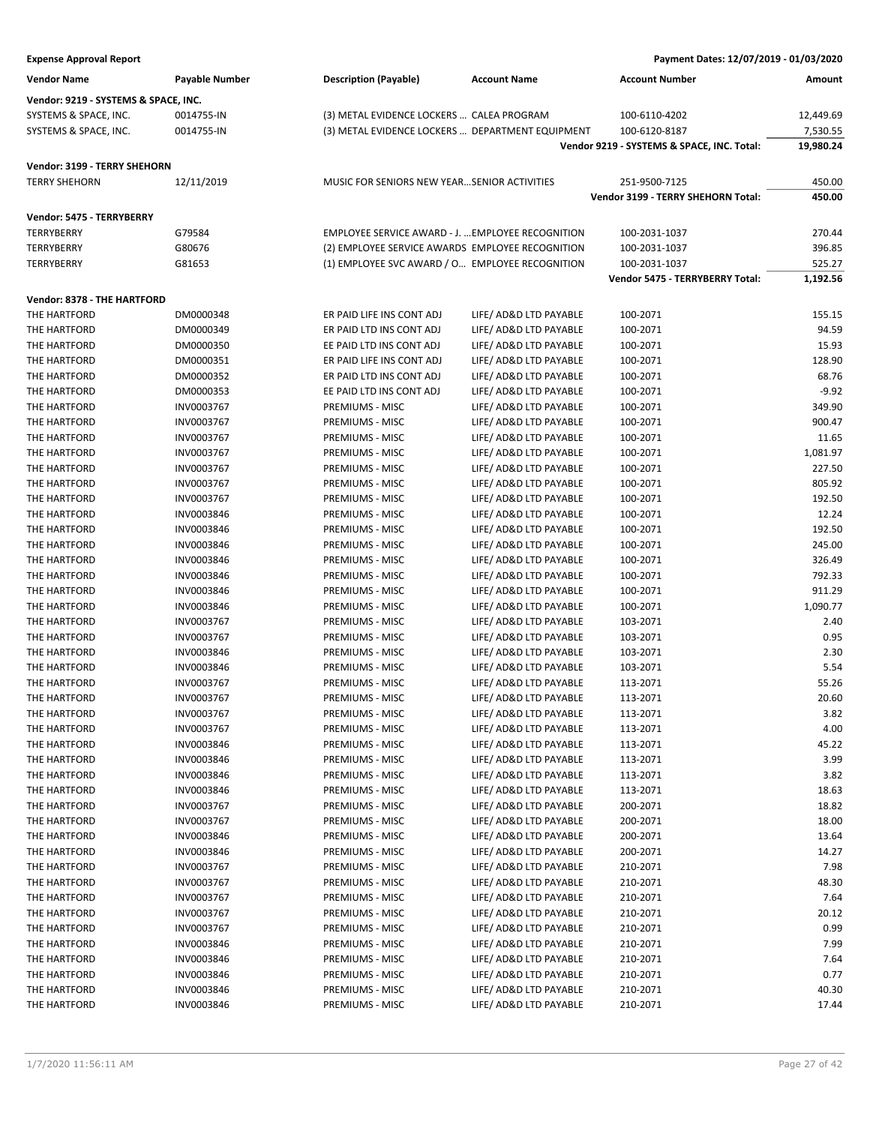| Payment Dates: 12/07/2019 - 01/03/2020 |
|----------------------------------------|
|                                        |

| <b>Vendor Name</b>                   | <b>Payable Number</b> | <b>Description (Payable)</b>                      | <b>Account Name</b>    | <b>Account Number</b>                               | Amount           |
|--------------------------------------|-----------------------|---------------------------------------------------|------------------------|-----------------------------------------------------|------------------|
| Vendor: 9219 - SYSTEMS & SPACE, INC. |                       |                                                   |                        |                                                     |                  |
| SYSTEMS & SPACE, INC.                | 0014755-IN            | (3) METAL EVIDENCE LOCKERS  CALEA PROGRAM         |                        | 100-6110-4202                                       | 12,449.69        |
| SYSTEMS & SPACE, INC.                | 0014755-IN            | (3) METAL EVIDENCE LOCKERS  DEPARTMENT EQUIPMENT  |                        | 100-6120-8187                                       | 7,530.55         |
|                                      |                       |                                                   |                        | Vendor 9219 - SYSTEMS & SPACE, INC. Total:          | 19,980.24        |
|                                      |                       |                                                   |                        |                                                     |                  |
| Vendor: 3199 - TERRY SHEHORN         |                       |                                                   |                        |                                                     |                  |
| <b>TERRY SHEHORN</b>                 | 12/11/2019            | MUSIC FOR SENIORS NEW YEARSENIOR ACTIVITIES       |                        | 251-9500-7125<br>Vendor 3199 - TERRY SHEHORN Total: | 450.00<br>450.00 |
|                                      |                       |                                                   |                        |                                                     |                  |
| Vendor: 5475 - TERRYBERRY            |                       |                                                   |                        |                                                     |                  |
| <b>TERRYBERRY</b>                    | G79584                | EMPLOYEE SERVICE AWARD - J.  EMPLOYEE RECOGNITION |                        | 100-2031-1037                                       | 270.44           |
| <b>TERRYBERRY</b>                    | G80676                | (2) EMPLOYEE SERVICE AWARDS EMPLOYEE RECOGNITION  |                        | 100-2031-1037                                       | 396.85           |
| <b>TERRYBERRY</b>                    | G81653                | (1) EMPLOYEE SVC AWARD / O EMPLOYEE RECOGNITION   |                        | 100-2031-1037                                       | 525.27           |
|                                      |                       |                                                   |                        | Vendor 5475 - TERRYBERRY Total:                     | 1,192.56         |
| Vendor: 8378 - THE HARTFORD          |                       |                                                   |                        |                                                     |                  |
| THE HARTFORD                         | DM0000348             | ER PAID LIFE INS CONT ADJ                         | LIFE/ AD&D LTD PAYABLE | 100-2071                                            | 155.15           |
| THE HARTFORD                         | DM0000349             | ER PAID LTD INS CONT ADJ                          | LIFE/ AD&D LTD PAYABLE | 100-2071                                            | 94.59            |
| THE HARTFORD                         | DM0000350             | EE PAID LTD INS CONT ADJ                          | LIFE/ AD&D LTD PAYABLE | 100-2071                                            | 15.93            |
| THE HARTFORD                         | DM0000351             | ER PAID LIFE INS CONT ADJ                         | LIFE/ AD&D LTD PAYABLE | 100-2071                                            | 128.90           |
| THE HARTFORD                         | DM0000352             | ER PAID LTD INS CONT ADJ                          | LIFE/ AD&D LTD PAYABLE | 100-2071                                            | 68.76            |
| THE HARTFORD                         | DM0000353             | EE PAID LTD INS CONT ADJ                          | LIFE/ AD&D LTD PAYABLE | 100-2071                                            | $-9.92$          |
| THE HARTFORD                         | INV0003767            | PREMIUMS - MISC                                   | LIFE/ AD&D LTD PAYABLE | 100-2071                                            | 349.90           |
| THE HARTFORD                         | INV0003767            | PREMIUMS - MISC                                   | LIFE/ AD&D LTD PAYABLE | 100-2071                                            | 900.47           |
| THE HARTFORD                         | INV0003767            | PREMIUMS - MISC                                   | LIFE/ AD&D LTD PAYABLE | 100-2071                                            | 11.65            |
| THE HARTFORD                         | INV0003767            | PREMIUMS - MISC                                   | LIFE/ AD&D LTD PAYABLE | 100-2071                                            | 1,081.97         |
| THE HARTFORD                         | INV0003767            | PREMIUMS - MISC                                   | LIFE/ AD&D LTD PAYABLE | 100-2071                                            | 227.50           |
| THE HARTFORD                         | INV0003767            | PREMIUMS - MISC                                   | LIFE/ AD&D LTD PAYABLE | 100-2071                                            | 805.92           |
| THE HARTFORD                         | INV0003767            | PREMIUMS - MISC                                   | LIFE/ AD&D LTD PAYABLE | 100-2071                                            | 192.50           |
| THE HARTFORD                         | INV0003846            | PREMIUMS - MISC                                   | LIFE/ AD&D LTD PAYABLE | 100-2071                                            | 12.24            |
| THE HARTFORD                         | INV0003846            | PREMIUMS - MISC                                   | LIFE/ AD&D LTD PAYABLE | 100-2071                                            | 192.50           |
| THE HARTFORD                         | INV0003846            | PREMIUMS - MISC                                   | LIFE/ AD&D LTD PAYABLE | 100-2071                                            | 245.00           |
| THE HARTFORD                         | INV0003846            | PREMIUMS - MISC                                   | LIFE/ AD&D LTD PAYABLE | 100-2071                                            | 326.49           |
| THE HARTFORD                         | INV0003846            | PREMIUMS - MISC                                   | LIFE/ AD&D LTD PAYABLE | 100-2071                                            | 792.33           |
| THE HARTFORD                         | INV0003846            | PREMIUMS - MISC                                   | LIFE/ AD&D LTD PAYABLE | 100-2071                                            | 911.29           |
| THE HARTFORD                         | INV0003846            | PREMIUMS - MISC                                   | LIFE/ AD&D LTD PAYABLE | 100-2071                                            | 1,090.77         |
| THE HARTFORD                         | INV0003767            | PREMIUMS - MISC                                   | LIFE/ AD&D LTD PAYABLE | 103-2071                                            | 2.40             |
| THE HARTFORD                         | INV0003767            | PREMIUMS - MISC                                   | LIFE/ AD&D LTD PAYABLE | 103-2071                                            | 0.95             |
| THE HARTFORD                         | INV0003846            | PREMIUMS - MISC                                   | LIFE/ AD&D LTD PAYABLE | 103-2071                                            | 2.30             |
| THE HARTFORD                         | INV0003846            | PREMIUMS - MISC                                   | LIFE/ AD&D LTD PAYABLE | 103-2071                                            | 5.54             |
| THE HARTFORD                         | INV0003767            | PREMIUMS - MISC                                   | LIFE/ AD&D LTD PAYABLE | 113-2071                                            | 55.26            |
| THE HARTFORD                         | INV0003767            | PREMIUMS - MISC                                   | LIFE/ AD&D LTD PAYABLE | 113-2071                                            | 20.60            |
| THE HARTFORD                         | INV0003767            | PREMIUMS - MISC                                   | LIFE/ AD&D LTD PAYABLE | 113-2071                                            | 3.82             |
| THE HARTFORD                         | INV0003767            | PREMIUMS - MISC                                   | LIFE/ AD&D LTD PAYABLE | 113-2071                                            | 4.00             |
| THE HARTFORD                         | INV0003846            | PREMIUMS - MISC                                   | LIFE/ AD&D LTD PAYABLE | 113-2071                                            | 45.22            |
| THE HARTFORD                         | INV0003846            | PREMIUMS - MISC                                   | LIFE/ AD&D LTD PAYABLE | 113-2071                                            | 3.99             |
| THE HARTFORD                         | INV0003846            | PREMIUMS - MISC                                   | LIFE/ AD&D LTD PAYABLE | 113-2071                                            | 3.82             |
| THE HARTFORD                         | INV0003846            | PREMIUMS - MISC                                   | LIFE/ AD&D LTD PAYABLE | 113-2071                                            | 18.63            |
| THE HARTFORD                         | INV0003767            | PREMIUMS - MISC                                   | LIFE/ AD&D LTD PAYABLE | 200-2071                                            | 18.82            |
| THE HARTFORD                         | INV0003767            | PREMIUMS - MISC                                   | LIFE/ AD&D LTD PAYABLE | 200-2071                                            | 18.00            |
| THE HARTFORD                         | INV0003846            | PREMIUMS - MISC                                   | LIFE/ AD&D LTD PAYABLE | 200-2071                                            | 13.64            |
| THE HARTFORD                         | INV0003846            | PREMIUMS - MISC                                   | LIFE/ AD&D LTD PAYABLE | 200-2071                                            | 14.27            |
| THE HARTFORD                         | INV0003767            | PREMIUMS - MISC                                   | LIFE/ AD&D LTD PAYABLE | 210-2071                                            | 7.98             |
| THE HARTFORD                         | INV0003767            | PREMIUMS - MISC                                   | LIFE/ AD&D LTD PAYABLE | 210-2071                                            | 48.30            |
| THE HARTFORD                         | INV0003767            | PREMIUMS - MISC                                   | LIFE/ AD&D LTD PAYABLE | 210-2071                                            | 7.64             |
| THE HARTFORD                         | INV0003767            | PREMIUMS - MISC                                   | LIFE/ AD&D LTD PAYABLE | 210-2071                                            | 20.12            |
| THE HARTFORD                         | INV0003767            | PREMIUMS - MISC                                   | LIFE/ AD&D LTD PAYABLE | 210-2071                                            | 0.99             |
| THE HARTFORD                         | INV0003846            | PREMIUMS - MISC                                   | LIFE/ AD&D LTD PAYABLE | 210-2071                                            | 7.99             |
| THE HARTFORD                         | INV0003846            | PREMIUMS - MISC                                   | LIFE/ AD&D LTD PAYABLE | 210-2071                                            | 7.64             |
| THE HARTFORD                         | INV0003846            | PREMIUMS - MISC                                   | LIFE/ AD&D LTD PAYABLE | 210-2071                                            | 0.77             |
| THE HARTFORD                         | INV0003846            | PREMIUMS - MISC                                   | LIFE/ AD&D LTD PAYABLE | 210-2071                                            | 40.30            |
| THE HARTFORD                         | INV0003846            | PREMIUMS - MISC                                   | LIFE/ AD&D LTD PAYABLE | 210-2071                                            | 17.44            |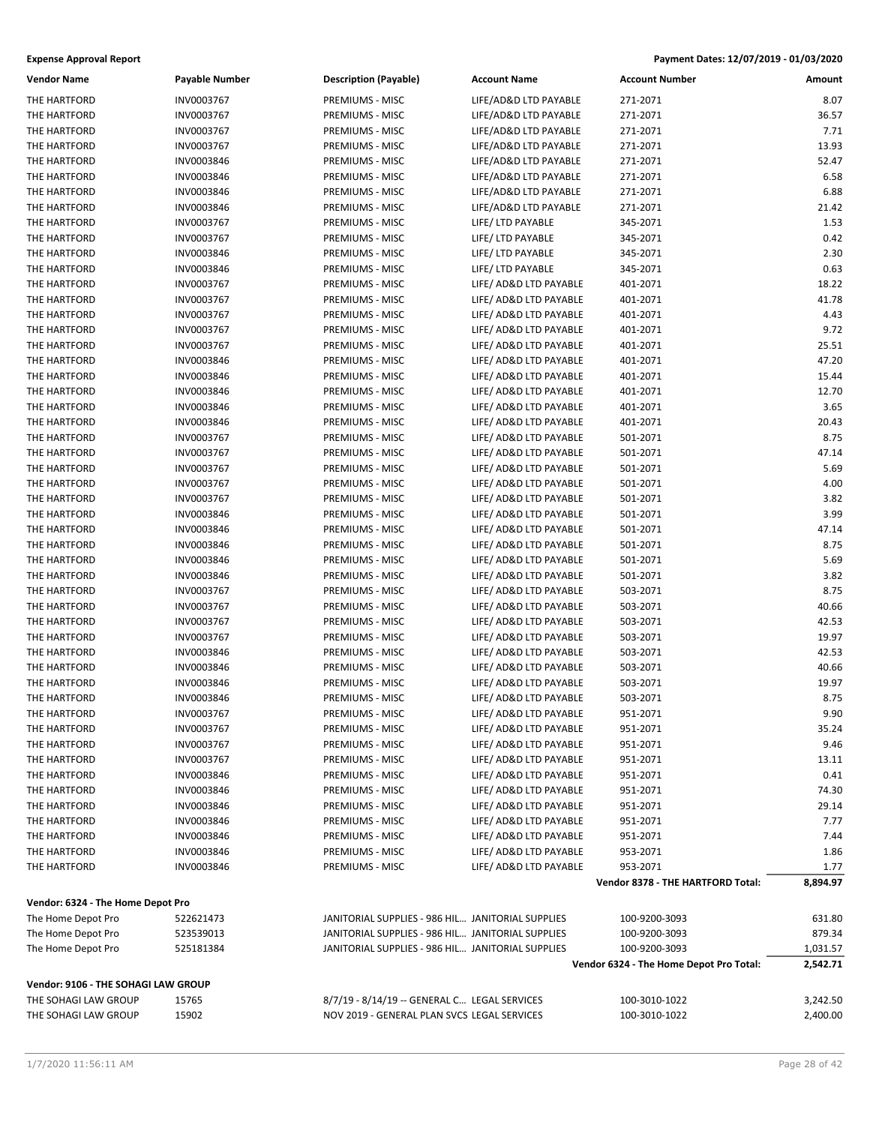| <b>Vendor Name</b>                  | Payable Number | <b>Description (Payable)</b>                      | <b>Account Name</b>    | <b>Account Number</b>                   | Amount   |
|-------------------------------------|----------------|---------------------------------------------------|------------------------|-----------------------------------------|----------|
| THE HARTFORD                        | INV0003767     | PREMIUMS - MISC                                   | LIFE/AD&D LTD PAYABLE  | 271-2071                                | 8.07     |
| THE HARTFORD                        | INV0003767     | PREMIUMS - MISC                                   | LIFE/AD&D LTD PAYABLE  | 271-2071                                | 36.57    |
| THE HARTFORD                        | INV0003767     | PREMIUMS - MISC                                   | LIFE/AD&D LTD PAYABLE  | 271-2071                                | 7.71     |
| THE HARTFORD                        | INV0003767     | PREMIUMS - MISC                                   | LIFE/AD&D LTD PAYABLE  | 271-2071                                | 13.93    |
| THE HARTFORD                        | INV0003846     | PREMIUMS - MISC                                   | LIFE/AD&D LTD PAYABLE  | 271-2071                                | 52.47    |
| THE HARTFORD                        | INV0003846     | PREMIUMS - MISC                                   | LIFE/AD&D LTD PAYABLE  | 271-2071                                | 6.58     |
| THE HARTFORD                        | INV0003846     | PREMIUMS - MISC                                   | LIFE/AD&D LTD PAYABLE  | 271-2071                                | 6.88     |
| THE HARTFORD                        | INV0003846     | PREMIUMS - MISC                                   | LIFE/AD&D LTD PAYABLE  | 271-2071                                | 21.42    |
| THE HARTFORD                        | INV0003767     | PREMIUMS - MISC                                   | LIFE/ LTD PAYABLE      | 345-2071                                | 1.53     |
| THE HARTFORD                        | INV0003767     | PREMIUMS - MISC                                   | LIFE/ LTD PAYABLE      | 345-2071                                | 0.42     |
| THE HARTFORD                        | INV0003846     | PREMIUMS - MISC                                   | LIFE/ LTD PAYABLE      | 345-2071                                | 2.30     |
| THE HARTFORD                        | INV0003846     | PREMIUMS - MISC                                   | LIFE/ LTD PAYABLE      | 345-2071                                | 0.63     |
| THE HARTFORD                        | INV0003767     | PREMIUMS - MISC                                   | LIFE/ AD&D LTD PAYABLE | 401-2071                                | 18.22    |
|                                     |                |                                                   |                        |                                         | 41.78    |
| THE HARTFORD                        | INV0003767     | PREMIUMS - MISC                                   | LIFE/ AD&D LTD PAYABLE | 401-2071                                |          |
| THE HARTFORD                        | INV0003767     | PREMIUMS - MISC                                   | LIFE/ AD&D LTD PAYABLE | 401-2071                                | 4.43     |
| THE HARTFORD                        | INV0003767     | PREMIUMS - MISC                                   | LIFE/ AD&D LTD PAYABLE | 401-2071                                | 9.72     |
| THE HARTFORD                        | INV0003767     | PREMIUMS - MISC                                   | LIFE/ AD&D LTD PAYABLE | 401-2071                                | 25.51    |
| THE HARTFORD                        | INV0003846     | PREMIUMS - MISC                                   | LIFE/ AD&D LTD PAYABLE | 401-2071                                | 47.20    |
| THE HARTFORD                        | INV0003846     | PREMIUMS - MISC                                   | LIFE/ AD&D LTD PAYABLE | 401-2071                                | 15.44    |
| THE HARTFORD                        | INV0003846     | PREMIUMS - MISC                                   | LIFE/ AD&D LTD PAYABLE | 401-2071                                | 12.70    |
| THE HARTFORD                        | INV0003846     | PREMIUMS - MISC                                   | LIFE/ AD&D LTD PAYABLE | 401-2071                                | 3.65     |
| THE HARTFORD                        | INV0003846     | PREMIUMS - MISC                                   | LIFE/ AD&D LTD PAYABLE | 401-2071                                | 20.43    |
| THE HARTFORD                        | INV0003767     | PREMIUMS - MISC                                   | LIFE/ AD&D LTD PAYABLE | 501-2071                                | 8.75     |
| THE HARTFORD                        | INV0003767     | PREMIUMS - MISC                                   | LIFE/ AD&D LTD PAYABLE | 501-2071                                | 47.14    |
| THE HARTFORD                        | INV0003767     | PREMIUMS - MISC                                   | LIFE/ AD&D LTD PAYABLE | 501-2071                                | 5.69     |
| THE HARTFORD                        | INV0003767     | PREMIUMS - MISC                                   | LIFE/ AD&D LTD PAYABLE | 501-2071                                | 4.00     |
| THE HARTFORD                        | INV0003767     | PREMIUMS - MISC                                   | LIFE/ AD&D LTD PAYABLE | 501-2071                                | 3.82     |
| THE HARTFORD                        | INV0003846     | PREMIUMS - MISC                                   | LIFE/ AD&D LTD PAYABLE | 501-2071                                | 3.99     |
| THE HARTFORD                        | INV0003846     | PREMIUMS - MISC                                   | LIFE/ AD&D LTD PAYABLE | 501-2071                                | 47.14    |
| THE HARTFORD                        | INV0003846     | PREMIUMS - MISC                                   | LIFE/ AD&D LTD PAYABLE | 501-2071                                | 8.75     |
| THE HARTFORD                        | INV0003846     | PREMIUMS - MISC                                   | LIFE/ AD&D LTD PAYABLE | 501-2071                                | 5.69     |
| THE HARTFORD                        | INV0003846     | PREMIUMS - MISC                                   | LIFE/ AD&D LTD PAYABLE | 501-2071                                | 3.82     |
| THE HARTFORD                        | INV0003767     | PREMIUMS - MISC                                   | LIFE/ AD&D LTD PAYABLE | 503-2071                                | 8.75     |
| THE HARTFORD                        | INV0003767     | PREMIUMS - MISC                                   | LIFE/ AD&D LTD PAYABLE | 503-2071                                | 40.66    |
| THE HARTFORD                        | INV0003767     | PREMIUMS - MISC                                   | LIFE/ AD&D LTD PAYABLE | 503-2071                                | 42.53    |
| THE HARTFORD                        | INV0003767     | PREMIUMS - MISC                                   | LIFE/ AD&D LTD PAYABLE | 503-2071                                | 19.97    |
| THE HARTFORD                        | INV0003846     | PREMIUMS - MISC                                   | LIFE/ AD&D LTD PAYABLE | 503-2071                                | 42.53    |
| THE HARTFORD                        | INV0003846     | PREMIUMS - MISC                                   | LIFE/ AD&D LTD PAYABLE | 503-2071                                | 40.66    |
| THE HARTFORD                        | INV0003846     | PREMIUMS - MISC                                   | LIFE/ AD&D LTD PAYABLE | 503-2071                                | 19.97    |
| THE HARTFORD                        | INV0003846     | PREMIUMS - MISC                                   | LIFE/ AD&D LTD PAYABLE | 503-2071                                | 8.75     |
| THE HARTFORD                        | INV0003767     | PREMIUMS - MISC                                   | LIFE/ AD&D LTD PAYABLE | 951-2071                                | 9.90     |
| THE HARTFORD                        | INV0003767     | PREMIUMS - MISC                                   | LIFE/ AD&D LTD PAYABLE | 951-2071                                | 35.24    |
| THE HARTFORD                        | INV0003767     | PREMIUMS - MISC                                   | LIFE/ AD&D LTD PAYABLE | 951-2071                                | 9.46     |
| THE HARTFORD                        | INV0003767     | PREMIUMS - MISC                                   | LIFE/ AD&D LTD PAYABLE | 951-2071                                | 13.11    |
| THE HARTFORD                        | INV0003846     | PREMIUMS - MISC                                   | LIFE/ AD&D LTD PAYABLE | 951-2071                                | 0.41     |
| THE HARTFORD                        | INV0003846     | PREMIUMS - MISC                                   | LIFE/ AD&D LTD PAYABLE | 951-2071                                | 74.30    |
| THE HARTFORD                        | INV0003846     | PREMIUMS - MISC                                   | LIFE/ AD&D LTD PAYABLE | 951-2071                                | 29.14    |
| THE HARTFORD                        | INV0003846     | PREMIUMS - MISC                                   | LIFE/ AD&D LTD PAYABLE | 951-2071                                | 7.77     |
| THE HARTFORD                        | INV0003846     | PREMIUMS - MISC                                   | LIFE/ AD&D LTD PAYABLE | 951-2071                                | 7.44     |
| THE HARTFORD                        | INV0003846     | PREMIUMS - MISC                                   | LIFE/ AD&D LTD PAYABLE | 953-2071                                | 1.86     |
| THE HARTFORD                        | INV0003846     | PREMIUMS - MISC                                   | LIFE/ AD&D LTD PAYABLE | 953-2071                                | 1.77     |
|                                     |                |                                                   |                        | Vendor 8378 - THE HARTFORD Total:       | 8,894.97 |
|                                     |                |                                                   |                        |                                         |          |
| Vendor: 6324 - The Home Depot Pro   |                |                                                   |                        |                                         |          |
| The Home Depot Pro                  | 522621473      | JANITORIAL SUPPLIES - 986 HIL JANITORIAL SUPPLIES |                        | 100-9200-3093                           | 631.80   |
| The Home Depot Pro                  | 523539013      | JANITORIAL SUPPLIES - 986 HIL JANITORIAL SUPPLIES |                        | 100-9200-3093                           | 879.34   |
| The Home Depot Pro                  | 525181384      | JANITORIAL SUPPLIES - 986 HIL JANITORIAL SUPPLIES |                        | 100-9200-3093                           | 1,031.57 |
|                                     |                |                                                   |                        | Vendor 6324 - The Home Depot Pro Total: | 2,542.71 |
| Vendor: 9106 - THE SOHAGI LAW GROUP |                |                                                   |                        |                                         |          |
| THE SOHAGI LAW GROUP                | 15765          | 8/7/19 - 8/14/19 -- GENERAL C LEGAL SERVICES      |                        | 100-3010-1022                           | 3,242.50 |
| THE SOHAGI LAW GROUP                | 15902          | NOV 2019 - GENERAL PLAN SVCS LEGAL SERVICES       |                        | 100-3010-1022                           | 2,400.00 |
|                                     |                |                                                   |                        |                                         |          |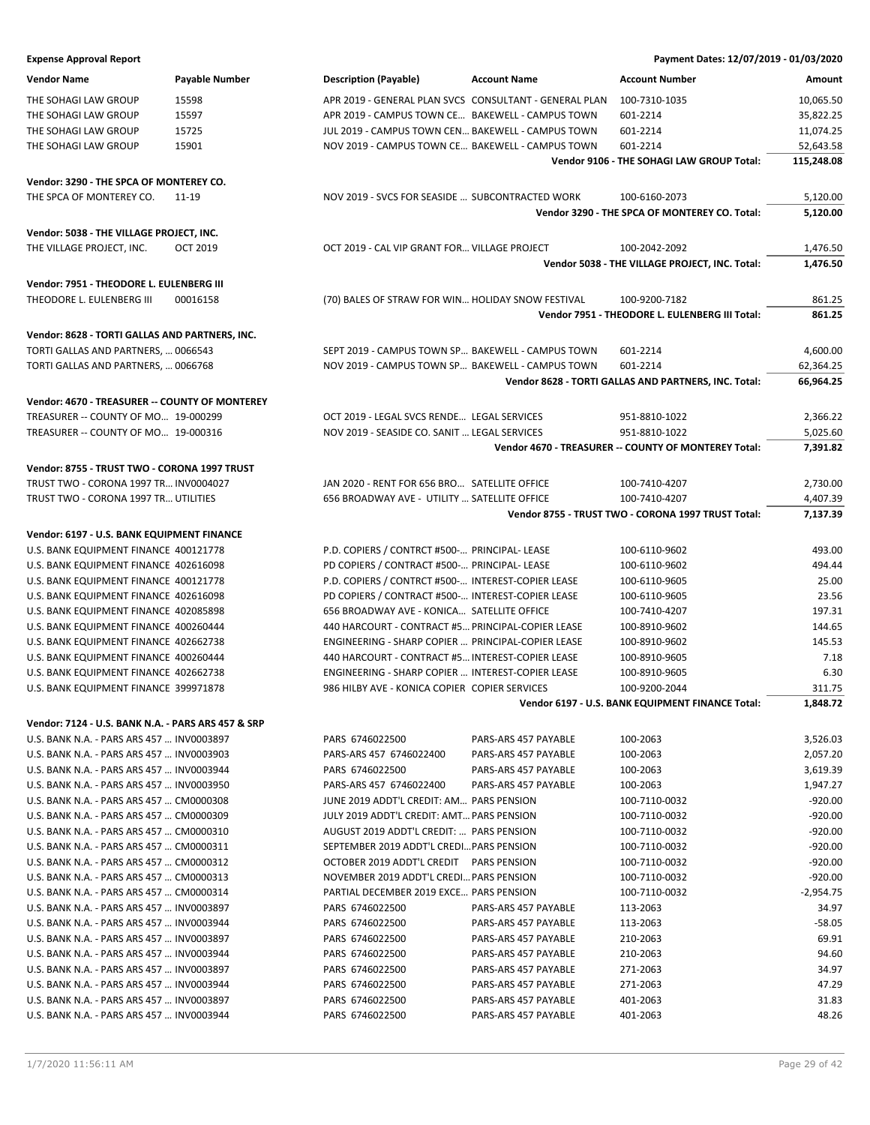| <b>Expense Approval Report</b> | Payment Dates: 12/07/2019 - 01/03/2020 |
|--------------------------------|----------------------------------------|
|                                |                                        |

| Vendor Name                                                           | <b>Payable Number</b> | <b>Description (Payable)</b>                       | <b>Account Name</b>                                    | <b>Account Number</b>                                | Amount      |
|-----------------------------------------------------------------------|-----------------------|----------------------------------------------------|--------------------------------------------------------|------------------------------------------------------|-------------|
| THE SOHAGI LAW GROUP                                                  | 15598                 |                                                    | APR 2019 - GENERAL PLAN SVCS CONSULTANT - GENERAL PLAN | 100-7310-1035                                        | 10,065.50   |
| THE SOHAGI LAW GROUP                                                  | 15597                 | APR 2019 - CAMPUS TOWN CE BAKEWELL - CAMPUS TOWN   |                                                        | 601-2214                                             | 35,822.25   |
| THE SOHAGI LAW GROUP                                                  | 15725                 | JUL 2019 - CAMPUS TOWN CEN BAKEWELL - CAMPUS TOWN  |                                                        | 601-2214                                             | 11,074.25   |
| THE SOHAGI LAW GROUP                                                  | 15901                 | NOV 2019 - CAMPUS TOWN CE BAKEWELL - CAMPUS TOWN   |                                                        | 601-2214                                             | 52,643.58   |
|                                                                       |                       |                                                    |                                                        | Vendor 9106 - THE SOHAGI LAW GROUP Total:            | 115,248.08  |
| Vendor: 3290 - THE SPCA OF MONTEREY CO.                               |                       |                                                    |                                                        |                                                      |             |
| THE SPCA OF MONTEREY CO.                                              | 11-19                 | NOV 2019 - SVCS FOR SEASIDE  SUBCONTRACTED WORK    |                                                        | 100-6160-2073                                        | 5,120.00    |
|                                                                       |                       |                                                    |                                                        | Vendor 3290 - THE SPCA OF MONTEREY CO. Total:        | 5,120.00    |
|                                                                       |                       |                                                    |                                                        |                                                      |             |
| Vendor: 5038 - THE VILLAGE PROJECT, INC.<br>THE VILLAGE PROJECT, INC. | <b>OCT 2019</b>       | OCT 2019 - CAL VIP GRANT FOR VILLAGE PROJECT       |                                                        | 100-2042-2092                                        | 1,476.50    |
|                                                                       |                       |                                                    |                                                        | Vendor 5038 - THE VILLAGE PROJECT, INC. Total:       | 1,476.50    |
|                                                                       |                       |                                                    |                                                        |                                                      |             |
| Vendor: 7951 - THEODORE L. EULENBERG III                              |                       |                                                    |                                                        |                                                      |             |
| THEODORE L. EULENBERG III                                             | 00016158              | (70) BALES OF STRAW FOR WIN HOLIDAY SNOW FESTIVAL  |                                                        | 100-9200-7182                                        | 861.25      |
|                                                                       |                       |                                                    |                                                        | Vendor 7951 - THEODORE L. EULENBERG III Total:       | 861.25      |
| Vendor: 8628 - TORTI GALLAS AND PARTNERS, INC.                        |                       |                                                    |                                                        |                                                      |             |
| TORTI GALLAS AND PARTNERS,  0066543                                   |                       | SEPT 2019 - CAMPUS TOWN SP BAKEWELL - CAMPUS TOWN  |                                                        | 601-2214                                             | 4,600.00    |
| TORTI GALLAS AND PARTNERS,  0066768                                   |                       | NOV 2019 - CAMPUS TOWN SP BAKEWELL - CAMPUS TOWN   |                                                        | 601-2214                                             | 62,364.25   |
|                                                                       |                       |                                                    |                                                        | Vendor 8628 - TORTI GALLAS AND PARTNERS, INC. Total: | 66,964.25   |
| Vendor: 4670 - TREASURER -- COUNTY OF MONTEREY                        |                       |                                                    |                                                        |                                                      |             |
| TREASURER -- COUNTY OF MO 19-000299                                   |                       | OCT 2019 - LEGAL SVCS RENDE LEGAL SERVICES         |                                                        | 951-8810-1022                                        | 2,366.22    |
| TREASURER -- COUNTY OF MO 19-000316                                   |                       | NOV 2019 - SEASIDE CO. SANIT  LEGAL SERVICES       |                                                        | 951-8810-1022                                        | 5,025.60    |
|                                                                       |                       |                                                    |                                                        | Vendor 4670 - TREASURER -- COUNTY OF MONTEREY Total: | 7,391.82    |
| Vendor: 8755 - TRUST TWO - CORONA 1997 TRUST                          |                       |                                                    |                                                        |                                                      |             |
| TRUST TWO - CORONA 1997 TR INV0004027                                 |                       | JAN 2020 - RENT FOR 656 BRO SATELLITE OFFICE       |                                                        | 100-7410-4207                                        | 2,730.00    |
| TRUST TWO - CORONA 1997 TR UTILITIES                                  |                       | 656 BROADWAY AVE - UTILITY  SATELLITE OFFICE       |                                                        | 100-7410-4207                                        | 4,407.39    |
|                                                                       |                       |                                                    |                                                        | Vendor 8755 - TRUST TWO - CORONA 1997 TRUST Total:   | 7,137.39    |
| Vendor: 6197 - U.S. BANK EQUIPMENT FINANCE                            |                       |                                                    |                                                        |                                                      |             |
| U.S. BANK EQUIPMENT FINANCE 400121778                                 |                       | P.D. COPIERS / CONTRCT #500- PRINCIPAL- LEASE      |                                                        | 100-6110-9602                                        | 493.00      |
| U.S. BANK EQUIPMENT FINANCE 402616098                                 |                       | PD COPIERS / CONTRACT #500- PRINCIPAL- LEASE       |                                                        | 100-6110-9602                                        | 494.44      |
| U.S. BANK EQUIPMENT FINANCE 400121778                                 |                       | P.D. COPIERS / CONTRCT #500- INTEREST-COPIER LEASE |                                                        | 100-6110-9605                                        | 25.00       |
| U.S. BANK EQUIPMENT FINANCE 402616098                                 |                       | PD COPIERS / CONTRACT #500- INTEREST-COPIER LEASE  |                                                        | 100-6110-9605                                        | 23.56       |
| U.S. BANK EQUIPMENT FINANCE 402085898                                 |                       | 656 BROADWAY AVE - KONICA SATELLITE OFFICE         |                                                        | 100-7410-4207                                        | 197.31      |
| U.S. BANK EQUIPMENT FINANCE 400260444                                 |                       | 440 HARCOURT - CONTRACT #5 PRINCIPAL-COPIER LEASE  |                                                        | 100-8910-9602                                        | 144.65      |
| U.S. BANK EQUIPMENT FINANCE 402662738                                 |                       | ENGINEERING - SHARP COPIER  PRINCIPAL-COPIER LEASE |                                                        | 100-8910-9602                                        | 145.53      |
| U.S. BANK EQUIPMENT FINANCE 400260444                                 |                       | 440 HARCOURT - CONTRACT #5 INTEREST-COPIER LEASE   |                                                        | 100-8910-9605                                        | 7.18        |
| U.S. BANK EQUIPMENT FINANCE 402662738                                 |                       | ENGINEERING - SHARP COPIER  INTEREST-COPIER LEASE  |                                                        | 100-8910-9605                                        | 6.30        |
| U.S. BANK EQUIPMENT FINANCE 399971878                                 |                       | 986 HILBY AVE - KONICA COPIER COPIER SERVICES      |                                                        | 100-9200-2044                                        | 311.75      |
|                                                                       |                       |                                                    |                                                        | Vendor 6197 - U.S. BANK EQUIPMENT FINANCE Total:     | 1,848.72    |
| Vendor: 7124 - U.S. BANK N.A. - PARS ARS 457 & SRP                    |                       |                                                    |                                                        |                                                      |             |
| U.S. BANK N.A. - PARS ARS 457  INV0003897                             |                       | PARS 6746022500                                    | PARS-ARS 457 PAYABLE                                   | 100-2063                                             | 3,526.03    |
| U.S. BANK N.A. - PARS ARS 457  INV0003903                             |                       | PARS-ARS 457 6746022400                            | PARS-ARS 457 PAYABLE                                   | 100-2063                                             | 2,057.20    |
| U.S. BANK N.A. - PARS ARS 457  INV0003944                             |                       | PARS 6746022500                                    | PARS-ARS 457 PAYABLE                                   | 100-2063                                             | 3,619.39    |
| U.S. BANK N.A. - PARS ARS 457  INV0003950                             |                       | PARS-ARS 457 6746022400                            | PARS-ARS 457 PAYABLE                                   | 100-2063                                             | 1,947.27    |
| U.S. BANK N.A. - PARS ARS 457  CM0000308                              |                       | JUNE 2019 ADDT'L CREDIT: AM PARS PENSION           |                                                        | 100-7110-0032                                        | $-920.00$   |
| U.S. BANK N.A. - PARS ARS 457  CM0000309                              |                       | JULY 2019 ADDT'L CREDIT: AMT PARS PENSION          |                                                        | 100-7110-0032                                        | $-920.00$   |
| U.S. BANK N.A. - PARS ARS 457  CM0000310                              |                       | AUGUST 2019 ADDT'L CREDIT:  PARS PENSION           |                                                        | 100-7110-0032                                        | $-920.00$   |
| U.S. BANK N.A. - PARS ARS 457  CM0000311                              |                       | SEPTEMBER 2019 ADDT'L CREDI PARS PENSION           |                                                        | 100-7110-0032                                        | $-920.00$   |
| U.S. BANK N.A. - PARS ARS 457  CM0000312                              |                       | OCTOBER 2019 ADDT'L CREDIT PARS PENSION            |                                                        | 100-7110-0032                                        | $-920.00$   |
| U.S. BANK N.A. - PARS ARS 457  CM0000313                              |                       | NOVEMBER 2019 ADDT'L CREDI PARS PENSION            |                                                        | 100-7110-0032                                        | $-920.00$   |
| U.S. BANK N.A. - PARS ARS 457  CM0000314                              |                       | PARTIAL DECEMBER 2019 EXCE PARS PENSION            |                                                        | 100-7110-0032                                        | $-2,954.75$ |
| U.S. BANK N.A. - PARS ARS 457  INV0003897                             |                       | PARS 6746022500                                    | PARS-ARS 457 PAYABLE                                   | 113-2063                                             | 34.97       |
| U.S. BANK N.A. - PARS ARS 457  INV0003944                             |                       | PARS 6746022500                                    | PARS-ARS 457 PAYABLE                                   | 113-2063                                             | $-58.05$    |
| U.S. BANK N.A. - PARS ARS 457  INV0003897                             |                       | PARS 6746022500                                    | PARS-ARS 457 PAYABLE                                   | 210-2063                                             | 69.91       |
| U.S. BANK N.A. - PARS ARS 457  INV0003944                             |                       | PARS 6746022500                                    | PARS-ARS 457 PAYABLE                                   | 210-2063                                             | 94.60       |
| U.S. BANK N.A. - PARS ARS 457  INV0003897                             |                       | PARS 6746022500                                    | PARS-ARS 457 PAYABLE                                   | 271-2063                                             | 34.97       |
| U.S. BANK N.A. - PARS ARS 457  INV0003944                             |                       | PARS 6746022500                                    | PARS-ARS 457 PAYABLE                                   | 271-2063                                             | 47.29       |
| U.S. BANK N.A. - PARS ARS 457  INV0003897                             |                       | PARS 6746022500                                    | PARS-ARS 457 PAYABLE                                   | 401-2063                                             | 31.83       |
| U.S. BANK N.A. - PARS ARS 457  INV0003944                             |                       | PARS 6746022500                                    | PARS-ARS 457 PAYABLE                                   | 401-2063                                             | 48.26       |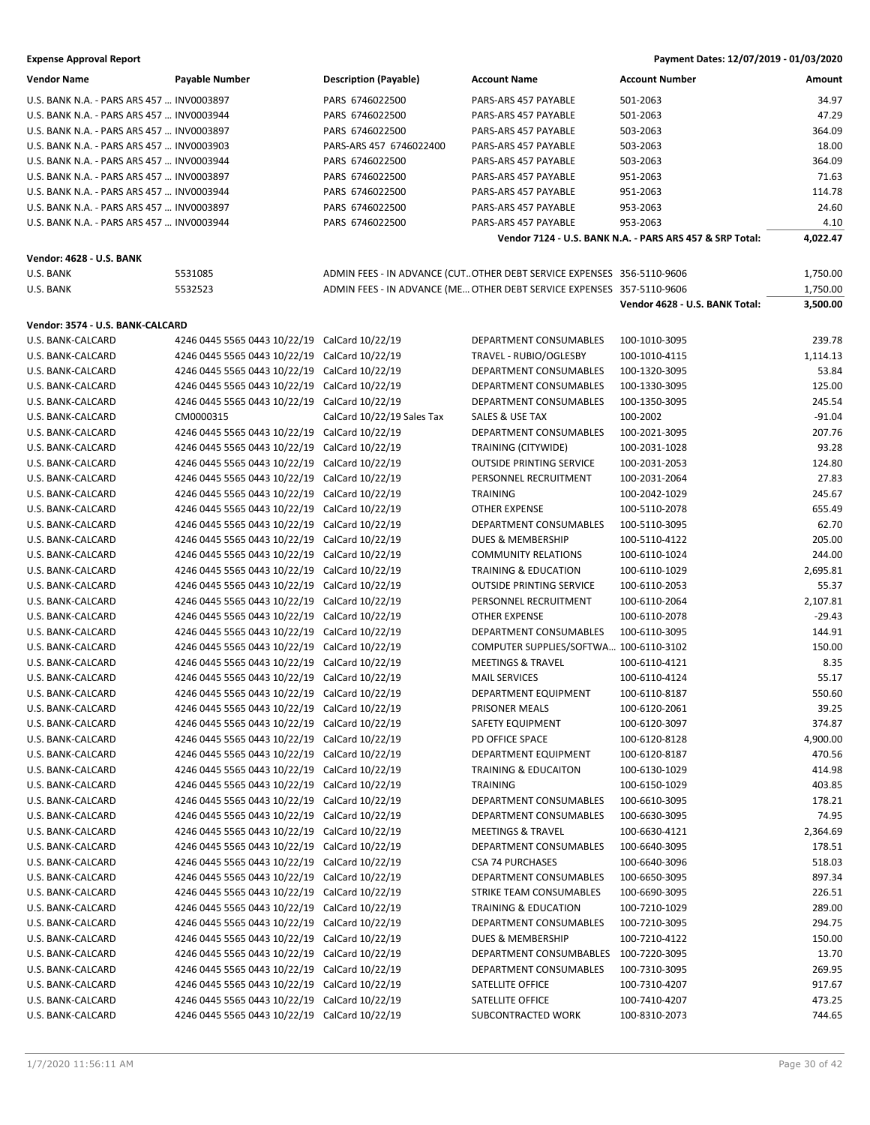| Vendor Name                               | <b>Payable Number</b>                         | <b>Description (Payable)</b> | <b>Account Name</b>                                                   | Account Number                                           | Amount   |
|-------------------------------------------|-----------------------------------------------|------------------------------|-----------------------------------------------------------------------|----------------------------------------------------------|----------|
| U.S. BANK N.A. - PARS ARS 457  INV0003897 |                                               | PARS 6746022500              | PARS-ARS 457 PAYABLE                                                  | 501-2063                                                 | 34.97    |
| U.S. BANK N.A. - PARS ARS 457  INV0003944 |                                               | PARS 6746022500              | PARS-ARS 457 PAYABLE                                                  | 501-2063                                                 | 47.29    |
| U.S. BANK N.A. - PARS ARS 457  INV0003897 |                                               | PARS 6746022500              | PARS-ARS 457 PAYABLE                                                  | 503-2063                                                 | 364.09   |
| U.S. BANK N.A. - PARS ARS 457  INV0003903 |                                               | PARS-ARS 457 6746022400      | PARS-ARS 457 PAYABLE                                                  | 503-2063                                                 | 18.00    |
| U.S. BANK N.A. - PARS ARS 457  INV0003944 |                                               | PARS 6746022500              | PARS-ARS 457 PAYABLE                                                  | 503-2063                                                 | 364.09   |
| U.S. BANK N.A. - PARS ARS 457  INV0003897 |                                               | PARS 6746022500              | PARS-ARS 457 PAYABLE                                                  | 951-2063                                                 | 71.63    |
| U.S. BANK N.A. - PARS ARS 457  INV0003944 |                                               | PARS 6746022500              | PARS-ARS 457 PAYABLE                                                  | 951-2063                                                 | 114.78   |
| U.S. BANK N.A. - PARS ARS 457  INV0003897 |                                               | PARS 6746022500              | PARS-ARS 457 PAYABLE                                                  | 953-2063                                                 | 24.60    |
| U.S. BANK N.A. - PARS ARS 457  INV0003944 |                                               | PARS 6746022500              | PARS-ARS 457 PAYABLE                                                  | 953-2063                                                 | 4.10     |
|                                           |                                               |                              |                                                                       | Vendor 7124 - U.S. BANK N.A. - PARS ARS 457 & SRP Total: | 4,022.47 |
|                                           |                                               |                              |                                                                       |                                                          |          |
| <b>Vendor: 4628 - U.S. BANK</b>           |                                               |                              |                                                                       |                                                          |          |
| U.S. BANK                                 | 5531085                                       |                              | ADMIN FEES - IN ADVANCE (CUTOTHER DEBT SERVICE EXPENSES 356-5110-9606 |                                                          | 1,750.00 |
| U.S. BANK                                 | 5532523                                       |                              | ADMIN FEES - IN ADVANCE (ME OTHER DEBT SERVICE EXPENSES 357-5110-9606 |                                                          | 1,750.00 |
|                                           |                                               |                              |                                                                       | Vendor 4628 - U.S. BANK Total:                           | 3,500.00 |
| Vendor: 3574 - U.S. BANK-CALCARD          |                                               |                              |                                                                       |                                                          |          |
| U.S. BANK-CALCARD                         | 4246 0445 5565 0443 10/22/19 CalCard 10/22/19 |                              | DEPARTMENT CONSUMABLES                                                | 100-1010-3095                                            | 239.78   |
| U.S. BANK-CALCARD                         | 4246 0445 5565 0443 10/22/19 CalCard 10/22/19 |                              | TRAVEL - RUBIO/OGLESBY                                                | 100-1010-4115                                            | 1,114.13 |
| U.S. BANK-CALCARD                         | 4246 0445 5565 0443 10/22/19 CalCard 10/22/19 |                              | DEPARTMENT CONSUMABLES                                                | 100-1320-3095                                            | 53.84    |
| U.S. BANK-CALCARD                         | 4246 0445 5565 0443 10/22/19 CalCard 10/22/19 |                              | <b>DEPARTMENT CONSUMABLES</b>                                         | 100-1330-3095                                            | 125.00   |
| U.S. BANK-CALCARD                         | 4246 0445 5565 0443 10/22/19 CalCard 10/22/19 |                              | <b>DEPARTMENT CONSUMABLES</b>                                         | 100-1350-3095                                            | 245.54   |
| U.S. BANK-CALCARD                         | CM0000315                                     | CalCard 10/22/19 Sales Tax   | SALES & USE TAX                                                       | 100-2002                                                 | $-91.04$ |
| U.S. BANK-CALCARD                         | 4246 0445 5565 0443 10/22/19 CalCard 10/22/19 |                              | DEPARTMENT CONSUMABLES                                                | 100-2021-3095                                            | 207.76   |
| U.S. BANK-CALCARD                         | 4246 0445 5565 0443 10/22/19 CalCard 10/22/19 |                              | TRAINING (CITYWIDE)                                                   | 100-2031-1028                                            | 93.28    |
| U.S. BANK-CALCARD                         | 4246 0445 5565 0443 10/22/19 CalCard 10/22/19 |                              | <b>OUTSIDE PRINTING SERVICE</b>                                       | 100-2031-2053                                            | 124.80   |
| U.S. BANK-CALCARD                         | 4246 0445 5565 0443 10/22/19 CalCard 10/22/19 |                              | PERSONNEL RECRUITMENT                                                 | 100-2031-2064                                            | 27.83    |
| U.S. BANK-CALCARD                         | 4246 0445 5565 0443 10/22/19 CalCard 10/22/19 |                              | <b>TRAINING</b>                                                       | 100-2042-1029                                            | 245.67   |
| U.S. BANK-CALCARD                         | 4246 0445 5565 0443 10/22/19 CalCard 10/22/19 |                              | <b>OTHER EXPENSE</b>                                                  | 100-5110-2078                                            | 655.49   |
| U.S. BANK-CALCARD                         | 4246 0445 5565 0443 10/22/19                  | CalCard 10/22/19             | DEPARTMENT CONSUMABLES                                                | 100-5110-3095                                            | 62.70    |
| U.S. BANK-CALCARD                         | 4246 0445 5565 0443 10/22/19 CalCard 10/22/19 |                              | <b>DUES &amp; MEMBERSHIP</b>                                          | 100-5110-4122                                            | 205.00   |
| U.S. BANK-CALCARD                         | 4246 0445 5565 0443 10/22/19                  | CalCard 10/22/19             | <b>COMMUNITY RELATIONS</b>                                            | 100-6110-1024                                            | 244.00   |
| U.S. BANK-CALCARD                         | 4246 0445 5565 0443 10/22/19 CalCard 10/22/19 |                              | TRAINING & EDUCATION                                                  | 100-6110-1029                                            | 2,695.81 |
| U.S. BANK-CALCARD                         | 4246 0445 5565 0443 10/22/19 CalCard 10/22/19 |                              | <b>OUTSIDE PRINTING SERVICE</b>                                       | 100-6110-2053                                            | 55.37    |
| U.S. BANK-CALCARD                         | 4246 0445 5565 0443 10/22/19 CalCard 10/22/19 |                              | PERSONNEL RECRUITMENT                                                 | 100-6110-2064                                            | 2,107.81 |
| U.S. BANK-CALCARD                         | 4246 0445 5565 0443 10/22/19 CalCard 10/22/19 |                              | <b>OTHER EXPENSE</b>                                                  | 100-6110-2078                                            | $-29.43$ |
| U.S. BANK-CALCARD                         | 4246 0445 5565 0443 10/22/19 CalCard 10/22/19 |                              | <b>DEPARTMENT CONSUMABLES</b>                                         | 100-6110-3095                                            | 144.91   |
| U.S. BANK-CALCARD                         | 4246 0445 5565 0443 10/22/19 CalCard 10/22/19 |                              | COMPUTER SUPPLIES/SOFTWA 100-6110-3102                                |                                                          | 150.00   |
| U.S. BANK-CALCARD                         | 4246 0445 5565 0443 10/22/19 CalCard 10/22/19 |                              | <b>MEETINGS &amp; TRAVEL</b>                                          | 100-6110-4121                                            | 8.35     |
| U.S. BANK-CALCARD                         | 4246 0445 5565 0443 10/22/19 CalCard 10/22/19 |                              | <b>MAIL SERVICES</b>                                                  | 100-6110-4124                                            | 55.17    |
| U.S. BANK-CALCARD                         | 4246 0445 5565 0443 10/22/19 CalCard 10/22/19 |                              | DEPARTMENT EQUIPMENT                                                  | 100-6110-8187                                            | 550.60   |
| U.S. BANK-CALCARD                         | 4246 0445 5565 0443 10/22/19 CalCard 10/22/19 |                              | PRISONER MEALS                                                        | 100-6120-2061                                            | 39.25    |
| U.S. BANK-CALCARD                         | 4246 0445 5565 0443 10/22/19 CalCard 10/22/19 |                              | SAFETY EQUIPMENT                                                      | 100-6120-3097                                            | 374.87   |
| U.S. BANK-CALCARD                         | 4246 0445 5565 0443 10/22/19                  | CalCard 10/22/19             | PD OFFICE SPACE                                                       | 100-6120-8128                                            | 4,900.00 |
| U.S. BANK-CALCARD                         | 4246 0445 5565 0443 10/22/19                  | CalCard 10/22/19             | DEPARTMENT EQUIPMENT                                                  | 100-6120-8187                                            | 470.56   |
| U.S. BANK-CALCARD                         | 4246 0445 5565 0443 10/22/19                  | CalCard 10/22/19             | <b>TRAINING &amp; EDUCAITON</b>                                       | 100-6130-1029                                            | 414.98   |
| U.S. BANK-CALCARD                         | 4246 0445 5565 0443 10/22/19                  | CalCard 10/22/19             | <b>TRAINING</b>                                                       | 100-6150-1029                                            | 403.85   |
| U.S. BANK-CALCARD                         | 4246 0445 5565 0443 10/22/19                  | CalCard 10/22/19             | DEPARTMENT CONSUMABLES                                                | 100-6610-3095                                            | 178.21   |
| U.S. BANK-CALCARD                         | 4246 0445 5565 0443 10/22/19                  | CalCard 10/22/19             | DEPARTMENT CONSUMABLES                                                | 100-6630-3095                                            | 74.95    |
| U.S. BANK-CALCARD                         | 4246 0445 5565 0443 10/22/19                  | CalCard 10/22/19             | MEETINGS & TRAVEL                                                     | 100-6630-4121                                            | 2,364.69 |
| U.S. BANK-CALCARD                         | 4246 0445 5565 0443 10/22/19                  | CalCard 10/22/19             | DEPARTMENT CONSUMABLES                                                | 100-6640-3095                                            | 178.51   |
| U.S. BANK-CALCARD                         | 4246 0445 5565 0443 10/22/19                  | CalCard 10/22/19             | <b>CSA 74 PURCHASES</b>                                               | 100-6640-3096                                            | 518.03   |
| U.S. BANK-CALCARD                         | 4246 0445 5565 0443 10/22/19                  | CalCard 10/22/19             | DEPARTMENT CONSUMABLES                                                | 100-6650-3095                                            | 897.34   |
| U.S. BANK-CALCARD                         | 4246 0445 5565 0443 10/22/19                  | CalCard 10/22/19             | STRIKE TEAM CONSUMABLES                                               | 100-6690-3095                                            | 226.51   |
| U.S. BANK-CALCARD                         | 4246 0445 5565 0443 10/22/19                  | CalCard 10/22/19             | TRAINING & EDUCATION                                                  | 100-7210-1029                                            | 289.00   |
| U.S. BANK-CALCARD                         | 4246 0445 5565 0443 10/22/19                  | CalCard 10/22/19             | DEPARTMENT CONSUMABLES                                                | 100-7210-3095                                            | 294.75   |
| U.S. BANK-CALCARD                         | 4246 0445 5565 0443 10/22/19                  | CalCard 10/22/19             | DUES & MEMBERSHIP                                                     | 100-7210-4122                                            | 150.00   |
| U.S. BANK-CALCARD                         | 4246 0445 5565 0443 10/22/19                  | CalCard 10/22/19             | DEPARTMENT CONSUMBABLES                                               | 100-7220-3095                                            | 13.70    |
| U.S. BANK-CALCARD                         | 4246 0445 5565 0443 10/22/19                  | CalCard 10/22/19             | DEPARTMENT CONSUMABLES                                                | 100-7310-3095                                            | 269.95   |
| U.S. BANK-CALCARD                         | 4246 0445 5565 0443 10/22/19                  | CalCard 10/22/19             | SATELLITE OFFICE                                                      | 100-7310-4207                                            | 917.67   |
| U.S. BANK-CALCARD                         | 4246 0445 5565 0443 10/22/19                  | CalCard 10/22/19             | SATELLITE OFFICE                                                      | 100-7410-4207                                            | 473.25   |
| U.S. BANK-CALCARD                         | 4246 0445 5565 0443 10/22/19 CalCard 10/22/19 |                              | SUBCONTRACTED WORK                                                    | 100-8310-2073                                            | 744.65   |
|                                           |                                               |                              |                                                                       |                                                          |          |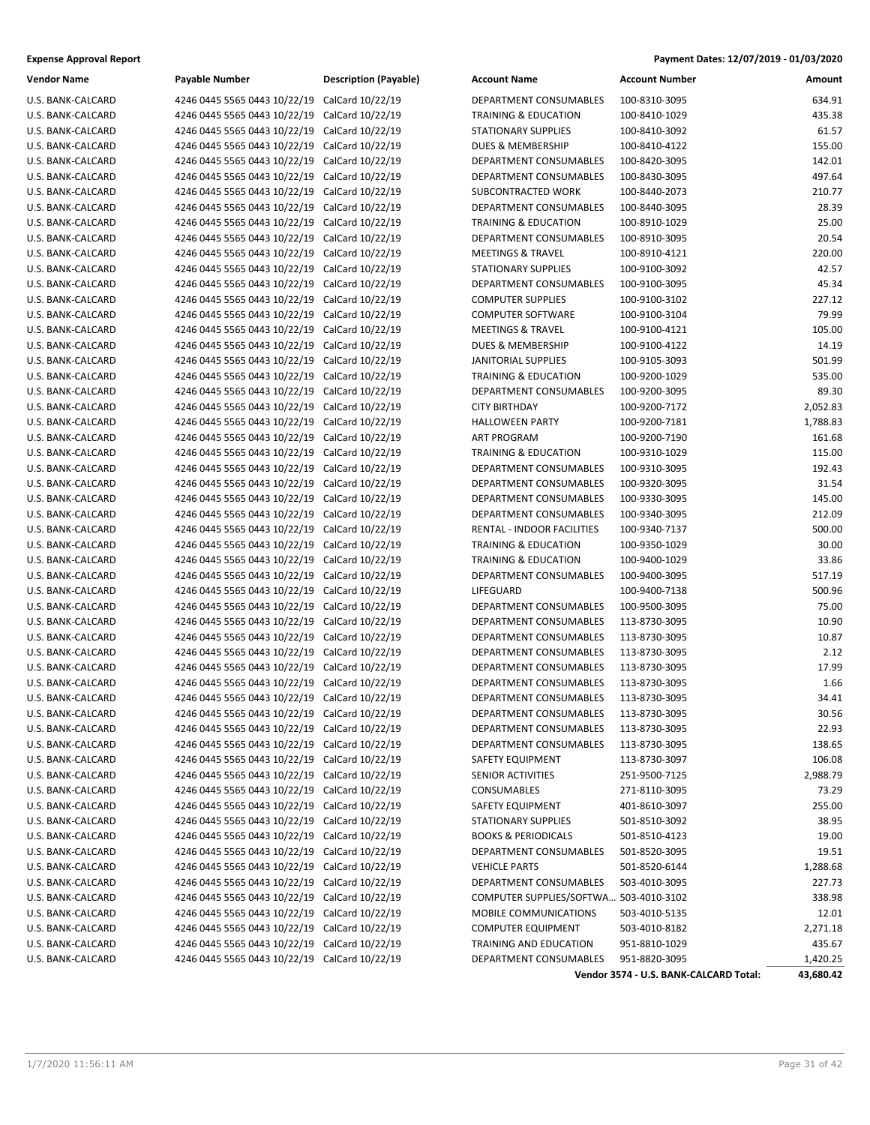| Vendor Name       | Payable Number                         | Descriptio |
|-------------------|----------------------------------------|------------|
| U.S. BANK-CALCARD | 4246 0445 5565 0443 10/22/19           | CalCard 1  |
| U.S. BANK-CALCARD | 4246 0445 5565 0443 10/22/19           | CalCard 1  |
| U.S. BANK-CALCARD | 4246 0445 5565 0443 10/22/19           | CalCard 1  |
| U.S. BANK-CALCARD | 4246 0445 5565 0443 10/22/19           | CalCard 1  |
| U.S. BANK-CALCARD | 4246 0445 5565 0443 10/22/19           | CalCard 1  |
| U.S. BANK-CALCARD | 4246 0445 5565 0443 10/22/19           | CalCard 1  |
| U.S. BANK-CALCARD | 4246 0445 5565 0443 10/22/19           | CalCard 1  |
| U.S. BANK-CALCARD | 4246 0445 5565 0443 10/22/19           | CalCard 1  |
| U.S. BANK-CALCARD | 4246 0445 5565 0443 10/22/19           | CalCard 1  |
| U.S. BANK-CALCARD | 4246 0445 5565 0443 10/22/19           | CalCard 1  |
| U.S. BANK-CALCARD | 4246 0445 5565 0443 10/22/19           | CalCard 1  |
| U.S. BANK-CALCARD | 4246 0445 5565 0443 10/22/19           | CalCard 1  |
| U.S. BANK-CALCARD | 4246 0445 5565 0443 10/22/19           | CalCard 1  |
| U.S. BANK-CALCARD | 4246 0445 5565 0443 10/22/19           | CalCard 1  |
| U.S. BANK-CALCARD | 4246 0445 5565 0443 10/22/19           | CalCard 1  |
| U.S. BANK-CALCARD | 4246 0445 5565 0443 10/22/19           | CalCard 1  |
| U.S. BANK-CALCARD | 4246 0445 5565 0443 10/22/19           | CalCard 1  |
| U.S. BANK-CALCARD | 4246 0445 5565 0443 10/22/19           | CalCard 1  |
| U.S. BANK-CALCARD | 4246 0445 5565 0443 10/22/19           | CalCard 1  |
| U.S. BANK-CALCARD | 4246 0445 5565 0443 10/22/19           | CalCard 1  |
| U.S. BANK-CALCARD | 4246 0445 5565 0443 10/22/19           | CalCard 1  |
| U.S. BANK-CALCARD | 4246 0445 5565 0443 10/22/19           | CalCard 1  |
| U.S. BANK-CALCARD | 4246 0445 5565 0443 10/22/19           | CalCard 1  |
| U.S. BANK-CALCARD | 4246 0445 5565 0443 10/22/19           | CalCard 1  |
| U.S. BANK-CALCARD | 4246 0445 5565 0443 10/22/19           | CalCard 1  |
| U.S. BANK-CALCARD | 4246 0445 5565 0443 10/22/19           | CalCard 1  |
| U.S. BANK-CALCARD | 4246 0445 5565 0443 10/22/19           | CalCard 1  |
| U.S. BANK-CALCARD | 4246 0445 5565 0443 10/22/19           | CalCard 1  |
| U.S. BANK-CALCARD | 4246 0445 5565 0443 10/22/19           | CalCard 1  |
| U.S. BANK-CALCARD | 4246 0445 5565 0443 10/22/19           | CalCard 1  |
| U.S. BANK-CALCARD | 4246 0445 5565 0443 10/22/19           | CalCard 1  |
| U.S. BANK-CALCARD | 4246 0445 5565 0443 10/22/19           | CalCard 1  |
| U.S. BANK-CALCARD | 4246 0445 5565 0443 10/22/19           | CalCard 1  |
| U.S. BANK-CALCARD | 4246 0445 5565 0443 10/22/19           | CalCard 1  |
| U.S. BANK-CALCARD | 4246 0445 5565 0443 10/22/19           | CalCard 1  |
| U.S. BANK-CALCARD | 4246 0445 5565 0443 10/22/19           | CalCard 1  |
| U.S. BANK-CALCARD | 4246 0445 5565 0443 10/22/19           | CalCard 1  |
| U.S. BANK-CALCARD | 4246 0445 5565 0443 10/22/19           | CalCard 1  |
| U.S. BANK-CALCARD | 4246 0445 5565 0443 10/22/19           | CalCard 1  |
| U.S. BANK-CALCARD | 4246 0445 5565 0443 10/22/19           | CalCard 1  |
| U.S. BANK-CALCARD | 4246 0445 5565 0443 10/22/19 CalCard 1 |            |
| U.S. BANK-CALCARD | 4246 0445 5565 0443 10/22/19           | CalCard 1  |
| U.S. BANK-CALCARD | 4246 0445 5565 0443 10/22/19           | CalCard 1  |
| U.S. BANK-CALCARD | 4246 0445 5565 0443 10/22/19           | CalCard 1  |
| U.S. BANK-CALCARD | 4246 0445 5565 0443 10/22/19           | CalCard 1  |
| U.S. BANK-CALCARD | 4246 0445 5565 0443 10/22/19           | CalCard 1  |
| U.S. BANK-CALCARD | 4246 0445 5565 0443 10/22/19           | CalCard 1  |
| U.S. BANK-CALCARD | 4246 0445 5565 0443 10/22/19           | CalCard 1  |
| U.S. BANK-CALCARD | 4246 0445 5565 0443 10/22/19           | CalCard 1  |
| U.S. BANK-CALCARD | 4246 0445 5565 0443 10/22/19           | CalCard 1  |
| U.S. BANK-CALCARD | 4246 0445 5565 0443 10/22/19           | CalCard 1  |
| U.S. BANK-CALCARD | 4246 0445 5565 0443 10/22/19           | CalCard 1  |
| U.S. BANK-CALCARD | 4246 0445 5565 0443 10/22/19           | CalCard 1  |
| U.S. BANK-CALCARD | 4246 0445 5565 0443 10/22/19           | CalCard 1  |
| U.S. BANK-CALCARD | 4246 0445 5565 0443 10/22/19           | CalCard 1  |
| U.S. BANK-CALCARD | 4246 0445 5565 0443 10/22/19           | CalCard 1  |
| U.S. BANK-CALCARD | 4246 0445 5565 0443 10/22/19           | CalCard 1  |
|                   |                                        |            |

| Vendor Name              | <b>Payable Number</b>                         | <b>Description (Payable)</b> | <b>Account Name</b>             | <b>Account Number</b>                  | Amount    |
|--------------------------|-----------------------------------------------|------------------------------|---------------------------------|----------------------------------------|-----------|
| U.S. BANK-CALCARD        | 4246 0445 5565 0443 10/22/19                  | CalCard 10/22/19             | DEPARTMENT CONSUMABLES          | 100-8310-3095                          | 634.91    |
| U.S. BANK-CALCARD        | 4246 0445 5565 0443 10/22/19                  | CalCard 10/22/19             | <b>TRAINING &amp; EDUCATION</b> | 100-8410-1029                          | 435.38    |
| U.S. BANK-CALCARD        | 4246 0445 5565 0443 10/22/19                  | CalCard 10/22/19             | <b>STATIONARY SUPPLIES</b>      | 100-8410-3092                          | 61.57     |
| U.S. BANK-CALCARD        | 4246 0445 5565 0443 10/22/19                  | CalCard 10/22/19             | <b>DUES &amp; MEMBERSHIP</b>    | 100-8410-4122                          | 155.00    |
| U.S. BANK-CALCARD        | 4246 0445 5565 0443 10/22/19                  | CalCard 10/22/19             | <b>DEPARTMENT CONSUMABLES</b>   | 100-8420-3095                          | 142.01    |
| U.S. BANK-CALCARD        | 4246 0445 5565 0443 10/22/19                  | CalCard 10/22/19             | DEPARTMENT CONSUMABLES          | 100-8430-3095                          | 497.64    |
| U.S. BANK-CALCARD        | 4246 0445 5565 0443 10/22/19                  | CalCard 10/22/19             | SUBCONTRACTED WORK              | 100-8440-2073                          | 210.77    |
| U.S. BANK-CALCARD        | 4246 0445 5565 0443 10/22/19                  | CalCard 10/22/19             | DEPARTMENT CONSUMABLES          | 100-8440-3095                          | 28.39     |
| U.S. BANK-CALCARD        | 4246 0445 5565 0443 10/22/19                  | CalCard 10/22/19             | <b>TRAINING &amp; EDUCATION</b> | 100-8910-1029                          | 25.00     |
| U.S. BANK-CALCARD        | 4246 0445 5565 0443 10/22/19                  | CalCard 10/22/19             | DEPARTMENT CONSUMABLES          | 100-8910-3095                          | 20.54     |
| U.S. BANK-CALCARD        | 4246 0445 5565 0443 10/22/19                  | CalCard 10/22/19             | <b>MEETINGS &amp; TRAVEL</b>    | 100-8910-4121                          | 220.00    |
| U.S. BANK-CALCARD        | 4246 0445 5565 0443 10/22/19                  | CalCard 10/22/19             | <b>STATIONARY SUPPLIES</b>      | 100-9100-3092                          | 42.57     |
| U.S. BANK-CALCARD        | 4246 0445 5565 0443 10/22/19                  | CalCard 10/22/19             | DEPARTMENT CONSUMABLES          | 100-9100-3095                          | 45.34     |
| U.S. BANK-CALCARD        | 4246 0445 5565 0443 10/22/19                  | CalCard 10/22/19             | <b>COMPUTER SUPPLIES</b>        | 100-9100-3102                          | 227.12    |
| U.S. BANK-CALCARD        | 4246 0445 5565 0443 10/22/19                  | CalCard 10/22/19             | <b>COMPUTER SOFTWARE</b>        | 100-9100-3104                          | 79.99     |
| U.S. BANK-CALCARD        | 4246 0445 5565 0443 10/22/19                  | CalCard 10/22/19             | <b>MEETINGS &amp; TRAVEL</b>    | 100-9100-4121                          | 105.00    |
| U.S. BANK-CALCARD        | 4246 0445 5565 0443 10/22/19                  | CalCard 10/22/19             | <b>DUES &amp; MEMBERSHIP</b>    | 100-9100-4122                          | 14.19     |
| U.S. BANK-CALCARD        | 4246 0445 5565 0443 10/22/19                  | CalCard 10/22/19             | <b>JANITORIAL SUPPLIES</b>      | 100-9105-3093                          | 501.99    |
| U.S. BANK-CALCARD        | 4246 0445 5565 0443 10/22/19                  | CalCard 10/22/19             | <b>TRAINING &amp; EDUCATION</b> | 100-9200-1029                          | 535.00    |
| U.S. BANK-CALCARD        | 4246 0445 5565 0443 10/22/19                  | CalCard 10/22/19             | DEPARTMENT CONSUMABLES          | 100-9200-3095                          | 89.30     |
| U.S. BANK-CALCARD        | 4246 0445 5565 0443 10/22/19                  | CalCard 10/22/19             | <b>CITY BIRTHDAY</b>            | 100-9200-7172                          | 2,052.83  |
| U.S. BANK-CALCARD        | 4246 0445 5565 0443 10/22/19                  | CalCard 10/22/19             | <b>HALLOWEEN PARTY</b>          | 100-9200-7181                          | 1,788.83  |
| <b>U.S. BANK-CALCARD</b> | 4246 0445 5565 0443 10/22/19                  | CalCard 10/22/19             | <b>ART PROGRAM</b>              | 100-9200-7190                          | 161.68    |
| U.S. BANK-CALCARD        | 4246 0445 5565 0443 10/22/19                  | CalCard 10/22/19             | <b>TRAINING &amp; EDUCATION</b> | 100-9310-1029                          | 115.00    |
| U.S. BANK-CALCARD        | 4246 0445 5565 0443 10/22/19                  | CalCard 10/22/19             | DEPARTMENT CONSUMABLES          | 100-9310-3095                          | 192.43    |
| U.S. BANK-CALCARD        | 4246 0445 5565 0443 10/22/19                  | CalCard 10/22/19             | DEPARTMENT CONSUMABLES          | 100-9320-3095                          | 31.54     |
| U.S. BANK-CALCARD        | 4246 0445 5565 0443 10/22/19                  | CalCard 10/22/19             | DEPARTMENT CONSUMABLES          | 100-9330-3095                          | 145.00    |
| U.S. BANK-CALCARD        | 4246 0445 5565 0443 10/22/19                  | CalCard 10/22/19             | DEPARTMENT CONSUMABLES          | 100-9340-3095                          | 212.09    |
| U.S. BANK-CALCARD        | 4246 0445 5565 0443 10/22/19                  | CalCard 10/22/19             | RENTAL - INDOOR FACILITIES      | 100-9340-7137                          | 500.00    |
| U.S. BANK-CALCARD        | 4246 0445 5565 0443 10/22/19                  | CalCard 10/22/19             | <b>TRAINING &amp; EDUCATION</b> | 100-9350-1029                          | 30.00     |
| U.S. BANK-CALCARD        | 4246 0445 5565 0443 10/22/19                  | CalCard 10/22/19             | <b>TRAINING &amp; EDUCATION</b> | 100-9400-1029                          | 33.86     |
| U.S. BANK-CALCARD        | 4246 0445 5565 0443 10/22/19                  | CalCard 10/22/19             | DEPARTMENT CONSUMABLES          | 100-9400-3095                          | 517.19    |
| U.S. BANK-CALCARD        | 4246 0445 5565 0443 10/22/19                  | CalCard 10/22/19             | LIFEGUARD                       | 100-9400-7138                          | 500.96    |
| U.S. BANK-CALCARD        | 4246 0445 5565 0443 10/22/19                  | CalCard 10/22/19             | DEPARTMENT CONSUMABLES          | 100-9500-3095                          | 75.00     |
| U.S. BANK-CALCARD        | 4246 0445 5565 0443 10/22/19                  | CalCard 10/22/19             | DEPARTMENT CONSUMABLES          | 113-8730-3095                          | 10.90     |
| U.S. BANK-CALCARD        | 4246 0445 5565 0443 10/22/19                  | CalCard 10/22/19             | DEPARTMENT CONSUMABLES          | 113-8730-3095                          | 10.87     |
| U.S. BANK-CALCARD        | 4246 0445 5565 0443 10/22/19                  | CalCard 10/22/19             | DEPARTMENT CONSUMABLES          | 113-8730-3095                          | 2.12      |
| U.S. BANK-CALCARD        | 4246 0445 5565 0443 10/22/19                  | CalCard 10/22/19             | <b>DEPARTMENT CONSUMABLES</b>   | 113-8730-3095                          | 17.99     |
| U.S. BANK-CALCARD        | 4246 0445 5565 0443 10/22/19                  | CalCard 10/22/19             | DEPARTMENT CONSUMABLES          | 113-8730-3095                          | 1.66      |
| U.S. BANK-CALCARD        | 4246 0445 5565 0443 10/22/19 CalCard 10/22/19 |                              | <b>DEPARTMENT CONSUMABLES</b>   | 113-8730-3095                          | 34.41     |
| U.S. BANK-CALCARD        | 4246 0445 5565 0443 10/22/19 CalCard 10/22/19 |                              | DEPARTMENT CONSUMABLES          | 113-8730-3095                          | 30.56     |
| U.S. BANK-CALCARD        | 4246 0445 5565 0443 10/22/19 CalCard 10/22/19 |                              | DEPARTMENT CONSUMABLES          | 113-8730-3095                          | 22.93     |
| U.S. BANK-CALCARD        | 4246 0445 5565 0443 10/22/19                  | CalCard 10/22/19             | DEPARTMENT CONSUMABLES          | 113-8730-3095                          | 138.65    |
| U.S. BANK-CALCARD        | 4246 0445 5565 0443 10/22/19                  | CalCard 10/22/19             | SAFETY EQUIPMENT                | 113-8730-3097                          | 106.08    |
| U.S. BANK-CALCARD        | 4246 0445 5565 0443 10/22/19                  | CalCard 10/22/19             | SENIOR ACTIVITIES               | 251-9500-7125                          | 2,988.79  |
| U.S. BANK-CALCARD        | 4246 0445 5565 0443 10/22/19                  | CalCard 10/22/19             | CONSUMABLES                     | 271-8110-3095                          | 73.29     |
| U.S. BANK-CALCARD        | 4246 0445 5565 0443 10/22/19                  | CalCard 10/22/19             | SAFETY EQUIPMENT                | 401-8610-3097                          | 255.00    |
| U.S. BANK-CALCARD        | 4246 0445 5565 0443 10/22/19                  | CalCard 10/22/19             | <b>STATIONARY SUPPLIES</b>      | 501-8510-3092                          | 38.95     |
| U.S. BANK-CALCARD        | 4246 0445 5565 0443 10/22/19                  | CalCard 10/22/19             | <b>BOOKS &amp; PERIODICALS</b>  | 501-8510-4123                          | 19.00     |
| U.S. BANK-CALCARD        | 4246 0445 5565 0443 10/22/19                  | CalCard 10/22/19             | DEPARTMENT CONSUMABLES          | 501-8520-3095                          | 19.51     |
| U.S. BANK-CALCARD        | 4246 0445 5565 0443 10/22/19                  | CalCard 10/22/19             | <b>VEHICLE PARTS</b>            | 501-8520-6144                          | 1,288.68  |
| U.S. BANK-CALCARD        | 4246 0445 5565 0443 10/22/19                  | CalCard 10/22/19             | DEPARTMENT CONSUMABLES          | 503-4010-3095                          | 227.73    |
| U.S. BANK-CALCARD        | 4246 0445 5565 0443 10/22/19                  | CalCard 10/22/19             | COMPUTER SUPPLIES/SOFTWA.       | 503-4010-3102                          | 338.98    |
| U.S. BANK-CALCARD        | 4246 0445 5565 0443 10/22/19                  | CalCard 10/22/19             | MOBILE COMMUNICATIONS           | 503-4010-5135                          | 12.01     |
| U.S. BANK-CALCARD        | 4246 0445 5565 0443 10/22/19                  | CalCard 10/22/19             | <b>COMPUTER EQUIPMENT</b>       | 503-4010-8182                          | 2,271.18  |
| U.S. BANK-CALCARD        | 4246 0445 5565 0443 10/22/19                  | CalCard 10/22/19             | TRAINING AND EDUCATION          | 951-8810-1029                          | 435.67    |
| U.S. BANK-CALCARD        | 4246 0445 5565 0443 10/22/19                  | CalCard 10/22/19             | DEPARTMENT CONSUMABLES          | 951-8820-3095                          | 1,420.25  |
|                          |                                               |                              |                                 | Vendor 3574 - U.S. BANK-CALCARD Total: | 43,680.42 |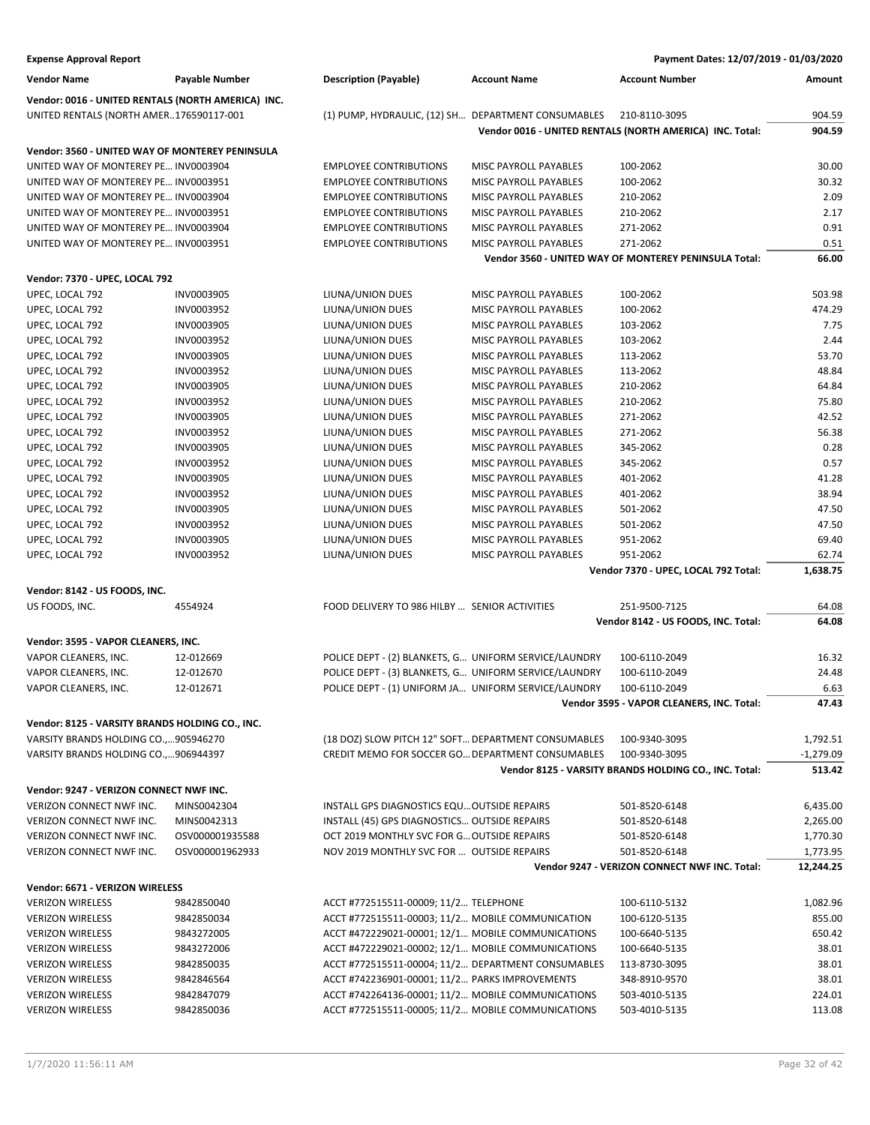| <b>Expense Approval Report</b>                                               |                          |                                                                                                     |                                                | Payment Dates: 12/07/2019 - 01/03/2020                   |                 |
|------------------------------------------------------------------------------|--------------------------|-----------------------------------------------------------------------------------------------------|------------------------------------------------|----------------------------------------------------------|-----------------|
| <b>Vendor Name</b>                                                           | <b>Payable Number</b>    | <b>Description (Payable)</b>                                                                        | <b>Account Name</b>                            | <b>Account Number</b>                                    | Amount          |
| Vendor: 0016 - UNITED RENTALS (NORTH AMERICA) INC.                           |                          |                                                                                                     |                                                |                                                          |                 |
| UNITED RENTALS (NORTH AMER176590117-001                                      |                          | (1) PUMP, HYDRAULIC, (12) SH DEPARTMENT CONSUMABLES                                                 |                                                | 210-8110-3095                                            | 904.59          |
|                                                                              |                          |                                                                                                     |                                                | Vendor 0016 - UNITED RENTALS (NORTH AMERICA) INC. Total: | 904.59          |
|                                                                              |                          |                                                                                                     |                                                |                                                          |                 |
| Vendor: 3560 - UNITED WAY OF MONTEREY PENINSULA                              |                          |                                                                                                     |                                                |                                                          |                 |
| UNITED WAY OF MONTEREY PE INV0003904                                         |                          | <b>EMPLOYEE CONTRIBUTIONS</b>                                                                       | MISC PAYROLL PAYABLES                          | 100-2062                                                 | 30.00           |
| UNITED WAY OF MONTEREY PE INV0003951                                         |                          | <b>EMPLOYEE CONTRIBUTIONS</b>                                                                       | MISC PAYROLL PAYABLES                          | 100-2062                                                 | 30.32           |
| UNITED WAY OF MONTEREY PE INV0003904                                         |                          | <b>EMPLOYEE CONTRIBUTIONS</b>                                                                       | MISC PAYROLL PAYABLES                          | 210-2062                                                 | 2.09            |
| UNITED WAY OF MONTEREY PE INV0003951                                         |                          | <b>EMPLOYEE CONTRIBUTIONS</b><br><b>EMPLOYEE CONTRIBUTIONS</b>                                      | MISC PAYROLL PAYABLES                          | 210-2062                                                 | 2.17<br>0.91    |
| UNITED WAY OF MONTEREY PE INV0003904<br>UNITED WAY OF MONTEREY PE INV0003951 |                          | <b>EMPLOYEE CONTRIBUTIONS</b>                                                                       | MISC PAYROLL PAYABLES<br>MISC PAYROLL PAYABLES | 271-2062<br>271-2062                                     | 0.51            |
|                                                                              |                          |                                                                                                     |                                                | Vendor 3560 - UNITED WAY OF MONTEREY PENINSULA Total:    | 66.00           |
|                                                                              |                          |                                                                                                     |                                                |                                                          |                 |
| Vendor: 7370 - UPEC, LOCAL 792                                               |                          |                                                                                                     |                                                |                                                          |                 |
| UPEC, LOCAL 792                                                              | INV0003905               | LIUNA/UNION DUES                                                                                    | MISC PAYROLL PAYABLES                          | 100-2062                                                 | 503.98          |
| UPEC, LOCAL 792                                                              | INV0003952               | LIUNA/UNION DUES                                                                                    | MISC PAYROLL PAYABLES                          | 100-2062                                                 | 474.29          |
| UPEC, LOCAL 792                                                              | INV0003905               | LIUNA/UNION DUES                                                                                    | MISC PAYROLL PAYABLES                          | 103-2062                                                 | 7.75            |
| UPEC, LOCAL 792                                                              | INV0003952               | LIUNA/UNION DUES                                                                                    | MISC PAYROLL PAYABLES                          | 103-2062                                                 | 2.44            |
| UPEC, LOCAL 792                                                              | INV0003905               | LIUNA/UNION DUES                                                                                    | MISC PAYROLL PAYABLES                          | 113-2062                                                 | 53.70           |
| UPEC, LOCAL 792                                                              | INV0003952               | LIUNA/UNION DUES                                                                                    | MISC PAYROLL PAYABLES                          | 113-2062                                                 | 48.84           |
| UPEC, LOCAL 792                                                              | INV0003905               | LIUNA/UNION DUES                                                                                    | <b>MISC PAYROLL PAYABLES</b>                   | 210-2062                                                 | 64.84           |
| UPEC, LOCAL 792                                                              | INV0003952               | LIUNA/UNION DUES                                                                                    | MISC PAYROLL PAYABLES                          | 210-2062                                                 | 75.80           |
| UPEC, LOCAL 792                                                              | INV0003905               | LIUNA/UNION DUES                                                                                    | MISC PAYROLL PAYABLES                          | 271-2062                                                 | 42.52           |
| UPEC, LOCAL 792                                                              | INV0003952               | LIUNA/UNION DUES                                                                                    | MISC PAYROLL PAYABLES                          | 271-2062                                                 | 56.38           |
| UPEC, LOCAL 792                                                              | INV0003905               | LIUNA/UNION DUES                                                                                    | MISC PAYROLL PAYABLES                          | 345-2062                                                 | 0.28            |
| UPEC, LOCAL 792                                                              | INV0003952               | LIUNA/UNION DUES                                                                                    | MISC PAYROLL PAYABLES                          | 345-2062                                                 | 0.57            |
| UPEC, LOCAL 792                                                              | INV0003905               | LIUNA/UNION DUES                                                                                    | MISC PAYROLL PAYABLES                          | 401-2062                                                 | 41.28           |
| UPEC, LOCAL 792                                                              | INV0003952               | LIUNA/UNION DUES                                                                                    | MISC PAYROLL PAYABLES                          | 401-2062                                                 | 38.94<br>47.50  |
| UPEC, LOCAL 792                                                              | INV0003905               | LIUNA/UNION DUES                                                                                    | MISC PAYROLL PAYABLES                          | 501-2062                                                 | 47.50           |
| UPEC, LOCAL 792<br>UPEC, LOCAL 792                                           | INV0003952<br>INV0003905 | LIUNA/UNION DUES<br>LIUNA/UNION DUES                                                                | MISC PAYROLL PAYABLES<br>MISC PAYROLL PAYABLES | 501-2062<br>951-2062                                     | 69.40           |
| UPEC, LOCAL 792                                                              | INV0003952               | LIUNA/UNION DUES                                                                                    | MISC PAYROLL PAYABLES                          | 951-2062                                                 | 62.74           |
|                                                                              |                          |                                                                                                     |                                                | Vendor 7370 - UPEC, LOCAL 792 Total:                     | 1,638.75        |
|                                                                              |                          |                                                                                                     |                                                |                                                          |                 |
| Vendor: 8142 - US FOODS, INC.                                                |                          |                                                                                                     |                                                |                                                          |                 |
| US FOODS, INC.                                                               | 4554924                  | FOOD DELIVERY TO 986 HILBY  SENIOR ACTIVITIES                                                       |                                                | 251-9500-7125                                            | 64.08           |
|                                                                              |                          |                                                                                                     |                                                | Vendor 8142 - US FOODS, INC. Total:                      | 64.08           |
| Vendor: 3595 - VAPOR CLEANERS, INC.                                          |                          |                                                                                                     |                                                |                                                          |                 |
| VAPOR CLEANERS, INC.                                                         | 12-012669                | POLICE DEPT - (2) BLANKETS, G UNIFORM SERVICE/LAUNDRY                                               |                                                | 100-6110-2049                                            | 16.32           |
| VAPOR CLEANERS, INC.                                                         | 12-012670                | POLICE DEPT - (3) BLANKETS, G UNIFORM SERVICE/LAUNDRY                                               |                                                | 100-6110-2049                                            | 24.48           |
| VAPOR CLEANERS, INC.                                                         | 12-012671                | POLICE DEPT - (1) UNIFORM JA UNIFORM SERVICE/LAUNDRY                                                |                                                | 100-6110-2049                                            | 6.63            |
|                                                                              |                          |                                                                                                     |                                                | Vendor 3595 - VAPOR CLEANERS, INC. Total:                | 47.43           |
| Vendor: 8125 - VARSITY BRANDS HOLDING CO., INC.                              |                          |                                                                                                     |                                                |                                                          |                 |
| VARSITY BRANDS HOLDING CO.,905946270                                         |                          | (18 DOZ) SLOW PITCH 12" SOFT DEPARTMENT CONSUMABLES                                                 |                                                | 100-9340-3095                                            | 1,792.51        |
| VARSITY BRANDS HOLDING CO.,906944397                                         |                          | CREDIT MEMO FOR SOCCER GO DEPARTMENT CONSUMABLES                                                    |                                                | 100-9340-3095                                            | $-1,279.09$     |
|                                                                              |                          |                                                                                                     |                                                | Vendor 8125 - VARSITY BRANDS HOLDING CO., INC. Total:    | 513.42          |
| Vendor: 9247 - VERIZON CONNECT NWF INC.                                      |                          |                                                                                                     |                                                |                                                          |                 |
| VERIZON CONNECT NWF INC.                                                     | MINS0042304              | INSTALL GPS DIAGNOSTICS EQU OUTSIDE REPAIRS                                                         |                                                | 501-8520-6148                                            | 6,435.00        |
| VERIZON CONNECT NWF INC.                                                     | MINS0042313              | INSTALL (45) GPS DIAGNOSTICS OUTSIDE REPAIRS                                                        |                                                | 501-8520-6148                                            | 2,265.00        |
| VERIZON CONNECT NWF INC.                                                     | OSV000001935588          | OCT 2019 MONTHLY SVC FOR G OUTSIDE REPAIRS                                                          |                                                | 501-8520-6148                                            | 1,770.30        |
| VERIZON CONNECT NWF INC.                                                     | OSV000001962933          | NOV 2019 MONTHLY SVC FOR  OUTSIDE REPAIRS                                                           |                                                | 501-8520-6148                                            | 1,773.95        |
|                                                                              |                          |                                                                                                     |                                                | Vendor 9247 - VERIZON CONNECT NWF INC. Total:            | 12,244.25       |
|                                                                              |                          |                                                                                                     |                                                |                                                          |                 |
| Vendor: 6671 - VERIZON WIRELESS                                              |                          |                                                                                                     |                                                |                                                          |                 |
| <b>VERIZON WIRELESS</b>                                                      | 9842850040               | ACCT #772515511-00009; 11/2 TELEPHONE                                                               |                                                | 100-6110-5132                                            | 1,082.96        |
| <b>VERIZON WIRELESS</b>                                                      | 9842850034               | ACCT #772515511-00003; 11/2 MOBILE COMMUNICATION                                                    |                                                | 100-6120-5135                                            | 855.00          |
| <b>VERIZON WIRELESS</b>                                                      | 9843272005               | ACCT #472229021-00001; 12/1 MOBILE COMMUNICATIONS                                                   |                                                | 100-6640-5135                                            | 650.42          |
| <b>VERIZON WIRELESS</b>                                                      | 9843272006               | ACCT #472229021-00002; 12/1 MOBILE COMMUNICATIONS                                                   |                                                | 100-6640-5135                                            | 38.01           |
| <b>VERIZON WIRELESS</b>                                                      | 9842850035               | ACCT #772515511-00004; 11/2 DEPARTMENT CONSUMABLES                                                  |                                                | 113-8730-3095                                            | 38.01           |
| <b>VERIZON WIRELESS</b><br><b>VERIZON WIRELESS</b>                           | 9842846564<br>9842847079 | ACCT #742236901-00001; 11/2 PARKS IMPROVEMENTS<br>ACCT #742264136-00001; 11/2 MOBILE COMMUNICATIONS |                                                | 348-8910-9570<br>503-4010-5135                           | 38.01<br>224.01 |
| <b>VERIZON WIRELESS</b>                                                      | 9842850036               | ACCT #772515511-00005; 11/2 MOBILE COMMUNICATIONS                                                   |                                                | 503-4010-5135                                            | 113.08          |
|                                                                              |                          |                                                                                                     |                                                |                                                          |                 |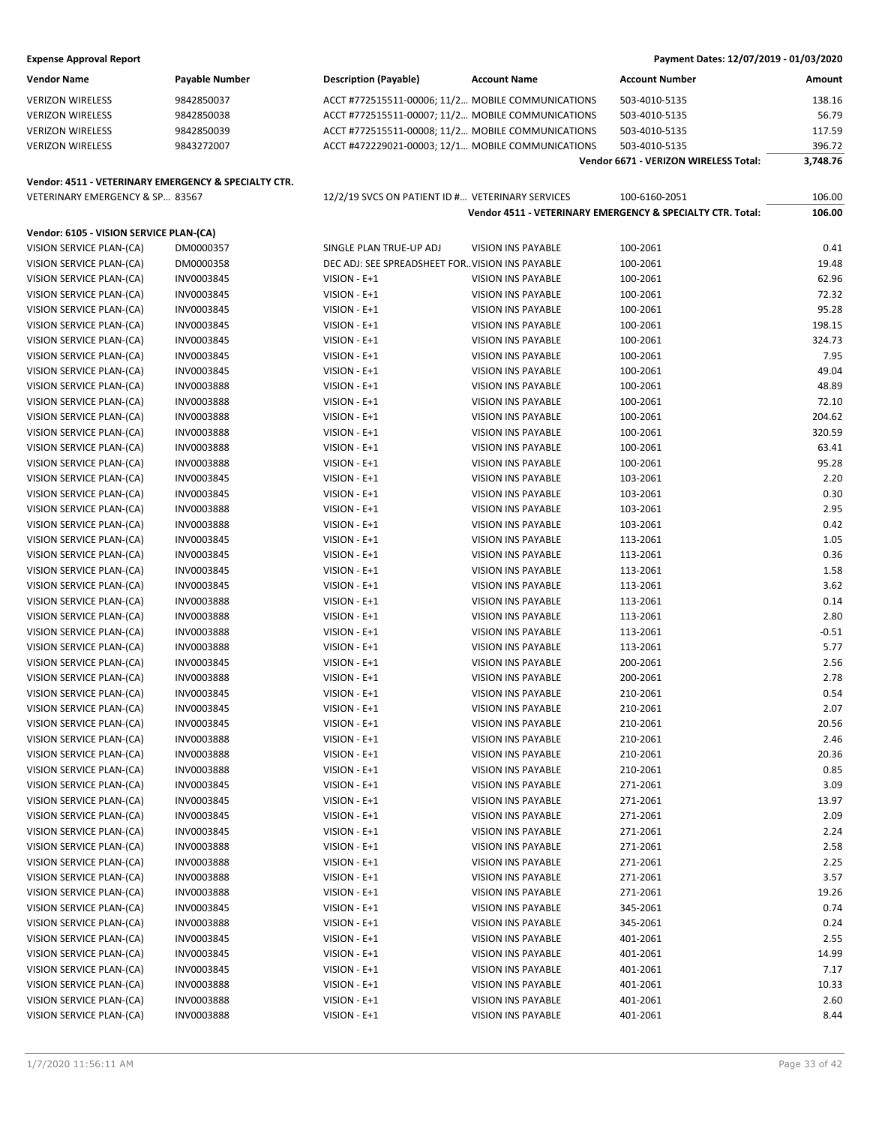| <b>Vendor Name</b>                                   | Payable Number | <b>Description (Payable)</b>                      | <b>Account Name</b>       | <b>Account Number</b>                                      | Amount   |
|------------------------------------------------------|----------------|---------------------------------------------------|---------------------------|------------------------------------------------------------|----------|
| <b>VERIZON WIRELESS</b>                              | 9842850037     | ACCT #772515511-00006; 11/2 MOBILE COMMUNICATIONS |                           | 503-4010-5135                                              | 138.16   |
| <b>VERIZON WIRELESS</b>                              | 9842850038     | ACCT #772515511-00007; 11/2 MOBILE COMMUNICATIONS |                           | 503-4010-5135                                              | 56.79    |
| <b>VERIZON WIRELESS</b>                              | 9842850039     | ACCT #772515511-00008; 11/2 MOBILE COMMUNICATIONS |                           | 503-4010-5135                                              | 117.59   |
| <b>VERIZON WIRELESS</b>                              | 9843272007     | ACCT #472229021-00003; 12/1 MOBILE COMMUNICATIONS |                           | 503-4010-5135                                              | 396.72   |
|                                                      |                |                                                   |                           | Vendor 6671 - VERIZON WIRELESS Total:                      | 3,748.76 |
|                                                      |                |                                                   |                           |                                                            |          |
| Vendor: 4511 - VETERINARY EMERGENCY & SPECIALTY CTR. |                |                                                   |                           |                                                            |          |
| VETERINARY EMERGENCY & SP 83567                      |                | 12/2/19 SVCS ON PATIENT ID # VETERINARY SERVICES  |                           | 100-6160-2051                                              | 106.00   |
|                                                      |                |                                                   |                           | Vendor 4511 - VETERINARY EMERGENCY & SPECIALTY CTR. Total: | 106.00   |
| Vendor: 6105 - VISION SERVICE PLAN-(CA)              |                |                                                   |                           |                                                            |          |
| VISION SERVICE PLAN-(CA)                             | DM0000357      | SINGLE PLAN TRUE-UP ADJ                           | <b>VISION INS PAYABLE</b> | 100-2061                                                   | 0.41     |
| VISION SERVICE PLAN-(CA)                             | DM0000358      | DEC ADJ: SEE SPREADSHEET FOR. VISION INS PAYABLE  |                           | 100-2061                                                   | 19.48    |
| VISION SERVICE PLAN-(CA)                             | INV0003845     | VISION - E+1                                      | <b>VISION INS PAYABLE</b> | 100-2061                                                   | 62.96    |
| VISION SERVICE PLAN-(CA)                             | INV0003845     | VISION - E+1                                      | VISION INS PAYABLE        | 100-2061                                                   | 72.32    |
| VISION SERVICE PLAN-(CA)                             | INV0003845     | VISION - E+1                                      | <b>VISION INS PAYABLE</b> | 100-2061                                                   | 95.28    |
| VISION SERVICE PLAN-(CA)                             | INV0003845     | VISION - E+1                                      | <b>VISION INS PAYABLE</b> | 100-2061                                                   | 198.15   |
| VISION SERVICE PLAN-(CA)                             | INV0003845     | VISION - E+1                                      | VISION INS PAYABLE        | 100-2061                                                   | 324.73   |
| VISION SERVICE PLAN-(CA)                             | INV0003845     | VISION - E+1                                      | <b>VISION INS PAYABLE</b> | 100-2061                                                   | 7.95     |
| VISION SERVICE PLAN-(CA)                             | INV0003845     | VISION - E+1                                      | <b>VISION INS PAYABLE</b> | 100-2061                                                   | 49.04    |
| VISION SERVICE PLAN-(CA)                             | INV0003888     | VISION - E+1                                      | <b>VISION INS PAYABLE</b> | 100-2061                                                   | 48.89    |
| VISION SERVICE PLAN-(CA)                             | INV0003888     | VISION - E+1                                      | <b>VISION INS PAYABLE</b> | 100-2061                                                   | 72.10    |
| VISION SERVICE PLAN-(CA)                             | INV0003888     | VISION - E+1                                      | VISION INS PAYABLE        | 100-2061                                                   | 204.62   |
| VISION SERVICE PLAN-(CA)                             | INV0003888     | VISION - E+1                                      | <b>VISION INS PAYABLE</b> | 100-2061                                                   | 320.59   |
| VISION SERVICE PLAN-(CA)                             | INV0003888     | VISION - E+1                                      | VISION INS PAYABLE        | 100-2061                                                   | 63.41    |
| VISION SERVICE PLAN-(CA)                             | INV0003888     | VISION - E+1                                      | <b>VISION INS PAYABLE</b> | 100-2061                                                   | 95.28    |
| VISION SERVICE PLAN-(CA)                             | INV0003845     | VISION - E+1                                      | <b>VISION INS PAYABLE</b> | 103-2061                                                   | 2.20     |
| VISION SERVICE PLAN-(CA)                             | INV0003845     | VISION - E+1                                      | VISION INS PAYABLE        | 103-2061                                                   | 0.30     |
| VISION SERVICE PLAN-(CA)                             | INV0003888     | VISION - E+1                                      | <b>VISION INS PAYABLE</b> | 103-2061                                                   | 2.95     |
| VISION SERVICE PLAN-(CA)                             | INV0003888     | VISION - E+1                                      | <b>VISION INS PAYABLE</b> | 103-2061                                                   | 0.42     |
| VISION SERVICE PLAN-(CA)                             | INV0003845     | VISION - E+1                                      | <b>VISION INS PAYABLE</b> | 113-2061                                                   | 1.05     |
| VISION SERVICE PLAN-(CA)                             | INV0003845     | VISION - E+1                                      | <b>VISION INS PAYABLE</b> | 113-2061                                                   | 0.36     |
| VISION SERVICE PLAN-(CA)                             | INV0003845     | VISION - E+1                                      | <b>VISION INS PAYABLE</b> | 113-2061                                                   | 1.58     |
| VISION SERVICE PLAN-(CA)                             | INV0003845     | VISION - E+1                                      | <b>VISION INS PAYABLE</b> | 113-2061                                                   | 3.62     |
| VISION SERVICE PLAN-(CA)                             | INV0003888     | VISION - E+1                                      | <b>VISION INS PAYABLE</b> | 113-2061                                                   | 0.14     |
| VISION SERVICE PLAN-(CA)                             | INV0003888     | VISION - E+1                                      | VISION INS PAYABLE        | 113-2061                                                   | 2.80     |
| VISION SERVICE PLAN-(CA)                             | INV0003888     | VISION - E+1                                      | <b>VISION INS PAYABLE</b> | 113-2061                                                   | $-0.51$  |
| VISION SERVICE PLAN-(CA)                             | INV0003888     | VISION - E+1                                      | VISION INS PAYABLE        | 113-2061                                                   | 5.77     |
| VISION SERVICE PLAN-(CA)                             | INV0003845     | VISION - E+1                                      | <b>VISION INS PAYABLE</b> | 200-2061                                                   | 2.56     |
| VISION SERVICE PLAN-(CA)                             | INV0003888     | VISION - E+1                                      | <b>VISION INS PAYABLE</b> | 200-2061                                                   | 2.78     |
| VISION SERVICE PLAN-(CA)                             | INV0003845     | VISION - E+1                                      | <b>VISION INS PAYABLE</b> | 210-2061                                                   | 0.54     |
| VISION SERVICE PLAN-(CA)                             | INV0003845     | VISION - E+1                                      | VISION INS PAYABLE        | 210-2061                                                   | 2.07     |
| VISION SERVICE PLAN-(CA)                             | INV0003845     | VISION - E+1                                      | VISION INS PAYABLE        | 210-2061                                                   | 20.56    |
| VISION SERVICE PLAN-(CA)                             | INV0003888     | $VISION - E + 1$                                  | VISION INS PAYABLE        | 210-2061                                                   | 2.46     |
| VISION SERVICE PLAN-(CA)                             | INV0003888     | $VISION - E + 1$                                  | VISION INS PAYABLE        | 210-2061                                                   | 20.36    |
| VISION SERVICE PLAN-(CA)                             | INV0003888     | VISION - E+1                                      | <b>VISION INS PAYABLE</b> | 210-2061                                                   | 0.85     |
| VISION SERVICE PLAN-(CA)                             | INV0003845     | $VISION - E + 1$                                  | <b>VISION INS PAYABLE</b> | 271-2061                                                   | 3.09     |
| VISION SERVICE PLAN-(CA)                             | INV0003845     | VISION - E+1                                      | VISION INS PAYABLE        | 271-2061                                                   | 13.97    |
| VISION SERVICE PLAN-(CA)                             | INV0003845     | $VISION - E + 1$                                  | VISION INS PAYABLE        | 271-2061                                                   | 2.09     |
| VISION SERVICE PLAN-(CA)                             | INV0003845     | VISION - E+1                                      | VISION INS PAYABLE        | 271-2061                                                   | 2.24     |
| VISION SERVICE PLAN-(CA)                             | INV0003888     | VISION - E+1                                      | VISION INS PAYABLE        | 271-2061                                                   | 2.58     |
| VISION SERVICE PLAN-(CA)                             | INV0003888     | VISION - E+1                                      | <b>VISION INS PAYABLE</b> | 271-2061                                                   | 2.25     |
| VISION SERVICE PLAN-(CA)                             | INV0003888     | VISION - E+1                                      | VISION INS PAYABLE        | 271-2061                                                   | 3.57     |
| VISION SERVICE PLAN-(CA)                             | INV0003888     | $VISION - E + 1$                                  | VISION INS PAYABLE        | 271-2061                                                   | 19.26    |
| VISION SERVICE PLAN-(CA)                             | INV0003845     | VISION - E+1                                      | VISION INS PAYABLE        | 345-2061                                                   | 0.74     |
| VISION SERVICE PLAN-(CA)                             | INV0003888     | VISION - E+1                                      | VISION INS PAYABLE        | 345-2061                                                   | 0.24     |
| VISION SERVICE PLAN-(CA)                             | INV0003845     | $VISION - E + 1$                                  | <b>VISION INS PAYABLE</b> | 401-2061                                                   | 2.55     |
| VISION SERVICE PLAN-(CA)                             | INV0003845     | VISION - E+1                                      | VISION INS PAYABLE        | 401-2061                                                   | 14.99    |
| VISION SERVICE PLAN-(CA)                             | INV0003845     | $VISION - E + 1$                                  | VISION INS PAYABLE        | 401-2061                                                   | 7.17     |
| VISION SERVICE PLAN-(CA)                             | INV0003888     |                                                   | VISION INS PAYABLE        | 401-2061                                                   | 10.33    |
|                                                      |                | VISION - E+1                                      |                           |                                                            |          |
| VISION SERVICE PLAN-(CA)                             | INV0003888     | VISION - E+1                                      | <b>VISION INS PAYABLE</b> | 401-2061                                                   | 2.60     |
| VISION SERVICE PLAN-(CA)                             | INV0003888     | VISION - E+1                                      | VISION INS PAYABLE        | 401-2061                                                   | 8.44     |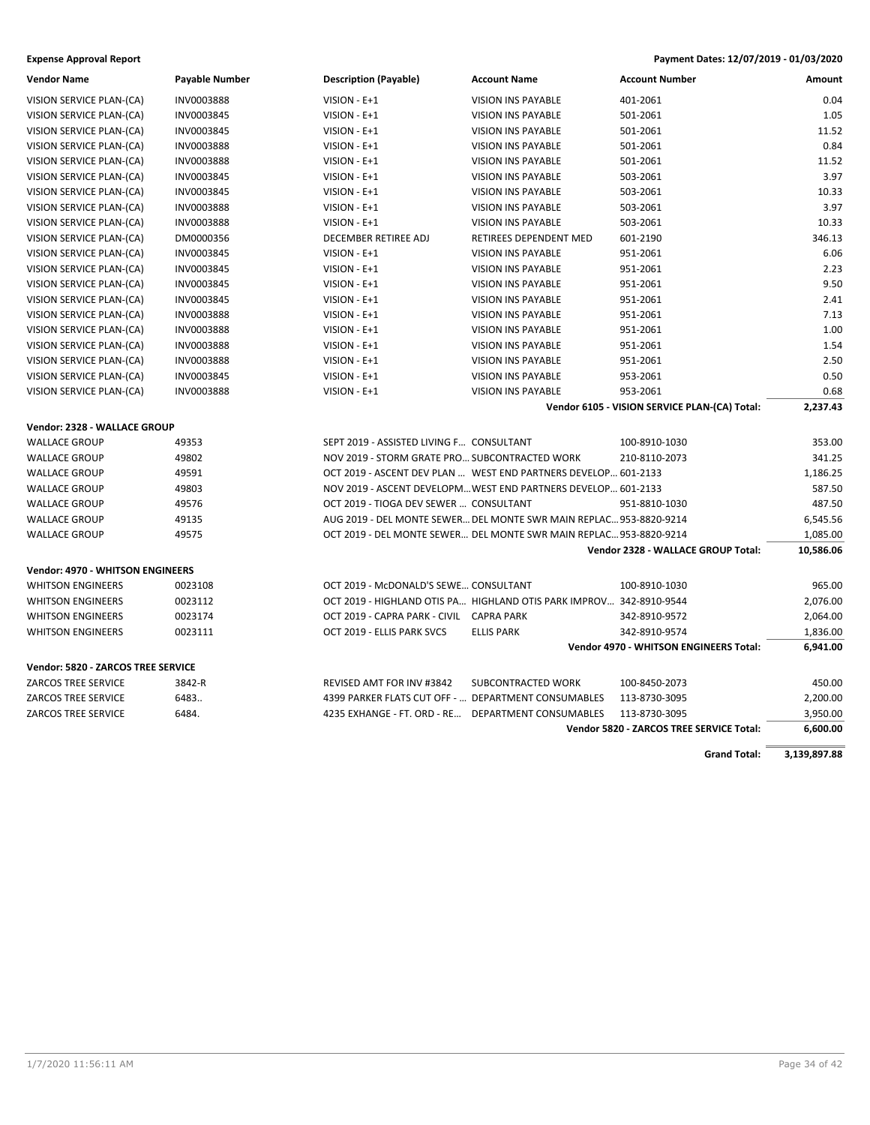| <b>Vendor Name</b>                      | Payable Number    | <b>Description (Payable)</b>                        | <b>Account Name</b>                                                 | <b>Account Number</b>                         | Amount    |
|-----------------------------------------|-------------------|-----------------------------------------------------|---------------------------------------------------------------------|-----------------------------------------------|-----------|
| VISION SERVICE PLAN-(CA)                | INV0003888        | VISION - E+1                                        | <b>VISION INS PAYABLE</b>                                           | 401-2061                                      | 0.04      |
| VISION SERVICE PLAN-(CA)                | INV0003845        | VISION - E+1                                        | <b>VISION INS PAYABLE</b>                                           | 501-2061                                      | 1.05      |
| VISION SERVICE PLAN-(CA)                | INV0003845        | VISION - E+1                                        | <b>VISION INS PAYABLE</b>                                           | 501-2061                                      | 11.52     |
| VISION SERVICE PLAN-(CA)                | <b>INV0003888</b> | VISION - E+1                                        | <b>VISION INS PAYABLE</b>                                           | 501-2061                                      | 0.84      |
| VISION SERVICE PLAN-(CA)                | <b>INV0003888</b> | VISION - E+1                                        | <b>VISION INS PAYABLE</b>                                           | 501-2061                                      | 11.52     |
| VISION SERVICE PLAN-(CA)                | INV0003845        | VISION - E+1                                        | <b>VISION INS PAYABLE</b>                                           | 503-2061                                      | 3.97      |
| VISION SERVICE PLAN-(CA)                | INV0003845        | VISION - E+1                                        | VISION INS PAYABLE                                                  | 503-2061                                      | 10.33     |
| VISION SERVICE PLAN-(CA)                | INV0003888        | VISION - E+1                                        | <b>VISION INS PAYABLE</b>                                           | 503-2061                                      | 3.97      |
| VISION SERVICE PLAN-(CA)                | INV0003888        | VISION - E+1                                        | <b>VISION INS PAYABLE</b>                                           | 503-2061                                      | 10.33     |
| VISION SERVICE PLAN-(CA)                | DM0000356         | DECEMBER RETIREE ADJ                                | RETIREES DEPENDENT MED                                              | 601-2190                                      | 346.13    |
| VISION SERVICE PLAN-(CA)                | INV0003845        | VISION - E+1                                        | <b>VISION INS PAYABLE</b>                                           | 951-2061                                      | 6.06      |
| VISION SERVICE PLAN-(CA)                | INV0003845        | VISION - E+1                                        | <b>VISION INS PAYABLE</b>                                           | 951-2061                                      | 2.23      |
| VISION SERVICE PLAN-(CA)                | INV0003845        | VISION - E+1                                        | <b>VISION INS PAYABLE</b>                                           | 951-2061                                      | 9.50      |
| VISION SERVICE PLAN-(CA)                | INV0003845        | VISION - E+1                                        | <b>VISION INS PAYABLE</b>                                           | 951-2061                                      | 2.41      |
| VISION SERVICE PLAN-(CA)                | INV0003888        | VISION - E+1                                        | <b>VISION INS PAYABLE</b>                                           | 951-2061                                      | 7.13      |
| VISION SERVICE PLAN-(CA)                | INV0003888        | VISION - E+1                                        | <b>VISION INS PAYABLE</b>                                           | 951-2061                                      | 1.00      |
| VISION SERVICE PLAN-(CA)                | INV0003888        | VISION - E+1                                        | <b>VISION INS PAYABLE</b>                                           | 951-2061                                      | 1.54      |
| VISION SERVICE PLAN-(CA)                | INV0003888        | VISION - E+1                                        | <b>VISION INS PAYABLE</b>                                           | 951-2061                                      | 2.50      |
| VISION SERVICE PLAN-(CA)                | INV0003845        | VISION - E+1                                        | <b>VISION INS PAYABLE</b>                                           | 953-2061                                      | 0.50      |
| VISION SERVICE PLAN-(CA)                | INV0003888        | VISION - E+1                                        | <b>VISION INS PAYABLE</b>                                           | 953-2061                                      | 0.68      |
|                                         |                   |                                                     |                                                                     | Vendor 6105 - VISION SERVICE PLAN-(CA) Total: | 2,237.43  |
| Vendor: 2328 - WALLACE GROUP            |                   |                                                     |                                                                     |                                               |           |
| <b>WALLACE GROUP</b>                    | 49353             | SEPT 2019 - ASSISTED LIVING F CONSULTANT            |                                                                     | 100-8910-1030                                 | 353.00    |
| <b>WALLACE GROUP</b>                    | 49802             | NOV 2019 - STORM GRATE PRO SUBCONTRACTED WORK       |                                                                     | 210-8110-2073                                 | 341.25    |
| <b>WALLACE GROUP</b>                    | 49591             |                                                     | OCT 2019 - ASCENT DEV PLAN  WEST END PARTNERS DEVELOP 601-2133      |                                               | 1,186.25  |
| <b>WALLACE GROUP</b>                    | 49803             |                                                     | NOV 2019 - ASCENT DEVELOPM WEST END PARTNERS DEVELOP 601-2133       |                                               | 587.50    |
| <b>WALLACE GROUP</b>                    | 49576             | OCT 2019 - TIOGA DEV SEWER  CONSULTANT              |                                                                     | 951-8810-1030                                 | 487.50    |
| <b>WALLACE GROUP</b>                    | 49135             |                                                     | AUG 2019 - DEL MONTE SEWER DEL MONTE SWR MAIN REPLAC 953-8820-9214  |                                               | 6,545.56  |
| <b>WALLACE GROUP</b>                    | 49575             |                                                     | OCT 2019 - DEL MONTE SEWER DEL MONTE SWR MAIN REPLAC 953-8820-9214  |                                               | 1,085.00  |
|                                         |                   |                                                     |                                                                     | Vendor 2328 - WALLACE GROUP Total:            | 10,586.06 |
| <b>Vendor: 4970 - WHITSON ENGINEERS</b> |                   |                                                     |                                                                     |                                               |           |
| <b>WHITSON ENGINEERS</b>                | 0023108           | OCT 2019 - McDONALD'S SEWE CONSULTANT               |                                                                     | 100-8910-1030                                 | 965.00    |
| <b>WHITSON ENGINEERS</b>                | 0023112           |                                                     | OCT 2019 - HIGHLAND OTIS PA HIGHLAND OTIS PARK IMPROV 342-8910-9544 |                                               | 2,076.00  |
| <b>WHITSON ENGINEERS</b>                | 0023174           | OCT 2019 - CAPRA PARK - CIVIL CAPRA PARK            |                                                                     | 342-8910-9572                                 | 2,064.00  |
| <b>WHITSON ENGINEERS</b>                | 0023111           | OCT 2019 - ELLIS PARK SVCS                          | <b>ELLIS PARK</b>                                                   | 342-8910-9574                                 | 1,836.00  |
|                                         |                   |                                                     |                                                                     | <b>Vendor 4970 - WHITSON ENGINEERS Total:</b> | 6,941.00  |
| Vendor: 5820 - ZARCOS TREE SERVICE      |                   |                                                     |                                                                     |                                               |           |
| <b>ZARCOS TREE SERVICE</b>              | 3842-R            | REVISED AMT FOR INV #3842                           | SUBCONTRACTED WORK                                                  | 100-8450-2073                                 | 450.00    |
| <b>ZARCOS TREE SERVICE</b>              | 6483.             | 4399 PARKER FLATS CUT OFF -  DEPARTMENT CONSUMABLES |                                                                     | 113-8730-3095                                 | 2,200.00  |
| <b>ZARCOS TREE SERVICE</b>              | 6484.             | 4235 EXHANGE - FT. ORD - RE DEPARTMENT CONSUMABLES  |                                                                     | 113-8730-3095                                 | 3,950.00  |
|                                         |                   |                                                     |                                                                     | Vendor 5820 - ZARCOS TREE SERVICE Total:      | 6,600.00  |
|                                         |                   |                                                     |                                                                     |                                               |           |

**Grand Total: 3,139,897.88**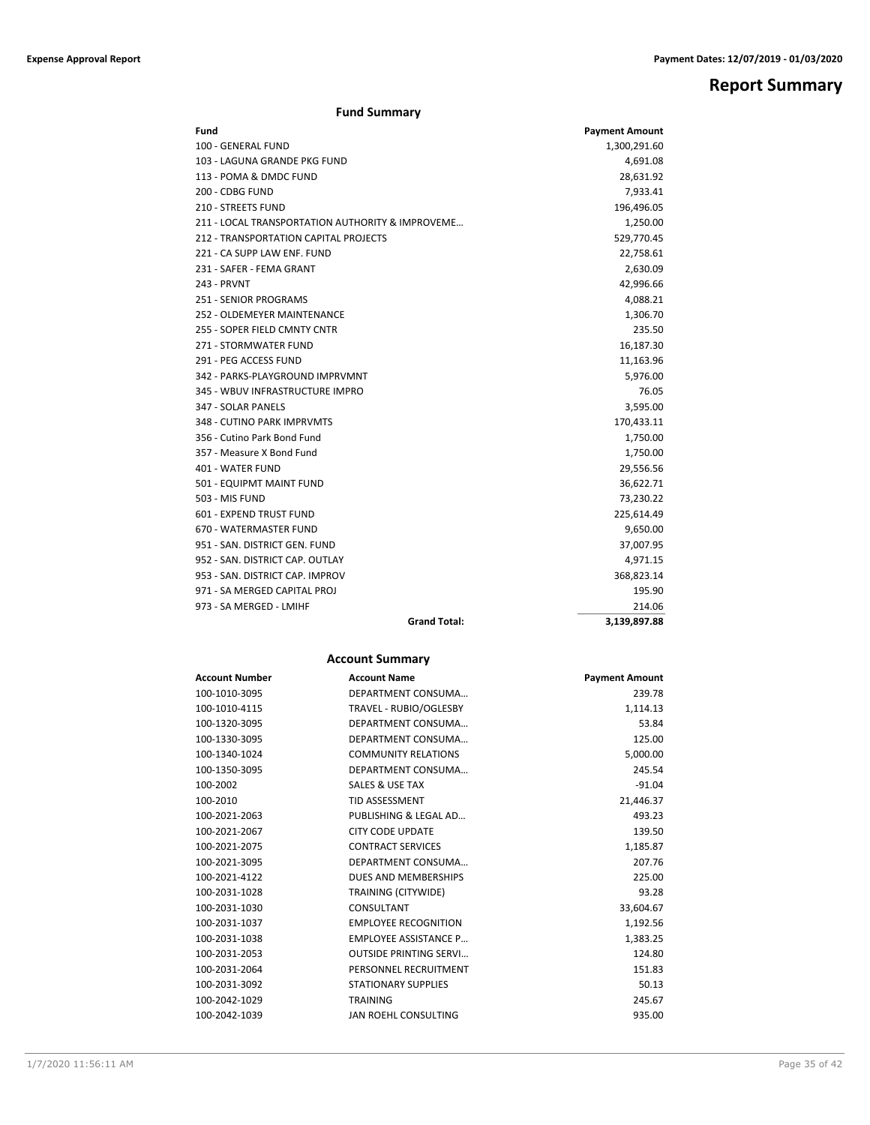## **Report Summary**

### **Fund Summary**

| Fund                                             | <b>Payment Amount</b> |
|--------------------------------------------------|-----------------------|
| 100 - GENERAL FUND                               | 1,300,291.60          |
| 103 - LAGUNA GRANDE PKG FUND                     | 4,691.08              |
| 113 - POMA & DMDC FUND                           | 28,631.92             |
| 200 - CDBG FUND                                  | 7,933.41              |
| 210 - STREETS FUND                               | 196,496.05            |
| 211 - LOCAL TRANSPORTATION AUTHORITY & IMPROVEME | 1,250.00              |
| 212 - TRANSPORTATION CAPITAL PROJECTS            | 529,770.45            |
| 221 - CA SUPP LAW ENF. FUND                      | 22,758.61             |
| 231 - SAFER - FEMA GRANT                         | 2,630.09              |
| <b>243 - PRVNT</b>                               | 42,996.66             |
| <b>251 - SENIOR PROGRAMS</b>                     | 4,088.21              |
| 252 - OLDEMEYER MAINTENANCE                      | 1,306.70              |
| 255 - SOPER FIELD CMNTY CNTR                     | 235.50                |
| 271 - STORMWATER FUND                            | 16,187.30             |
| 291 - PEG ACCESS FUND                            | 11,163.96             |
| 342 - PARKS-PLAYGROUND IMPRVMNT                  | 5,976.00              |
| 345 - WBUV INFRASTRUCTURE IMPRO                  | 76.05                 |
| 347 - SOLAR PANELS                               | 3,595.00              |
| 348 - CUTINO PARK IMPRVMTS                       | 170,433.11            |
| 356 - Cutino Park Bond Fund                      | 1,750.00              |
| 357 - Measure X Bond Fund                        | 1,750.00              |
| 401 - WATER FUND                                 | 29,556.56             |
| 501 - EQUIPMT MAINT FUND                         | 36,622.71             |
| 503 - MIS FUND                                   | 73,230.22             |
| 601 - EXPEND TRUST FUND                          | 225,614.49            |
| 670 - WATERMASTER FUND                           | 9,650.00              |
| 951 - SAN, DISTRICT GEN, FUND                    | 37,007.95             |
| 952 - SAN, DISTRICT CAP, OUTLAY                  | 4,971.15              |
| 953 - SAN, DISTRICT CAP, IMPROV                  | 368,823.14            |
| 971 - SA MERGED CAPITAL PROJ                     | 195.90                |
| 973 - SA MERGED - LMIHF                          | 214.06                |
| <b>Grand Total:</b>                              | 3,139,897.88          |

### **Account Summary**

| <b>Account Number</b> | <b>Account Name</b>           | <b>Payment Amount</b> |
|-----------------------|-------------------------------|-----------------------|
| 100-1010-3095         | DEPARTMENT CONSUMA            | 239.78                |
| 100-1010-4115         | TRAVEL - RUBIO/OGLESBY        | 1,114.13              |
| 100-1320-3095         | DEPARTMENT CONSUMA            | 53.84                 |
| 100-1330-3095         | DEPARTMENT CONSUMA            | 125.00                |
| 100-1340-1024         | <b>COMMUNITY RELATIONS</b>    | 5,000.00              |
| 100-1350-3095         | DEPARTMENT CONSUMA            | 245.54                |
| 100-2002              | SALES & USE TAX               | $-91.04$              |
| 100-2010              | <b>TID ASSESSMENT</b>         | 21,446.37             |
| 100-2021-2063         | PUBLISHING & LEGAL AD         | 493.23                |
| 100-2021-2067         | <b>CITY CODE UPDATE</b>       | 139.50                |
| 100-2021-2075         | <b>CONTRACT SERVICES</b>      | 1,185.87              |
| 100-2021-3095         | DEPARTMENT CONSUMA            | 207.76                |
| 100-2021-4122         | DUES AND MEMBERSHIPS          | 225.00                |
| 100-2031-1028         | TRAINING (CITYWIDE)           | 93.28                 |
| 100-2031-1030         | CONSULTANT                    | 33,604.67             |
| 100-2031-1037         | <b>EMPLOYEE RECOGNITION</b>   | 1,192.56              |
| 100-2031-1038         | <b>EMPLOYEE ASSISTANCE P</b>  | 1,383.25              |
| 100-2031-2053         | <b>OUTSIDE PRINTING SERVI</b> | 124.80                |
| 100-2031-2064         | PERSONNEL RECRUITMENT         | 151.83                |
| 100-2031-3092         | <b>STATIONARY SUPPLIES</b>    | 50.13                 |
| 100-2042-1029         | <b>TRAINING</b>               | 245.67                |
| 100-2042-1039         | <b>JAN ROEHL CONSULTING</b>   | 935.00                |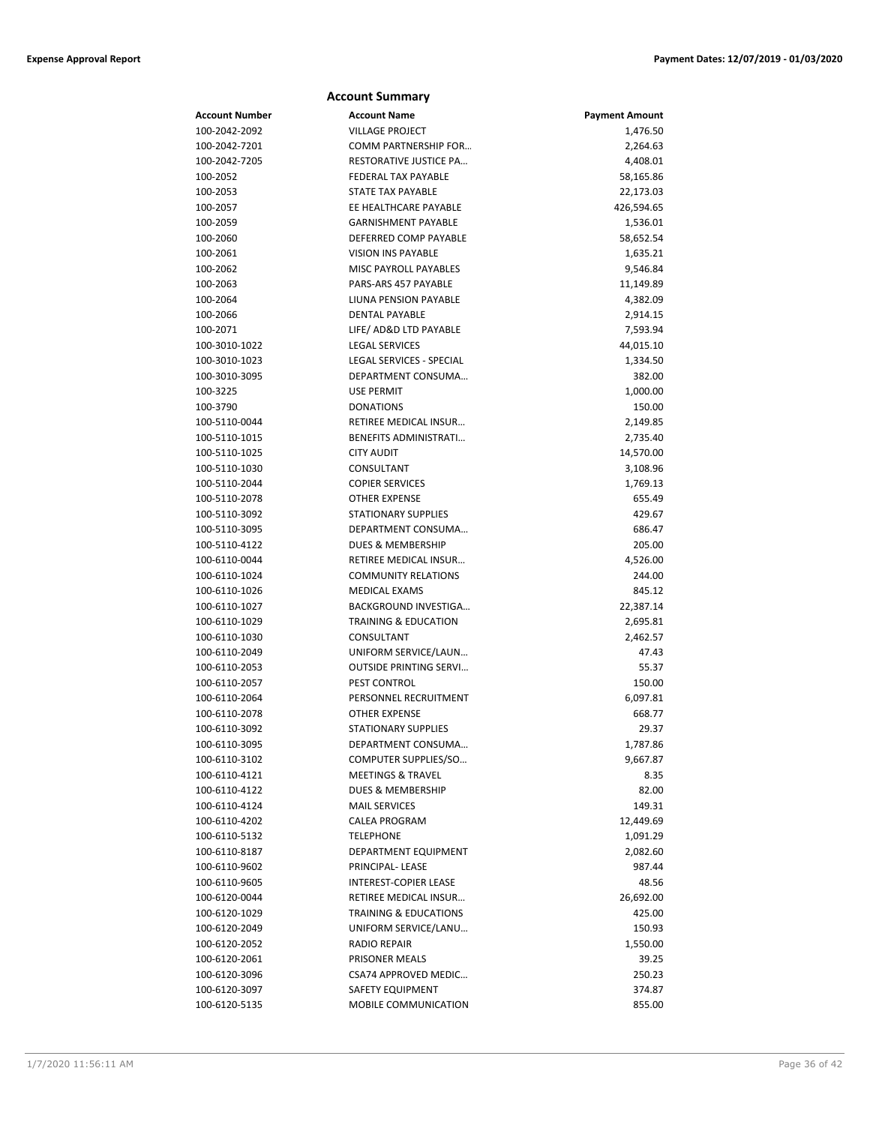|                                | <b>Account Summary</b>                        |                       |
|--------------------------------|-----------------------------------------------|-----------------------|
| <b>Account Number</b>          | <b>Account Name</b>                           | <b>Payment Amount</b> |
| 100-2042-2092                  | <b>VILLAGE PROJECT</b>                        | 1,476.50              |
| 100-2042-7201                  | COMM PARTNERSHIP FOR                          | 2,264.63              |
| 100-2042-7205                  | RESTORATIVE JUSTICE PA                        | 4,408.01              |
| 100-2052                       | <b>FEDERAL TAX PAYABLE</b>                    | 58,165.86             |
| 100-2053                       | STATE TAX PAYABLE                             | 22,173.03             |
| 100-2057                       | EE HEALTHCARE PAYABLE                         | 426,594.65            |
| 100-2059                       | <b>GARNISHMENT PAYABLE</b>                    | 1,536.01              |
| 100-2060                       | DEFERRED COMP PAYABLE                         | 58,652.54             |
| 100-2061                       | <b>VISION INS PAYABLE</b>                     | 1,635.21              |
| 100-2062                       | <b>MISC PAYROLL PAYABLES</b>                  | 9,546.84              |
| 100-2063                       | PARS-ARS 457 PAYABLE                          | 11,149.89             |
| 100-2064                       | LIUNA PENSION PAYABLE                         | 4,382.09              |
| 100-2066                       | <b>DENTAL PAYABLE</b>                         | 2,914.15              |
| 100-2071                       | LIFE/ AD&D LTD PAYABLE                        | 7,593.94              |
| 100-3010-1022                  | <b>LEGAL SERVICES</b>                         | 44,015.10             |
| 100-3010-1023                  | LEGAL SERVICES - SPECIAL                      | 1,334.50              |
| 100-3010-3095                  | DEPARTMENT CONSUMA                            | 382.00                |
| 100-3225                       | <b>USE PERMIT</b>                             | 1,000.00              |
| 100-3790                       | <b>DONATIONS</b>                              | 150.00                |
| 100-5110-0044                  | RETIREE MEDICAL INSUR                         | 2,149.85              |
| 100-5110-1015                  | <b>BENEFITS ADMINISTRATI</b>                  | 2,735.40              |
| 100-5110-1025                  | <b>CITY AUDIT</b>                             | 14,570.00             |
| 100-5110-1030                  | CONSULTANT                                    | 3,108.96              |
| 100-5110-2044                  | <b>COPIER SERVICES</b>                        | 1,769.13              |
| 100-5110-2078                  | <b>OTHER EXPENSE</b>                          | 655.49                |
| 100-5110-3092                  | <b>STATIONARY SUPPLIES</b>                    | 429.67                |
| 100-5110-3095                  | DEPARTMENT CONSUMA                            | 686.47                |
| 100-5110-4122                  | <b>DUES &amp; MEMBERSHIP</b>                  | 205.00                |
| 100-6110-0044                  | RETIREE MEDICAL INSUR                         | 4,526.00              |
| 100-6110-1024                  | <b>COMMUNITY RELATIONS</b>                    | 244.00                |
| 100-6110-1026                  | <b>MEDICAL EXAMS</b>                          | 845.12                |
| 100-6110-1027                  | BACKGROUND INVESTIGA                          | 22,387.14             |
| 100-6110-1029                  | <b>TRAINING &amp; EDUCATION</b>               | 2,695.81              |
| 100-6110-1030                  | CONSULTANT                                    | 2,462.57              |
| 100-6110-2049                  | UNIFORM SERVICE/LAUN                          | 47.43                 |
| 100-6110-2053                  | <b>OUTSIDE PRINTING SERVI</b>                 | 55.37                 |
| 100-6110-2057                  | PEST CONTROL                                  | 150.00                |
| 100-6110-2064                  | PERSONNEL RECRUITMENT<br><b>OTHER EXPENSE</b> | 6,097.81<br>668.77    |
| 100-6110-2078                  |                                               |                       |
| 100-6110-3092<br>100-6110-3095 | STATIONARY SUPPLIES<br>DEPARTMENT CONSUMA     | 29.37                 |
| 100-6110-3102                  | COMPUTER SUPPLIES/SO                          | 1,787.86<br>9,667.87  |
| 100-6110-4121                  | <b>MEETINGS &amp; TRAVEL</b>                  | 8.35                  |
| 100-6110-4122                  | DUES & MEMBERSHIP                             | 82.00                 |
| 100-6110-4124                  | <b>MAIL SERVICES</b>                          | 149.31                |
| 100-6110-4202                  | CALEA PROGRAM                                 | 12,449.69             |
| 100-6110-5132                  | <b>TELEPHONE</b>                              | 1,091.29              |
| 100-6110-8187                  | DEPARTMENT EQUIPMENT                          | 2,082.60              |
| 100-6110-9602                  | PRINCIPAL-LEASE                               | 987.44                |
| 100-6110-9605                  | <b>INTEREST-COPIER LEASE</b>                  | 48.56                 |
| 100-6120-0044                  | RETIREE MEDICAL INSUR                         | 26,692.00             |
| 100-6120-1029                  | <b>TRAINING &amp; EDUCATIONS</b>              | 425.00                |
| 100-6120-2049                  | UNIFORM SERVICE/LANU                          | 150.93                |
| 100-6120-2052                  | <b>RADIO REPAIR</b>                           | 1,550.00              |
| 100-6120-2061                  | PRISONER MEALS                                | 39.25                 |
| 100-6120-3096                  | CSA74 APPROVED MEDIC                          | 250.23                |
| 100-6120-3097                  | SAFETY EQUIPMENT                              | 374.87                |
| 100-6120-5135                  | <b>MOBILE COMMUNICATION</b>                   | 855.00                |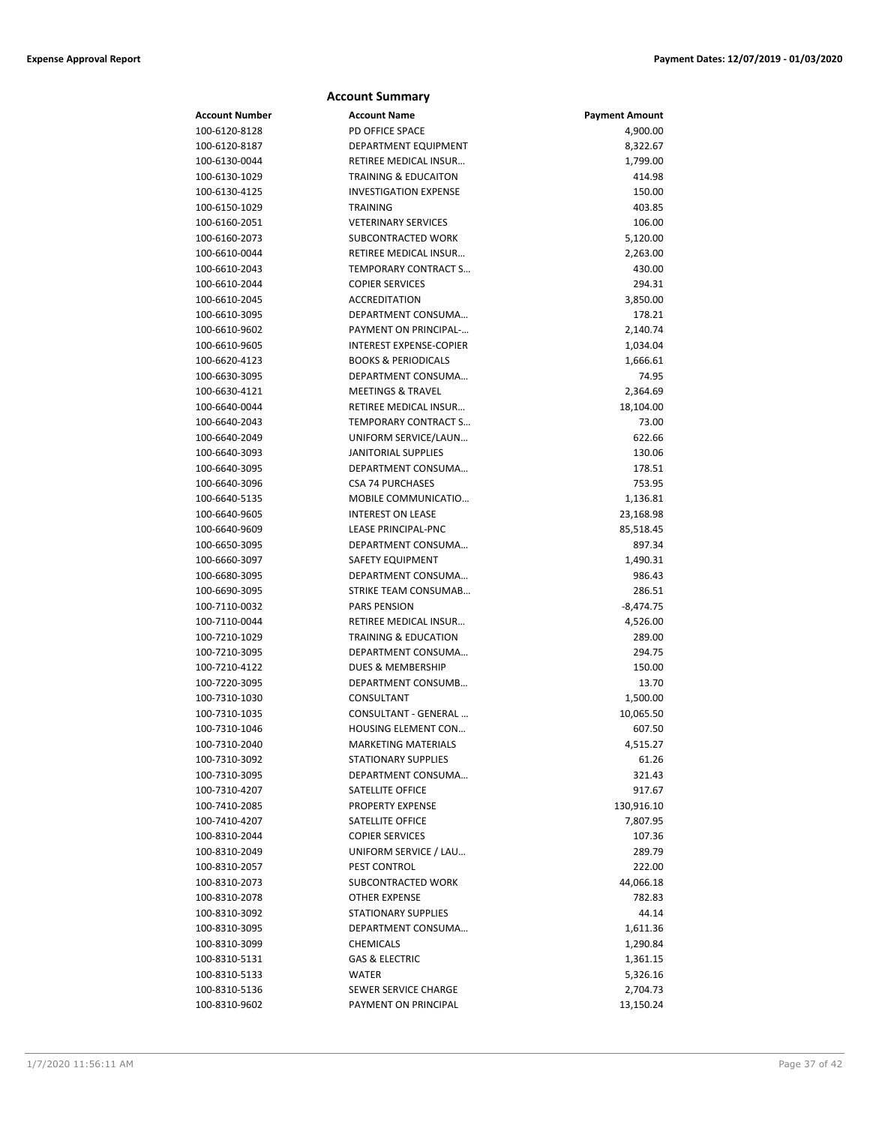|                                | <b>Account Summary</b>                          |                       |
|--------------------------------|-------------------------------------------------|-----------------------|
| <b>Account Number</b>          | <b>Account Name</b>                             | <b>Payment Amount</b> |
| 100-6120-8128                  | PD OFFICE SPACE                                 | 4,900.00              |
| 100-6120-8187                  | DEPARTMENT EQUIPMENT                            | 8,322.67              |
| 100-6130-0044                  | <b>RETIREE MEDICAL INSUR</b>                    | 1,799.00              |
| 100-6130-1029                  | <b>TRAINING &amp; EDUCAITON</b>                 | 414.98                |
| 100-6130-4125                  | <b>INVESTIGATION EXPENSE</b>                    | 150.00                |
| 100-6150-1029                  | <b>TRAINING</b>                                 | 403.85                |
| 100-6160-2051                  | <b>VETERINARY SERVICES</b>                      | 106.00                |
| 100-6160-2073                  | SUBCONTRACTED WORK                              | 5,120.00              |
| 100-6610-0044                  | RETIREE MEDICAL INSUR                           | 2,263.00              |
| 100-6610-2043                  | TEMPORARY CONTRACT S                            | 430.00                |
| 100-6610-2044                  | <b>COPIER SERVICES</b>                          | 294.31                |
| 100-6610-2045                  | <b>ACCREDITATION</b>                            | 3,850.00              |
| 100-6610-3095                  | DEPARTMENT CONSUMA                              | 178.21                |
| 100-6610-9602                  | PAYMENT ON PRINCIPAL-                           | 2,140.74              |
| 100-6610-9605                  | <b>INTEREST EXPENSE-COPIER</b>                  | 1,034.04              |
| 100-6620-4123                  | <b>BOOKS &amp; PERIODICALS</b>                  | 1,666.61              |
| 100-6630-3095                  | DEPARTMENT CONSUMA                              | 74.95                 |
| 100-6630-4121                  | <b>MEETINGS &amp; TRAVEL</b>                    | 2,364.69              |
| 100-6640-0044                  | RETIREE MEDICAL INSUR                           | 18,104.00             |
| 100-6640-2043                  | TEMPORARY CONTRACT S                            | 73.00                 |
| 100-6640-2049                  | UNIFORM SERVICE/LAUN                            | 622.66                |
| 100-6640-3093                  | <b>JANITORIAL SUPPLIES</b>                      | 130.06                |
| 100-6640-3095                  | DEPARTMENT CONSUMA                              | 178.51                |
| 100-6640-3096<br>100-6640-5135 | <b>CSA 74 PURCHASES</b>                         | 753.95                |
|                                | MOBILE COMMUNICATIO<br><b>INTEREST ON LEASE</b> | 1,136.81              |
| 100-6640-9605<br>100-6640-9609 | LEASE PRINCIPAL-PNC                             | 23,168.98             |
| 100-6650-3095                  | DEPARTMENT CONSUMA                              | 85,518.45<br>897.34   |
| 100-6660-3097                  | <b>SAFETY EQUIPMENT</b>                         | 1,490.31              |
| 100-6680-3095                  | DEPARTMENT CONSUMA                              | 986.43                |
| 100-6690-3095                  | STRIKE TEAM CONSUMAB                            | 286.51                |
| 100-7110-0032                  | <b>PARS PENSION</b>                             | $-8,474.75$           |
| 100-7110-0044                  | RETIREE MEDICAL INSUR                           | 4,526.00              |
| 100-7210-1029                  | <b>TRAINING &amp; EDUCATION</b>                 | 289.00                |
| 100-7210-3095                  | DEPARTMENT CONSUMA                              | 294.75                |
| 100-7210-4122                  | DUES & MEMBERSHIP                               | 150.00                |
| 100-7220-3095                  | <b>DEPARTMENT CONSUMB</b>                       | 13.70                 |
| 100-7310-1030                  | CONSULTANT                                      | 1,500.00              |
| 100-7310-1035                  | CONSULTANT - GENERAL                            | 10,065.50             |
| 100-7310-1046                  | HOUSING ELEMENT CON                             | 607.50                |
| 100-7310-2040                  | <b>MARKETING MATERIALS</b>                      | 4,515.27              |
| 100-7310-3092                  | <b>STATIONARY SUPPLIES</b>                      | 61.26                 |
| 100-7310-3095                  | DEPARTMENT CONSUMA                              | 321.43                |
| 100-7310-4207                  | SATELLITE OFFICE                                | 917.67                |
| 100-7410-2085                  | PROPERTY EXPENSE                                | 130,916.10            |
| 100-7410-4207                  | SATELLITE OFFICE                                | 7,807.95              |
| 100-8310-2044                  | <b>COPIER SERVICES</b>                          | 107.36                |
| 100-8310-2049                  | UNIFORM SERVICE / LAU                           | 289.79                |
| 100-8310-2057                  | PEST CONTROL                                    | 222.00                |
| 100-8310-2073                  | SUBCONTRACTED WORK                              | 44,066.18             |
| 100-8310-2078                  | <b>OTHER EXPENSE</b>                            | 782.83                |
| 100-8310-3092                  | <b>STATIONARY SUPPLIES</b>                      | 44.14                 |
| 100-8310-3095                  | DEPARTMENT CONSUMA                              | 1,611.36              |
| 100-8310-3099                  | <b>CHEMICALS</b>                                | 1,290.84              |
| 100-8310-5131                  | <b>GAS &amp; ELECTRIC</b>                       | 1,361.15              |
| 100-8310-5133                  | <b>WATER</b>                                    | 5,326.16              |
| 100-8310-5136                  | SEWER SERVICE CHARGE                            | 2,704.73              |
| 100-8310-9602                  | PAYMENT ON PRINCIPAL                            | 13,150.24             |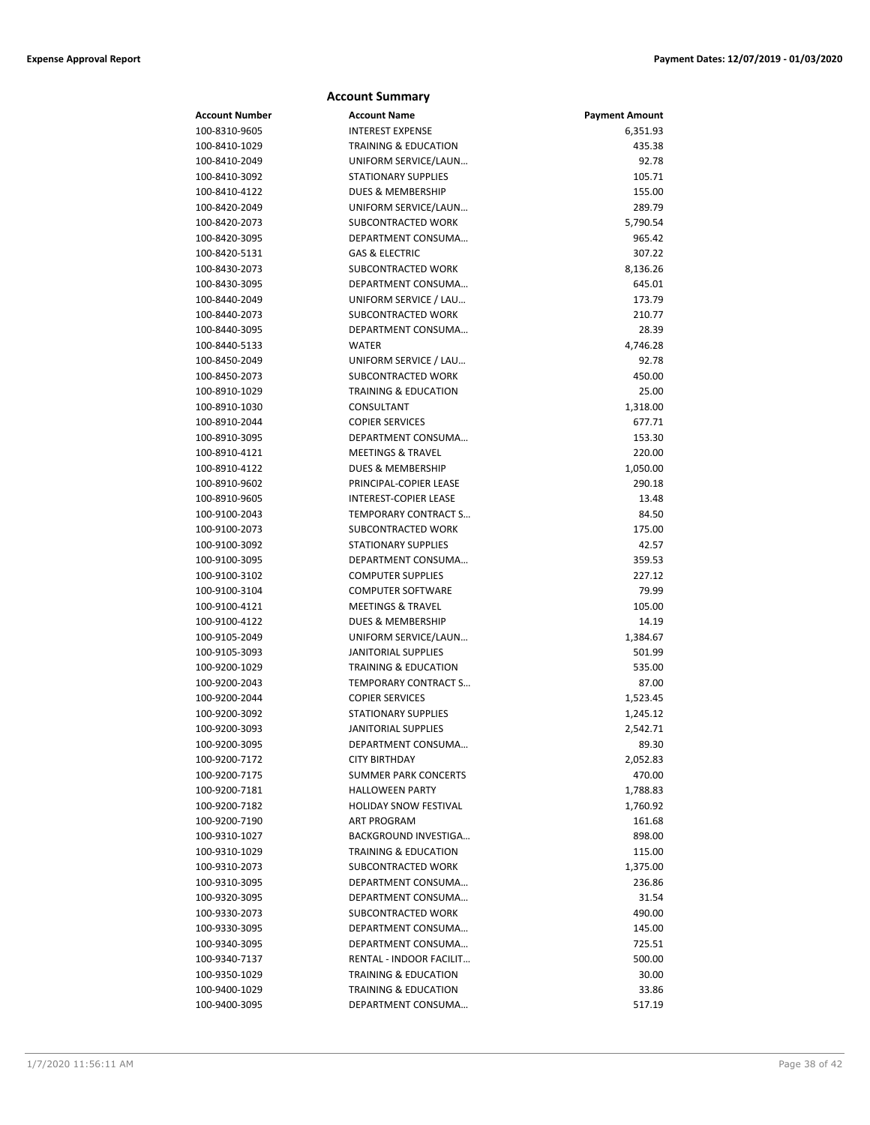### **Account Summary Account Number Account Name Payment Amount** 100-8310-9605 INTEREST EXPENSE 6,351.93 100-8410-1029 TRAINING & EDUCATION 435.38 100-8410-2049 UNIFORM SERVICE/LAUN… 92.78 100-8410-3092 STATIONARY SUPPLIES 105.71 100-8410-4122 DUES & MEMBERSHIP 155.00 100-8420-2049 UNIFORM SERVICE/LAUN… 289.79 100-8420-2073 SUBCONTRACTED WORK 5,790.54 100-8420-3095 DEPARTMENT CONSUMA… 965.42 100-8420-5131 GAS & ELECTRIC 307.22 100-8430-2073 SUBCONTRACTED WORK 8,136.26 100-8430-3095 DEPARTMENT CONSUMA… 645.01 100-8440-2049 UNIFORM SERVICE / LAU… 173.79 100-8440-2073 SUBCONTRACTED WORK 210.77 100-8440-3095 DEPARTMENT CONSUMA… 28.39 100-8440-5133 WATER 4,746.28 100-8450-2049 UNIFORM SERVICE / LAU… 92.78 100-8450-2073 SUBCONTRACTED WORK 450.00 100-8910-1029 TRAINING & EDUCATION 25.00 100-8910-1030 CONSULTANT 1,318.00 100-8910-2044 COPIER SERVICES 677.71 100-8910-3095 DEPARTMENT CONSUMA… 153.30 100-8910-4121 MEETINGS & TRAVEL 220.00 100-8910-4122 DUES & MEMBERSHIP 1,050.00 100-8910-9602 PRINCIPAL-COPIER LEASE 290.18 100-8910-9605 INTEREST-COPIER LEASE 13.48 100-9100-2043 TEMPORARY CONTRACT S… 84.50 100-9100-2073 SUBCONTRACTED WORK 175.00 100-9100-3092 STATIONARY SUPPLIES 42.57 100-9100-3095 DEPARTMENT CONSUMA… 359.53 100-9100-3102 COMPUTER SUPPLIES 227.12 100-9100-3104 COMPUTER SOFTWARE 79.99 100-9100-4121 MEETINGS & TRAVEL 105.00 100-9100-4122 DUES & MEMBERSHIP 14.19 100-9105-2049 UNIFORM SERVICE/LAUN… 1,384.67 100-9105-3093 JANITORIAL SUPPLIES 501.99 100-9200-1029 TRAINING & EDUCATION 535.00 100-9200-2043 TEMPORARY CONTRACT S… 87.00 100-9200-2044 COPIER SERVICES 1,523.45 100-9200-3092 STATIONARY SUPPLIES 1,245.12 100-9200-3093 JANITORIAL SUPPLIES 2,542.71 100-9200-3095 DEPARTMENT CONSUMA… 89.30 100-9200-7172 CITY BIRTHDAY 2,052.83 100-9200-7175 SUMMER PARK CONCERTS 470.00 100-9200-7181 HALLOWEEN PARTY 1,788.83 100-9200-7182 HOLIDAY SNOW FESTIVAL 1,760.92 100-9200-7190 ART PROGRAM 161.68 100-9310-1027 BACKGROUND INVESTIGA… 898.00 100-9310-1029 TRAINING & EDUCATION 115.00 100-9310-2073 SUBCONTRACTED WORK 1,375.00 100-9310-3095 DEPARTMENT CONSUMA… 236.86 100-9320-3095 DEPARTMENT CONSUMA… 31.54 100-9330-2073 SUBCONTRACTED WORK 490.00

100-9330-3095 DEPARTMENT CONSUMA… 145.00 100-9340-3095 DEPARTMENT CONSUMA… 725.51 100-9340-7137 RENTAL - INDOOR FACILIT… 500.00 100-9350-1029 TRAINING & EDUCATION 30.00 100-9400-1029 TRAINING & EDUCATION 33.86 100-9400-3095 DEPARTMENT CONSUMA… 517.19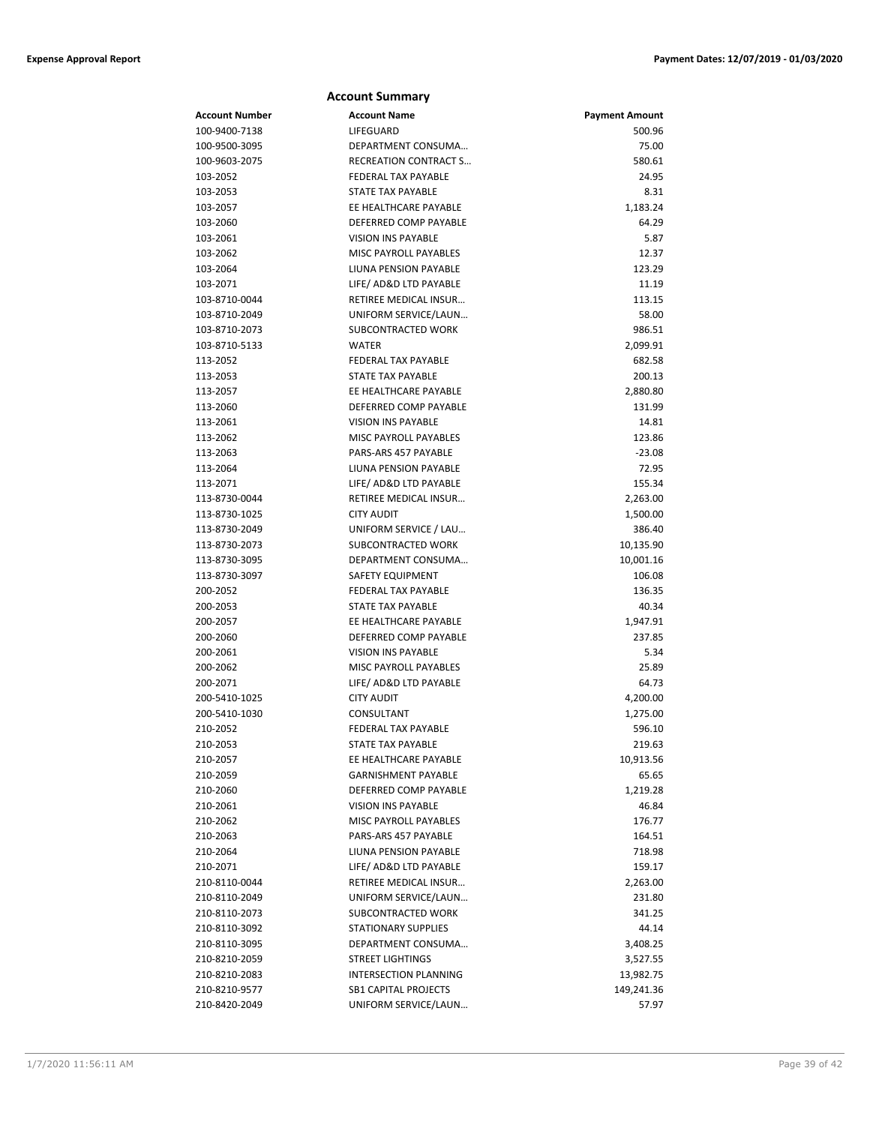|                       | <b>Account Summary</b>                              |                       |
|-----------------------|-----------------------------------------------------|-----------------------|
| <b>Account Number</b> | <b>Account Name</b>                                 | <b>Payment Amount</b> |
| 100-9400-7138         | LIFEGUARD                                           | 500.96                |
| 100-9500-3095         | DEPARTMENT CONSUMA                                  | 75.00                 |
| 100-9603-2075         | <b>RECREATION CONTRACT S</b>                        | 580.61                |
| 103-2052              | <b>FEDERAL TAX PAYABLE</b>                          | 24.95                 |
| 103-2053              | <b>STATE TAX PAYABLE</b>                            | 8.31                  |
| 103-2057              | EE HEALTHCARE PAYABLE                               | 1,183.24              |
| 103-2060              | DEFERRED COMP PAYABLE                               | 64.29                 |
| 103-2061              | <b>VISION INS PAYABLE</b>                           | 5.87                  |
| 103-2062              | MISC PAYROLL PAYABLES                               | 12.37                 |
| 103-2064              | LIUNA PENSION PAYABLE                               | 123.29                |
| 103-2071              | LIFE/ AD&D LTD PAYABLE                              | 11.19                 |
| 103-8710-0044         | RETIREE MEDICAL INSUR                               | 113.15                |
| 103-8710-2049         | UNIFORM SERVICE/LAUN                                | 58.00                 |
| 103-8710-2073         | SUBCONTRACTED WORK                                  | 986.51                |
| 103-8710-5133         | <b>WATER</b>                                        | 2,099.91              |
| 113-2052              | <b>FEDERAL TAX PAYABLE</b>                          | 682.58                |
| 113-2053              | <b>STATE TAX PAYABLE</b>                            | 200.13                |
| 113-2057              | EE HEALTHCARE PAYABLE                               | 2,880.80              |
| 113-2060              | DEFERRED COMP PAYABLE                               | 131.99                |
| 113-2061              | <b>VISION INS PAYABLE</b>                           | 14.81                 |
| 113-2062              | <b>MISC PAYROLL PAYABLES</b>                        | 123.86                |
| 113-2063              | PARS-ARS 457 PAYABLE                                | $-23.08$              |
| 113-2064              | LIUNA PENSION PAYABLE                               | 72.95                 |
| 113-2071              | LIFE/ AD&D LTD PAYABLE                              | 155.34                |
| 113-8730-0044         | <b>RETIREE MEDICAL INSUR</b>                        | 2,263.00              |
| 113-8730-1025         | <b>CITY AUDIT</b>                                   | 1,500.00              |
| 113-8730-2049         | UNIFORM SERVICE / LAU                               | 386.40                |
| 113-8730-2073         | SUBCONTRACTED WORK                                  | 10,135.90             |
| 113-8730-3095         | DEPARTMENT CONSUMA                                  | 10,001.16             |
| 113-8730-3097         | SAFETY EQUIPMENT                                    | 106.08                |
| 200-2052              | <b>FEDERAL TAX PAYABLE</b>                          | 136.35                |
| 200-2053              | <b>STATE TAX PAYABLE</b>                            | 40.34                 |
| 200-2057              | EE HEALTHCARE PAYABLE                               | 1,947.91              |
| 200-2060              | DEFERRED COMP PAYABLE                               | 237.85                |
| 200-2061              | <b>VISION INS PAYABLE</b>                           | 5.34                  |
| 200-2062              | <b>MISC PAYROLL PAYABLES</b>                        | 25.89                 |
| 200-2071              | LIFE/ AD&D LTD PAYABLE                              | 64.73                 |
| 200-5410-1025         | <b>CITY AUDIT</b>                                   | 4,200.00              |
| 200-5410-1030         | CONSULTANT                                          | 1,275.00              |
| 210-2052              | FEDERAL TAX PAYABLE                                 | 596.10                |
| 210-2053              | STATE TAX PAYABLE                                   | 219.63                |
| 210-2057              | EE HEALTHCARE PAYABLE                               | 10,913.56             |
| 210-2059              | <b>GARNISHMENT PAYABLE</b><br>DEFERRED COMP PAYABLE | 65.65                 |
| 210-2060              |                                                     | 1,219.28              |
| 210-2061<br>210-2062  | <b>VISION INS PAYABLE</b><br>MISC PAYROLL PAYABLES  | 46.84                 |
| 210-2063              | PARS-ARS 457 PAYABLE                                | 176.77                |
|                       | LIUNA PENSION PAYABLE                               | 164.51<br>718.98      |
| 210-2064<br>210-2071  | LIFE/ AD&D LTD PAYABLE                              | 159.17                |
| 210-8110-0044         | RETIREE MEDICAL INSUR                               |                       |
| 210-8110-2049         | UNIFORM SERVICE/LAUN                                | 2,263.00<br>231.80    |
| 210-8110-2073         | SUBCONTRACTED WORK                                  | 341.25                |
| 210-8110-3092         | <b>STATIONARY SUPPLIES</b>                          | 44.14                 |
| 210-8110-3095         | DEPARTMENT CONSUMA                                  | 3,408.25              |
| 210-8210-2059         | <b>STREET LIGHTINGS</b>                             | 3,527.55              |
| 210-8210-2083         | INTERSECTION PLANNING                               | 13,982.75             |
| 210-8210-9577         | <b>SB1 CAPITAL PROJECTS</b>                         | 149,241.36            |
| 210-8420-2049         | UNIFORM SERVICE/LAUN                                | 57.97                 |
|                       |                                                     |                       |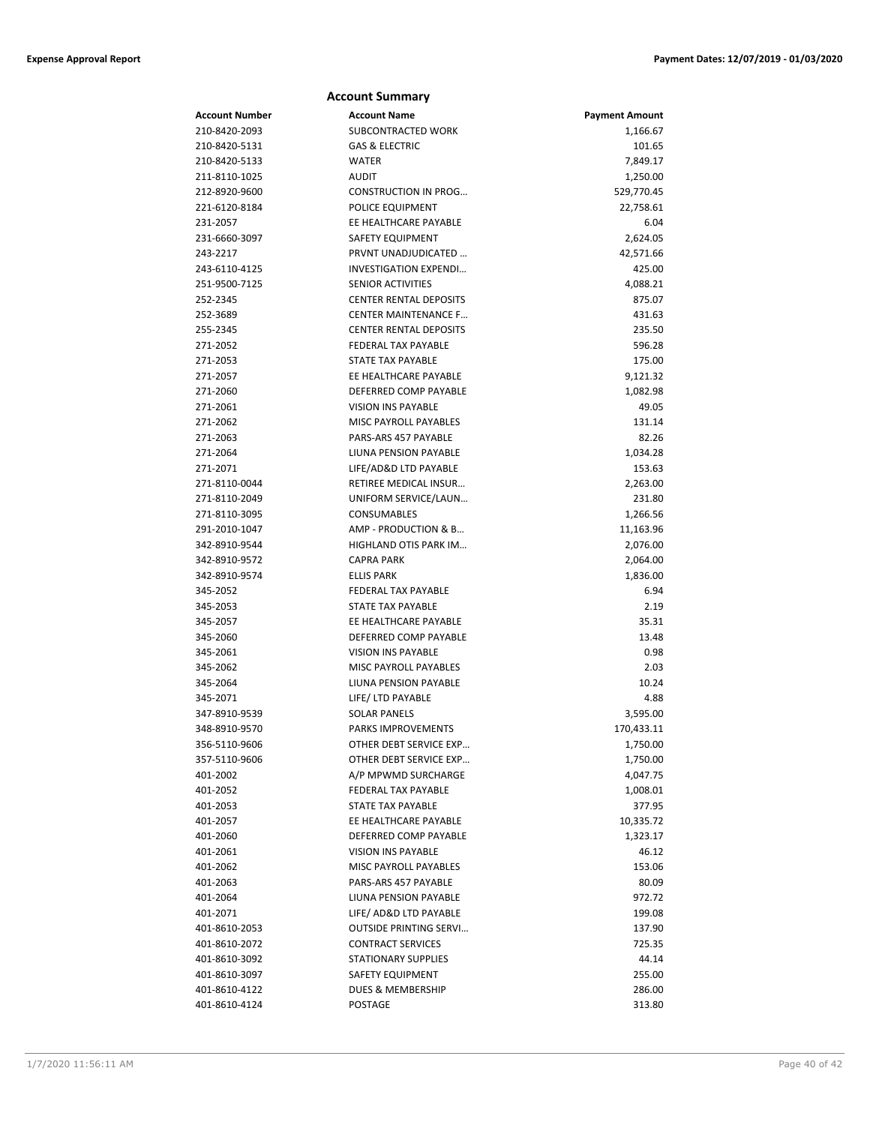|                      | <b>Account Summary</b>                             |                       |
|----------------------|----------------------------------------------------|-----------------------|
| Account Number       | <b>Account Name</b>                                | <b>Payment Amount</b> |
| 210-8420-2093        | SUBCONTRACTED WORK                                 | 1,166.67              |
| 210-8420-5131        | <b>GAS &amp; ELECTRIC</b>                          | 101.65                |
| 210-8420-5133        | <b>WATER</b>                                       | 7,849.17              |
| 211-8110-1025        | <b>AUDIT</b>                                       | 1,250.00              |
| 212-8920-9600        | <b>CONSTRUCTION IN PROG</b>                        | 529,770.45            |
| 221-6120-8184        | POLICE EQUIPMENT                                   | 22,758.61             |
| 231-2057             | EE HEALTHCARE PAYABLE                              | 6.04                  |
| 231-6660-3097        | <b>SAFETY EQUIPMENT</b>                            | 2,624.05              |
| 243-2217             | PRVNT UNADJUDICATED                                | 42,571.66             |
| 243-6110-4125        | INVESTIGATION EXPENDI                              | 425.00                |
| 251-9500-7125        | <b>SENIOR ACTIVITIES</b>                           | 4,088.21              |
| 252-2345             | <b>CENTER RENTAL DEPOSITS</b>                      | 875.07                |
| 252-3689             | <b>CENTER MAINTENANCE F</b>                        | 431.63                |
| 255-2345             | <b>CENTER RENTAL DEPOSITS</b>                      | 235.50                |
| 271-2052             | FEDERAL TAX PAYABLE                                | 596.28                |
| 271-2053             | STATE TAX PAYABLE                                  | 175.00                |
| 271-2057             | EE HEALTHCARE PAYABLE                              | 9,121.32              |
| 271-2060             | DEFERRED COMP PAYABLE                              | 1,082.98              |
| 271-2061             | <b>VISION INS PAYABLE</b>                          | 49.05                 |
| 271-2062             | <b>MISC PAYROLL PAYABLES</b>                       | 131.14                |
| 271-2063             | PARS-ARS 457 PAYABLE                               | 82.26                 |
| 271-2064             | LIUNA PENSION PAYABLE                              | 1,034.28              |
| 271-2071             | LIFE/AD&D LTD PAYABLE                              | 153.63                |
| 271-8110-0044        | RETIREE MEDICAL INSUR                              | 2,263.00              |
| 271-8110-2049        | UNIFORM SERVICE/LAUN                               | 231.80                |
| 271-8110-3095        | CONSUMABLES                                        | 1,266.56              |
| 291-2010-1047        | AMP - PRODUCTION & B                               | 11,163.96             |
| 342-8910-9544        | HIGHLAND OTIS PARK IM                              | 2,076.00              |
| 342-8910-9572        | <b>CAPRA PARK</b>                                  | 2,064.00              |
| 342-8910-9574        | <b>ELLIS PARK</b>                                  | 1,836.00              |
| 345-2052             | <b>FEDERAL TAX PAYABLE</b>                         | 6.94                  |
| 345-2053             | <b>STATE TAX PAYABLE</b>                           | 2.19                  |
| 345-2057             | EE HEALTHCARE PAYABLE                              | 35.31                 |
| 345-2060             | DEFERRED COMP PAYABLE<br><b>VISION INS PAYABLE</b> | 13.48                 |
| 345-2061             |                                                    | 0.98                  |
| 345-2062<br>345-2064 | MISC PAYROLL PAYABLES<br>LIUNA PENSION PAYABLE     | 2.03<br>10.24         |
| 345-2071             | LIFE/ LTD PAYABLE                                  | 4.88                  |
| 347-8910-9539        | <b>SOLAR PANELS</b>                                | 3,595.00              |
| 348-8910-9570        | PARKS IMPROVEMENTS                                 | 170,433.11            |
| 356-5110-9606        | OTHER DEBT SERVICE EXP                             | 1,750.00              |
| 357-5110-9606        | OTHER DEBT SERVICE EXP                             | 1,750.00              |
| 401-2002             | A/P MPWMD SURCHARGE                                | 4,047.75              |
| 401-2052             | FEDERAL TAX PAYABLE                                | 1,008.01              |
| 401-2053             | <b>STATE TAX PAYABLE</b>                           | 377.95                |
| 401-2057             | EE HEALTHCARE PAYABLE                              | 10,335.72             |
| 401-2060             | DEFERRED COMP PAYABLE                              | 1,323.17              |
| 401-2061             | <b>VISION INS PAYABLE</b>                          | 46.12                 |
| 401-2062             | MISC PAYROLL PAYABLES                              | 153.06                |
| 401-2063             | PARS-ARS 457 PAYABLE                               | 80.09                 |
| 401-2064             | LIUNA PENSION PAYABLE                              | 972.72                |
| 401-2071             | LIFE/ AD&D LTD PAYABLE                             | 199.08                |
| 401-8610-2053        | <b>OUTSIDE PRINTING SERVI</b>                      | 137.90                |
| 401-8610-2072        | <b>CONTRACT SERVICES</b>                           | 725.35                |
| 401-8610-3092        | STATIONARY SUPPLIES                                | 44.14                 |
| 401-8610-3097        | SAFETY EQUIPMENT                                   | 255.00                |
| 401-8610-4122        | DUES & MEMBERSHIP                                  | 286.00                |
| 401-8610-4124        | POSTAGE                                            | 313.80                |
|                      |                                                    |                       |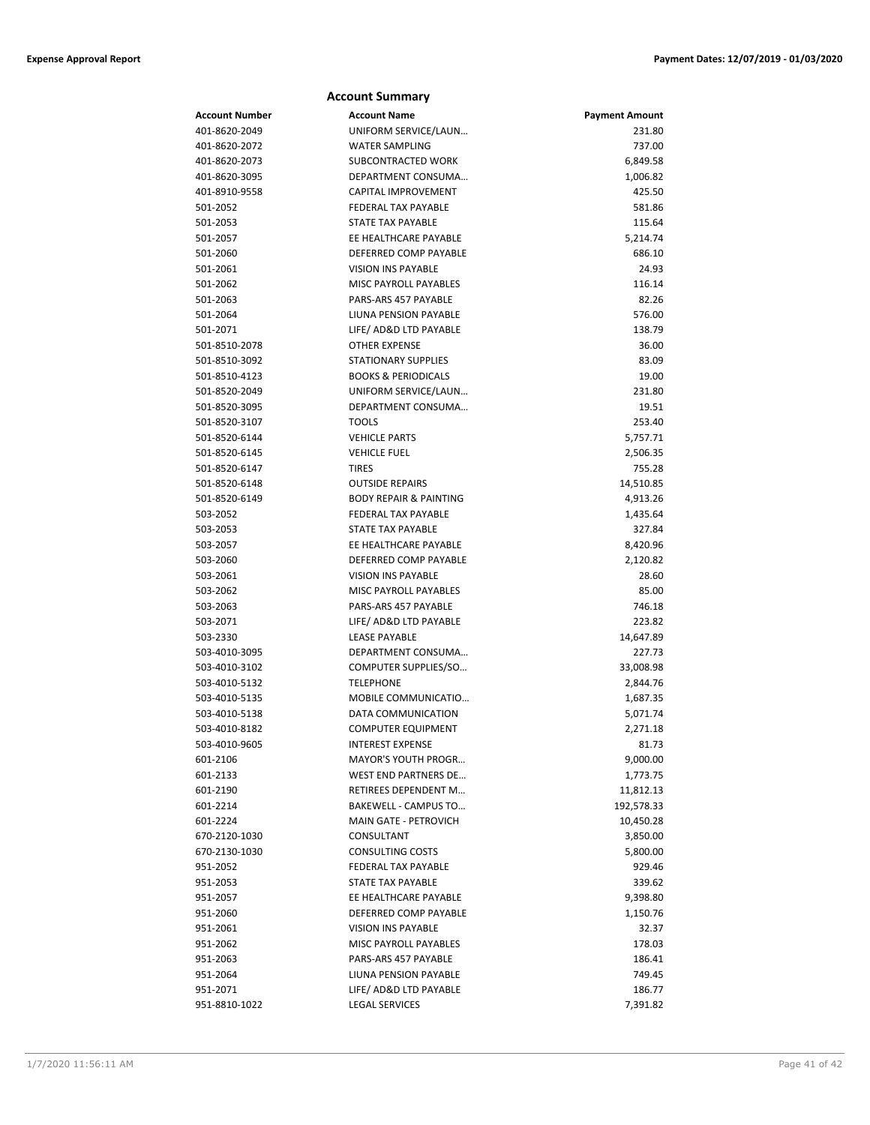|                       | <b>Account Summary</b>                         |                       |
|-----------------------|------------------------------------------------|-----------------------|
| <b>Account Number</b> | <b>Account Name</b>                            | <b>Payment Amount</b> |
| 401-8620-2049         | UNIFORM SERVICE/LAUN                           | 231.80                |
| 401-8620-2072         | <b>WATER SAMPLING</b>                          | 737.00                |
| 401-8620-2073         | SUBCONTRACTED WORK                             | 6,849.58              |
| 401-8620-3095         | DEPARTMENT CONSUMA                             | 1,006.82              |
| 401-8910-9558         | CAPITAL IMPROVEMENT                            | 425.50                |
| 501-2052              | <b>FEDERAL TAX PAYABLE</b>                     | 581.86                |
| 501-2053              | <b>STATE TAX PAYABLE</b>                       | 115.64                |
| 501-2057              | EE HEALTHCARE PAYABLE                          | 5,214.74              |
| 501-2060              | DEFERRED COMP PAYABLE                          | 686.10                |
| 501-2061              | <b>VISION INS PAYABLE</b>                      | 24.93                 |
| 501-2062              | <b>MISC PAYROLL PAYABLES</b>                   | 116.14                |
| 501-2063              | PARS-ARS 457 PAYABLE                           | 82.26                 |
| 501-2064              | LIUNA PENSION PAYABLE                          | 576.00                |
| 501-2071              | LIFE/ AD&D LTD PAYABLE                         | 138.79                |
| 501-8510-2078         | <b>OTHER EXPENSE</b>                           | 36.00                 |
| 501-8510-3092         | <b>STATIONARY SUPPLIES</b>                     | 83.09                 |
| 501-8510-4123         | <b>BOOKS &amp; PERIODICALS</b>                 | 19.00                 |
| 501-8520-2049         | UNIFORM SERVICE/LAUN                           | 231.80                |
| 501-8520-3095         | DEPARTMENT CONSUMA                             | 19.51                 |
| 501-8520-3107         | <b>TOOLS</b>                                   | 253.40                |
| 501-8520-6144         | <b>VEHICLE PARTS</b>                           | 5,757.71              |
| 501-8520-6145         | <b>VEHICLE FUEL</b>                            | 2,506.35              |
| 501-8520-6147         | <b>TIRES</b>                                   | 755.28                |
| 501-8520-6148         | <b>OUTSIDE REPAIRS</b>                         | 14,510.85             |
| 501-8520-6149         | <b>BODY REPAIR &amp; PAINTING</b>              | 4,913.26              |
| 503-2052              | <b>FEDERAL TAX PAYABLE</b>                     | 1,435.64              |
| 503-2053              | <b>STATE TAX PAYABLE</b>                       | 327.84                |
| 503-2057<br>503-2060  | EE HEALTHCARE PAYABLE<br>DEFERRED COMP PAYABLE | 8,420.96              |
| 503-2061              | <b>VISION INS PAYABLE</b>                      | 2,120.82<br>28.60     |
| 503-2062              | <b>MISC PAYROLL PAYABLES</b>                   | 85.00                 |
| 503-2063              | PARS-ARS 457 PAYABLE                           | 746.18                |
| 503-2071              | LIFE/ AD&D LTD PAYABLE                         | 223.82                |
| 503-2330              | <b>LEASE PAYABLE</b>                           | 14,647.89             |
| 503-4010-3095         | DEPARTMENT CONSUMA                             | 227.73                |
| 503-4010-3102         | COMPUTER SUPPLIES/SO                           | 33,008.98             |
| 503-4010-5132         | <b>TELEPHONE</b>                               | 2,844.76              |
| 503-4010-5135         | MOBILE COMMUNICATIO                            | 1,687.35              |
| 503-4010-5138         | DATA COMMUNICATION                             | 5,071.74              |
| 503-4010-8182         | <b>COMPUTER EQUIPMENT</b>                      | 2,271.18              |
| 503-4010-9605         | INTEREST EXPENSE                               | 81.73                 |
| 601-2106              | <b>MAYOR'S YOUTH PROGR</b>                     | 9,000.00              |
| 601-2133              | <b>WEST END PARTNERS DE</b>                    | 1,773.75              |
| 601-2190              | RETIREES DEPENDENT M                           | 11,812.13             |
| 601-2214              | BAKEWELL - CAMPUS TO                           | 192,578.33            |
| 601-2224              | MAIN GATE - PETROVICH                          | 10,450.28             |
| 670-2120-1030         | CONSULTANT                                     | 3,850.00              |
| 670-2130-1030         | <b>CONSULTING COSTS</b>                        | 5,800.00              |
| 951-2052              | <b>FEDERAL TAX PAYABLE</b>                     | 929.46                |
| 951-2053              | STATE TAX PAYABLE                              | 339.62                |
| 951-2057              | EE HEALTHCARE PAYABLE                          | 9,398.80              |
| 951-2060              | DEFERRED COMP PAYABLE                          | 1,150.76              |
| 951-2061              | <b>VISION INS PAYABLE</b>                      | 32.37                 |
| 951-2062              | MISC PAYROLL PAYABLES                          | 178.03                |
| 951-2063              | PARS-ARS 457 PAYABLE                           | 186.41                |
| 951-2064              | LIUNA PENSION PAYABLE                          | 749.45                |
| 951-2071              | LIFE/ AD&D LTD PAYABLE                         | 186.77                |
| 951-8810-1022         | <b>LEGAL SERVICES</b>                          | 7,391.82              |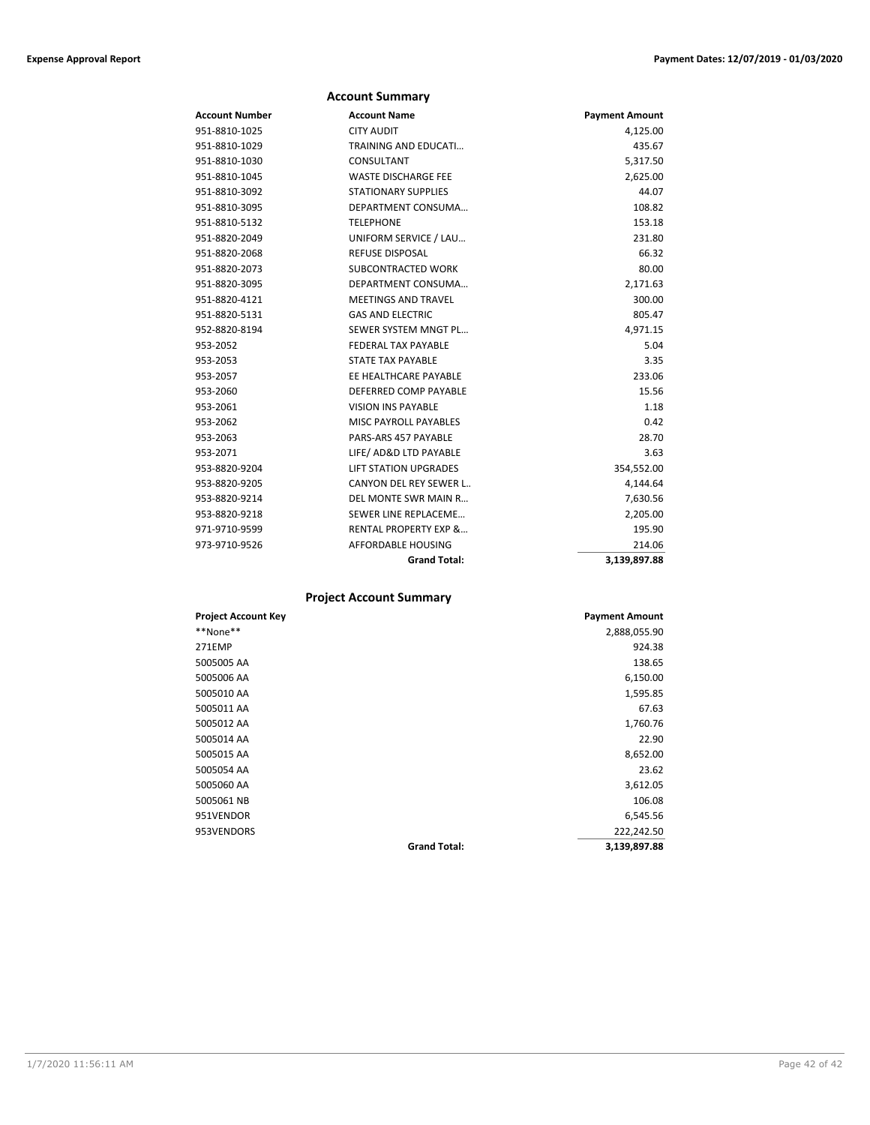|                | <b>Account Summary</b>           |                       |
|----------------|----------------------------------|-----------------------|
| Account Number | <b>Account Name</b>              | <b>Payment Amount</b> |
| 951-8810-1025  | <b>CITY AUDIT</b>                | 4,125.00              |
| 951-8810-1029  | TRAINING AND EDUCATI             | 435.67                |
| 951-8810-1030  | CONSULTANT                       | 5,317.50              |
| 951-8810-1045  | <b>WASTE DISCHARGE FEE</b>       | 2,625.00              |
| 951-8810-3092  | <b>STATIONARY SUPPLIES</b>       | 44.07                 |
| 951-8810-3095  | DEPARTMENT CONSUMA               | 108.82                |
| 951-8810-5132  | <b>TELEPHONE</b>                 | 153.18                |
| 951-8820-2049  | UNIFORM SERVICE / LAU            | 231.80                |
| 951-8820-2068  | <b>REFUSE DISPOSAL</b>           | 66.32                 |
| 951-8820-2073  | <b>SUBCONTRACTED WORK</b>        | 80.00                 |
| 951-8820-3095  | DEPARTMENT CONSUMA               | 2,171.63              |
| 951-8820-4121  | <b>MEETINGS AND TRAVEL</b>       | 300.00                |
| 951-8820-5131  | <b>GAS AND ELECTRIC</b>          | 805.47                |
| 952-8820-8194  | SEWER SYSTEM MNGT PL             | 4,971.15              |
| 953-2052       | FEDERAL TAX PAYABLE              | 5.04                  |
| 953-2053       | <b>STATE TAX PAYABLE</b>         | 3.35                  |
| 953-2057       | EE HEALTHCARE PAYABLE            | 233.06                |
| 953-2060       | DEFERRED COMP PAYABLE            | 15.56                 |
| 953-2061       | <b>VISION INS PAYABLE</b>        | 1.18                  |
| 953-2062       | <b>MISC PAYROLL PAYABLES</b>     | 0.42                  |
| 953-2063       | PARS-ARS 457 PAYABLE             | 28.70                 |
| 953-2071       | LIFE/ AD&D LTD PAYABLE           | 3.63                  |
| 953-8820-9204  | <b>LIFT STATION UPGRADES</b>     | 354,552.00            |
| 953-8820-9205  | CANYON DEL REY SEWER L           | 4,144.64              |
| 953-8820-9214  | DEL MONTE SWR MAIN R             | 7,630.56              |
| 953-8820-9218  | SEWER LINE REPLACEME             | 2,205.00              |
| 971-9710-9599  | <b>RENTAL PROPERTY EXP &amp;</b> | 195.90                |
| 973-9710-9526  | <b>AFFORDABLE HOUSING</b>        | 214.06                |
|                | <b>Grand Total:</b>              | 3,139,897.88          |

### **Project Account Summary**

| <b>Project Account Key</b> |                     | <b>Payment Amount</b> |
|----------------------------|---------------------|-----------------------|
| **None**                   |                     | 2,888,055.90          |
| 271EMP                     |                     | 924.38                |
| 5005005 AA                 |                     | 138.65                |
| 5005006 AA                 |                     | 6,150.00              |
| 5005010 AA                 |                     | 1,595.85              |
| 5005011 AA                 |                     | 67.63                 |
| 5005012 AA                 |                     | 1,760.76              |
| 5005014 AA                 |                     | 22.90                 |
| 5005015 AA                 |                     | 8,652.00              |
| 5005054 AA                 |                     | 23.62                 |
| 5005060 AA                 |                     | 3,612.05              |
| 5005061 NB                 |                     | 106.08                |
| 951VENDOR                  |                     | 6,545.56              |
| 953VENDORS                 |                     | 222,242.50            |
|                            | <b>Grand Total:</b> | 3,139,897.88          |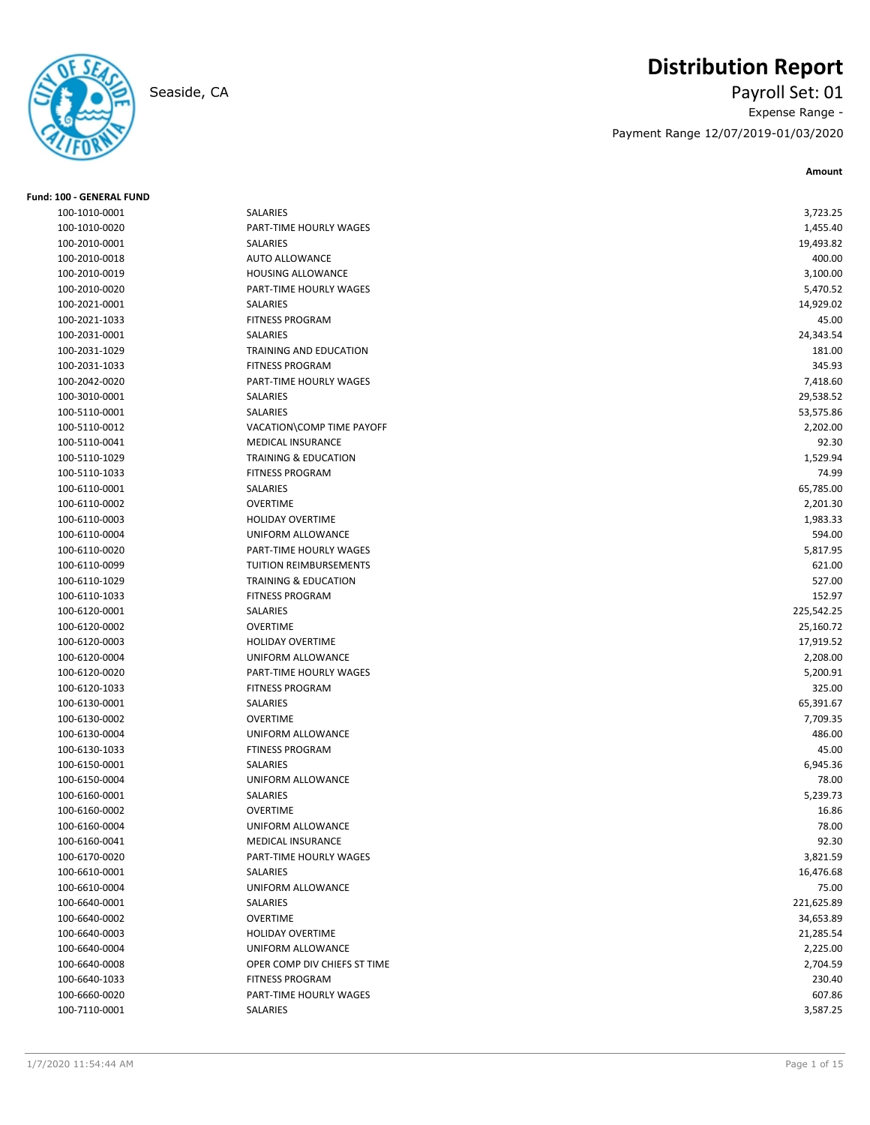

# **Distribution Report**

Seaside, CA Payroll Set: 01 Expense Range - Payment Range 12/07/2019-01/03/2020

**Amount**

| Fund: 100 - GENERAL FUND |                                 |            |
|--------------------------|---------------------------------|------------|
| 100-1010-0001            | SALARIES                        | 3,723.25   |
| 100-1010-0020            | PART-TIME HOURLY WAGES          | 1,455.40   |
| 100-2010-0001            | SALARIES                        | 19,493.82  |
| 100-2010-0018            | <b>AUTO ALLOWANCE</b>           | 400.00     |
| 100-2010-0019            | <b>HOUSING ALLOWANCE</b>        | 3,100.00   |
| 100-2010-0020            | PART-TIME HOURLY WAGES          | 5,470.52   |
| 100-2021-0001            | <b>SALARIES</b>                 | 14,929.02  |
| 100-2021-1033            | <b>FITNESS PROGRAM</b>          | 45.00      |
| 100-2031-0001            | SALARIES                        | 24,343.54  |
| 100-2031-1029            | TRAINING AND EDUCATION          | 181.00     |
| 100-2031-1033            | <b>FITNESS PROGRAM</b>          | 345.93     |
| 100-2042-0020            | PART-TIME HOURLY WAGES          | 7,418.60   |
| 100-3010-0001            | SALARIES                        | 29,538.52  |
| 100-5110-0001            | SALARIES                        | 53,575.86  |
| 100-5110-0012            | VACATION\COMP TIME PAYOFF       | 2,202.00   |
| 100-5110-0041            | <b>MEDICAL INSURANCE</b>        | 92.30      |
| 100-5110-1029            | <b>TRAINING &amp; EDUCATION</b> | 1,529.94   |
| 100-5110-1033            | <b>FITNESS PROGRAM</b>          | 74.99      |
| 100-6110-0001            | SALARIES                        | 65,785.00  |
| 100-6110-0002            | <b>OVERTIME</b>                 | 2,201.30   |
| 100-6110-0003            | <b>HOLIDAY OVERTIME</b>         | 1,983.33   |
| 100-6110-0004            | UNIFORM ALLOWANCE               | 594.00     |
| 100-6110-0020            | PART-TIME HOURLY WAGES          | 5,817.95   |
| 100-6110-0099            | TUITION REIMBURSEMENTS          | 621.00     |
| 100-6110-1029            | <b>TRAINING &amp; EDUCATION</b> | 527.00     |
| 100-6110-1033            | <b>FITNESS PROGRAM</b>          | 152.97     |
| 100-6120-0001            | SALARIES                        | 225,542.25 |
| 100-6120-0002            | <b>OVERTIME</b>                 | 25,160.72  |
| 100-6120-0003            | <b>HOLIDAY OVERTIME</b>         | 17,919.52  |
| 100-6120-0004            | UNIFORM ALLOWANCE               | 2,208.00   |
| 100-6120-0020            | PART-TIME HOURLY WAGES          | 5,200.91   |
| 100-6120-1033            | <b>FITNESS PROGRAM</b>          | 325.00     |
| 100-6130-0001            | SALARIES                        | 65,391.67  |
| 100-6130-0002            | <b>OVERTIME</b>                 | 7,709.35   |
| 100-6130-0004            | UNIFORM ALLOWANCE               | 486.00     |
| 100-6130-1033            | <b>FTINESS PROGRAM</b>          | 45.00      |
| 100-6150-0001            | SALARIES                        | 6,945.36   |
| 100-6150-0004            | UNIFORM ALLOWANCE               | 78.00      |
| 100-6160-0001            | SALARIES                        | 5,239.73   |
| 100-6160-0002            | <b>OVERTIME</b>                 | 16.86      |
| 100-6160-0004            | UNIFORM ALLOWANCE               | 78.00      |
| 100-6160-0041            | MEDICAL INSURANCE               | 92.30      |
| 100-6170-0020            | PART-TIME HOURLY WAGES          | 3,821.59   |
| 100-6610-0001            | SALARIES                        | 16,476.68  |
| 100-6610-0004            | UNIFORM ALLOWANCE               | 75.00      |
| 100-6640-0001            | SALARIES                        | 221,625.89 |
| 100-6640-0002            | <b>OVERTIME</b>                 | 34,653.89  |
| 100-6640-0003            | HOLIDAY OVERTIME                | 21,285.54  |
| 100-6640-0004            | UNIFORM ALLOWANCE               | 2,225.00   |
| 100-6640-0008            | OPER COMP DIV CHIEFS ST TIME    | 2,704.59   |
| 100-6640-1033            | <b>FITNESS PROGRAM</b>          | 230.40     |
| 100-6660-0020            | PART-TIME HOURLY WAGES          | 607.86     |
| 100-7110-0001            | SALARIES                        | 3,587.25   |
|                          |                                 |            |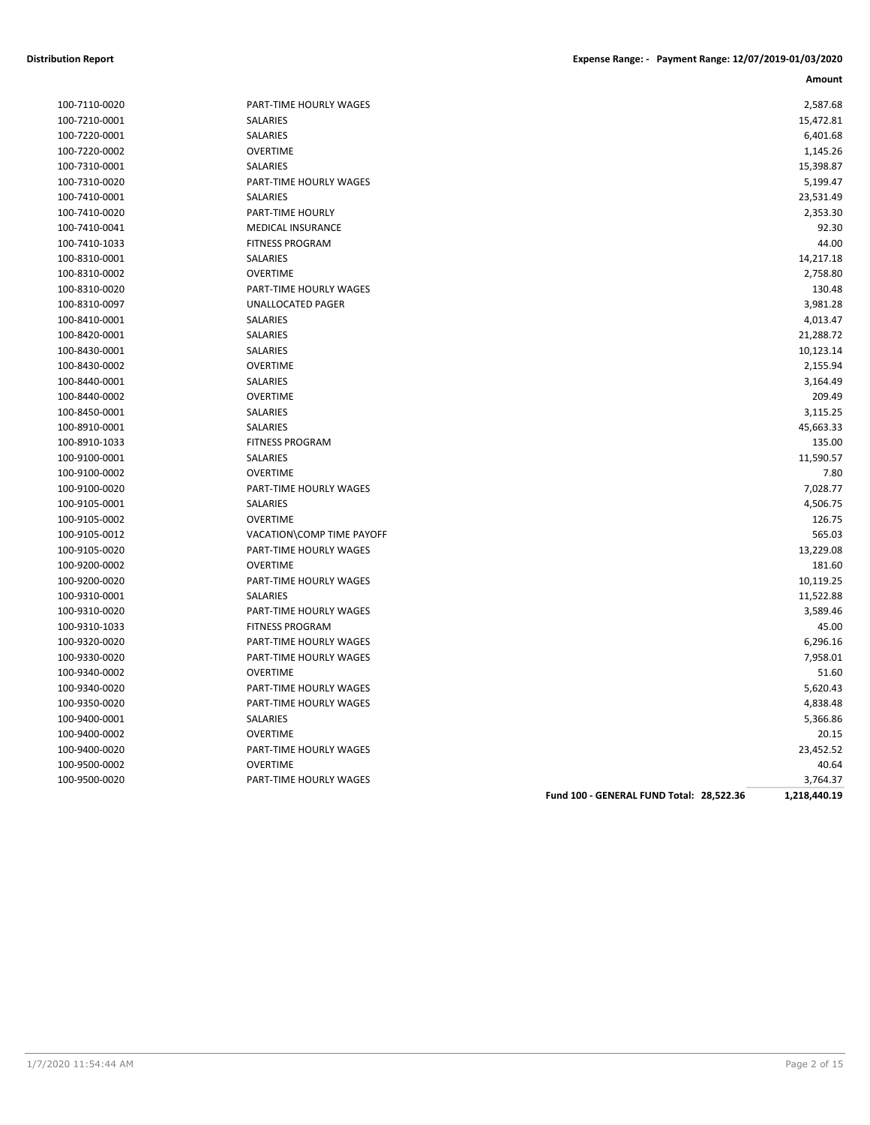| 100-7110-0020 |
|---------------|
| 100-7210-0001 |
| 100-7220-0001 |
| 100-7220-0002 |
| 100-7310-0001 |
| 100-7310-0020 |
| 100-7410-0001 |
| 100-7410-0020 |
| 100-7410-0041 |
| 100-7410-1033 |
| 100-8310-0001 |
| 100-8310-0002 |
| 100-8310-0020 |
| 100-8310-0097 |
| 100-8410-0001 |
| 100-8420-0001 |
| 100-8430-0001 |
| 100-8430-0002 |
| 100-8440-0001 |
| 100-8440-0002 |
| 100-8450-0001 |
| 100-8910-0001 |
| 100-8910-1033 |
| 100-9100-0001 |
| 100-9100-0002 |
| 100-9100-0020 |
| 100-9105-0001 |
| 100-9105-0002 |
| 100-9105-0012 |
| 100-9105-0020 |
| 100-9200-0002 |
| 100-9200-0020 |
| 100-9310-0001 |
| 100-9310-0020 |
| 100-9310-1033 |
| 100-9320-0020 |
| 100-9330-0020 |
| 100-9340-0002 |
| 100-9340-0020 |
| 100-9350-0020 |
| 100-9400-0001 |
| 100-9400-0002 |
| 100-9400-0020 |
| 100-9500-0002 |
| 100-9500-0020 |

| 100-7110-0020 | PART-TIME HOURLY WAGES    | 2,587.68  |
|---------------|---------------------------|-----------|
| 100-7210-0001 | <b>SALARIES</b>           | 15,472.81 |
| 100-7220-0001 | SALARIES                  | 6,401.68  |
| 100-7220-0002 | <b>OVERTIME</b>           | 1,145.26  |
| 100-7310-0001 | <b>SALARIES</b>           | 15,398.87 |
| 100-7310-0020 | PART-TIME HOURLY WAGES    | 5,199.47  |
| 100-7410-0001 | <b>SALARIES</b>           | 23,531.49 |
| 100-7410-0020 | PART-TIME HOURLY          | 2,353.30  |
| 100-7410-0041 | <b>MEDICAL INSURANCE</b>  | 92.30     |
| 100-7410-1033 | <b>FITNESS PROGRAM</b>    | 44.00     |
| 100-8310-0001 | SALARIES                  | 14,217.18 |
| 100-8310-0002 | <b>OVERTIME</b>           | 2,758.80  |
| 100-8310-0020 | PART-TIME HOURLY WAGES    | 130.48    |
| 100-8310-0097 | UNALLOCATED PAGER         | 3,981.28  |
| 100-8410-0001 | SALARIES                  | 4,013.47  |
| 100-8420-0001 | SALARIES                  | 21,288.72 |
| 100-8430-0001 | SALARIES                  | 10,123.14 |
| 100-8430-0002 | <b>OVERTIME</b>           | 2,155.94  |
| 100-8440-0001 | SALARIES                  | 3,164.49  |
| 100-8440-0002 | <b>OVERTIME</b>           | 209.49    |
| 100-8450-0001 | SALARIES                  | 3,115.25  |
| 100-8910-0001 | <b>SALARIES</b>           | 45,663.33 |
| 100-8910-1033 | <b>FITNESS PROGRAM</b>    | 135.00    |
| 100-9100-0001 | SALARIES                  | 11,590.57 |
| 100-9100-0002 | <b>OVERTIME</b>           | 7.80      |
| 100-9100-0020 | PART-TIME HOURLY WAGES    | 7,028.77  |
| 100-9105-0001 | SALARIES                  | 4,506.75  |
| 100-9105-0002 | <b>OVERTIME</b>           | 126.75    |
| 100-9105-0012 | VACATION\COMP TIME PAYOFF | 565.03    |
| 100-9105-0020 | PART-TIME HOURLY WAGES    | 13,229.08 |
| 100-9200-0002 | <b>OVERTIME</b>           | 181.60    |
| 100-9200-0020 | PART-TIME HOURLY WAGES    | 10,119.25 |
| 100-9310-0001 | SALARIES                  | 11,522.88 |
| 100-9310-0020 | PART-TIME HOURLY WAGES    | 3,589.46  |
| 100-9310-1033 | <b>FITNESS PROGRAM</b>    | 45.00     |
| 100-9320-0020 | PART-TIME HOURLY WAGES    | 6,296.16  |
| 100-9330-0020 | PART-TIME HOURLY WAGES    | 7,958.01  |
| 100-9340-0002 | <b>OVERTIME</b>           | 51.60     |
| 100-9340-0020 | PART-TIME HOURLY WAGES    | 5,620.43  |
| 100-9350-0020 | PART-TIME HOURLY WAGES    | 4,838.48  |
| 100-9400-0001 | SALARIES                  | 5,366.86  |
| 100-9400-0002 | <b>OVERTIME</b>           | 20.15     |
| 100-9400-0020 | PART-TIME HOURLY WAGES    | 23,452.52 |
| 100-9500-0002 | <b>OVERTIME</b>           | 40.64     |
| 100-9500-0020 | PART-TIME HOURLY WAGES    | 3,764.37  |
|               |                           |           |

**Fund 100 - GENERAL FUND Total: 28,522.36 1,218,440.19**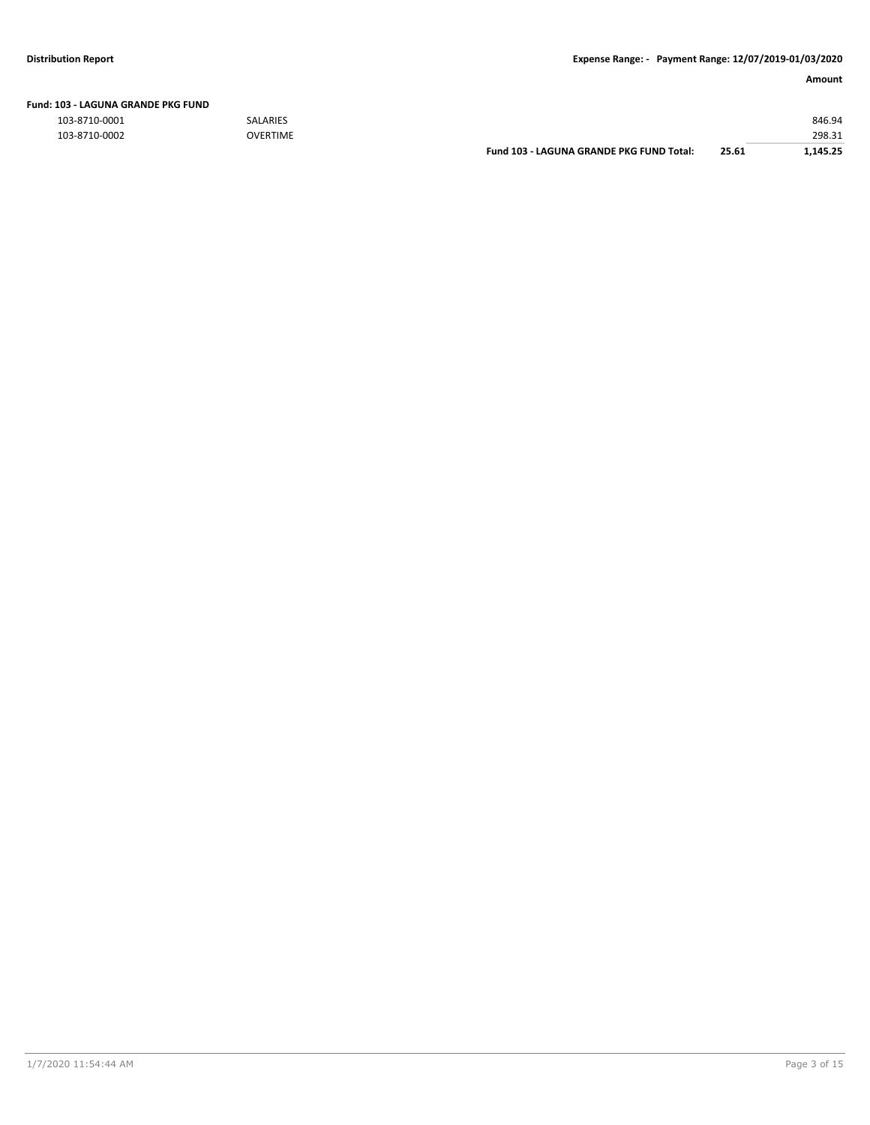| Fund: 103 - LAGUNA GRANDE PKG FUND |  |
|------------------------------------|--|
|------------------------------------|--|

103-8710-0001 SALARIES 846.94

| 103-8710-0002 | <b>OVERTIME</b> |                                          |               | 298.31   |
|---------------|-----------------|------------------------------------------|---------------|----------|
|               |                 | Fund 103 - LAGUNA GRANDE PKG FUND Total: | 25.61<br>____ | 1.145.25 |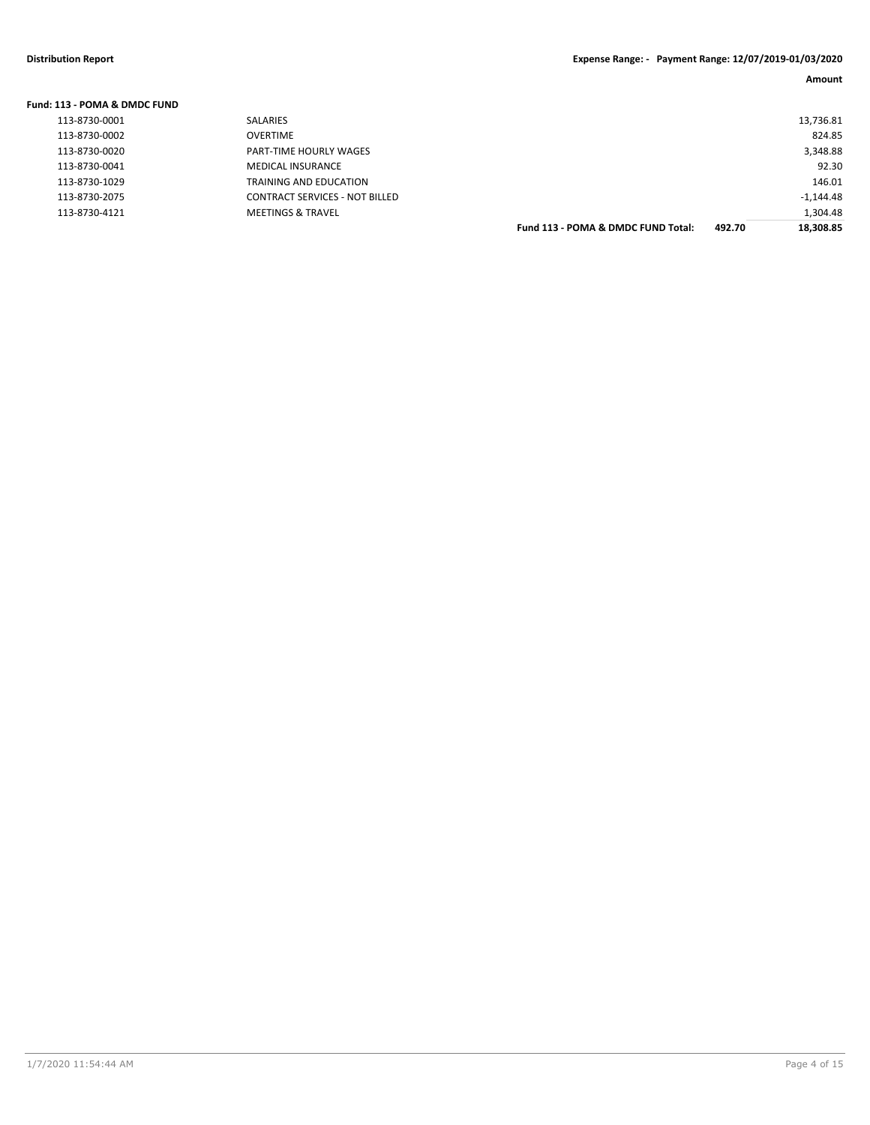### **Fund: 113 - POMA & DMDC FUND**

| 113-8730-0001 | SALARIES                              |                                    |        | 13,736.81   |
|---------------|---------------------------------------|------------------------------------|--------|-------------|
| 113-8730-0002 | <b>OVERTIME</b>                       |                                    |        | 824.85      |
| 113-8730-0020 | PART-TIME HOURLY WAGES                |                                    |        | 3,348.88    |
| 113-8730-0041 | <b>MEDICAL INSURANCE</b>              |                                    |        | 92.30       |
| 113-8730-1029 | TRAINING AND EDUCATION                |                                    |        | 146.01      |
| 113-8730-2075 | <b>CONTRACT SERVICES - NOT BILLED</b> |                                    |        | $-1,144.48$ |
| 113-8730-4121 | <b>MEETINGS &amp; TRAVEL</b>          |                                    |        | 1,304.48    |
|               |                                       | Fund 113 - POMA & DMDC FUND Total: | 492.70 | 18,308.85   |
|               |                                       |                                    |        |             |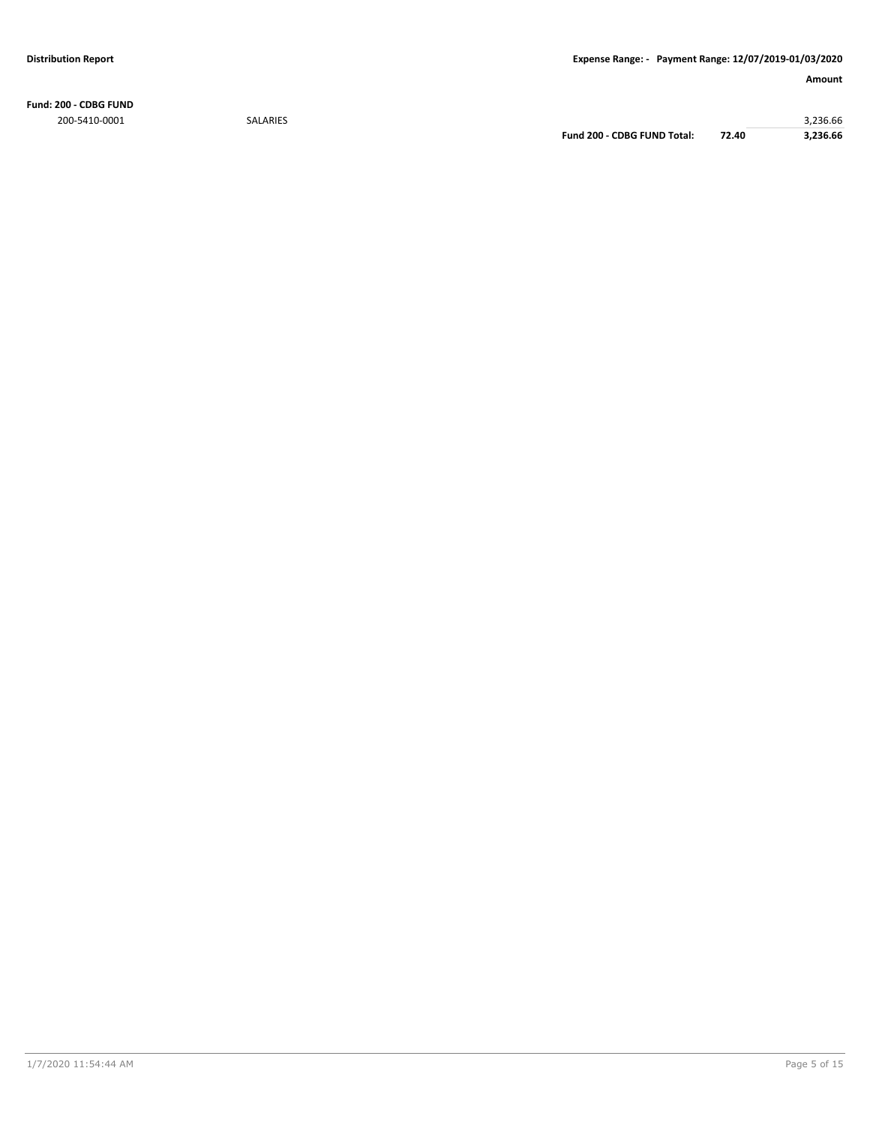**Fund: 200 - CDBG FUND** 200-5410-0001 SALARIES 3,236.66

**Fund 200 - CDBG FUND Total: 72.40 3,236.66**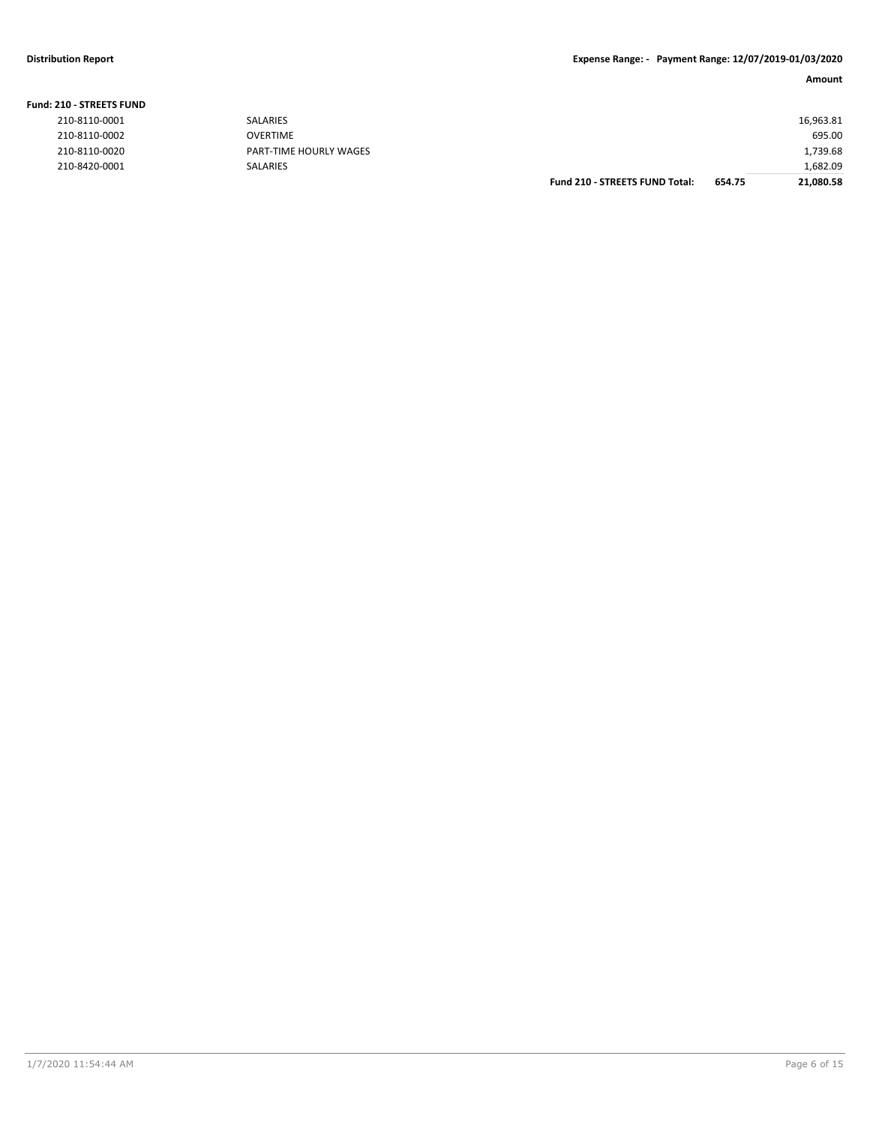### **Fund: 210 - STREETS FUND**

|                                         | <b>Eughbia CEREFEC FUNIO Tatal.</b><br>CFA<br><b>31.000.50</b> |
|-----------------------------------------|----------------------------------------------------------------|
| 210-8420-0001<br>SALARIES               | 1.682.09                                                       |
| 210-8110-0020<br>PART-TIME HOURLY WAGES | 1,739.68                                                       |
| 210-8110-0002<br><b>OVERTIME</b>        | 695.00                                                         |
| 210-8110-0001<br><b>SALARIES</b>        | 16,963.81                                                      |

| <b>Fund 210 - STREETS FUND Total:</b> | 654.75 | 1,682.09<br>21,080.58 |
|---------------------------------------|--------|-----------------------|
|                                       |        | 1,739.68              |
|                                       |        | 695.00                |
|                                       |        | 16,963.81             |
|                                       |        |                       |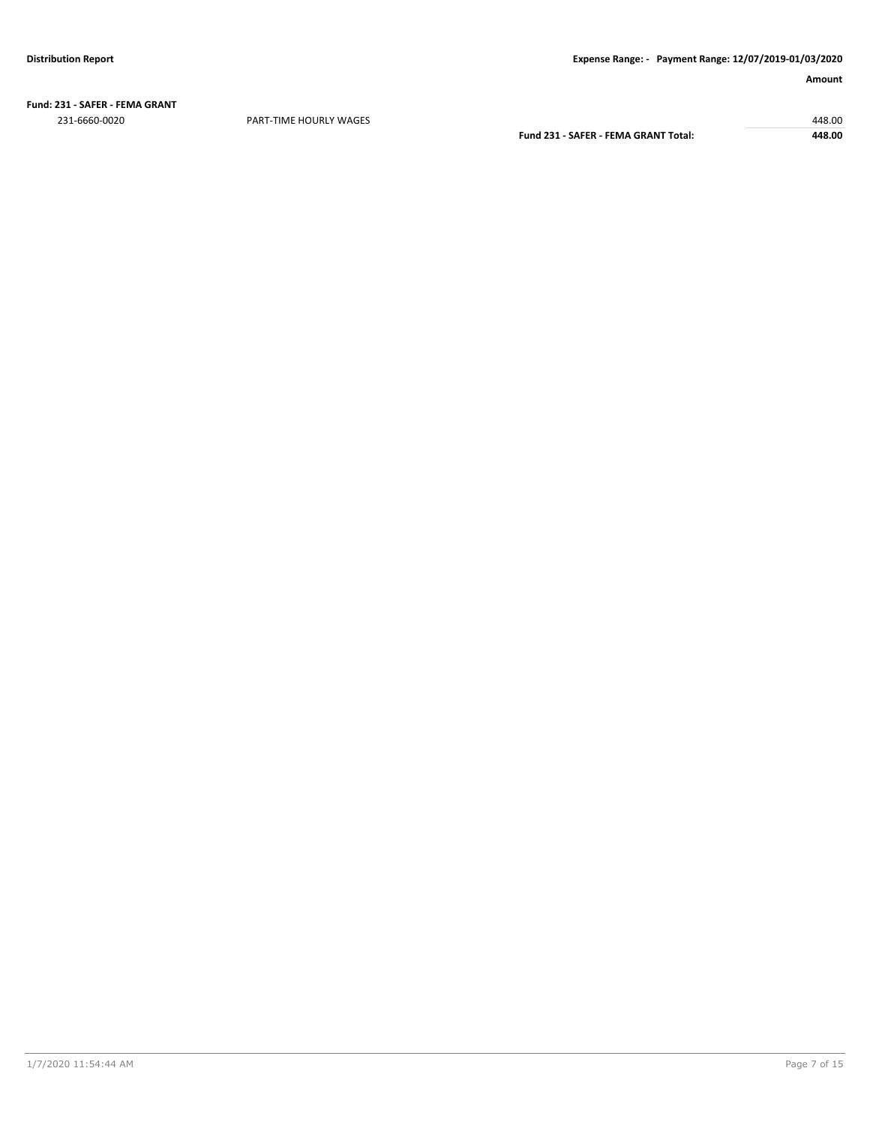**Fund: 231 - SAFER - FEMA GRANT** 231-6660-0020 PART-TIME HOURLY WAGES 448.00

**Fund 231 - SAFER - FEMA GRANT Total: 448.00**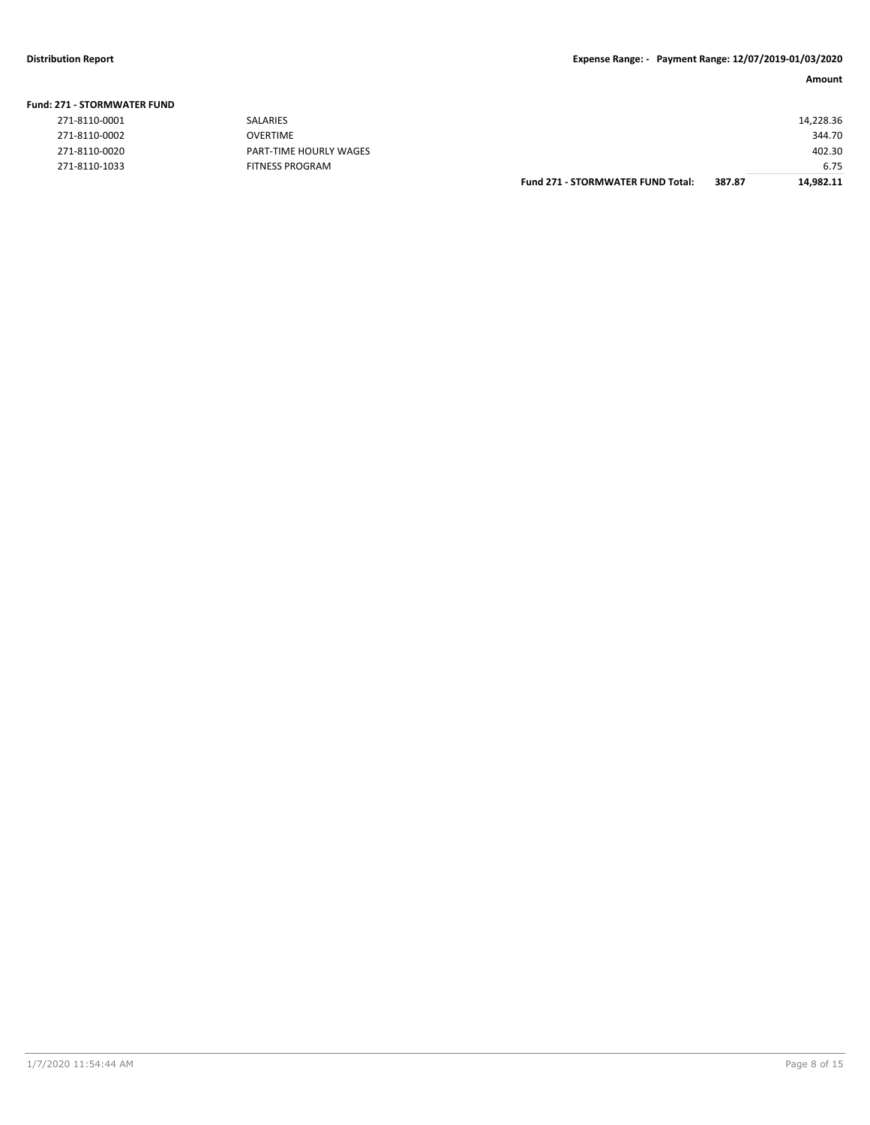### **Fund: 271 - STORMWATER FUND**

| 271-8110-0001 | SALARI        |
|---------------|---------------|
| 271-8110-0002 | OVERTI        |
| 271-8110-0020 | PART-T        |
| 271-8110-1033 | <b>FITNES</b> |

|                       |                        | <b>Fund 271 - STORMWATER FUND Total:</b> | 387.87 | 14,982.11 |
|-----------------------|------------------------|------------------------------------------|--------|-----------|
| 271-8110-1033         | <b>FITNESS PROGRAM</b> |                                          |        | 6.75      |
| 271-8110-0020         | PART-TIME HOURLY WAGES |                                          |        | 402.30    |
| 271-8110-0002         | OVERTIME               |                                          |        | 344.70    |
| 271-8110-0001         | SALARIES               |                                          |        | 14,228.36 |
| !71 - STORMWATER FUND |                        |                                          |        |           |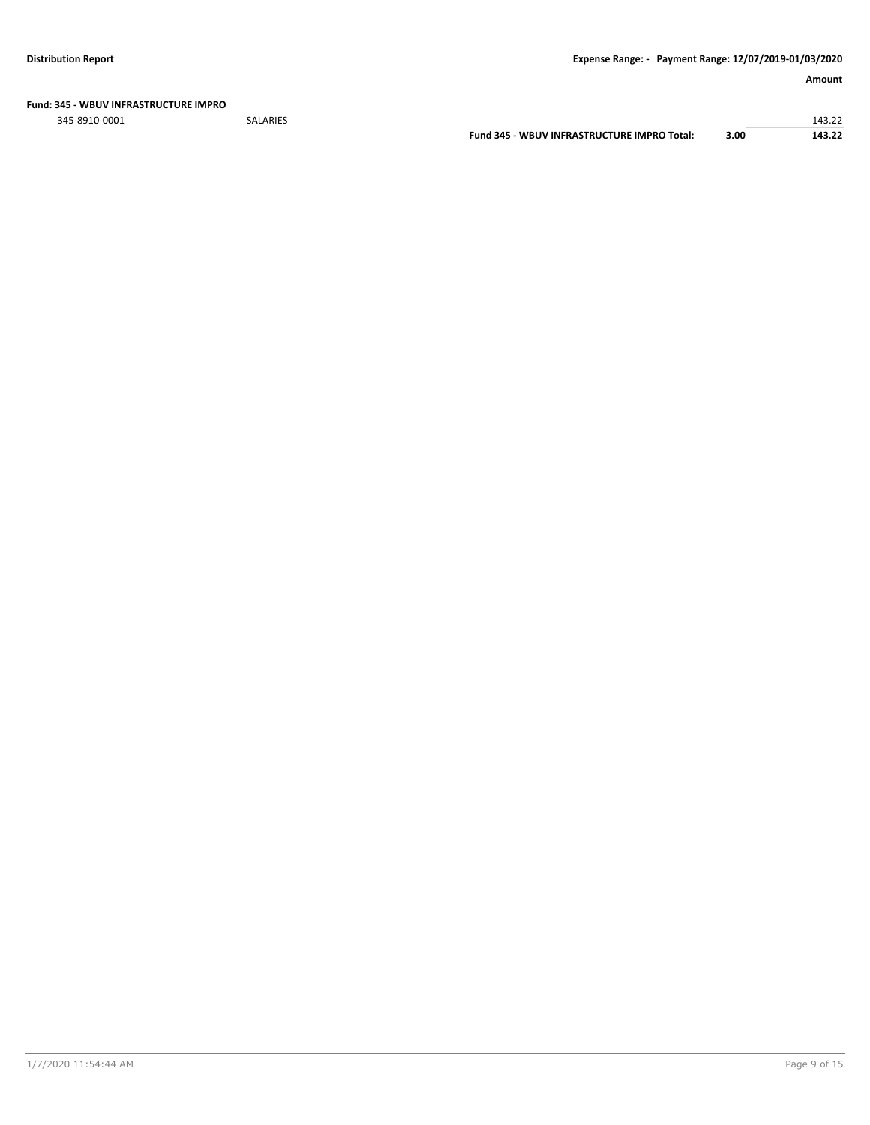### **Fund: 345 - WBUV INFRASTRUCTURE IMPRO**

345-8910-0001 SALARIES 143.22

**Fund 345 - WBUV INFRASTRUCTURE IMPRO Total: 3.00 143.22**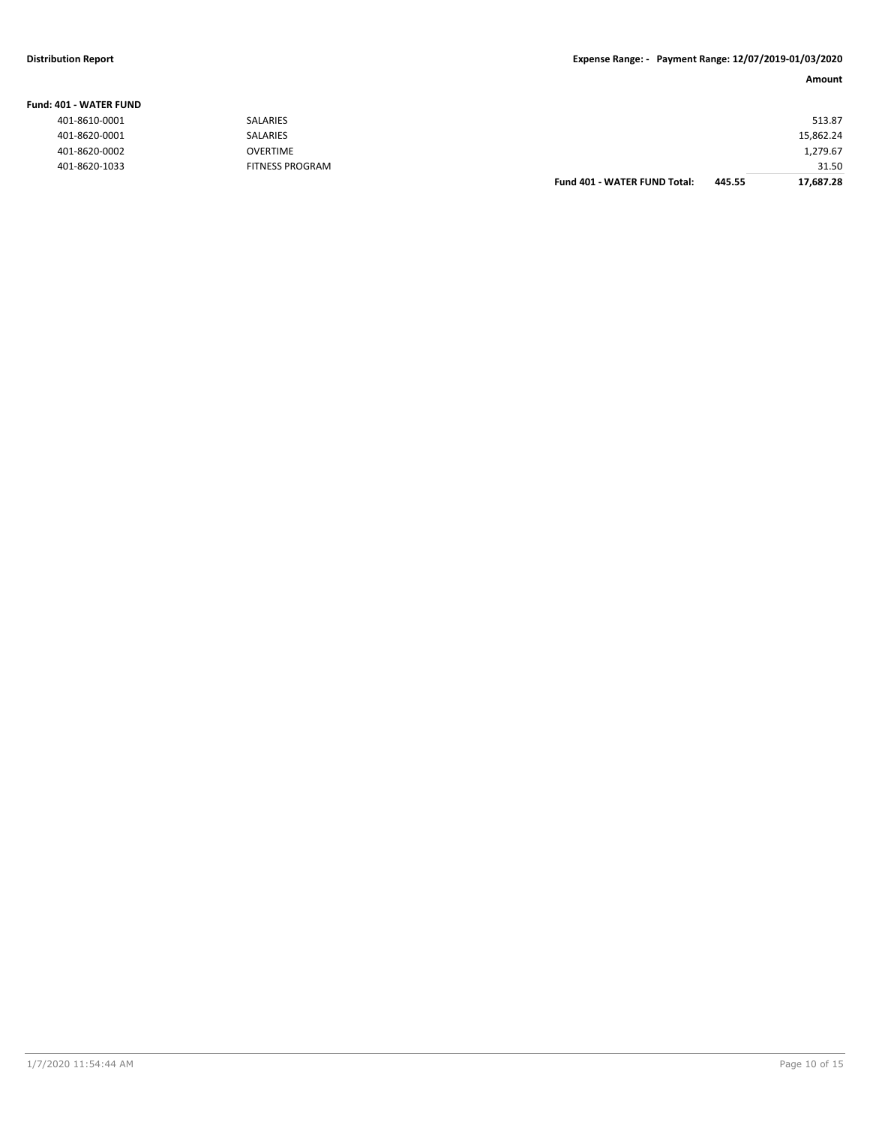### **Distribution Report Expense Range: - Payment Range: 12/07/2019-01/03/2020**

### **Amount**

| IO1 - WATER FUND |                        |                                     |        |           |
|------------------|------------------------|-------------------------------------|--------|-----------|
| 401-8610-0001    | <b>SALARIES</b>        |                                     |        | 513.87    |
| 401-8620-0001    | <b>SALARIES</b>        |                                     |        | 15,862.24 |
| 401-8620-0002    | <b>OVERTIME</b>        |                                     |        | 1,279.67  |
| 401-8620-1033    | <b>FITNESS PROGRAM</b> |                                     |        | 31.50     |
|                  |                        | <b>Fund 401 - WATER FUND Total:</b> | 445.55 | 17,687.28 |

**Fund: 401 - WATER FUND**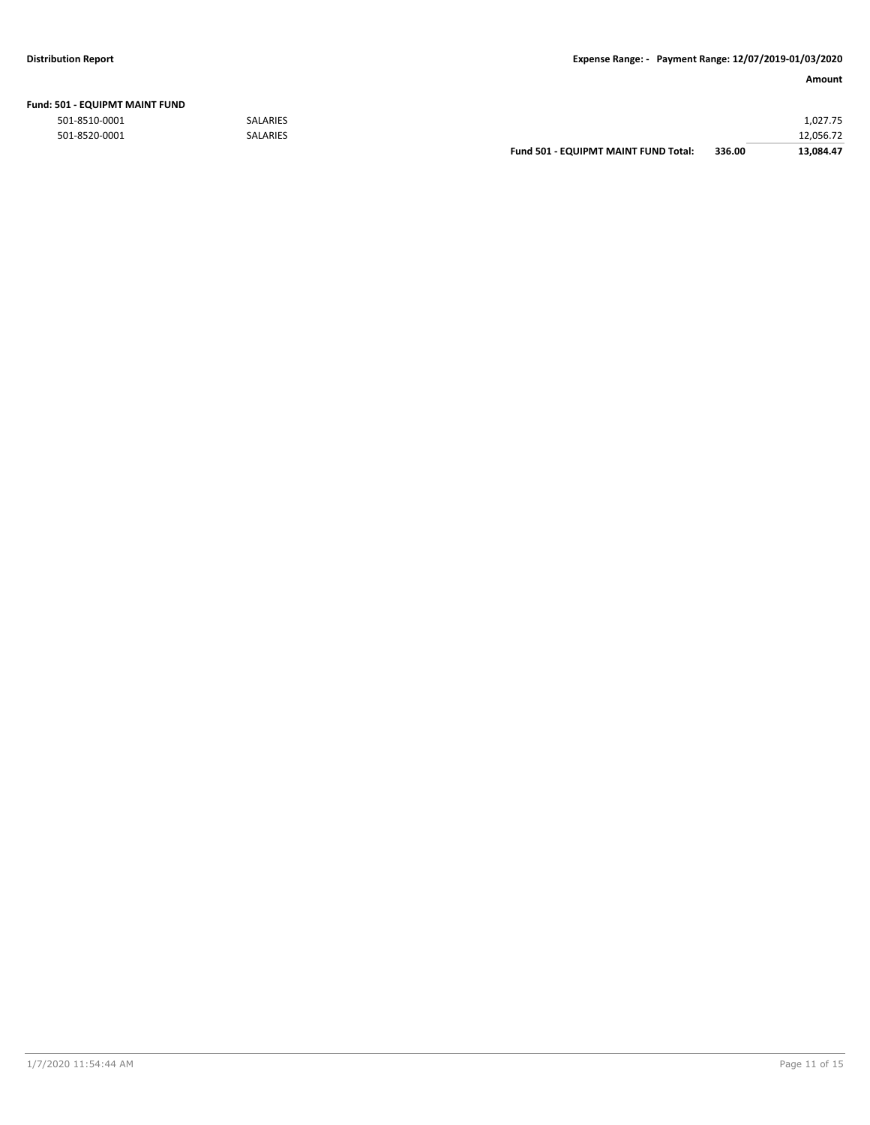| <b>Fund: 501 - EQUIPMT MAINT FUND</b> |           |
|---------------------------------------|-----------|
| <b>FOA OFAO OOOA</b>                  | CALABIEC. |

|               |                 | <b>Fund 501 - EQUIPMT MAINT FUND Total:</b> | 336.00 | 13.084.47 |
|---------------|-----------------|---------------------------------------------|--------|-----------|
| 501-8520-0001 | <b>SALARIES</b> |                                             |        | 12,056.72 |
| 501-8510-0001 | <b>SALARIES</b> |                                             |        | 1,027.75  |
|               |                 |                                             |        |           |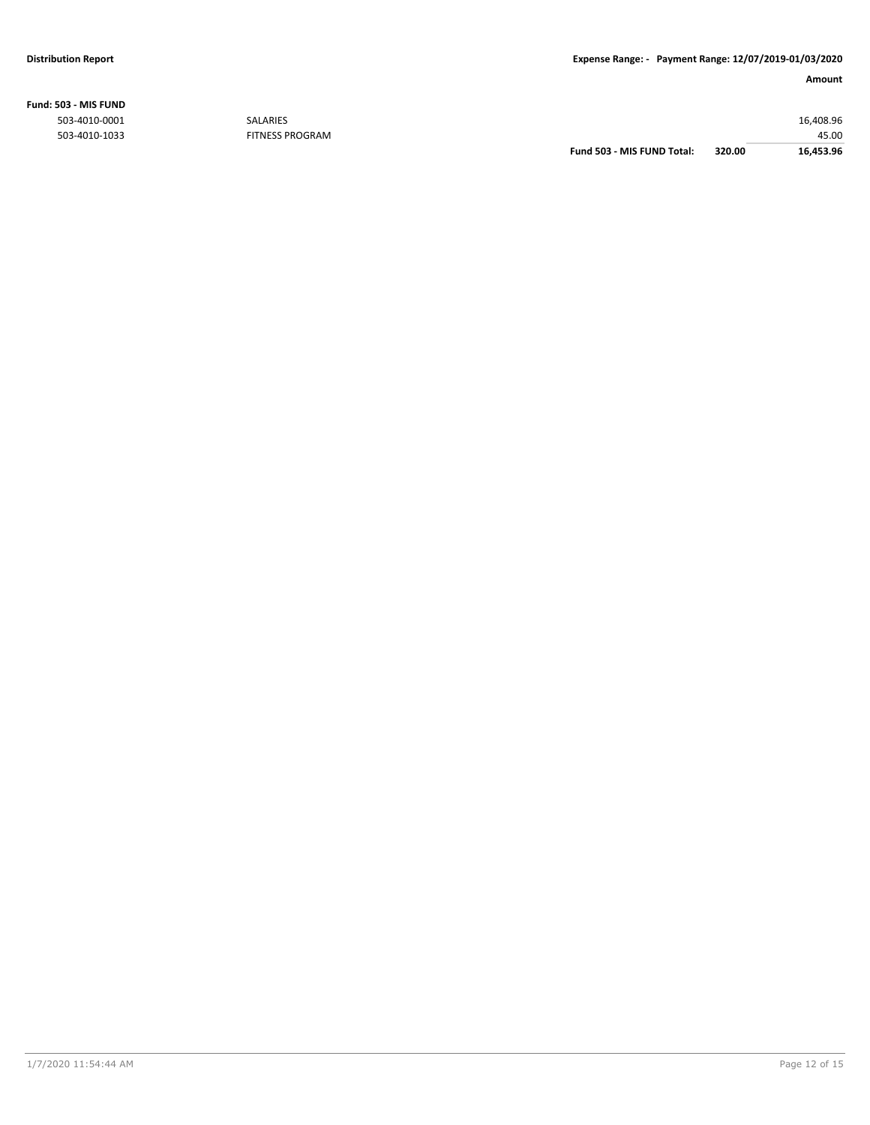### **Fund: 503 - MIS FUND**

| 16,453.96 |
|-----------|
| 45.00     |
| 16,408.96 |
|           |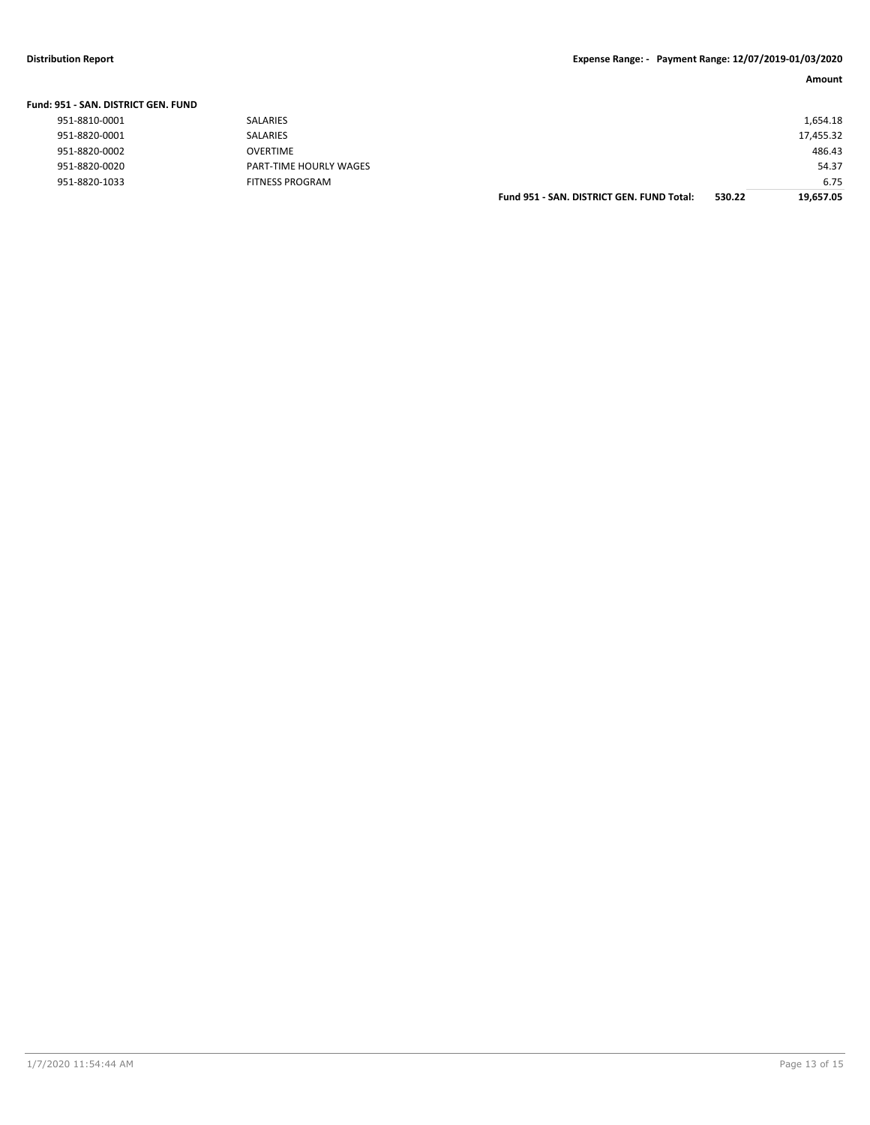| Fund: 951 - SAN. DISTRICT GEN. FUND |                        |                                           |        |           |
|-------------------------------------|------------------------|-------------------------------------------|--------|-----------|
| 951-8810-0001                       | <b>SALARIES</b>        |                                           |        | 1,654.18  |
| 951-8820-0001                       | <b>SALARIES</b>        |                                           |        | 17,455.32 |
| 951-8820-0002                       | OVERTIME               |                                           |        | 486.43    |
| 951-8820-0020                       | PART-TIME HOURLY WAGES |                                           |        | 54.37     |
| 951-8820-1033                       | <b>FITNESS PROGRAM</b> |                                           |        | 6.75      |
|                                     |                        | Fund 951 - SAN, DISTRICT GEN, FUND Total: | 530.22 | 19.657.05 |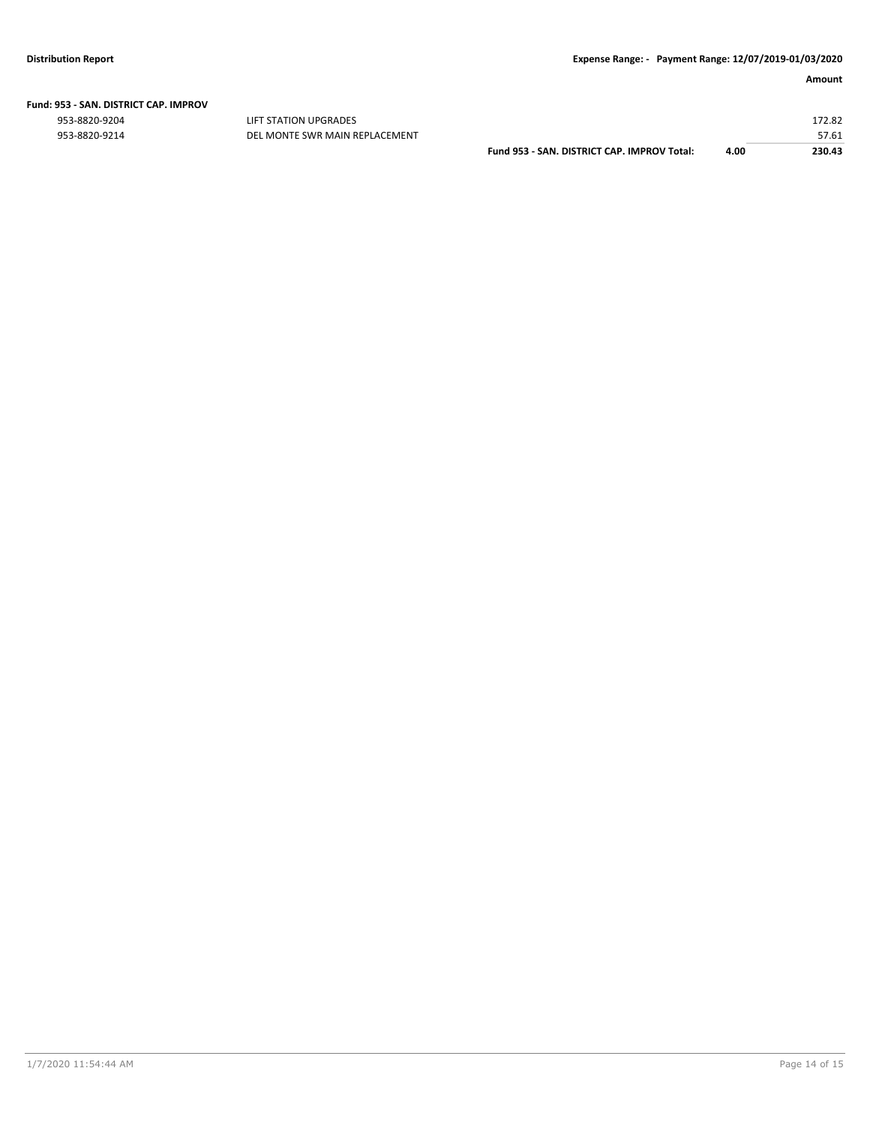|  | Fund: 953 - SAN. DISTRICT CAP. IMPROV |  |
|--|---------------------------------------|--|
|  |                                       |  |

953-8820-9204 LIFT STATION UPGRADES 172.82

| 953-8820-9214 | DEL MONTE SWR MAIN REPLACEMENT |                                             |      |        |
|---------------|--------------------------------|---------------------------------------------|------|--------|
|               |                                | Fund 953 - SAN, DISTRICT CAP, IMPROV Total: | 4.00 | 230.43 |